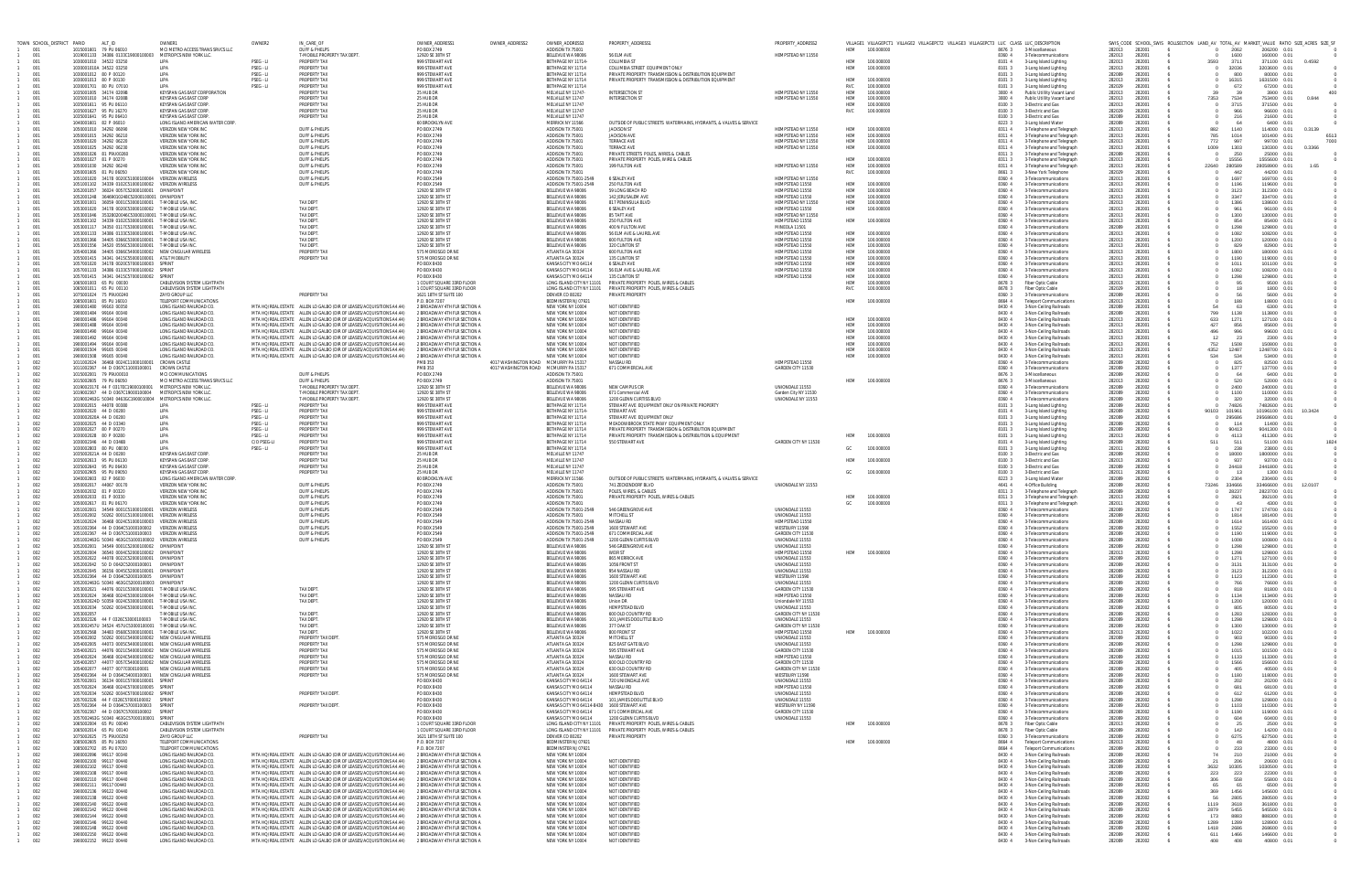|     | TOWN SCHOOL_DISTRICT PARID |                                                  | ALT_ID                                                                                                              | MCLMETRO ACCESS TRANS SRVCS LLC                                 | OWNER2                   | IN CARE OF<br><b>DUFF &amp; PHELPS</b>                                                                                                       | <b>OWNER ADDRESS*</b>                                        | OWNER_ADDRESS2                        | OWNER_ADDRESS3<br>ADDISON TX 75001                                 | PROPERTY_ADDRESS1                                                                          | PROPERTY_ADDRESS2                           |                   | VILLAGE1 VILLAGEPCT1 VILLAGE2 VILLAGEPCT2 VILLAGE3 VILLAGEPCT3 LUC CLASS LUC_DESCRIPTION |                  |                                                        |                  |                  | SWIS_CODE SCHOOL_SWIS ROLLSECTION LAND_AV TOTAL_AV MARKET_VALUE RATIO SIZE_ACRES SIZE_SF |                 |                                |         |
|-----|----------------------------|--------------------------------------------------|---------------------------------------------------------------------------------------------------------------------|-----------------------------------------------------------------|--------------------------|----------------------------------------------------------------------------------------------------------------------------------------------|--------------------------------------------------------------|---------------------------------------|--------------------------------------------------------------------|--------------------------------------------------------------------------------------------|---------------------------------------------|-------------------|------------------------------------------------------------------------------------------|------------------|--------------------------------------------------------|------------------|------------------|------------------------------------------------------------------------------------------|-----------------|--------------------------------|---------|
| 001 | 001                        | 1015001601 79 PU 0601                            | 1019001133 34386 0133C19000100003 METROPCS NEW YORK LLC                                                             |                                                                 |                          | T-MOBILE PROPERTY TAX DEPT.                                                                                                                  | PO BOX 2749<br>12920 SE 38TH ST                              |                                       | BELLEVUE WA 98006                                                  | 56 ELM AVE                                                                                 | HEMPSTEAD NY 11550                          |                   | HEM 100,000000                                                                           | 8360 4           | 8676 3 3-Miscellaneous<br>3-Telecommunications         | 282013<br>282013 | 282001<br>282001 |                                                                                          | 2062<br>1600    | 206200 0.01<br>160000 0.01     |         |
|     | 001<br>001                 | 1030001010 34522 0325                            |                                                                                                                     | LIPA<br>LIPA                                                    | PSEG - LI<br>PSEG - LI   | PROPERTY TAX<br><b>PROPERTY TAX</b>                                                                                                          | 999 STEWART AVE<br>999 STFWART AVE                           |                                       | BETHPAGE NY 11714-<br>BETHPAGE NY 11714                            | <b>COLUMBIA ST</b><br>COLUMBIA STREET EQUIPMENT ONLY                                       |                                             | HEM<br><b>HFM</b> | 100,000000<br>100,000000                                                                 | 8101 4<br>8101 3 | 3-Long Island Lighting                                 | 282013<br>282013 | 282001<br>282001 | 3593                                                                                     | 3711<br>32036   | 371100 0.01<br>3203600 0.01    | 0.4592  |
|     | 001                        | 1030001010A 34522 03250<br>1030001012 80 P 00120 |                                                                                                                     | LIPA                                                            | PSEG - LI                | PROPERTY TAX                                                                                                                                 | 999 STEWART AVE                                              |                                       | BETHPAGE NY 11714                                                  | PRIVATE PROPERTY TRANSMISSION & DISTRIBUTION EQUIPMENT                                     |                                             |                   |                                                                                          | 8101 3           | 3-Long Island Lighting<br>3-Long Island Lighting       | 282089           | 282001           |                                                                                          | -800            | 80000 0.01                     |         |
|     | 001                        | 1030001013 80 P 00130                            |                                                                                                                     | LIPA                                                            | PSEG - LI                | PROPERTY TAX<br>PROPERTY TAX                                                                                                                 | 999 STEWART AVE<br>999 STFWART AVE                           |                                       | BETHPAGE NY 11714<br><b>BETHPAGE NY 11714</b>                      | PRIVATE PROPERTY TRANSMISSION & DISTRIBUTION EQUIPMENT                                     |                                             | HEM<br>RVC        | 100,000000                                                                               | 8101 3           | 3-Long Island Lighting                                 | 282013           | 282001           |                                                                                          | 16315           | 1631500 0.01                   |         |
|     | 001<br>001                 | 1030001701 80 PU 07010<br>1035001005 34174 0209  |                                                                                                                     | <b>I IPA</b><br>KEYSPAN GAS EAST CORPORATION                    | PSEG - LI                | PROPERTY TAX                                                                                                                                 | 25 HUB DR                                                    |                                       | MELVILLE NY 11747                                                  | <b>INTERSECTIONS</b>                                                                       | HEMPSTEAD NY 11550                          | HEM               | 100,000000<br>100.000000                                                                 | 8101 3<br>3800 4 | 3-Long Island Lighting<br>Public Utillity Vacant Land  | 282029<br>282013 | 282001<br>282001 |                                                                                          | 672<br>- 39     | 67200 0.01<br>3900 0.0         |         |
|     | 001                        | 1035001010 34174 0208B                           |                                                                                                                     | <b>KEYSPAN GAS EAST CORP</b>                                    |                          | PROPERTY TAX                                                                                                                                 | 25 HUB DR                                                    |                                       | MELVILLE NY 11747                                                  | <b>INTERSECTION ST</b>                                                                     | HEMPSTEAD NY 11550                          | HEM               | 100.000000                                                                               | 3800 4           | Public Utillity Vacant Land                            | 282013           | 282001           | 7353                                                                                     | 7534            | 753400 0.01                    | 0.844   |
|     | 001<br>001                 | 1035001611 95 PU 0611<br>1035001627 95 PU 1627   |                                                                                                                     | KEYSPAN GAS FAST CORP<br><b>KEYSPAN GAS EAST CORE</b>           |                          | PROPERTY TAX<br>PROPERTY TAX                                                                                                                 | 25 HUB DR<br>25 HUB DR                                       |                                       | MELVILLE NY 11747<br>MELVILLE NY 1174                              |                                                                                            |                                             | HEM<br>RVC        | 100,000000<br>100.000000                                                                 | 8100 3<br>8100 3 | 3-Electric and Gas<br>3-Electric and Gas               | 282013<br>282029 | 282001<br>282001 |                                                                                          | 3715            | 371500 0.01<br>96600 0.01      |         |
|     | 001                        | 1035001641 95 PU 06410                           |                                                                                                                     | <b>KEYSPAN GAS EAST CORP</b>                                    |                          | PROPERTY TAX                                                                                                                                 | 25 HUB DR                                                    |                                       | MELVILLE NY 1174                                                   |                                                                                            |                                             |                   |                                                                                          | 8100 3           | 3-Electric and Gas                                     | 282089           | 282001           |                                                                                          | 216             | 21600 0.01                     |         |
|     | 001                        | 1040001601 82 P 06010<br>1050001010 34292 06090  |                                                                                                                     | LONG ISLAND AMERICAN WATER CORP.<br><b>VERIZON NEW YORK IN</b>  |                          | DUFF & PHELPS                                                                                                                                | 60 BROOKLYN AVE<br>PO BOX 2749                               |                                       | MERRICK NY 11566<br>ADDISON TX 7500                                | OUTSIDE OF PUBLIC STREETS WATERMAINS, HYDRANTS, & VALVES & SERVICE<br><b>JACKSON ST</b>    | HEMPSTEAD NY 11550                          | HEM               | 100,000000                                                                               | 8223 3<br>8311 4 | 3-Long Island Water<br>3-Telephone and Telegraph       | 282089<br>282013 | 282001<br>282001 | 882                                                                                      | 64<br>1140      | 6400 0.01<br>114000 0.01       | 0.3139  |
|     | 001                        | 1050001015 34292 06210                           |                                                                                                                     | <b>VERIZON NEW YORK IN</b>                                      |                          | <b>DUFF &amp; PHELPS</b>                                                                                                                     | PO BOX 2749                                                  |                                       | ADDISON TX 75001                                                   | <b>JACKSON AVE</b>                                                                         | HEMPSTEAD NY 11550                          | HEM               | 100,000000                                                                               | 8311 4           | 3-Telephone and Telegraph                              | 282013           | 282001           | 785                                                                                      | 1014            | 101400 0.01                    |         |
|     |                            | 1050001020 34292 06220<br>1050001025 34292 0623  |                                                                                                                     | VERIZON NEW YORK INC<br>VERIZON NEW YORK INC                    |                          | DUFF & PHELPS<br>DUFF & PHELPS                                                                                                               | PO BOX 2749<br>PO BOX 2749                                   |                                       | ADDISON TX 75001<br>ADDISON TX 75001                               | <b>TERRACE AVE</b><br><b>TERRACE AVE</b>                                                   | HEMPSTEAD NY 11550<br>HEMPSTEAD NY 11550    | HEM<br>HEM        | 100.000000<br>100.000000                                                                 | 8311 4<br>8311 4 | 3-Telephone and Telegraph<br>3-Telephone and Telegraph | 282013<br>282013 | 282001<br>282001 | 772<br>1009                                                                              | 997<br>1303     | 99700 0.01<br>130300 0.01      | 0.3366  |
|     | 001                        | 1050001026 81 P9U00260                           |                                                                                                                     | <b>VERIZON NEW YORK IN</b>                                      |                          | <b>DUFF &amp; PHELPS</b>                                                                                                                     | PO BOX 2749                                                  |                                       | ADDISON TX 75001                                                   | PRIVATE STREETS POLES, WIRES & CABLES                                                      |                                             |                   |                                                                                          | 8311 3           | 3-Telephone and Telegraph                              | 282089           | 282001           |                                                                                          | 250             | 25000 0.01                     |         |
|     | 001<br>001                 | 1050001027 81 P 00270<br>1050001030 34292 06240  |                                                                                                                     | VERIZON NEW YORK INC<br><b>VERIZON NEW YORK IN</b>              |                          | DUFF & PHELPS<br>DUFF & PHELPS                                                                                                               | PO BOX 2749<br>PO BOX 2749                                   |                                       | ADDISON TX 75001<br>ADDISON TX 75001                               | PRIVATE PROPERTY POLES, WIRE & CABLES<br>199 FULTON AVE                                    | HEMPSTEAD NY 11550                          | HEM<br>HEM        | 100.000000<br>100.000000                                                                 | 8311 3<br>8311 4 | 3-Telephone and Telegraph<br>3-Telephone and Telegraph | 282013<br>282013 | 282001<br>282001 | 22640                                                                                    | 15556<br>280589 | 1555600 0.01<br>28058900 0.01  |         |
|     | 001                        | 1050001605 81 PU 06050                           |                                                                                                                     | <b>VERIZON NEW YORK IN</b>                                      |                          | <b>DUFF &amp; PHELPS</b>                                                                                                                     | PO BOX 2749                                                  |                                       | ADDISON TX 75001                                                   |                                                                                            |                                             | <b>RVC</b>        | 100,000000                                                                               | 8661 3           | 3-New York Telephone                                   | 282029           | 282001           |                                                                                          | -442            | 44200 0.01                     |         |
|     | 001<br>001                 |                                                  | 1051001020 34178 0020C51000100004 VERIZON WIRELESS                                                                  |                                                                 |                          | DUFF & PHELPS                                                                                                                                | PO BOX 2549<br>PO BOX 2549                                   |                                       | ADDISON TX 75001-2549                                              | <b>6 SEALEY AVE</b><br>250 FULTON AVE                                                      | HEMPSTEAD NY 11550                          | HEM               | 100.000000                                                                               | 8360 4<br>8360 4 | 3-Telecommunications                                   | 282013<br>282013 | 282001<br>282001 |                                                                                          | 1697<br>1196    | 169700 0.01                    |         |
|     | 001                        |                                                  | 1051001102 34339 0102C51000100002 VERIZON WIRELESS<br>1052001057 36024 0057C52000100001 OMNIPOINT                   |                                                                 |                          | DUFF & PHELPS                                                                                                                                | 12920 SE 38TH ST                                             |                                       | ADDISON TX 75001-2549<br>BELLEVUE WA 98006                         | 59 LONG BEACH RD                                                                           | HEMPSTEAD 11550<br>HFMPSTEAD 11550          | <b>HFM</b>        | 100,000000                                                                               | 8360 4           | 3-Telecommunications<br>3-Telecommunications           | 282013           | 282001           |                                                                                          | 3123            | 119600 0.01<br>312300 0.01     |         |
|     | 001                        |                                                  | 1052001248 36469010248C52000100001 OMNIPOINT                                                                        |                                                                 |                          |                                                                                                                                              | 12920 SE 38TH ST                                             |                                       | BELLEVUE WA 98006                                                  | 142 JERUSALEM AVE                                                                          | HEMPSTEAD 11550                             | HEM               | 100.000000                                                                               | 8360 4           | 3-Telecommunications                                   | 282013           | 282001           |                                                                                          | 3347            | 334700 0.01                    |         |
|     | 001<br>001                 |                                                  | 1053001001 36059 0001C53000100001 T-MOBILE USA, INC<br>1053001020 34178 0020C53000100002 T-MOBILE USA INC           |                                                                 |                          | <b>TAX DEPT</b><br><b>TAX DFPT</b>                                                                                                           | 12920 SE 38TH S'<br>12920 SE 38TH S'                         |                                       | BELLEVUE WA 98006<br>BELLEVUE WA 98006                             | 817 PENINSULA BLVD<br>6 SEALEY AVE                                                         | HEMPSTEAD NY 11550<br>HEMPSTEAD 11550       | HEM<br>HEM        | 100.000000<br>100.000000                                                                 | 83604<br>83604   | 3-Telecommunications<br>3-Telecommunications           | 282013<br>282013 | 282001<br>282001 |                                                                                          | 1386<br>961     | 138600 0.01<br>96100 0.01      |         |
|     | 001                        |                                                  | 1053001046 35328020046C53000100001 T-MOBILE USA INC                                                                 |                                                                 |                          | <b>TAX DEPT</b>                                                                                                                              | 12920 SE 38TH S'                                             |                                       | BELLEVUE WA 98006                                                  | 85 TAFT AVE                                                                                | HEMPSTEAD NY 1155                           |                   |                                                                                          | 8360 4           | 3-Telecommunications                                   | 282013           | 282001           |                                                                                          | 1300            | 130000 0.0                     |         |
|     | 001<br>001                 |                                                  | 1053001102 34339 0102C53000100001 T-MOBILE USA INC<br>1053001117 34350 0117C53000100001 T-MOBILE USA INC.           |                                                                 |                          | <b>TAX DEPT</b><br>TAX DEPT.                                                                                                                 | 12920 SE 38TH ST<br>12920 SE 38TH ST                         |                                       | BELLEVUE WA 98006<br>BELLEVUE WA 98006                             | 250 FULTON AVE<br>400 N FULTON AVE                                                         | HEMPSTEAD 11550<br>MINEOLA 11501            | HEM               | 100.000000                                                                               | 8360 4<br>8360 4 | 3-Telecommunications<br>3-Telecommunications           | 282013<br>282089 | 282001<br>282001 |                                                                                          | 854<br>1298     | 85400 0.01<br>129800 0.01      |         |
|     | 001                        |                                                  | 1053001133 34386 0133C53000100001 T-MOBILE USA INC                                                                  |                                                                 |                          | <b>TAX DEPT</b>                                                                                                                              | 12920 SE 38TH S'                                             |                                       | BELLEVUE WA 98006                                                  | 56 ELM AVE & LAUREL AVE                                                                    | HEMPSTEAD 11550                             | HEM               | 100.000000                                                                               | 8360 4           | 3-Telecommunications                                   | 282013           | 282001           |                                                                                          | 1082            | 108200 0.0                     |         |
|     | 001<br>001                 |                                                  | 1053001366 34405 0366C53000100001 T-MOBILE USA INC.<br>1053001556 34520 0556C53000100001 T-MOBILE USA INC           |                                                                 |                          | TAX DEPT.<br><b>TAX DEPT</b>                                                                                                                 | 12920 SE 38TH ST<br>12920 SE 38TH ST                         |                                       | BELLEVUE WA 98006<br>BELLEVUE WA 98006                             | 600 FULTON AVE<br>320 CLINTON ST                                                           | HEMPSTEAD 11550<br>HEMPSTEAD 11550          | HEM<br>HEM        | 100.000000<br>100.000000                                                                 | 8360 4<br>8360 4 | 3-Telecommunications<br>3-Telecommunications           | 282013<br>282013 | 282001<br>282001 |                                                                                          | 1200<br>829     | 120000 0.01<br>82900 0.01      |         |
|     | 001                        |                                                  | 1054001366 34405 0366C54000100002 NEW CINGULAR WIRELESS                                                             |                                                                 |                          | PROPERTY TA:                                                                                                                                 | 575 MOROSGO DR N                                             |                                       | ATLANTA GA 30324                                                   | 600 FULTON AV                                                                              | HEMPSTEAD 11550                             | HEM               | 100.000000                                                                               | 8360 4           | 3-Telecommunications                                   | 282013           | 282001           |                                                                                          | 1800            | 180000 0.0                     |         |
|     | 001<br>001                 |                                                  | 1055001415 34341 0415C55000100001 AT&T MOBILITY<br>1057001020 34178 0020C57000100003 SPRINT                         |                                                                 |                          | <b>PROPERTY TAX</b>                                                                                                                          | 575 MOROSGO DR N<br>PO BOX 8430                              |                                       | ATLANTA GA 30324<br>KANSAS CITY MO 64114                           | 135 CLINTON ST<br><b>6 SEALEY AVE</b>                                                      | HFMPSTEAD 11550<br>HEMPSTEAD 11550          | <b>HFM</b><br>HEM | 100,000000<br>100.000000                                                                 | 8360 4<br>8360 4 | 3-Telecommunications<br>3-Telecommunications           | 282013<br>282013 | 282001<br>282001 |                                                                                          | 1190<br>1011    | 119000 0.01<br>101100 0.01     |         |
|     |                            |                                                  | 1057001133 34386 0133C57000100002 SPRIN                                                                             |                                                                 |                          |                                                                                                                                              | PO BOX 8430                                                  |                                       | KANSAS CITY MO 64114                                               | 56 ELM AVE & LAUREL AVE                                                                    | HEMPSTEAD 11550                             | HEM               | 100.000000                                                                               | 8360 4           | 3-Telecommunication                                    | 282013           | 282001           |                                                                                          | 1082            | 108200 0.0                     |         |
|     | 001<br>001                 | 1065001003 65 PU 00030                           | 1057001415 34341 0415C57000100002 SPRINT                                                                            | CABLEVISION SYSTEM LIGHTPATH                                    |                          |                                                                                                                                              | PO BOX 8430<br>1 COURT SQUARE 33RD FLOOR                     |                                       | KANSAS CITY MO 64114                                               | 135 CLINTON ST<br>LONG ISLAND CITY NY 11101 PRIVATE PROPERTY POLES, WIRES & CABLES         | HEMPSTEAD 11550                             | HEM<br>HEM        | 100,000000<br>100.000000                                                                 | 8360 4<br>8678 3 | 3-Telecommunications<br>Fiber Optic Cable              | 282013<br>282013 | 282001<br>282001 |                                                                                          | 1298            | 129800 0.01<br>950000.0        |         |
|     |                            | 1065001011 65 PU 00110                           |                                                                                                                     | <b>CABLEVISION SYSTEM LIGHTPATH</b>                             |                          |                                                                                                                                              | 1 COURT SQUARE 33RD FLOOR                                    |                                       |                                                                    | LONG ISLAND CITY NY 11101 PRIVATE PROPERTY POLES, WIRES & CABLES                           |                                             | <b>RVC</b>        | 100.000000                                                                               | 8678 3           | Fiber Optic Cable                                      | 282029           | 282001           |                                                                                          |                 | 1800 0.01                      |         |
|     | 001<br>001                 | 1075001024 75 P9U00240<br>1085001601 85 PU 16010 |                                                                                                                     | ZAYO GROUP LLC<br>TELEPORT COMMUNICATIONS                       |                          | <b>PROPERTY TAX</b>                                                                                                                          | 1621 18TH ST SUITE 100<br>P.O. BOX 7207                      |                                       | DENVER CO 80202<br>BEDMINSTER NJ 07921                             | <b>PRIVATE PROPERTY</b>                                                                    |                                             | <b>HFM</b>        | 100.000000                                                                               | 8360 3<br>8664 4 | 3-Telecommunications<br><b>Teleport Communication:</b> | 282089<br>282013 | 282001<br>282001 |                                                                                          | 188             | 5600 0.01<br>18800 0.01        |         |
|     | 001                        | 1900001480 99163 00350                           |                                                                                                                     | LONG ISLAND RAILROAD CO.                                        |                          | MTA HO/REAL ESTATE ALLEN LO GALBO (DIR OF LEASES/ACQUISITIONS A4.44)                                                                         | 2 BROADWAY 4TH FLR SECTION                                   |                                       | NEW YORK NY 10004                                                  | NOT IDENTIFIED                                                                             |                                             |                   |                                                                                          | 8430 4           | 3-Non-Ceiling Railroads                                | 282089           | 282001           |                                                                                          | - 63            | 6300 0.01                      |         |
|     | 001                        | 1900001484 99164 00340<br>1900001486 99164 00340 |                                                                                                                     | LONG ISLAND RAILROAD CO.<br>LONG ISLAND RAILROAD CO             |                          | MTA HO/REAL ESTATE ALLEN LO GALBO (DIR OF LEASES/ACOLUSITIONS A4.44)<br>MTA HO/REAL ESTATE ALLEN LO GALBO (DIR OF LEASES/ACOUISITIONS A4 44) | 2 BROADWAY 4TH FLR SECTION A<br>2 BROADWAY 4TH FLR SECTION   |                                       | NEW YORK NY 10004<br>NEW YORK NY 10004                             | NOT IDENTIFIED<br>NOT IDENTIFIED                                                           |                                             | HEM               | 100.000000                                                                               | 8430 4<br>8430 4 | 3-Non-Ceiling Railroads<br>3-Non-Ceiling Railroads     | 282089<br>282013 | 282001<br>282001 | 799<br>633                                                                               | 1138<br>1271    | 113800 0.01<br>127100 0.01     |         |
|     | 001                        | 1900001488 99164 00340                           |                                                                                                                     | LONG ISLAND RAILROAD CO.                                        |                          | MTA HO/REAL ESTATE ALLEN LO GALBO (DIR OF LEASES/ACQUISITIONS A4.44)                                                                         | 2 BROADWAY 4TH FLR SECTION A                                 |                                       | NEW YORK NY 10004                                                  | NOT IDENTIFIED                                                                             |                                             | <b>HFM</b>        | 100.000000                                                                               | 8430 4           | 3-Non-Ceiling Railroads                                | 282013           | 282001           | 427                                                                                      | 856             | 85600 0.01                     |         |
|     | 001                        | 1900001490 99164 00340                           |                                                                                                                     | LONG ISLAND RAILROAD CO                                         |                          | MTA HO/REAL ESTATE ALLEN LO GALBO (DIR OF LEASES/ACQUISITIONS A4.44)                                                                         | 2 RROADWAY 4TH ELR SECTION 4                                 |                                       | NEW YORK NY 10004                                                  | NOT IDENTIFIED                                                                             |                                             | <b>HFM</b>        | 100,000000                                                                               | 8430 4           | 3-Non-Ceiling Railroads                                | 282013           | 282001           | 496                                                                                      | 996             | 99600 0.01                     |         |
|     | 001<br>001                 | 1900001492 99164 0034<br>1900001494 99164 00340  |                                                                                                                     | LONG ISLAND RAILROAD CO<br>LONG ISLAND RAILROAD CO              |                          | MTA HO/REAL ESTATE ALLEN LO GALBO (DIR OF LEASES/ACQUISITIONS A4.44)<br>MTA HO/REAL ESTATE ALLEN LO GALBO (DIR OF LEASES/ACQUISITIONS A4.44) | 2 BROADWAY 4TH FLR SECTION<br>2 BROADWAY 4TH FLR SECTION A   |                                       | NEW YORK NY 1000-<br>NEW YORK NY 10004                             | NOT IDENTIFIED<br>NOT IDENTIFIED                                                           |                                             | HEM<br>HEM        | 100.000000<br>100.000000                                                                 | 8430 4<br>8430 4 | 3-Non-Ceiling Railroads<br>3-Non-Ceiling Railroads     | 282013<br>282013 | 282001<br>282001 | 752                                                                                      | - 23<br>1508    | $2300 - 0.0$<br>150800 0.01    |         |
|     | 001                        | 1900001504 99165 00340                           |                                                                                                                     | LONG ISLAND RAILROAD CO.                                        |                          | MTA HQ/REAL ESTATE ALLEN LO GALBO (DIR OF LEASES/ACQUISITIONS A4.44)                                                                         | 2 BROADWAY 4TH FLR SECTION A                                 |                                       | NEW YORK NY 10004                                                  | NOT IDENTIFIED                                                                             |                                             | HEM               | 100.000000                                                                               | 8430 4           | 3-Non-Ceiling Railroads                                | 282013           | 282001           | 4352                                                                                     | 12487           | 1248700 0.01                   |         |
|     | 001                        | 1900001508 99165 00340                           | 1011002024 36468 0024C11000100001 CROWN CASTLE                                                                      | LONG ISLAND RAILROAD CO.                                        |                          | MTA HO/REAL ESTATE ALLEN LO GALBO (DIR OF LEASES/ACQUISITIONS A4.44)                                                                         | 2 BROADWAY 4TH FLR SECTION A<br><b>PMB 353</b>               | 4017 WASHINGTON ROAD MCMURRY PA 15317 | NEW YORK NY 10004                                                  | NOT IDENTIFIED<br>NASSAU RD                                                                | HEMPSTEAD 11550                             | HEM               | 100,000000                                                                               | 8430 4<br>8360 4 | 3-Non-Ceiling Railroads<br>3-Telecommunications        | 282013<br>282089 | 282001<br>282002 | 534                                                                                      | 534<br>825      | 53400 0.0<br>82500 0.01        |         |
|     | 002                        |                                                  | 1011002367  44  D 0367C11000100001                                                                                  | CROWN CASTLI                                                    |                          |                                                                                                                                              | <b>PMB 353</b>                                               | 4017 WASHINGTON ROAD MCMURRY PA 15317 |                                                                    | 671 COMMERCIAL AVE                                                                         | GARDEN CITY 11530                           |                   |                                                                                          | 8360 4           | 3-Telecommunications                                   | 282089           | 282002           |                                                                                          | 1377            | 137700 0.01                    |         |
|     | 002<br>002                 | 1015002001 79 P9U0001<br>1015002605 79 PU 06050  |                                                                                                                     | MCI COMMUNICATIONS<br>MCI METRO ACCESS TRANS SRVCS LLC          |                          | <b>DUFF &amp; PHELPS</b><br><b>DUFF &amp; PHELPS</b>                                                                                         | PO BOX 2749<br>PO BOX 2749                                   |                                       | ADDISON TX 7500<br>ADDISON TX 75001                                |                                                                                            |                                             | <b>HFM</b>        | 100,000000                                                                               | 8676 3<br>8676 3 | 3-Miscellaneous<br>3-Miscellaneous                     | 282089<br>282013 | 282002<br>282002 |                                                                                          | 64<br>520       | 6400 0.0<br>52000 0.01         |         |
|     | 002                        |                                                  | 1019002317E 44 F 0317EC19000100001 METROPCS NEW YORK LLC                                                            |                                                                 |                          | T-MOBILE PROPERTY TAX DEPT                                                                                                                   | 12920 SE 38TH ST                                             |                                       | BELLEVUE WA 98006                                                  | NEW CAMPUS CIR                                                                             | UNIONDALE 11553                             |                   |                                                                                          | 8360 4           | 3-Telecommunications                                   | 282089           | 282002           |                                                                                          | 2400            | 240000 0.01                    |         |
|     | 002<br>002                 |                                                  | 1019002367  44 D  0367C19000100004  METROPCS NEW YORK LL<br>1019002463G 50340 0463GC1900010004 METROPCS NEW YORK LL |                                                                 |                          | T-MOBILE PROPERTY TAX DEPT<br><b>T-MOBILE PROPERTY TAX DEPT</b>                                                                              | 12920 SE 38TH ST<br>12920 SE 38TH ST                         |                                       | BELLEVUE WA 98006<br>BELLEVUE WA 98006                             | 671 Commercial AVE<br>1200 GLENN CURTISS BLVD                                              | Garden City NY 11530<br>UNIONDALE NY 11553  |                   |                                                                                          | 8360 4<br>8360 4 | 3-Telecommunications<br>3-Telecommunications           | 282089<br>282089 | 282002<br>282002 |                                                                                          | 1100<br>320     | 110000 0.01<br>32000 0.01      |         |
|     | 002                        | 1030002015 44078 00380                           |                                                                                                                     | LIPA                                                            | PSEG - LI                | PROPERTY TAX                                                                                                                                 | 999 STEWART AVE                                              |                                       | BETHPAGE NY 11714                                                  | STEWART AVE EQUIPMENT ONLY ON PRIVATE PROPERTY                                             |                                             |                   |                                                                                          | 8101 3           | 3-Long Island Lighting                                 | 282089           | 282002           |                                                                                          | 74826           | 7482600 0.01                   |         |
|     | 002                        | 1030002020 44 D 00200                            |                                                                                                                     | LIPA                                                            | PSEG - LI                | PROPERTY TAX<br>PROPERTY TAX                                                                                                                 | 999 STEWART AVE<br>999 STFWART AVE                           |                                       | BETHPAGE NY 11714-<br><b>BETHPAGE NY 11714</b>                     | STEWART AVE<br>STEWART AVE FOURMENT ONLY                                                   |                                             |                   |                                                                                          | 8101 4           | 3-Long Island Lighting                                 | 282089           | 282002           | 90103                                                                                    | 101961          | 10196100 0.01<br>29568600 0.01 | 10.3424 |
|     | 002<br>002                 | 1030002020A 44 D 00200<br>1030002025 44 D 03340  |                                                                                                                     | LIPA<br>LIPA                                                    | PSEG - LI<br>PSEG - LI   | PROPERTY TAX                                                                                                                                 | 999 STEWART AV                                               |                                       | BETHPAGE NY 11714                                                  | MEADOWBROOK STATE PKWY EQUIPMENT ONLY                                                      |                                             |                   |                                                                                          | 8101 3<br>8101 3 | 3-Long Island Lighting<br>3-Long Island Lightin        | 282089<br>282089 | 282002<br>282002 |                                                                                          | 295686<br>114   | 11400 0.0                      |         |
|     | 002                        | 1030002027 80 P 00270                            |                                                                                                                     | LIPA                                                            | PSEG - LI                | PROPERTY TAX                                                                                                                                 | 999 STEWART AVE                                              |                                       | BETHPAGE NY 11714                                                  | PRIVATE PROPERTY TRANSMISSION & DISTRIBUTION EQUIPMENT                                     |                                             |                   |                                                                                          | 8101 3           | 3-Long Island Lightin                                  | 282089           | 282002           |                                                                                          | 90413           | 9041300 0.01                   |         |
|     | 002<br>002                 | 1030002028 80 P 00280<br>1030002346  44 D 0346E  |                                                                                                                     | <b>IIPA</b><br>LIPA                                             | PSEG - LI<br>C/O PSEG-LI | PROPERTY TAX<br>PROPERTY TAX                                                                                                                 | 999 STFWART AVE<br>999 STEWART AVE                           |                                       | <b>BETHPAGE NY 11714</b><br>BETHPAGE NY 11714                      | PRIVATE PROPERTY TRANSMISSION & DISTRIBUTION & EQUIPMENT<br>550 STEWART AVE                | GARDEN CITY NY 11530                        | <b>HFM</b>        | 100,000000                                                                               | 8101 3<br>8101 4 | 3-Long Island Lighting<br>3-Long Island Lightin        | 282013<br>282089 | 282002<br>282002 | 511                                                                                      | 4113<br>511     | 411300 0.01<br>51100 0.01      | 1824    |
|     | 002                        | 1030002803 80 PU 08030                           |                                                                                                                     | LIPA                                                            | PSEG - LI                | PROPERTY TAX                                                                                                                                 | 999 STEWART AVE                                              |                                       | BETHPAGE NY 11714                                                  |                                                                                            |                                             | GC                | 100.000000                                                                               | 8101 3           | 3-Long Island Lightin                                  | 282011           | 282002           |                                                                                          | 238             | 23800 0.01                     |         |
|     | 002<br>002                 | 1035002021A 44 D 00200<br>1035002613 95 PU 0613  |                                                                                                                     | KEYSPAN GAS EAST CORP.<br><b>KEYSPAN GAS EAST CORP</b>          |                          | PROPERTY TAX<br>PROPERTY TAX                                                                                                                 | 25 HUB DR<br>25 HUB DR                                       |                                       | MELVILLE NY 11747<br>MELVILLE NY 11747                             |                                                                                            |                                             | HEM               | 100.000000                                                                               | 8100 3<br>8100 3 | 3-Electric and Gas<br>3-Electric and Gas               | 282089<br>282013 | 282002<br>282002 |                                                                                          | 18000<br>937    | 1800000 0.01<br>93700 0.01     |         |
|     | 002                        | 1035002643 95 PU 06430                           |                                                                                                                     | <b>KEYSPAN GAS EAST CORP</b>                                    |                          | PROPERTY TAX                                                                                                                                 | 25 HUB DR                                                    |                                       | MELVILLE NY 1174                                                   |                                                                                            |                                             |                   |                                                                                          | 8100 3           | 3-Electric and Gas                                     | 282089           | 282002           |                                                                                          | 24418           | 2441800 0.01                   |         |
|     | 002<br>002                 | 1035002905 95 PU 0905<br>1040002603 82 P 06030   |                                                                                                                     | <b>KEYSPAN GAS EAST CORE</b><br>LONG ISLAND AMERICAN WATER CORP |                          | PROPERTY TAX                                                                                                                                 | 25 HUB DR<br>60 BROOKLYN AVI                                 |                                       | MELVILLE NY 11747<br>MERRICK NY 1156                               | OUTSIDE OF PUBLIC STREETS WATERMAINS, HYDRANTS, & VALVES & SERVICE                         |                                             | GC                | 100.000000                                                                               | 8100 3<br>8223 3 | 3-Electric and Gas<br>3-Long Island Water              | 282011<br>282089 | 282002<br>282002 |                                                                                          | - 13<br>2304    | 1300 0.01<br>230400 0.01       |         |
|     | 002                        | 1050002017 44067 00170                           |                                                                                                                     | <b>VERIZON NEW YORK INC</b>                                     |                          | <b>DUFF &amp; PHELPS</b>                                                                                                                     | PO BOX 2749                                                  |                                       | ADDISON TX 75001                                                   | 741 ZECKENDORF BLVD                                                                        | <b>UNIONDALE NY 11553</b>                   |                   |                                                                                          | 4641 4           | 4-Office Building                                      | 282089           | 282002           | 73246                                                                                    | 334666          | 33466600 0.01                  | 12,0107 |
|     | 002                        | 1050002032 81 P 00320                            |                                                                                                                     | VERIZON NEW YORK INC                                            |                          | <b>DUFF &amp; PHELPS</b>                                                                                                                     | PO BOX 2749                                                  |                                       | ADDISON TX 75001                                                   | POLES, WIRES, & CABLES                                                                     |                                             |                   |                                                                                          | 8311 3           | 3-Telephone and Telegraph                              | 282089           | 282002           |                                                                                          | 28237           | 2823700 0.01                   |         |
|     | 002                        | 1050002033 81 P 00330<br>1050002617 81 PU 06170  |                                                                                                                     | <b>VERIZON NEW YORK INC</b><br><b>VERIZON NEW YORK IN</b>       |                          | <b>DUFF &amp; PHELPS</b><br><b>DUFF &amp; PHELPS</b>                                                                                         | PO BOX 2749<br>PO BOX 2749                                   |                                       | ADDISON TX 75001<br>ADDISON TX 75001                               | PRIVATE PROPERTY POLES, WIRES & CABLES                                                     |                                             | HEM<br>GC         | 100,000000<br>100.000000                                                                 | 8311 3<br>8311 3 | 3-Telephone and Telegraph<br>3-Telephone and Telegraph | 282013<br>282011 | 282002<br>282002 |                                                                                          | 3921<br>- 43    | 392100 0.01<br>4300 0.01       |         |
|     | 002                        |                                                  | 1051002001 34549 0001C51000100001 VERIZON WIRELESS                                                                  |                                                                 |                          | <b>DUFF &amp; PHELPS</b>                                                                                                                     | PO BOX 2549                                                  |                                       | ADDISON TX 75001-2549                                              | 546 GREENGROVE AVE                                                                         | UNIONDALE 11553                             |                   |                                                                                          | 8360 4           | 3-Telecommunications                                   | 282089           | 282002           |                                                                                          | 1747            | 174700 0.01                    |         |
|     | 002<br>002                 |                                                  | 1051002002 50262 0001C51000100001 VERIZON WIRELESS<br>1051002024 36468 0024C51000100003 VERIZON WIRELES             |                                                                 |                          | <b>DUFF &amp; PHELPS</b><br><b>DUFF &amp; PHELPS</b>                                                                                         | PO BOX 2549<br>PO BOX 2549                                   |                                       | ADDISON TX 75001<br>ADDISON TX 75001-2549                          | MITCHELL ST<br>NASSAU RD                                                                   | UNIONDALE 11553<br>HEMPSTEAD 11550          |                   |                                                                                          | 8360 4<br>8360 4 | 3-Telecommunications<br>3-Telecommunications           | 282089<br>282089 | 282002<br>282002 |                                                                                          | 1814<br>1614    | 181400 0.01<br>161400 0.01     |         |
|     | 002                        |                                                  | 1051002364  44  D  0364C51000100002  VERIZON WIRELESS                                                               |                                                                 |                          | DUFF & PHELPS                                                                                                                                | PO BOX 2549                                                  |                                       | ADDISON TX 75001-2549                                              | 1600 STEWART AVE                                                                           | WESTBURY 11590                              |                   |                                                                                          | 8360 4           | 3-Telecommunications                                   | 282089           | 282002           |                                                                                          | 1552            | 155200 0.01                    |         |
|     | 002<br>002                 |                                                  | 1051002367  44 D  0367C51000100003  VERIZON WIRELESS<br>1051002463G 50340 463GC51000100002 VERIZON WIRELESS         |                                                                 |                          | <b>DUFF &amp; PHELPS</b><br>DUFF & PHFLPS                                                                                                    | PO BOX 2549<br><b>PO BOX 2549</b>                            |                                       | ADDISON TX 75001-2549<br>ADDISON TX 75001-2549                     | 671 COMMERCIAL AVE<br>1200 GLENN CURTIS BLVD                                               | GARDEN CITY 11530<br><b>UNIONDALE 11553</b> |                   |                                                                                          | 8360 4<br>8360 4 | 3-Telecommunications<br>3-Telecommunications           | 282089<br>282089 | 282002<br>282002 |                                                                                          | 1190<br>1008    | 119000 0.01<br>100800 0.01     |         |
|     | 002                        |                                                  | 1052002001 34549 0001C52000100002 OMNIPOINT                                                                         |                                                                 |                          |                                                                                                                                              | 12920 SE 38TH ST                                             |                                       | BELLEVUE WA 98006                                                  | 546 GREENGROVE AVE                                                                         | UNIONDALE 11553                             |                   |                                                                                          | 8360 4           | 3-Telecommunications                                   | 282089           | 282002           |                                                                                          | 1298            | 129800 0.0                     |         |
|     | 002<br>002                 |                                                  | 1052002004 36540 0004C52000100002 OMNIPOINT<br>1052002022  44078  0022C52000100001  OMNIPOINT                       |                                                                 |                          |                                                                                                                                              | 12920 SE 38TH ST<br>12920 SE 38TH ST                         |                                       | BELLEVUE WA 98006<br>BELLEVUE WA 98006                             | WFIR ST<br>865 MERRICK AVE                                                                 | HEMPSTEAD 11550<br>UNIONDALE 11553          | HEM               | 100.000000                                                                               | 8360 4<br>8360 4 | 3-Telecommunications<br>3-Telecommunications           | 282013<br>282089 | 282002<br>282002 |                                                                                          | 1298<br>1271    | 129800 0.01<br>127100 0.01     |         |
|     | 002                        |                                                  | 1052002042 50 D 0042C52000100001 OMNIPOINT                                                                          |                                                                 |                          |                                                                                                                                              | 12920 SE 38TH ST                                             |                                       | BELLEVUE WA 98006                                                  | 1056 FRONT ST                                                                              | UNIONDALE 11553                             |                   |                                                                                          | 8360 4           | 3-Telecommunications                                   | 282089           | 282002           |                                                                                          | 3131            | 313100 0.01                    |         |
|     | 002<br>002                 |                                                  | 1052002045 36156 0045C52000100001 OMNIPOINT<br>1052002364  44  D  0364C52000100005  OMNIPOINT                       |                                                                 |                          |                                                                                                                                              | 12920 SE 38TH ST<br>12920 SE 38TH ST                         |                                       | BELLEVUE WA 98006<br>BELLEVUE WA 98006                             | 954 NASSAU RD<br>1600 STEWART AVE                                                          | UNIONDALE 11553<br>WESTBURY 11590           |                   |                                                                                          | 8360 4<br>8360 4 | 3-Telecommunications<br>3-Telecommunications           | 282089<br>282089 | 282002<br>282002 |                                                                                          | 3123<br>1123    | 312300 0.01<br>112300 0.01     |         |
|     | 002                        |                                                  | 1052002463G 50340 463GC52000100003 OMNIPOINT                                                                        |                                                                 |                          |                                                                                                                                              | 12920 SE 38TH ST                                             |                                       | BELLEVUE WA 98006                                                  | 1200 GLENN CURTIS BLVD                                                                     | UNIONDALE 11553                             |                   |                                                                                          | 8360 4           | 3-Telecommunications                                   | 282089           | 282002           |                                                                                          | 766             | 76600 0.01                     |         |
|     | 002<br>002                 |                                                  | 1053002021  44076  0021C53000100001  T-MOBILE USA INC<br>1053002024 36468 0024C53000100004 T-MOBILE USA INC.        |                                                                 |                          | TAX DEPT<br>TAX DEPT.                                                                                                                        | 12920 SE 38TH ST<br>12920 SE 38TH ST                         |                                       | BELLEVUE WA 98006<br>BELLEVUE WA 98006                             | 595 STEWART AVE<br>NASSAU RD                                                               | GARDEN CITY 11530<br>HEMPSTEAD 11550        |                   |                                                                                          | 8360 4<br>8360 4 | 3-Telecommunications<br>3-Telecommunications           | 282089<br>282089 | 282002<br>282002 |                                                                                          | 818<br>1134     | 81800 0.01<br>113400 0.01      |         |
|     | 002                        |                                                  | 1053002024D 50359 0024C53000100001 T-MOBILE USA INC                                                                 |                                                                 |                          | TAX DEPT.                                                                                                                                    | 12920 SE 38TH ST                                             |                                       | BELLEVUE WA 98006                                                  | Union DR                                                                                   | Uniondale NY 11553                          |                   |                                                                                          | 8360 4           | 3-Telecommunications                                   | 282089           | 282002           |                                                                                          | 1200            | 120000 0.01                    |         |
|     | 002<br>002                 | 1053002057                                       | 1053002034 50262 0034C53000100001 T-MOBILE USA INC.                                                                 | T-MOBILE USA INC.                                               |                          | TAX DEPT.                                                                                                                                    | 12920 SF 38TH ST<br>12920 SE 38TH ST                         |                                       | BELLEVUE WA 98006<br>BELLEVUE WA 98006                             | <b>HEMPSTEAD BLVD</b><br>600 OLD COUNTRY RD                                                | UNIONDALE 11553<br>GARDEN CITY NY 11530     |                   |                                                                                          | 8360 4<br>8360 4 | 3-Telecommunications<br>3-Telecommunications           | 282089<br>282089 | 282002<br>282002 |                                                                                          | 805<br>1283     | 80500 0.01<br>128300 0.01      |         |
|     | 002                        |                                                  | 1053002326  44  F  0326C53000100003  T-MOBILE USA INC.                                                              |                                                                 |                          | TAX DEPT.                                                                                                                                    | 12920 SE 38TH ST                                             |                                       | BELLEVUE WA 98006                                                  | 101 JAMES DOOLITTLE BLVD                                                                   | UNIONDALE 11553                             |                   |                                                                                          | 8360 4           | 3-Telecommunications                                   | 282089           | 282002           |                                                                                          | 1298            | 129800 0.01                    |         |
|     | 002<br>002                 |                                                  | 1053002457U 34524 457UC53000100001 T-MOBILE USA INC.<br>1053002568 34483 0568C53000100001 T-MOBILE USA INC.         |                                                                 |                          | TAX DEPT.<br>TAX DEPT.                                                                                                                       | 12920 SE 38TH ST<br>12920 SE 38TH ST                         |                                       | BELLEVUE WA 98006<br>BELLEVUE WA 98006                             | 377 OAK ST<br>800 FRONT ST                                                                 | GARDEN CITY NY 11530<br>HEMPSTEAD 11550     | HEM               | 100.000000                                                                               | 8360 4<br>8360 4 | 3-Telecommunications<br>3-Telecommunications           | 282089<br>282013 | 282002<br>282002 |                                                                                          | 1300<br>1022    | 130000 0.01<br>102200 0.01     |         |
|     | 002                        |                                                  | 1054002002 50262 0001C54000100002 NEW CINGULAR WIRELESS                                                             |                                                                 |                          | PROPERTY TAX DEPT                                                                                                                            | 575 MOROSGO DR NE                                            |                                       | ATLANTA GA 30324                                                   | MITCHELL ST                                                                                | UNIONDALE 11553                             |                   |                                                                                          | 8360 4           | 3-Telecommunications                                   | 282089           | 282002           |                                                                                          | 903             | 90300 0.01                     |         |
|     | 002<br>002                 |                                                  | 1054002005 44073 0005C54000100001 NEW CINGULAR WIRELESS<br>1054002021 44076 0021C54000100002 NEW CINGULAR WIRELESS  |                                                                 |                          | PROPERTY TAX<br>PROPERTY TAX                                                                                                                 | 575 MOROSGO DR NE<br>575 MOROSGO DR N                        |                                       | ATLANTA GA 30324<br>ATLANTA GA 30324                               | 825 EAST GATE BLVD<br>595 STEWART AVE                                                      | UNIONDALE 11553<br>GARDEN CITY 11530        |                   |                                                                                          | 8360 4<br>8360 4 | 3-Telecommunications<br>3-Telecommunications           | 282089<br>282089 | 282002<br>282002 |                                                                                          | 1298<br>1015    | 129800 0.01<br>101500 0.01     |         |
|     | 002                        |                                                  | 1054002024 36468 0024C54000100002 NEW CINGULAR WIRELESS                                                             |                                                                 |                          | PROPERTY TAX                                                                                                                                 | 575 MOROSGO DR NE                                            |                                       | ATLANTA GA 30324                                                   | NASSAU RD                                                                                  | HEMPSTEAD 11550                             |                   |                                                                                          | 8360 4           | 3-Telecommunications                                   | 282089           | 282002           |                                                                                          | 1133            | 113300 0.01                    |         |
|     | 002<br>002                 |                                                  | 1054002057 44077 0057C54000100002 NEW CINGULAR WIRELESS<br>1054002077 44077 0077C000100001 NEW CINGULAR WIRELESS    |                                                                 |                          | PROPERTY TAX<br>PROPERTY TAX                                                                                                                 | 575 MOROSGO DR NE<br>575 MOROSGO DR NE                       |                                       | ATLANTA GA 30324<br>ATLANTA GA 30324                               | 600 OLD COUNTRY RE<br>630 OLD COUNTRY RD                                                   | GARDEN CITY 11530<br>GARDEN CITY NY 11530   |                   |                                                                                          | 83604<br>8360 4  | 3-Telecommunications<br>3-Telecommunications           | 282089<br>282089 | 282002<br>282002 |                                                                                          | 1566<br>405     | 156600 0.01<br>40500 0.01      |         |
|     | 002                        |                                                  |                                                                                                                     |                                                                 |                          | PROPERTY TAX                                                                                                                                 | 575 MOROSGO DR NE                                            |                                       | ATLANTA GA 30324                                                   | 1600 STEWART AVE                                                                           | WESTBURY 11590                              |                   |                                                                                          | 8360 4           | 3-Telecommunications                                   | 282089           | 282002           |                                                                                          | 1180            | 118000 0.01                    |         |
|     | 002<br>002                 |                                                  | 1057002001 36134 0001C57000100001 SPRINT<br>1057002024 36468 0024C57000100005 SPRINT                                |                                                                 |                          |                                                                                                                                              | PO BOX 8430<br>PO BOX 8430                                   |                                       | KANSAS CITY MO 64114<br>KANSAS CITY MO 64114                       | 720 UNIONDALE AVE<br>NASSAU RD                                                             | UNIONDALE 11553<br>HEMPSTEAD 11550          |                   |                                                                                          | 8360 4<br>8360 4 | 3-Telecommunications<br>3-Telecommunications           | 282089<br>282089 | 282002<br>282002 |                                                                                          | 202<br>681      | 20200 0.01<br>68100 0.01       |         |
|     | 002                        |                                                  | 1057002034    50262    0034C57000100002    SPRINT                                                                   |                                                                 |                          | PROPERTY TAX DEPT.                                                                                                                           | PO BOX 8430                                                  |                                       | KANSAS CITY MO 64114                                               | <b>HEMPSTEAD BLVD</b>                                                                      | UNIONDALE 11553                             |                   |                                                                                          | 8360 4           | 3-Telecommunications                                   | 282089           | 282002           |                                                                                          | 612             | 61200 0.01                     |         |
|     | 002<br>002                 |                                                  | 1057002326  44  F 0326C57000100002  SPRINT<br>1057002364  44  D  0364C57000100003  SPRINT                           |                                                                 |                          | PROPERTY TAX DEPT.                                                                                                                           | PO BOX 8430<br>PO BOX 8430                                   |                                       | KANSAS CITY MO 64114<br>KANSAS CITY MO 64114-8430 1600 STEWART AVE | 101 JAMES DOOLITTLE BLVD                                                                   | UNIONDALE 11553<br>WESTBURY NY 11590        |                   |                                                                                          | 8360 4<br>8360 4 | 3-Telecommunications<br>3-Telecommunications           | 282089<br>282089 | 282002<br>282002 |                                                                                          | 1298<br>1103    | 129800 0.01<br>110300 0.01     |         |
|     | 002                        |                                                  | 1057002367  44 D  0367C57000100002  SPRINT                                                                          |                                                                 |                          |                                                                                                                                              | PO BOX 8430                                                  |                                       | KANSAS CITY MO 64114                                               | 671 COMMERCIAL AVE                                                                         | GARDEN CITY 11530                           |                   |                                                                                          | 8360 4           | 3-Telecommunications                                   | 282089           | 282002           |                                                                                          | 1190            | 119000 0.01                    |         |
|     | 002<br>002                 | 1065002004 65 PU 00040                           | 1057002463G 50340 463GC57000100001 SPRINT                                                                           | CABLEVISION SYSTEM LIGHTPATH                                    |                          |                                                                                                                                              | PO BOX 8430<br>1 COURT SQUARE 33RD FLOOR                     |                                       | KANSAS CITY MO 64114                                               | 1200 GLENN CURTIS BLVD<br>LONG ISLAND CITY NY 11101 PRIVATE PROPERTY POLES, WIRES & CABLES | UNIONDALE 11553                             | HEM               | 100.000000                                                                               | 8360 4<br>8678 3 | 3-Telecommunications<br>Fiber Optic Cable              | 282089<br>282013 | 282002<br>282002 |                                                                                          | 604<br>- 25     | 60400 0.01<br>2500 0.01        |         |
|     | 002                        | 1065002014 65 PU 00140                           |                                                                                                                     | CABLEVISION SYSTEM LIGHTPATH                                    |                          |                                                                                                                                              | 1 COURT SQUARE 33RD FLOOR                                    |                                       |                                                                    | LONG ISLAND CITY NY 11101 PRIVATE PROPERTY POLES, WIRES & CABLES                           |                                             |                   |                                                                                          | 8678 3           | Fiber Optic Cable                                      | 282089           | 282002           |                                                                                          | -142            | 14200 0.01                     |         |
|     | 002<br>002                 | 1075002025 75 P9U00250<br>1085002605 85 PU 16050 |                                                                                                                     | ZAYO GROUP LLC<br>TELEPORT COMMUNICATIONS                       |                          | PROPERTY TAX                                                                                                                                 | 1621 18TH ST SUITE 100<br>P.O. BOX 7207                      |                                       | DENVER CO 80202<br>BEDMINSTER NJ 07921                             | PRIVATE PROPERTY                                                                           |                                             | <b>HFM</b>        | 100.000000                                                                               | 8360 3<br>8664 4 | 3-Telecommunications<br><b>Teleport Communications</b> | 282089<br>282013 | 282002<br>282002 |                                                                                          | 6275<br>- 48    | 627500 0.01<br>4800 0.01       |         |
|     | 002                        | 1085002702 85 PU 07020                           |                                                                                                                     | TELEPORT COMMUNICATIONS                                         |                          |                                                                                                                                              | P.O. BOX 7207                                                |                                       | BEDMINSTER NJ 07921                                                |                                                                                            |                                             |                   |                                                                                          | 8664 4           | <b>Teleport Communications</b>                         | 282089           | 282002           |                                                                                          | 233             | 23300 0.01                     |         |
|     | 002<br>002                 | 1900002096 99117 00340<br>1900002100 99117 00440 |                                                                                                                     | LONG ISLAND RAILROAD CO.<br>LONG ISLAND RAILROAD CO.            |                          | MTA HQ/REAL ESTATE ALLEN LO GALBO (DIR OF LEASES/ACQUISITIONS A4.44)<br>MTA HO/REAL ESTATE ALLEN LO GALBO (DIR OF LEASES/ACQUISITIONS A4.44) | 2 BROADWAY 4TH FLR SECTION A<br>2 BROADWAY 4TH FLR SECTION A |                                       | NEW YORK NY 10004<br>NEW YORK NY 10004                             | NOT IDENTIFIED                                                                             |                                             |                   |                                                                                          | 8430 4<br>8430 4 | 3-Non-Ceiling Railroads<br>3-Non-Ceiling Railroads     | 282089<br>282089 | 282002<br>282002 | 74                                                                                       | 210<br>206      | 21000 0.01<br>20600 0.01       |         |
|     | -002                       | 1900002102 99117 00440                           |                                                                                                                     | LONG ISLAND RAILROAD CO.                                        |                          | MTA HO/REAL ESTATE ALLEN LO GALBO (DIR OF LEASES/ACOUJISITIONS A4-44)                                                                        | 2 BROADWAY 4TH FLR SECTION A                                 |                                       | NEW YORK NY 10004                                                  | NOT IDENTIFIED                                                                             |                                             |                   |                                                                                          | 8430 4           | 3-Non-Ceiling Railroads                                | 282089           | 282002           | 3632                                                                                     | 10305           | 1030500 0.01                   |         |
|     | 002<br>002                 | 1900002108 99117 00440<br>1900002110 99117 00440 |                                                                                                                     | LONG ISLAND RAILROAD CO.<br>LONG ISLAND RAILROAD CO.            |                          | MTA HO/REAL ESTATE ALLEN LO GALBO (DIR OF LEASES/ACQUISITIONS A4.44)<br>MTA HO/REAL ESTATE ALLEN LO GALBO (DIR OF LEASES/ACQUISITIONS A4.44) | 2 BROADWAY 4TH FLR SECTION A<br>2 BROADWAY 4TH FLR SECTION A |                                       | NEW YORK NY 10004<br>NEW YORK NY 10004                             | NOT IDENTIFIED<br>NOT IDENTIFIED                                                           |                                             |                   |                                                                                          | 8430 4<br>8430 4 | 3-Non-Ceiling Railroads<br>3-Non-Ceiling Railroads     | 282089<br>282089 | 282002<br>282002 | 223<br>306                                                                               | 223<br>558      | 22300 0.01<br>55800 0.01       |         |
|     | 002                        | 1900002111 99117 00440                           |                                                                                                                     | LONG ISLAND RAILROAD CO.                                        |                          | MTA HQ/REAL ESTATE ALLEN LO GALBO (DIR OF LEASES/ACQUISITIONS A4.44)                                                                         | 2 BROADWAY 4TH FLR SECTION A                                 |                                       | NEW YORK NY 10004                                                  | NOT IDENTIFIED                                                                             |                                             |                   |                                                                                          | 8430 4           | 3-Non-Ceiling Railroads                                | 282089           | 282002           | 65                                                                                       | 65              | 6500 0.01                      |         |
|     | 002<br>002                 | 1900002136 99122 00440                           |                                                                                                                     | LONG ISLAND RAILROAD CO.<br>LONG ISLAND RAILROAD CO.            |                          | MTA HO/REAL ESTATE ALLEN LO GALBO (DIR OF LEASES/ACQUISITIONS A4.44)<br>MTA HO/REAL ESTATE ALLEN LO GALBO (DIR OF LEASES/ACQUISITIONS A4.44) | 2 BROADWAY 4TH FLR SECTION A<br>2 BROADWAY 4TH FLR SECTION A |                                       | NEW YORK NY 10004<br>NEW YORK NY 10004                             | NOT IDENTIFIED<br>NOT IDENTIFIED                                                           |                                             |                   |                                                                                          | 8430 4<br>8430 4 | 3-Non-Ceiling Railroads                                | 282089<br>282089 | 282002<br>282002 | 369<br>- 56                                                                              | 1456<br>2805    | 145600 0.01<br>280500 0.01     |         |
|     | 002                        | 1900002138 99122 00440<br>1900002140 99122 00440 |                                                                                                                     | LONG ISLAND RAILROAD CO.                                        |                          | MTA HQ/REAL ESTATE ALLEN LO GALBO (DIR OF LEASES/ACQUISITIONS A4.44)                                                                         | 2 BROADWAY 4TH FLR SECTION A                                 |                                       | NEW YORK NY 10004                                                  | NOT IDENTIFIED                                                                             |                                             |                   |                                                                                          | 8430 4           | 3-Non-Ceiling Railroads<br>3-Non-Ceiling Railroads     | 282089           | 282002           | 1119                                                                                     | 3618            | 361800 0.01                    |         |
|     | 002                        | 1900002142 99122 00440                           |                                                                                                                     | LONG ISLAND RAILROAD CO.                                        |                          | MTA HO/REAL ESTATE ALLEN LO GALBO (DIR OF LEASES/ACQUISITIONS A4.44)                                                                         | 2 BROADWAY 4TH FLR SECTION A<br>2 BROADWAY 4TH FLR SECTION A |                                       | NEW YORK NY 10004                                                  | NOT IDENTIFIED<br>NOT IDENTIFIED                                                           |                                             |                   |                                                                                          | 8430 4           | 3-Non-Ceiling Railroads                                | 282089<br>282089 | 282002           | 2879<br>173                                                                              | 5455<br>8883    | 545500 0.01<br>888300 0.01     |         |
|     | 002<br>002                 | 1900002144 99122 00440<br>1900002146 99122 00440 |                                                                                                                     | LONG ISLAND RAILROAD CO.<br>LONG ISLAND RAILROAD CO.            |                          | MTA HO/REAL ESTATE ALLEN LO GALBO (DIR OF LEASES/ACQUISITIONS A4.44)<br>MTA HO/REAL ESTATE ALLEN LO GALBO (DIR OF LEASES/ACQUISITIONS A4.44) | 2 BROADWAY 4TH FLR SECTION A                                 |                                       | NEW YORK NY 10004<br>NEW YORK NY 10004                             | NOT IDENTIFIED                                                                             |                                             |                   |                                                                                          | 8430 4<br>8430 4 | 3-Non-Ceiling Railroads<br>3-Non-Ceiling Railroads     | 282089           | 282002<br>282002 | 1289                                                                                     | 1289            | 128900 0.01                    |         |
|     | 002                        | 1900002148 99122 00440                           |                                                                                                                     | LONG ISLAND RAILROAD CO.                                        |                          | MTA HO/REAL ESTATE ALLEN LO GALBO (DIR OF LEASES/ACQUISITIONS A4.44)                                                                         | 2 BROADWAY 4TH FLR SECTION A                                 |                                       | NEW YORK NY 10004                                                  | NOT IDENTIFIED                                                                             |                                             |                   |                                                                                          | 8430 4           | 3-Non-Ceiling Railroads                                | 282089           | 282002           | 1418                                                                                     | 2686            | 268600 0.01                    |         |
|     |                            |                                                  | 1900002150 99122 00440                                                                                              | LONG ISLAND RAILROAD CO.                                        |                          | MTA HO/REAL ESTATE ALLEN LO GALBO (DIR OF LEASES/ACQUISITIONS A4.44)                                                                         | 2 BROADWAY 4TH FLR SECTION A                                 |                                       | NEW YORK NY 10004                                                  | NOT IDENTIFIED                                                                             |                                             |                   |                                                                                          | 84304            | 3-Non-Ceiling Railroads                                | 282089           | 282002           | 611                                                                                      | 1466            | 146600 0.01                    |         |
|     | 002<br>002                 | 1900002152 99122 00440                           |                                                                                                                     | LONG ISLAND RAILROAD CO.                                        |                          | MTA HO/REAL ESTATE ALLEN LO GALBO (DIR OF LEASES/ACQUISITIONS A4.44)                                                                         | 2 BROADWAY 4TH FLR SECTION A                                 |                                       | NEW YORK NY 10004                                                  | NOT IDENTIFIED                                                                             |                                             |                   |                                                                                          |                  | 8430 4 3-Non-Ceiling Railroads                         | 282089           | 282002           | 408                                                                                      | 408             | 40800 0.01                     |         |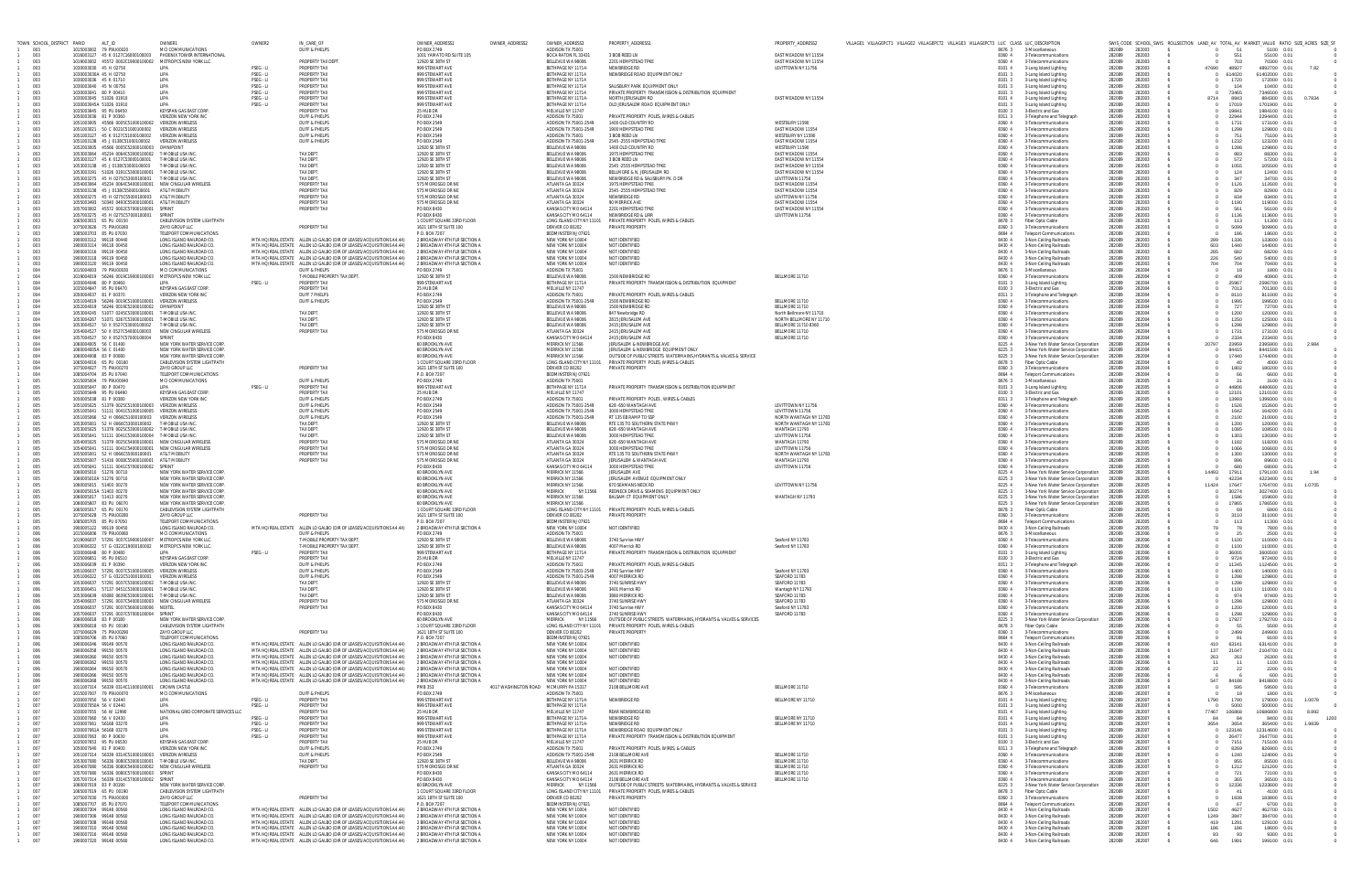| TOWN SCHOOL DISTRICT PARID |                                                   | ALT_ID                                                                                                                          | OWNFR1                                                                            | OWNER2                  | IN_CARE_OF                                                                                                                                    | OWNER_ADDRESS1                                               | OWNER_ADDRESS2                        | OWNER_ADDRESS3                               | PROPERTY_ADDRESS1                                                                                            | PROPERTY_ADDRESS2                                  | VILLAGE1 VILLAGEPCT1 VILLAGE2 VILLAGEPCT2 VILLAGE3 VILLAGEPCT3 LUC CLASS LUC_DESCRIPTION |                  |                                                                              |                  |                  | SWIS_CODE SCHOOL_SWIS ROLLSECTION LAND_AV TOTAL_AV MARKET_VALUE RATIO SIZE_ACRES SIZE_SF |            |                 |                               |        |
|----------------------------|---------------------------------------------------|---------------------------------------------------------------------------------------------------------------------------------|-----------------------------------------------------------------------------------|-------------------------|-----------------------------------------------------------------------------------------------------------------------------------------------|--------------------------------------------------------------|---------------------------------------|----------------------------------------------|--------------------------------------------------------------------------------------------------------------|----------------------------------------------------|------------------------------------------------------------------------------------------|------------------|------------------------------------------------------------------------------|------------------|------------------|------------------------------------------------------------------------------------------|------------|-----------------|-------------------------------|--------|
| 003<br>003                 | 1015003002 79 P9U00020                            |                                                                                                                                 | MCLCOMMUNICATIONS<br>1016003127 45 K 0127C16000100003 PHOENIX TOWER INTERNATIONAL |                         | DUFF & PHELPS                                                                                                                                 | PO BOX 2749<br>1001 VAMATO RD SHITE 105                      |                                       | ADDISON TX 75001<br>BOCA RATON FL 33431      | 3 BOB REED LN                                                                                                | FAST MFADOW NY 11554                               |                                                                                          | 8676 3<br>8360 4 | 3-Miscellaneous<br>3-Telecommunications                                      | 282089<br>282089 | 282003<br>282003 |                                                                                          |            | 51<br>551       | 5100 0.01<br>55100 0.01       |        |
| 003                        |                                                   | 1019003002 45572 0002C19000100002 METROPCS NEW YORK LLC.                                                                        |                                                                                   |                         | PROPERTY TAX DEPT                                                                                                                             | 12920 SE 38TH ST                                             |                                       | BELLEVUE WA 98006                            | 2201 HEMPSTEAD TPKE                                                                                          | EAST MEADOW NY 11554                               |                                                                                          | 8360 4           | 3-Telecommunications                                                         | 282089           | 282003           |                                                                                          |            | 703             | 70300 0.01                    |        |
| 003<br>003                 | 1030003030 45 H 02750<br>1030003030A 45 H 02750   |                                                                                                                                 | <b>I IPA</b>                                                                      | PSEG - LI<br>$PSFG - H$ | <b>PROPERTY TAX</b><br>PROPERTY TAX                                                                                                           | 999 STEWART AVE<br>999 STFWART AVE                           |                                       | BETHPAGE NY 11714-<br>BETHPAGE NY 11714      | NEWBRIDGE RD<br>NEWBRIDGE ROAD EQUIPMENT ONLY                                                                | LEVITTOWN NY 11756                                 |                                                                                          | 8101 4<br>8101 3 | 3-Long Island Lighting<br>3-Long Island Lighting                             | 282089<br>282089 | 282003<br>282003 |                                                                                          | 47690      | 48927<br>614020 | 4892700 0.01<br>61402000 0.01 | 7.82   |
| 003                        | 1030003036 45 K 01710                             |                                                                                                                                 | LIPA                                                                              | PSEG - LI               | PROPERTY TAX                                                                                                                                  | 999 STEWART AVE                                              |                                       | BETHPAGE NY 11714                            |                                                                                                              |                                                    |                                                                                          | 8101             | 3-Long Island Lighting                                                       | 282089           | 282003           |                                                                                          |            | 1720            | 172000 0.01                   |        |
| 003<br>003                 | 1030003040 45 N 00750<br>1030003041 80 P 00410    |                                                                                                                                 | LIPA<br>LIPA                                                                      | PSEG - LI<br>PSEG - LI  | PROPERTY TAX<br>PROPERTY TAX                                                                                                                  | 999 STEWART AVE<br>999 STEWART AVE                           |                                       | BETHPAGE NY 11714<br>BETHPAGE NY 11714       | SALISBURY PARK EQUIPMENT ONLY<br>PRIVATE PROPERTY TRANSMISSION & DISTRIBUTION EQUIPMENT                      |                                                    |                                                                                          | 8101 3<br>8101 3 | 3-Long Island Lighting<br>3-Long Island Lighting                             | 282089<br>282089 | 282003<br>282003 |                                                                                          |            | 104<br>73465    | 10400 0.01<br>7346500 0.01    |        |
| 003                        | 1030003045 51026 01910                            |                                                                                                                                 | LIPA                                                                              | PSEG - LI               | PROPERTY TAX                                                                                                                                  | 999 STEWART AVE                                              |                                       | BETHPAGE NY 11714-                           | NORTH JERUSALEM RD                                                                                           | EAST MEADOW NY 11554                               |                                                                                          | 8101 4           | 3-Long Island Lighting                                                       | 282089           | 282003           |                                                                                          | 8714       | 8843            | 884300 0.01                   |        |
| 003<br>003                 | 1030003045A 51026 01910<br>1035003645 95 PU 06450 |                                                                                                                                 | <b>IIPA</b><br>KEYSPAN GAS EAST CORP                                              | PSEG - LI               | PROPERTY TAX<br>PROPERTY TAX                                                                                                                  | 999 STEWART AVE<br>25 HUB DR                                 |                                       | BETHPAGE NY 11714<br>MELVILLE NY 11747       | OLD JERUSALEM ROAD EQUIPMENT ONLY                                                                            |                                                    |                                                                                          | 8101 3<br>8100 3 | 3-Long Island Lighting<br>3-Electric and Gas                                 | 282089<br>282089 | 282003<br>282003 |                                                                                          |            | 17019<br>19841  | 1701900 0.01<br>1984100 0.01  |        |
| 003                        | 1050003036 81 P 00360                             |                                                                                                                                 | VERIZON NEW YORK INC                                                              |                         | <b>DUFF &amp; PHELPS</b>                                                                                                                      | PO BOX 2749                                                  |                                       | ADDISON TX 75001                             | PRIVATE PROPERTY POLES, WIRES & CABLES                                                                       |                                                    |                                                                                          | 8311             | 3-Telephone and Telegraph                                                    | 282089           | 282003           |                                                                                          |            | 22944           | 2294400 0.01                  |        |
| 003                        |                                                   | 1051003005  45566  0005C51000100002  VERIZON WIRELESS                                                                           |                                                                                   |                         | DUFF & PHFLPS                                                                                                                                 | PO BOX 2549                                                  |                                       | ADDISON TX 75001-2549                        | 1400 OLD COUNTRY RD                                                                                          | WESTBURY 11590                                     |                                                                                          | 8360 4           | 3-Telecommunications                                                         | 282089           | 282003           |                                                                                          |            | 173             | 173100 0.01                   |        |
| 003<br>003                 |                                                   | 1051003021 50 C 0021C51000100002<br>1051003127  45 K  0127C51000100002  VERIZON WIRELESS                                        | <b>VERIZON WIRELESS</b>                                                           |                         | <b>DUFF &amp; PHELPS</b><br><b>DUFF &amp; PHELPS</b>                                                                                          | PO BOX 2549<br>PO BOX 2549                                   |                                       | ADDISON TX 75001-2549<br>ADDISON TX 75001    | 1900 HEMPSTEAD TPKE<br>3 BOB REED LN                                                                         | EAST MEADOW 11554<br>WESTBURY NY 11590             |                                                                                          | 8360 4<br>8360 4 | 3-Telecommunications<br>3-Telecommunications                                 | 282089<br>282089 | 282003<br>282003 |                                                                                          |            | 1298<br>75      | 129800 0.01<br>75100 0.01     |        |
| 003                        |                                                   |                                                                                                                                 |                                                                                   |                         | <b>DUFF &amp; PHELPS</b>                                                                                                                      | PO BOX 2549                                                  |                                       | ADDISON TX 75001-2549                        | 2545 - 2555 HEMPSTEAD TPKE                                                                                   | EAST MEADOW 11554                                  |                                                                                          | 8360 4           | 3-Telecommunications                                                         | 282089           | 282003           |                                                                                          |            | 1232            | 123200 0.01                   |        |
| 003<br>003                 |                                                   | 1052003005 45566 0005C52000100003 OMNIPOINT<br>1053003064  45234  0064C53000100002  T-MOBILE USA INC                            |                                                                                   |                         | <b>TAX DEPT</b>                                                                                                                               | 12920 SE 38TH ST<br>12920 SE 38TH ST                         |                                       | BELLEVUE WA 98006<br>BELLEVUE WA 98006       | 1400 OLD COUNTRY RD<br>1975 HEMPSTEAD TPKE                                                                   | WESTBURY 11590<br>EAST MEADOW 11554                |                                                                                          | 8360 4<br>8360 4 | 3-Telecommunications<br>3-Telecommunications                                 | 282089<br>282089 | 282003<br>282003 |                                                                                          |            | 1298<br>883     | 129800 0.01<br>88300 0.01     |        |
| 003                        |                                                   | 1053003127  45 K  0127C53000100001  T-MOBILE USA INC                                                                            |                                                                                   |                         | <b>TAX DFPT</b>                                                                                                                               | 12920 SE 38TH ST                                             |                                       | BELLEVUE WA 98006                            | 3 BOB REED LN                                                                                                | FAST MFADOW NY 11554                               |                                                                                          | 8360 4           | 3-Telecommunications                                                         | 282089           | 282003           |                                                                                          |            | 572             | 57200 0.01                    |        |
| 003<br>003                 |                                                   | 1053003138 45 J 0138C53000100003 T-MOBILE USA INC.<br>1053003191  51026  0191C53000100001  T-MOBILE USA INC                     |                                                                                   |                         | <b>TAX DEPT</b><br><b>TAX DEPT</b>                                                                                                            | 12920 SE 38TH ST<br>12920 SE 38TH ST                         |                                       | BELLEVUE WA 98006<br>BELLEVUE WA 98006       | 2545 - 2555 HEMPSTEAD TPKE<br>BELLMORE & N. JERUSALEM RD                                                     | EAST MEADOW NY 11554<br>EAST MEADOW NY 11554       |                                                                                          | 8360 4<br>8360 4 | 3-Telecommunications<br>3-Telecommunications                                 | 282089<br>282089 | 282003<br>282003 |                                                                                          |            | 1055<br>124     | 105500 0.01<br>12400 0.01     |        |
| 003                        |                                                   | 1053003275  45 H  0275C53000100001  T-MOBILE USA INC                                                                            |                                                                                   |                         | <b>TAX DFPT</b>                                                                                                                               | 12920 SE 38TH ST                                             |                                       | BELLEVUE WA 98006                            | NEWBRIDGE RD & SALISBURY PK D DR                                                                             | I FVITTOWN 11756                                   |                                                                                          | 8360 4           | 3-Telecommunications                                                         | 282089           | 282003           |                                                                                          |            | 347             | 34700 0.01                    |        |
| 003                        |                                                   | 1054003064 45234 0064C54000100001 NEW CINGULAR WIRELESS                                                                         |                                                                                   |                         | PROPERTY TA:                                                                                                                                  | 575 MOROSGO DR NE                                            |                                       | ATLANTA GA 30324                             | 1975 HEMPSTEAD TPKE                                                                                          | EAST MEADOW 11554                                  |                                                                                          | 8360 4           | 3-Telecommunications                                                         | 282089           | 282003           |                                                                                          |            | 1126            | 112600 0.01                   |        |
| 003<br>003                 |                                                   | 1055003275  45 H  0275C55000100003  AT&T MOBILITY                                                                               |                                                                                   |                         | PROPERTY TAX<br>PROPERTY TAX                                                                                                                  | 575 MOROSGO DR NE<br>575 MOROSGO DR NE                       |                                       | ATLANTA GA 30324<br>ATLANTA GA 30324         | 2545 - 2555 HEMPSTEAD TPKE<br>NEWBRIDGE RD                                                                   | EAST MEADOW 11554<br><b>IFVITTOWN NY 11756</b>     |                                                                                          | 8360 4<br>8360 4 | 3-Telecommunications<br>3-Telecommunications                                 | 282089<br>282089 | 282003<br>282003 |                                                                                          |            | 829<br>834      | 82900 0.01<br>83400 0.01      |        |
| 003                        |                                                   | 1055003493    50340    0493C55000100001    AT&T MOBILITY                                                                        |                                                                                   |                         | PROPERTY TAX                                                                                                                                  | 575 MOROSGO DR NE                                            |                                       | ATLANTA GA 30324                             | 90 MERRICK AVI                                                                                               | EAST MEADOW 11554                                  |                                                                                          | 8360 4           | 3-Telecommunications                                                         | 282089           | 282003           |                                                                                          |            | 1190            | 119000 0.01                   |        |
| 003<br>003                 |                                                   | 1057003002  45572  0002C57000100001  SPRINT<br>1057003275  45 H  0275C57000100001  SPRINT                                       |                                                                                   |                         | PROPERTY TAX                                                                                                                                  | PO BOX 8430<br>PO BOX 8430                                   |                                       | KANSAS CITY MO 64114<br>KANSAS CITY MO 64114 | 2201 HEMPSTEAD TPKE<br>NEWBRIDGE RD & LIRR                                                                   | EAST MEADOW NY 11554<br>LEVITTOWN 11756            |                                                                                          | 8360 4<br>8360 4 | 3-Telecommunications<br>3-Telecommunications                                 | 282089<br>282089 | 282003<br>282003 |                                                                                          |            | 561<br>1136     | 56100 0.01<br>113600 0.01     |        |
| 003                        | 1065003015 65 PU 00150                            |                                                                                                                                 | <b>CABLEVISION SYSTEM LIGHTPATH</b>                                               |                         |                                                                                                                                               | 1 COURT SQUARE 33RD FLOOR                                    |                                       | LONG ISLAND CITY NY 11101                    | PRIVATE PROPERTY POLES, WIRES & CABLES                                                                       |                                                    |                                                                                          | 8678 3           | Fiber Optic Cable                                                            | 282089           | 282003           |                                                                                          |            | 113             | 11300 0.01                    |        |
| 003<br>003                 | 1075003026 75 P9U00260<br>1085003703 85 PU 07030  |                                                                                                                                 | ZAYO GROUP LLC<br>TELEPORT COMMUNICATIONS                                         |                         | PROPERTY TAX                                                                                                                                  | 1621 18TH ST SUITE 100<br>P.O. BOX 7207                      |                                       | DENVER CO 80202<br>BEDMINSTER NJ 07921       | PRIVATE PROPERTY                                                                                             |                                                    |                                                                                          | 83603<br>8664 4  | 3-Telecommunications<br><b>Teleport Communications</b>                       | 282089<br>282089 | 282003<br>282003 |                                                                                          |            | 5099<br>186     | 509900 0.01<br>18600 0.01     |        |
| 003                        | 1900003112 99118 00440                            |                                                                                                                                 | LONG ISLAND RAILROAD CO.                                                          |                         | MTA HQ/REAL ESTATE ALLEN LO GALBO (DIR OF LEASES/ACQUISITIONS A4.44)                                                                          | 2 BROADWAY 4TH FLR SECTION A                                 |                                       | NEW YORK NY 10004                            | NOT IDENTIFIED                                                                                               |                                                    |                                                                                          | 8430 4           | 3-Non-Ceiling Railroads                                                      | 282089           | 282003           |                                                                                          | 289        | 1336            | 133600 0.01                   |        |
| 003                        | 1900003114 99118 00450                            |                                                                                                                                 | LONG ISLAND RAILROAD CO.                                                          |                         | MTA HQ/REAL ESTATE ALLEN LO GALBO (DIR OF LEASES/ACQUISITIONS A4.44)                                                                          | 2 BROADWAY 4TH FLR SECTION A<br>2 BROADWAY 4TH FLR SECTION A |                                       | NEW YORK NY 10004                            | NOT IDENTIFIED                                                                                               |                                                    |                                                                                          | 8430 4           | 3-Non-Ceiling Railroads                                                      | 282089           | 282003           |                                                                                          | 603        | 1440            | 144000 0.01                   |        |
| 003<br>003                 | 1900003116 99119 00450<br>1900003118 99119 00450  |                                                                                                                                 | LONG ISLAND RAILROAD CO.<br>LONG ISLAND RAILROAD CO                               |                         | MTA HQ/REAL ESTATE ALLEN LO GALBO (DIR OF LEASES/ACQUISITIONS A4.44)<br>MTA HO/REAL ESTATE ALLEN LO GALBO (DIR OF LEASES/ACQUISITIONS A4.44)  | 2 BROADWAY 4TH FLR SECTION A                                 |                                       | NEW YORK NY 10004<br>NEW YORK NY 10004       | NOT IDENTIFIED<br>NOT IDENTIFIED                                                                             |                                                    |                                                                                          | 8430 4<br>8430 4 | 3-Non-Ceiling Railroads<br>3-Non-Ceiling Railroads                           | 282089<br>282089 | 282003<br>282003 |                                                                                          | 285<br>226 | 682<br>540      | 68200 0.01<br>54000 0.01      |        |
| 003                        | 1900003120 99119 00450                            |                                                                                                                                 | LONG ISLAND RAILROAD CO                                                           |                         | MTA HO/REAL ESTATE ALLEN LO GALBO (DIR OF LEASES/ACQUISITIONS A4.44)                                                                          | 2 BROADWAY 4TH FLR SECTION A                                 |                                       | NFW YORK NY 10004                            | NOT IDENTIFIED                                                                                               |                                                    |                                                                                          | 8430 4           | 3-Non-Ceiling Railroads                                                      | 282089           | 282003           |                                                                                          | 704        | 704             | 70400 0.01                    |        |
| 004<br>004                 |                                                   | 1015004003 79 P9U00030<br>1019004019   56246   0019C19000100003   METROPCS   NEW YORK LLC.                                      | MCI COMMUNICATIONS                                                                |                         | DUFF & PHELPS<br>T-MOBILE PROPERTY TAX DEPT.                                                                                                  | PO BOX 2749<br>12920 SE 38TH ST                              |                                       | ADDISON TX 75001<br>BELLEVUE WA 98006        | 1500 NEWBRIDGE RD                                                                                            | BELLMORE 11710                                     |                                                                                          | 8676 3<br>8360 4 | 3-Miscellaneous<br>3-Telecommunications                                      | 282089<br>282089 | 282004<br>282004 |                                                                                          |            | 409             | 1800 0.01<br>40900 0.01       |        |
| 004                        | 1030004046 80 P 00460                             |                                                                                                                                 | <b>I IPA</b>                                                                      | PSEG - LI               | PROPERTY TAX                                                                                                                                  | 999 STFWART AVE                                              |                                       | BETHPAGE NY 11714                            | PRIVATE PROPERTY TRANSMISSION & DISTRIBUTION EQUIPMENT                                                       |                                                    |                                                                                          | 8101 3           | 3-Long Island Lighting                                                       | 282089           | 282004           |                                                                                          |            | 25967           | 2596700 0.01                  |        |
| 004<br>004                 | 1035004647 95 PU 06470<br>1050004037 81 P 00370   |                                                                                                                                 | KEYSPAN GAS EAST CORP<br><b>VERIZON NEW YORK INC</b>                              |                         | PROPERTY TAX<br><b>DUFF 7 PHELPS</b>                                                                                                          | 25 HUB DR<br>PO BOX 2749                                     |                                       | MELVILLE NY 11747<br>ADDISON TX 75001        | PRIVATE PROPERTY POLES, WIRES & CABLES                                                                       |                                                    |                                                                                          | 8100 3<br>83113  | 3-Electric and Gas<br>3-Telephone and Telegraph                              | 282089<br>282089 | 282004<br>282004 |                                                                                          |            | 7013<br>8110    | 701300 0.01<br>811000 0.01    |        |
| 004                        |                                                   | 1051004019 56246 0019C51000100001 VERIZON WIRELESS                                                                              |                                                                                   |                         | <b>DUFF &amp; PHELPS</b>                                                                                                                      | PO BOX 2549                                                  |                                       | ADDISON TX 75001-2549                        | 1500 NEWBRIDGE RD                                                                                            | BELLMORE 11710                                     |                                                                                          | 8360 4           | 3-Telecommunications                                                         | 282089           | 282004           |                                                                                          |            | 1995            | 199500 0.01                   |        |
| 004                        |                                                   | 1052004019  56246  0019C52000100002  OMNIPOINT                                                                                  |                                                                                   |                         | <b>TAX DFPT</b>                                                                                                                               | 12920 SE 38TH ST                                             |                                       | BELLEVUE WA 98006                            | 1500 NEWBRIDGE RD                                                                                            | BELLMORE 11710                                     |                                                                                          | 8360 4           | 3-Telecommunications                                                         | 282089           | 282004<br>282004 |                                                                                          |            | 727             | 72700 0.01                    |        |
| 004<br>004                 |                                                   | 1053004245    51077    0245C53000100001    T-MOBILE USA IN<br>1053004267 51071 0267C53000100001 T-MOBILE USA INC                |                                                                                   |                         | <b>TAX DEPT</b>                                                                                                                               | 12920 SE 38TH ST<br>12920 SE 38TH ST                         |                                       | BELLEVUE WA 98006<br>BELLEVUE WA 98006       | 847 Newbridge RD<br>2815 JERUSALEM AVI                                                                       | North Bellmore NY 11710<br>NORTH BELLMORE NY 11710 |                                                                                          | 8360 4<br>8360 4 | 3-Telecommunications<br>3-Telecommunications                                 | 282089<br>282089 | 282004           |                                                                                          |            | 1200<br>1250    | 120000 0.01<br>125000 0.01    |        |
| 004                        |                                                   | 1053004527 50 X 0527C53000100002                                                                                                | T-MOBILE USA IN                                                                   |                         | TAX DEPT.                                                                                                                                     | 12920 SE 38TH ST                                             |                                       | BELLEVUE WA 98006                            | 2415 JERUSALEM AV                                                                                            | BELLMORE 11710 8360                                |                                                                                          | 8360             | 3-Telecommunications                                                         | 282089           | 282004           |                                                                                          |            | 1298            | 129800 0.01                   |        |
| 004<br>004                 |                                                   | 1054004527 50 X 0527C54000100003 NEW CINGULAR WIRELESS<br>1057004527 50 X 0527C57000100004                                      | SPRINT                                                                            |                         | PROPERTY TAX                                                                                                                                  | 575 MOROSGO DR NE<br>PO BOX 8430                             |                                       | ATLANTA GA 30324<br>KANSAS CITY MO 64114     | 2415 JERUSALEM AVI<br>2415 JERUSALEM AVE                                                                     | BELLMORE 11710<br>BELLMORE 11710                   |                                                                                          | 8360 4<br>8360 4 | 3-Telecommunications<br>3-Telecommunications                                 | 282089<br>282089 | 282004<br>282004 |                                                                                          |            | 1731<br>2334    | 173100 0.01<br>233400 0.01    |        |
| 004                        | 1060004005 56 C 01400                             |                                                                                                                                 | NEW YORK WATER SERVICE CORP.                                                      |                         |                                                                                                                                               | 60 BROOKLYN AVE                                              |                                       | MERRICK NY 11566                             | JERUSALEM & NEWBRIDGE AVE                                                                                    |                                                    |                                                                                          | 8225 4           | 3-New York Water Service Corporation                                         | 282089           | 282004           |                                                                                          | 20797      | 23959           | 2395900 0.01                  |        |
| 004<br>004                 | 1060004005A 56 C 01400<br>1060004008 83 P 00080   |                                                                                                                                 | NEW YORK WATER SERVICE CORE<br>NEW YORK WATER SERVICE CORP                        |                         |                                                                                                                                               | 60 BROOKLYN AVE<br>60 BROOKLYN AVE                           |                                       | MERRICK NY 11566<br>MERRICK NY 11566         | JERUSALEM & NEWBRIDGE EQUIPMENT ONLY<br>OUTSIDE OF PUBLIC STREETS WATERMAINS, HYDRANTS & VALVES & SERVICE    |                                                    |                                                                                          | 8225 3<br>8225 3 | 3-New York Water Service Corporation<br>3-New York Water Service Corporation | 282089<br>282089 | 282004<br>282004 |                                                                                          |            | 84415<br>17440  | 8441500 0.01<br>1744000 0.01  |        |
| 004                        | 1065004016 65 PU 00160                            |                                                                                                                                 | <b>CABLEVISION SYSTEM LIGHTPATH</b>                                               |                         |                                                                                                                                               | 1 COURT SQUARE 33RD FLOOR                                    |                                       | LONG ISLAND CITY NY 11101                    | PRIVATE PROPERTY POLES, WIRES & CABLES                                                                       |                                                    |                                                                                          | 8678 3           | Fiber Optic Cable                                                            | 282089           | 282004           |                                                                                          |            |                 | 4000 0.01                     |        |
| 004                        | 1075004027 75 P9U00270                            |                                                                                                                                 | ZAYO GROUP LLC                                                                    |                         | PROPERTY TAX                                                                                                                                  | 1621 18TH ST SUITE 100                                       |                                       | DENVER CO 80202                              | PRIVATE PROPERTY                                                                                             |                                                    |                                                                                          | 8360 3           | 3-Telecommunications                                                         | 282089           | 282004           |                                                                                          |            | 1802            | 180200 0.01                   |        |
| 004<br>005                 | 1085004704 85 PU 07040<br>1015005004 79 P9U00040  |                                                                                                                                 | TELEPORT COMMUNICATIONS<br>MCLCOMMUNICATIONS                                      |                         | <b>DUFF &amp; PHELPS</b>                                                                                                                      | P.O. BOX 7207<br>PO BOX 2749                                 |                                       | BEDMINSTER NJ 07921<br>ADDISON TX 75001      |                                                                                                              |                                                    |                                                                                          | 8664 4<br>8676 3 | <b>Teleport Communications</b><br>3-Miscellaneous                            | 282089<br>282089 | 282004<br>282005 |                                                                                          |            |                 | 6600 0.01<br>3100 0.01        |        |
| 005                        | 1030005047 80 P 00470                             |                                                                                                                                 | <b>I IPA</b>                                                                      | PSEG - LI               | PROPERTY TAX                                                                                                                                  | 999 STFWART AVE                                              |                                       | BETHPAGE NY 11714                            | PRIVATE PROPERTY TRANSMISSION & DISTRIBUTION EQUIPMENT                                                       |                                                    |                                                                                          | 8101 3           | 3-Long Island Lighting                                                       | 282089           | 282005           |                                                                                          |            | 44806           | 4480600 0.01                  |        |
| 005<br>005                 | 1035005649 95 PU 06490<br>1050005038 81 P 00380   |                                                                                                                                 | KEYSPAN GAS EAST CORP.<br><b>VERIZON NEW YORK INC</b>                             |                         | PROPERTY TAX<br><b>DUFF &amp; PHELPS</b>                                                                                                      | 25 HUB DR<br>PO BOX 2749                                     |                                       | MELVILLE NY 11747<br>ADDISON TX 75001        | PRIVATE PROPERTY POLES . WIRES & CABLES                                                                      |                                                    |                                                                                          | 8100 3<br>8311 3 | 3-Electric and Gas<br>3-Telephone and Telegraph                              | 282089<br>282089 | 282005<br>282005 |                                                                                          |            | 12101<br>13993  | 1210100 0.01<br>1399300 0.01  |        |
| 005                        |                                                   | 1051005025  51379  0025C51000100003  VERIZON WIRELESS                                                                           |                                                                                   |                         | DUFF & PHFLPS                                                                                                                                 | PO BOX 2549                                                  |                                       | ADDISON TX 75001-2549                        | 628-650 WANTAGH AVE                                                                                          | <b>IFVITTOWN NY 11756</b>                          |                                                                                          | 8360 4           | 3-Telecommunications                                                         | 282089           | 282005           |                                                                                          |            | 1526            | 152600 0.01                   |        |
| 005                        |                                                   | 1051005041   51111   0041C51000100005   VERIZON WIRELESS                                                                        |                                                                                   |                         | <b>DUFF &amp; PHELPS</b>                                                                                                                      | PO BOX 2549                                                  |                                       | ADDISON TX 75001-2549                        | 3000 HEMPSTEAD TPKE                                                                                          | LEVITTOWN 11756                                    |                                                                                          | 8360 4           | 3-Telecommunications                                                         | 282089           | 282005           |                                                                                          |            | 1642            | 164200 0.01                   |        |
| 005<br>005                 |                                                   | 1051005066 52 H 0066C51000100003 VERIZON WIRELESS<br>1053005001 52 H 0066C53000100002 T-MOBILE USA INC.                         |                                                                                   |                         | <b>DUFF &amp; PHELPS</b><br>TAX DEPT.                                                                                                         | PO BOX 2549<br>12920 SE 38TH ST                              |                                       | ADDISON TX 75001-2549<br>BELLEVUE WA 98006   | RT 135 EB RAMP TO SSF<br>RTE 135 TO SOUTHERN STATE PKWY                                                      | NORTH WANTAGH NY 11783<br>NORTH WANTAGH NY 11783   |                                                                                          | 8360 4<br>8360 4 | 3-Telecommunications<br>3-Telecommunications                                 | 282089<br>282089 | 282005<br>282005 |                                                                                          |            | 2100<br>1200    | 210000 0.01<br>120000 0.01    |        |
| 005                        |                                                   | 1053005025    51379    0025C53000100002    T-MOBILE USA INC                                                                     |                                                                                   |                         | TAX DEPT.                                                                                                                                     | 12920 SE 38TH ST                                             |                                       | BELLEVUE WA 98006                            | 628-650 WANTAGH AV                                                                                           | WANTAGH 11793                                      |                                                                                          | 8360 4           | 3-Telecommunications                                                         | 282089           | 282005           |                                                                                          |            | 1085            | 108500 0.01                   |        |
| 005<br>005                 |                                                   | 1053005041   51111   0041C53000100004   T-MOBILE USA INC<br>1054005025   51379   0025C54000100001   NEW CINGULAR WIRELESS       |                                                                                   |                         | <b>TAX DEPT</b><br>PROPERTY TAX                                                                                                               | 12920 SE 38TH ST<br>575 MOROSGO DR NE                        |                                       | BELLEVUE WA 98006<br>ATLANTA GA 30324        | 3000 HEMPSTEAD TPKE<br>628 -650 WANTAGH AVI                                                                  | LEVITTOWN 11756<br>WANTAGH 11793                   |                                                                                          | 8360 4<br>8360 4 | 3-Telecommunications<br>3-Telecommunications                                 | 282089<br>282089 | 282005<br>282005 |                                                                                          |            | 1303<br>1182    | 130300 0.01<br>118200 0.01    |        |
| 005                        |                                                   | 1054005041  51111  0041C54000100001  NEW CINGULAR WIRELESS                                                                      |                                                                                   |                         | PROPERTY TAX                                                                                                                                  | 575 MOROSGO DR NE                                            |                                       | ATLANTA GA 30324                             | 3000 HEMPSTEAD TPKE                                                                                          | LEVITTOWN 11756                                    |                                                                                          | 8360 4           | 3-Telecommunications                                                         | 282089           | 282005           |                                                                                          |            | 1066            | 106600 0.01                   |        |
| 005<br>005                 |                                                   | 1055005001 52 H 0066C55000100001 AT&T MOBILITY<br>1055005007    51416    0008C55000100001    AT&T MOBILITY                      |                                                                                   |                         | PROPERTY TAX<br>PROPERTY TAX                                                                                                                  | 575 MOROSGO DR NE<br>575 MOROSGO DR NE                       |                                       | ATLANTA GA 30324<br>ATLANTA GA 30324         | RTE 135 TO SOUTHERN STATE PKWY<br>JERUSALEM & WANTAGH AVE                                                    | NORTH WANTAGH NY 11783<br>WANTAGH 11793            |                                                                                          | 8360 4<br>8360 4 | 3-Telecommunications<br>3-Telecommunications                                 | 282089<br>282089 | 282005<br>282005 |                                                                                          |            | 1300<br>896     | 130000 0.01<br>89600 0.01     |        |
| 005                        |                                                   | 1057005041  51111  0041C57000100002  SPRINT                                                                                     |                                                                                   |                         |                                                                                                                                               | PO BOX 8430                                                  |                                       | KANSAS CITY MO 64114                         | 3000 HEMPSTEAD TPKE                                                                                          | LEVITTOWN 11756                                    |                                                                                          | 8360             | 3-Telecommunications                                                         | 282089           | 282005           |                                                                                          |            | 680             | 68000 0.01                    |        |
| 005                        | 1060005010 51276 00710                            |                                                                                                                                 | NEW YORK WATER SERVICE CORE                                                       |                         |                                                                                                                                               | 60 BROOKLYN AVE                                              |                                       | MERRICK NY 11566                             | <b>IFRUSALEM AVE</b>                                                                                         |                                                    |                                                                                          | 8225 4           | 3-New York Water Service Corporation                                         | 282089           | 282005           |                                                                                          | 14493      | 17911           | 1791100 0.01                  | 1.94   |
| 005<br>005                 | 1060005010A 51276 00710<br>1060005015 51403 00270 |                                                                                                                                 | NEW YORK WATER SERVICE CORP<br>NEW YORK WATER SERVICE CORE                        |                         |                                                                                                                                               | 60 BROOKLYN AVE<br>60 BROOKLYN AVE                           |                                       | MERRICK NY 11566<br>MERRICK NY 11566         | JERUSALEM AVENUE EQUIPMENT ONLY<br><b>670 SEAMANS NECK RD</b>                                                | LEVITTOWN NY 11756                                 |                                                                                          | 8225 3<br>8225 4 | 3-New York Water Service Corporation<br>3-New York Water Service Corporation | 282089<br>282089 | 282005<br>282005 |                                                                                          | 11424      | 42234<br>17647  | 4223400 0.01<br>1764700 0.01  | 1.0705 |
| 005                        | 1060005015A 51403 00270                           |                                                                                                                                 | NEW YORK WATER SERVICE CORE                                                       |                         |                                                                                                                                               | 60 BROOKLYN AVE                                              |                                       | MERRICK NY 11566                             | REDNECK DRIVE & SEAMENS EQUIPMENT ONLY                                                                       |                                                    |                                                                                          | 8225 3           | 3-New York Water Service Corporation                                         | 282089           | 282005           |                                                                                          |            | 30274           | 3027400 0.01                  |        |
| 005<br>005                 | 1060005017 51413 00270<br>1060005607 83 PU 06070  |                                                                                                                                 | NEW YORK WATER SERVICE CORP<br>NEW YORK WATER SERVICE CORP                        |                         |                                                                                                                                               | 60 BROOKLYN AVE<br>60 BROOKLYN AVE                           |                                       | MERRICK NY 11566<br>MERRICK NY 11566         | BALSAM CT EQUIPMENT ONLY                                                                                     | WANTAGH NY 11793                                   |                                                                                          | 8225 3<br>8225 3 | 3-New York Water Service Corporation<br>3-New York Water Service Corporation | 282089<br>282089 | 282005<br>282005 |                                                                                          |            | 1596<br>17865   | 159600 0.01<br>1786500 0.01   |        |
| 005                        | 1065005017 65 PU 00170                            |                                                                                                                                 | <b>CABLEVISION SYSTEM LIGHTPATH</b>                                               |                         |                                                                                                                                               | 1 COURT SQUARE 33RD FLOOR                                    |                                       |                                              | LONG ISLAND CITY NY 11101 PRIVATE PROPERTY POLES, WIRES & CABLES                                             |                                                    |                                                                                          | 8678 3           | Fiber Optic Cable                                                            | 282089           | 282005           |                                                                                          |            | - 69            | 6900 0.01                     |        |
| 005                        | 1075005028 75 P9U00280                            |                                                                                                                                 | ZAYO GROUP LLC<br>TELEPORT COMMUNICATIONS                                         |                         | PROPERTY TAX                                                                                                                                  | 1621 18TH ST SUITE 100                                       |                                       | <b>DENVER CO 80202</b>                       | PRIVATE PROPERTY                                                                                             |                                                    |                                                                                          | 8360 3           | 3-Telecommunications                                                         | 282089           | 282005           |                                                                                          |            | 3110            | 311000 0.01                   |        |
| 005<br>005                 | 1085005705 85 PU 07050<br>1900005122 99119 00450  |                                                                                                                                 | LONG ISLAND RAILROAD CO.                                                          |                         | MTA HO/REAL ESTATE ALLEN LO GALBO (DIR OF LEASES/ACQUISITIONS A4.44)                                                                          | P.O. BOX 7207<br>2 BROADWAY 4TH FLR SECTION A                |                                       | BEDMINSTER NJ 07921<br>NEW YORK NY 10004     | NOT IDENTIFIED                                                                                               |                                                    |                                                                                          | 8664 4<br>8430 4 | <b>Teleport Communications</b><br>3-Non-Ceiling Railroads                    | 282089<br>282089 | 282005<br>282005 |                                                                                          | 78         | 113<br>78       | 11300 0.01<br>7800 0.01       |        |
| 006                        | 1015006006 79 P9U00060                            |                                                                                                                                 | MCI COMMUNICATIONS                                                                |                         | <b>DUFF &amp; PHELPS</b>                                                                                                                      | PO BOX 2749                                                  |                                       | ADDISON TX 75001                             |                                                                                                              |                                                    |                                                                                          | 8676 3           | 3-Miscellaneous                                                              | 282089           | 282006           |                                                                                          |            | - 25            | 2500 0.01                     |        |
| 006                        |                                                   | 1010006037 57201 0037010<br>1019006322 57 G 0322C19000100002 METROPCS NEW YORK LLC.                                             | METROPCS NEW YORK LL                                                              |                         | T.MORILE DDODEDT<br>T-MOBILE PROPERTY TAX DEPT.                                                                                               | 12920 SE 38TH ST<br>12920 SE 38TH ST                         |                                       | BELLEVUE WA 98006<br>BELLEVUE WA 98006       | 3740 Sunrise HWY<br>4007 Merrick RD                                                                          | Seaford NY 11783<br>Seaford NY 11783               |                                                                                          | 8360 4<br>8360 4 | 2. Tolocommunicat<br>3-Telecommunications                                    | 282089<br>282089 | 282006<br>282006 |                                                                                          |            | 1100<br>1100    | 110000 0.01<br>110000 0.01    |        |
| 006                        | 1030006048 80 P 00480                             |                                                                                                                                 |                                                                                   | PSEG - LI               | PROPERTY TAX                                                                                                                                  | 999 STEWART AVE                                              |                                       | BETHPAGE NY 11714                            | PRIVATE PROPERTY TRANSMISSION & DISTRIBUTION EQUIPMENT                                                       |                                                    |                                                                                          | 8101 3           | 3-Long Island Lighting                                                       | 282089           | 282006           |                                                                                          |            | 36005           | 3600500 0.01                  |        |
| 006<br>006                 | 1035006651 95 PU 06510<br>1050006039 81 P 00390   |                                                                                                                                 | KEYSPAN GAS EAST CORP<br>VERIZON NEW YORK INC                                     |                         | PROPERTY TAX<br><b>DUFF &amp; PHELPS</b>                                                                                                      | 25 HUB DR<br>PO BOX 2749                                     |                                       | MELVILLE NY 11747<br>ADDISON TX 75001        | PRIVATE PROPERTY POLES, WIRES & CABLES                                                                       |                                                    |                                                                                          | 8100 3<br>8311 3 | 3-Electric and Gas<br>3-Telephone and Telegraph                              | 282089<br>282089 | 282006<br>282006 |                                                                                          |            | 9724<br>11245   | 972400 0.01<br>1124500 0.01   |        |
| 006                        |                                                   | 1051006037 57291 0037C51000100005 VERIZON WIRELESS                                                                              |                                                                                   |                         | <b>DUFF &amp; PHELPS</b>                                                                                                                      | PO BOX 2549                                                  |                                       | ADDISON TX 75001-2549                        | 3740 Sunrise HWY                                                                                             | Seaford NY 11783                                   |                                                                                          | 8360 4           | 3-Telecommunications                                                         | 282089           | 282006           |                                                                                          |            | 1400            | 140000 0.01                   |        |
| 006<br>006                 |                                                   | 1051006322 57 G 0322C51000100001 VERIZON WIRELESS<br>1053006037 57291 0037C53000100002 T-MOBILE USA INC.                        |                                                                                   |                         | DUFF & PHFLPS<br>TAX DEPT.                                                                                                                    | PO BOX 2549<br>12920 SE 38TH ST                              |                                       | ADDISON TX 75001-2549<br>BELLEVUE WA 98006   | 4007 MERRICK RD<br>3740 SUNRISE HWY                                                                          | SFAFORD 11783<br>SEAFORD 11783                     |                                                                                          | 83604<br>8360 4  | 3-Telecommunications<br>3-Telecommunications                                 | 282089<br>282089 | 282006<br>282006 |                                                                                          |            | 1298<br>1298    | 129800 0.01<br>129800 0.01    |        |
| 006                        |                                                   | 1053006451 57137 0451C53000100001 T-MOBILE USA INC                                                                              |                                                                                   |                         | <b>TAX DEPT</b>                                                                                                                               | 12920 SE 38TH ST                                             |                                       | BELLEVUE WA 98006                            | 3401 Merrick RD                                                                                              | Wantagh NY 11793                                   |                                                                                          | 8360 4           | 3-Telecommunications                                                         | 282089           | 282006           |                                                                                          |            | 1100            | 110000 0.01                   |        |
| 006<br>006                 |                                                   | 1053006639 65080 0639C53000100001 T-MOBILE USA INC<br>1054006037 57291 0037C54000100003 NEW CINGULAR WIRELESS                   |                                                                                   |                         | <b>TAX DEPT</b><br>PROPERTY TAX                                                                                                               | 12920 SE 38TH ST<br>575 MOROSGO DR NE                        |                                       | BELLEVIJE WA 98006<br>ATLANTA GA 30324       | 3860 MERRICK RD<br>3740 SUNRISE HWY                                                                          | SEAFORD 11783<br>SEAFORD 11783                     |                                                                                          | 8360 4<br>8360 4 | 3-Telecommunications<br>3-Telecommunications                                 | 282089<br>282089 | 282006<br>282006 |                                                                                          |            | 974<br>1298     | 97400 0.01<br>129800 0.01     |        |
| 006                        |                                                   | 1056006037 57291 0037C56000100006 NEXTEL                                                                                        |                                                                                   |                         | PROPERTY TAX                                                                                                                                  | PO BOX 8430                                                  |                                       | KANSAS CITY MO 64114                         | 3740 Sunrise HWY                                                                                             | Seaford NY 11783                                   |                                                                                          | 8360 4           | 3-Telecommunications                                                         | 282089           | 282006           |                                                                                          |            | 1200            | 120000 0.01                   |        |
| 006                        | 1060006018 83 P 00180                             | 1057006037 57291 0037C57000100004 SPRINT                                                                                        |                                                                                   |                         |                                                                                                                                               | PO BOX 8430                                                  |                                       | KANSAS CITY MO 64114<br>MERRICK NY 11566     | 3740 SUNRISE HWY                                                                                             | SEAFORD 11783                                      |                                                                                          | 8360 4           | 3-Telecommunications                                                         | 282089           | 282006           |                                                                                          |            | 1298            | 129800 0.01                   |        |
| 006<br>006                 | 1065006018 65 PU 00180                            |                                                                                                                                 | NEW YORK WATER SERVICE CORP.<br><b>CABLEVISION SYSTEM LIGHTPATH</b>               |                         |                                                                                                                                               | 60 BROOKLYN AVI<br>1 COURT SQUARE 33RD FLOOR                 |                                       | LONG ISLAND CITY NY 11101                    | OUTSIDE OF PUBLIC STREETS WATERMAINS, HYDRANTS & VALVES & SERVICES<br>PRIVATE PROPERTY POLES, WIRES & CABLES |                                                    |                                                                                          | 8225 3<br>8678 3 | 3-New York Water Service Corporation<br>Fiber Optic Cable                    | 282089<br>282089 | 282006<br>282006 |                                                                                          |            | 17927<br>55     | 1792700 0.01<br>5500 0.01     |        |
| 006                        | 1075006029 75 P9H00290                            |                                                                                                                                 | <b>ZAYO GROUP LLC</b>                                                             |                         | PROPERTY TAX                                                                                                                                  | 1621 18TH ST SUITE 100                                       |                                       | DENVER CO 80202                              | PRIVATE PROPERTY                                                                                             |                                                    |                                                                                          | 8360 3           | 3-Telecommunications                                                         | 282089           | 282006           |                                                                                          |            | 2499            | 249900 0.01                   |        |
| 006<br>006                 | 1085006706 85 PU 07060<br>1900006346 99149 00570  |                                                                                                                                 | TELEPORT COMMUNICATIONS<br>LONG ISLAND RAILROAD CO.                               |                         | MTA HO/REAL ESTATE ALLEN LO GALBO (DIR OF LEASES/ACQUISITIONS A4.44)                                                                          | P.O. BOX 7207<br>2 BROADWAY 4TH FLR SECTION A                |                                       | BEDMINSTER NJ 0792<br>NEW YORK NY 10004      | NOT IDENTIFIED                                                                                               |                                                    |                                                                                          | 8664<br>8430 4   | <b>Teleport Communication</b><br>3-Non-Ceiling Railroads                     | 282089<br>282089 | 282006<br>282006 |                                                                                          | 410        | 63141           | 9100 0.01<br>6314100 0.01     |        |
| 006                        | 1900006358 99150 00570                            |                                                                                                                                 | LONG ISLAND RAILROAD CO.                                                          |                         | MTA HO/REAL ESTATE ALLEN LO GALBO (DIR OF LEASES/ACQUISITIONS A4.44)                                                                          | 2 BROADWAY 4TH FLR SECTION A                                 |                                       | NEW YORK NY 10004                            | NOT IDENTIFIED                                                                                               |                                                    |                                                                                          | 8430 4           | 3-Non-Ceiling Railroads                                                      | 282089           | 282006           |                                                                                          | 137        | 21047           | 2104700 0.01                  |        |
| 006<br>006                 | 1900006360 99150 00570<br>1900006362 99150 00570  |                                                                                                                                 | LONG ISLAND RAILROAD CO.<br>LONG ISLAND RAILROAD CO.                              |                         | MTA HO/REAL ESTATE ALLEN LO GALBO (DIR OF LEASES/ACQUISITIONS A4.44)<br>MTA HO/REAL ESTATE ALLEN LO GALBO (DIR OF LEASES/ACQUISITIONS A4.44)  | 2 BROADWAY 4TH FLR SECTION A<br>2 RROADWAY 4TH ELR SECTION A |                                       | NEW YORK NY 10004<br>NEW YORK NY 10004       | NOT IDENTIFIED                                                                                               |                                                    |                                                                                          | 8430 4<br>8430 4 | 3-Non-Ceiling Railroads<br>3-Non-Ceiling Railroads                           | 282089<br>282089 | 282006<br>282006 |                                                                                          | 263<br>11  | 263<br>11       | 26300 0.01<br>1100 0.01       |        |
| 006                        |                                                   | 1900006364 99150 00570                                                                                                          | LONG ISLAND RAILROAD CO.                                                          |                         | MTA HQ/REAL ESTATE ALLEN LO GALBO (DIR OF LEASES/ACQUISITIONS A4.44)                                                                          | 2 BROADWAY 4TH FLR SECTION A                                 |                                       | NEW YORK NY 10004                            | NOT IDENTIFIED                                                                                               |                                                    |                                                                                          | 8430 4           | 3-Non-Ceiling Railroads                                                      | 282089           | 282006           |                                                                                          | 22         | - 22            | 2200 0.01                     |        |
| 006<br>006                 | 1900006366 99150 00570<br>1900006368 99150 00570  |                                                                                                                                 | LONG ISLAND RAILROAD CO.<br>LONG ISLAND RAILROAD CO.                              |                         | MTA HQ/REAL ESTATE ALLEN LO GALBO (DIR OF LEASES/ACQUISITIONS A4.44)<br>MTA HO/REAL ESTATE ALLEN LO GALBO (DIR OF LEASES/ACOUJISITIONS A4 44) | 2 BROADWAY 4TH FLR SECTION A<br>2 RROADWAY 4TH ELR SECTION A |                                       | NEW YORK NY 10004<br>NEW YORK NY 10004       | NOT IDENTIFIED<br>NOT IDENTIFIED                                                                             |                                                    |                                                                                          | 8430<br>8430 4   | 3-Non-Ceiling Railroads<br>3-Non-Ceiling Railroads                           | 282089<br>282089 | 282006<br>282006 |                                                                                          | 547        | 84188           | 600 0.01<br>8418800 0.01      |        |
| 007                        |                                                   | 1011007314    56339    0314C11000100001    CROWN CASTLE                                                                         |                                                                                   |                         |                                                                                                                                               | <b>PMB 353</b>                                               | 4017 WASHINGTON ROAD MCMURRY PA 15317 |                                              | 2108 BELLMORE AVE                                                                                            | BELLMORE 11710                                     |                                                                                          | 8360 4           | 3-Telecommunications                                                         | 282089           | 282007           |                                                                                          |            | 595             | 59500 0.01                    |        |
| 007                        | 1015007007 79 P9U00070                            |                                                                                                                                 | MCLCOMMUNICATIONS                                                                 |                         | <b>DUFF &amp; PHELPS</b>                                                                                                                      | PO BOX 2749                                                  |                                       | ADDISON TX 75001                             |                                                                                                              |                                                    |                                                                                          | 8676 3           | 3-Miscellaneous                                                              | 282089           | 282007           |                                                                                          |            | - 18            | 1800 0.01                     |        |
| 007<br>007                 | 1030007050 56 V 02440<br>1030007050A 56 V 02440   |                                                                                                                                 | I IPA<br><b>I IPA</b>                                                             | $PSFG - H$<br>PSEG - LI | PROPERTY TAX<br>PROPERTY TAX                                                                                                                  | 999 STFWART AVE<br>999 STEWART AVE                           |                                       | BETHPAGE NY 11714-<br>BETHPAGE NY 11714      | NEWBRIDGE RD                                                                                                 | BELLMORE NY 11710                                  |                                                                                          | 8101 4<br>8101 3 | 3-Long Island Lighting<br>3-Long Island Lightin                              | 282089<br>282089 | 282007<br>282007 |                                                                                          | 1790       | 1790<br>5000    | 179000 0.01<br>500000 0.01    | 1.0078 |
| 007                        | 1030007055 56 W 12990                             |                                                                                                                                 | NATIONAL GRID CORPORATE SERVICES LLC                                              |                         | PROPERTY TAX                                                                                                                                  | 25 HUB DR                                                    |                                       | MELVILLE NY 11747                            | <b>REAR NEWBRIDGE RD</b>                                                                                     |                                                    |                                                                                          | 8101 4           | 3-Long Island Lightin                                                        | 282089           | 282007           |                                                                                          | 77467      | 106868          | 10686800 0.01                 | 8.892  |
| 007<br>007                 | 1030007060 56 V 02430<br>1030007061 56168 03270   |                                                                                                                                 | I IPA<br>LIPA                                                                     | $PSFG - H$<br>PSEG - LI | PROPERTY TAX<br>PROPERTY TAX                                                                                                                  | 999 STFWART AVE<br>999 STEWART AVE                           |                                       | BETHPAGE NY 11714-<br>BETHPAGE NY 11714-     | NEWBRIDGE RD<br>NEWBRIDGE RD                                                                                 | BELLMORE NY 11710<br>BELLMORE NY 11710             |                                                                                          | 8101 4<br>8101 4 | 3-Long Island Lighting<br>3-Long Island Lighting                             | 282089<br>282089 | 282007<br>282007 |                                                                                          | 84<br>3654 | 84<br>3654      | 8400 0.01<br>365400 0.01      | 1.9839 |
| 007                        | 1030007061A 56168 03270                           |                                                                                                                                 | <b>I IPA</b>                                                                      | PSEG - LI               | PROPERTY TAX                                                                                                                                  | 999 STEWART AVE                                              |                                       | BETHPAGE NY 11714                            | NEWBRIDGE ROAD EQUIPMENT ONLY                                                                                |                                                    |                                                                                          | 8101 3           | 3-Long Island Lighting                                                       | 282089           | 282007           |                                                                                          |            | 123146          | 12314600 0.01                 |        |
| 007                        | 1030007063 80 P 00630                             |                                                                                                                                 | <b>I IPA</b>                                                                      | PSEG - LI               | PROPERTY TAX                                                                                                                                  | 999 STFWART AVE                                              |                                       | <b>BETHPAGE NY 11714</b>                     | PRIVATE PROPERTY TRANSMISSION & DISTRIBUTION FOURMENT                                                        |                                                    |                                                                                          | 8101 3           | 3-Long Island Lighting                                                       | 282089           | 282007           |                                                                                          |            | 26477           | 2647700 0.01                  |        |
| 007<br>007                 | 1035007653 95 PU 06530<br>1050007040 81 P 00400   |                                                                                                                                 | <b>KEYSPAN GAS EAST CORE</b><br>VERIZON NEW YORK INC                              |                         | PROPERTY TAX<br>DUFF & PHELPS                                                                                                                 | 25 HUB DR<br>PO BOX 2749                                     |                                       | MELVILLE NY 11747<br>ADDISON TX 75001        | PRIVATE PROPERTY POLES, WIRES, & CABLES                                                                      |                                                    |                                                                                          | 8100<br>8311 3   | 3-Electric and Gas<br>3-Telephone and Telegraph                              | 282089<br>282089 | 282007<br>282007 |                                                                                          |            | 715<br>8269     | 715100 0.01<br>826900 0.01    |        |
| 007                        |                                                   | 1051007314   56339   0314C51000100003   VERIZON WIRELESS                                                                        |                                                                                   |                         | <b>DUFF &amp; PHELPS</b>                                                                                                                      | PO BOX 2549                                                  |                                       | ADDISON TX 75001-2549                        | 2108 BELLMORE AVE                                                                                            | BELLMORE 11710                                     |                                                                                          | 8360 4           | 3-Telecommunications                                                         | 282089           | 282007           |                                                                                          |            | 1240            | 124000 0.01                   |        |
| 007<br>007                 |                                                   | 1053007080    56336    0080C53000100001    T-MOBILE USA INC<br>1054007080    56336    0080C54000100002    NEW CINGULAR WIRELESS |                                                                                   |                         | <b>TAX DEPT</b><br>PROPERTY TAX                                                                                                               | 12920 SE 38TH ST<br>575 MOROSGO DR NE                        |                                       | BELLEVUE WA 98006<br>ATLANTA GA 30324        | 2631 MERRICK RD<br>2631 MERRICK RD                                                                           | BELLMORE 11710<br>BELLMORE 11710                   |                                                                                          | 8360 4<br>8360 4 | 3-Telecommunications<br>3-Telecommunications                                 | 282089<br>282089 | 282007<br>282007 |                                                                                          |            | 855<br>1212     | 85500 0.01<br>121200 0.01     |        |
| 007                        |                                                   | 1057007080  56336  0080C57000100003  SPRINT                                                                                     |                                                                                   |                         |                                                                                                                                               | PO BOX 8430                                                  |                                       | KANSAS CITY MO 64114                         | 2631 MERRICK RD                                                                                              | BELLMORE 11710                                     |                                                                                          | 8360 4           | 3-Telecommunications                                                         | 282089           | 282007           |                                                                                          |            | 721             | 72100 0.01                    |        |
| 007<br>007                 | 1060007019 83 P 00190                             | 1057007314   56339   0314C57000100002   SPRINT                                                                                  | NEW YORK WATER SERVICE CORE                                                       |                         |                                                                                                                                               | PO BOX 8430<br>60 BROOKLYN AVI                               |                                       | KANSAS CITY MO 64114<br>MERRICK NY 11566     | 2108 BELLMORE AV<br>OUTSIDE OF PUBLIC STREETS WATERMAINS, HYDRANTS & VALVES & SERVICE                        | BELLMORE 11710                                     |                                                                                          | 8360 4<br>8225 3 | 3-Telecommunications<br>3-New York Water Service Corporation                 | 282089<br>282089 | 282007<br>282007 |                                                                                          |            | 365<br>12336    | 36500 0.01<br>1233600 0.01    |        |
| 007                        | 1065007019 65 PU 00190                            |                                                                                                                                 | CABLEVISION SYSTEM LIGHTPATH                                                      |                         |                                                                                                                                               | 1 COURT SQUARE 33RD FLOOR                                    |                                       | LONG ISLAND CITY NY 11101                    | PRIVATE PROPERTY POLES, WIRES & CABLES                                                                       |                                                    |                                                                                          | 8678 3           | Fiber Optic Cable                                                            | 282089           | 282007           |                                                                                          |            |                 | 4100 0.01                     |        |
| 007<br>007                 | 1075007030 75 P9U00300<br>1085007707 85 PU 07070  |                                                                                                                                 | ZAYO GROUP LLC<br>TELEPORT COMMUNICATIONS                                         |                         | PROPERTY TAX                                                                                                                                  | 1621 18TH ST SUITE 100<br>P.O. BOX 7207                      |                                       | DENVER CO 80202<br>BEDMINSTER NJ 07921       | PRIVATE PROPERTY                                                                                             |                                                    |                                                                                          | 8360 3<br>8664 4 | 3-Telecommunications                                                         | 282089<br>282089 | 282007<br>282007 |                                                                                          |            | 1838<br>67      | 183800 0.01<br>6700 0.01      |        |
| 007                        | 1900007304 99148 00560                            |                                                                                                                                 | LONG ISLAND RAILROAD CO.                                                          |                         | MTA HQ/REAL ESTATE ALLEN LO GALBO (DIR OF LEASES/ACQUISITIONS A4.44)                                                                          | 2 BROADWAY 4TH FLR SECTION A                                 |                                       | NEW YORK NY 10004                            | NOT IDENTIFIED                                                                                               |                                                    |                                                                                          | 8430 4           | Teleport Communications<br>3-Non-Ceiling Railroads                           | 282089           | 282007           |                                                                                          | 1502       | 4627            | 462700 0.01                   |        |
| 007                        | 1900007306 99148 00560                            |                                                                                                                                 | LONG ISLAND RAILROAD CO.                                                          |                         | MTA HO/REAL ESTATE ALLEN LO GALBO (DIR OF LEASES/ACQUISITIONS A4.44)                                                                          | 2 BROADWAY 4TH FLR SECTION A                                 |                                       | NEW YORK NY 10004                            | NOT IDENTIFIED                                                                                               |                                                    |                                                                                          | 8430 4           | 3-Non-Ceiling Railroads                                                      | 282089           | 282007           |                                                                                          | 1249       | 3847            | 384700 0.01                   |        |
| 007<br>007                 | 1900007308 99148 00560<br>1900007310 99148 00560  |                                                                                                                                 | LONG ISLAND RAILROAD CO.<br>LONG ISLAND RAILROAD CO.                              |                         | MTA HO/REAL ESTATE ALLEN LO GALBO (DIR OF LEASES/ACQUISITIONS A4.44)<br>MTA HQ/REAL ESTATE ALLEN LO GALBO (DIR OF LEASES/ACQUISITIONS A4.44)  | 2 BROADWAY 4TH FLR SECTION A<br>2 BROADWAY 4TH FLR SECTION A |                                       | NEW YORK NY 10004<br>NEW YORK NY 10004       | NOT IDENTIFIED<br>NOT IDENTIFIED                                                                             |                                                    |                                                                                          | 8430 4<br>8430 4 | 3-Non-Ceiling Railroads<br>3-Non-Ceiling Railroads                           | 282089<br>282089 | 282007<br>282007 |                                                                                          | 419<br>186 | 1291<br>186     | 129100 0.01<br>18600 0.01     |        |
| 007                        | 1900007316 99148 00560                            |                                                                                                                                 | LONG ISLAND RAILROAD CO.                                                          |                         | MTA HO/REAL ESTATE ALLEN LO GALBO (DIR OF LEASES/ACQUISITIONS A4.44)                                                                          | 2 BROADWAY 4TH FLR SECTION A                                 |                                       | NEW YORK NY 10004                            | NOT IDENTIFIED                                                                                               |                                                    |                                                                                          | 8430 4           | 3-Non-Ceiling Railroads                                                      | 282089           | 282007           |                                                                                          | 93         | 93              | 9300 0.01                     |        |
| 007                        | 1900007320 99148 00560                            |                                                                                                                                 | LONG ISLAND RAILROAD CO.                                                          |                         | MTA HO/REAL ESTATE ALLEN LO GALBO (DIR OF LEASES/ACQUISITIONS A4.44)                                                                          | 2 BROADWAY 4TH FLR SECTION A                                 |                                       | NEW YORK NY 10004                            | NOT IDENTIFIED                                                                                               |                                                    |                                                                                          |                  | 8430 4 3-Non-Ceiling Railroads                                               | 282089           | 282007           |                                                                                          | 646        | 1991            | 199100 0.01                   |        |

|        | CLASS LUC_DESCRIPTION                                                        | SWIS_CODE        | SCHOOL_SWIS      |        |                            |                | ROLLSECTION LAND_AV TOTAL_AV MARKET_VALUE |              | RATIO SIZE_ACRES SIZE_SF |                            |
|--------|------------------------------------------------------------------------------|------------------|------------------|--------|----------------------------|----------------|-------------------------------------------|--------------|--------------------------|----------------------------|
| 4      | 3-Miscellaneous                                                              | 282089           | 282003           | 6      | $\mathbf 0$                | 51             | 5100                                      | 0.01         |                          | O                          |
| 4      | 3-Telecommunications<br>3-Telecommunications                                 | 282089<br>282089 | 282003<br>282003 | 6<br>6 | 0<br>0                     | 551<br>703     | 55100<br>70300                            | 0.01<br>0.01 |                          | 0<br>0                     |
|        | 3-Long Island Lighting                                                       | 282089           | 282003           | 6      | 47690                      | 48927          | 4892700                                   | 0.01         | 7.82                     |                            |
| 3      | 3-Long Island Lighting                                                       | 282089           | 282003           | 6      | 0                          | 614020         | 61402000                                  | 0.01         |                          | 0                          |
| 3<br>3 | 3-Long Island Lighting<br>3-Long Island Lighting                             | 282089<br>282089 | 282003<br>282003 | 6<br>6 | $\mathbf 0$<br>0           | 1720<br>104    | 172000<br>10400                           | 0.01<br>0.01 |                          | $\mathbf 0$<br>$\mathbf 0$ |
| 3      | 3-Long Island Lighting                                                       | 282089           | 282003           | 6      | $^{\circ}$                 | 73465          | 7346500                                   | 0.01         |                          | 0                          |
| 4      | 3-Long Island Lighting                                                       | 282089           | 282003           | 6      | 8714                       | 8843           | 884300                                    | 0.01         | 0.7834                   |                            |
| 3      | 3-Long Island Lighting                                                       | 282089           | 282003           | 6      | 0                          | 17019          | 1701900                                   | 0.01         |                          | $\mathbf{0}$               |
| 3<br>3 | 3-Electric and Gas<br>3-Telephone and Telegraph                              | 282089<br>282089 | 282003<br>282003 | 6<br>6 | 0<br>$\mathbf 0$           | 19841<br>22944 | 1984100<br>2294400                        | 0.01<br>0.01 |                          | 0<br>$\mathbf 0$           |
| 4      | 3-Telecommunications                                                         | 282089           | 282003           | 6      | 0                          | 1731           | 173100                                    | 0.01         |                          | 0                          |
| 4      | 3-Telecommunications                                                         | 282089           | 282003           | 6      | 0                          | 1298           | 129800                                    | 0.01         |                          | 0                          |
| 4      | 3-Telecommunications                                                         | 282089           | 282003           | 6      | $\mathbf 0$                | 751            | 75100                                     | 0.01         |                          | $\mathbf 0$                |
| 4      | 3-Telecommunications<br>3-Telecommunications                                 | 282089<br>282089 | 282003<br>282003 | 6<br>6 | 0<br>$\mathbf 0$           | 1232<br>1298   | 123200<br>129800                          | 0.01<br>0.01 |                          | 0<br>$\mathbf 0$           |
|        | 3-Telecommunications                                                         | 282089           | 282003           | 6      | 0                          | 883            | 88300                                     | 0.01         |                          | 0                          |
| 4      | 3-Telecommunications                                                         | 282089           | 282003           | 6      | 0                          | 572            | 57200                                     | 0.01         |                          | 0                          |
| 4      | 3-Telecommunications                                                         | 282089           | 282003           | 6      | $\mathbf 0$                | 1055           | 105500                                    | 0.01         |                          | 0                          |
| 4      | 3-Telecommunications                                                         | 282089           | 282003           | 6      | 0                          | 124            | 12400                                     | 0.01         |                          | 0                          |
| 4<br>4 | 3-Telecommunications<br>3-Telecommunications                                 | 282089<br>282089 | 282003<br>282003 | 6<br>6 | 0<br>$\mathbf 0$           | 347<br>1126    | 34700<br>112600                           | 0.01<br>0.01 |                          | 0<br>$\mathbf 0$           |
|        | 3-Telecommunications                                                         | 282089           | 282003           | 6      | $\mathbf 0$                | 829            | 82900                                     | 0.01         |                          | $\mathbf 0$                |
|        | 3-Telecommunications                                                         | 282089           | 282003           | 6      | 0                          | 834            | 83400                                     | 0.01         |                          | 0                          |
| 4      | 3-Telecommunications                                                         | 282089           | 282003           | 6      | $\mathbf 0$                | 1190           | 119000                                    | 0.01         |                          | $\mathbf 0$                |
|        | 3-Telecommunications                                                         | 282089<br>282089 | 282003<br>282003 | 6<br>6 | $\mathbf 0$<br>$\mathbf 0$ | 561<br>1136    | 56100<br>113600                           | 0.01<br>0.01 |                          | 0<br>$\mathbf 0$           |
| 3      | 3-Telecommunications<br>Fiber Optic Cable                                    | 282089           | 282003           | 6      | $\mathbf 0$                | 113            | 11300                                     | 0.01         |                          | $\mathbf 0$                |
| 3      | 3-Telecommunications                                                         | 282089           | 282003           | 6      | 0                          | 5099           | 509900                                    | 0.01         |                          | 0                          |
| 4      | <b>Teleport Communications</b>                                               | 282089           | 282003           | 6      | 0                          | 186            | 18600                                     | 0.01         |                          | 0                          |
| 4      | 3-Non-Ceiling Railroads                                                      | 282089           | 282003           | 6      | 289                        | 1336           | 133600                                    | 0.01         |                          | $\mathbf 0$                |
| 4      | 3-Non-Ceiling Railroads<br>3-Non-Ceiling Railroads                           | 282089<br>282089 | 282003<br>282003 | 6<br>6 | 603<br>285                 | 1440<br>682    | 144000<br>68200                           | 0.01<br>0.01 |                          | 0<br>$\mathbf 0$           |
|        | 3-Non-Ceiling Railroads                                                      | 282089           | 282003           | 6      | 226                        | 540            | 54000                                     | 0.01         |                          | $\mathbf 0$                |
| 4      | 3-Non-Ceiling Railroads                                                      | 282089           | 282003           | 6      | 704                        | 704            | 70400                                     | 0.01         |                          | 0                          |
| 3      | 3-Miscellaneous                                                              | 282089           | 282004           | 6      | $^{\circ}$                 | 18             | 1800                                      | 0.01         |                          | $\mathbf 0$                |
| 3      | 3-Telecommunications<br>3-Long Island Lighting                               | 282089<br>282089 | 282004<br>282004 | 6<br>6 | $\mathbf 0$<br>$\mathbf 0$ | 409<br>25967   | 40900<br>2596700                          | 0.01<br>0.01 |                          | 0<br>0                     |
| 3      | 3-Electric and Gas                                                           | 282089           | 282004           | 6      | $\mathbf 0$                | 7013           | 701300                                    | 0.01         |                          | $\mathbf 0$                |
| 3      | 3-Telephone and Telegraph                                                    | 282089           | 282004           | 6      | 0                          | 8110           | 811000                                    | 0.01         |                          | $\mathbf 0$                |
| 4      | 3-Telecommunications                                                         | 282089           | 282004           | 6      | 0                          | 1995           | 199500                                    | 0.01         |                          | 0                          |
| 4      | 3-Telecommunications                                                         | 282089           | 282004           | 6      | $\mathbf 0$                | 727            | 72700                                     | 0.01         |                          | $\mathbf 0$                |
| 4      | 3-Telecommunications<br>3-Telecommunications                                 | 282089<br>282089 | 282004<br>282004 | 6<br>6 | $\mathbf 0$<br>$\mathbf 0$ | 1200<br>1250   | 120000<br>125000                          | 0.01<br>0.01 |                          | $\mathbf 0$<br>$\mathbf 0$ |
| 4      | 3-Telecommunications                                                         | 282089           | 282004           | 6      | $\mathbf 0$                | 1298           | 129800                                    | 0.01         |                          | $\mathbf{0}$               |
|        | 3-Telecommunications                                                         | 282089           | 282004           | 6      | $\mathbf 0$                | 1731           | 173100                                    | 0.01         |                          | $\mathbf 0$                |
| 4      | 3-Telecommunications                                                         | 282089           | 282004           | 6      | 0                          | 2334           | 233400                                    | 0.01         |                          | 0                          |
| 4<br>3 | 3-New York Water Service Corporation<br>3-New York Water Service Corporation | 282089<br>282089 | 282004<br>282004 | 6<br>6 | 20797<br>0                 | 23959<br>84415 | 2395900<br>8441500                        | 0.01<br>0.01 | 2.984                    | 0                          |
| 3      | 3-New York Water Service Corporation                                         | 282089           | 282004           | 6      | $\mathbf 0$                | 17440          | 1744000                                   | 0.01         |                          | 0                          |
| 3      | Fiber Optic Cable                                                            | 282089           | 282004           | 6      | $\mathbf 0$                | 40             | 4000                                      | 0.01         |                          | $\mathbf 0$                |
| 3      | 3-Telecommunications                                                         | 282089           | 282004           | 6      | 0                          | 1802           | 180200                                    | 0.01         |                          | 0                          |
| 4      | <b>Teleport Communications</b>                                               | 282089           | 282004           | 6      | $\mathbf 0$                | 66             | 6600                                      | 0.01         |                          | 0                          |
| 3<br>3 | 3-Miscellaneous<br>3-Long Island Lighting                                    | 282089<br>282089 | 282005<br>282005 | 6<br>6 | 0<br>0                     | 31<br>44806    | 3100<br>4480600                           | 0.01<br>0.01 |                          | 0<br>0                     |
| 3      | 3-Electric and Gas                                                           | 282089           | 282005           | 6      | $\mathbf 0$                | 12101          | 1210100                                   | 0.01         |                          | $\mathbf 0$                |
| 3      | 3-Telephone and Telegraph                                                    | 282089           | 282005           | 6      | $\mathbf 0$                | 13993          | 1399300                                   | 0.01         |                          | $\mathbf 0$                |
| 4      | 3-Telecommunications                                                         | 282089           | 282005           | 6      | 0                          | 1526           | 152600                                    | 0.01         |                          | 0                          |
| 4      | 3-Telecommunications                                                         | 282089<br>282089 | 282005<br>282005 | 6      | $\mathbf 0$<br>$\mathbf 0$ | 1642           | 164200<br>210000                          | 0.01<br>0.01 |                          | $\mathbf 0$                |
|        | 3-Telecommunications<br>3-Telecommunications                                 | 282089           | 282005           | 6<br>6 | $\mathbf 0$                | 2100<br>1200   | 120000                                    | 0.01         |                          | 0<br>$\mathbf 0$           |
| 4      | 3-Telecommunications                                                         | 282089           | 282005           | 6      | $\mathbf 0$                | 1085           | 108500                                    | 0.01         |                          | $\mathbf 0$                |
|        | 3-Telecommunications                                                         | 282089           | 282005           | 6      | $\mathbf 0$                | 1303           | 130300                                    | 0.01         |                          | $\mathbf 0$                |
| 4      | 3-Telecommunications                                                         | 282089           | 282005           | 6      | 0                          | 1182           | 118200                                    | 0.01         |                          | $\mathbf 0$                |
| 4      | 3-Telecommunications<br>3-Telecommunications                                 | 282089<br>282089 | 282005<br>282005 | 6<br>6 | $\mathbf 0$<br>0           | 1066<br>1300   | 106600<br>130000                          | 0.01<br>0.01 |                          | $\mathbf 0$<br>0           |
| 4      | 3-Telecommunications                                                         | 282089           | 282005           | 6      | $\mathbf 0$                | 896            | 89600                                     | 0.01         |                          | $\mathbf 0$                |
| 4      | 3-Telecommunications                                                         | 282089           | 282005           | 6      | $\mathbf 0$                | 680            | 68000                                     | 0.01         |                          | $\mathbf 0$                |
|        | 3-New York Water Service Corporation                                         | 282089           | 282005           | 6      | 14493                      | 17911          | 1791100                                   | 0.01         | 1.94                     |                            |
| 3      | 3-New York Water Service Corporation                                         | 282089           | 282005           | 6      | 0                          | 42234          | 4223400                                   | 0.01         |                          | $\mathbf 0$                |
| 3      | 3-New York Water Service Corporation<br>3-New York Water Service Corporation | 282089<br>282089 | 282005<br>282005 | 6<br>6 | 11424<br>0                 | 17647<br>30274 | 1764700<br>3027400                        | 0.01<br>0.01 | 1.0705                   | 0                          |
|        | 3-New York Water Service Corporation                                         | 282089           | 282005           | 6      | $\mathbf 0$                | 1596           | 159600                                    | 0.01         |                          | $\mathbf 0$                |
|        | 3-New York Water Service Corporation                                         | 282089           | 282005           | 6      | 0                          | 17865          | 1786500                                   | 0.01         |                          | 0                          |
| 3      | Fiber Optic Cable                                                            | 282089           | 282005           | 6      | 0                          | 69             | 6900                                      | 0.01         |                          | 0                          |
| 3      | 3-Telecommunications                                                         | 282089           | 282005           | 6      | $\mathbf 0$<br>$\mathbf 0$ | 3110<br>113    | 311000                                    | 0.01         |                          | $\mathbf 0$                |
| 4      | <b>Teleport Communications</b><br>3-Non-Ceiling Railroads                    | 282089<br>282089 | 282005<br>282005 | 6<br>6 | 78                         | 78             | 11300<br>7800                             | 0.01<br>0.01 |                          | 0<br>0                     |
| 3      | 3-Miscellaneous                                                              | 282089           | 282006           | 6      | $\mathbf 0$                | 25             | 2500                                      | 0.01         |                          | $\mathbf 0$                |
| 4      | 3-Telecommunications                                                         | 282089           | 282006           | 6      | $\mathbf 0$                | 1100           | 110000                                    | 0.01         |                          | $\mathbf 0$                |
| 4      | 3-Telecommunications                                                         | 282089           | 282006           | 6      | 0                          | 1100           | 110000                                    | 0.01         |                          | $\mathbf 0$                |
| 3<br>3 | 3-Long Island Lighting<br>3-Electric and Gas                                 | 282089<br>282089 | 282006<br>282006 | 6<br>6 | $\mathbf 0$<br>0           | 36005<br>9724  | 3600500<br>972400                         | 0.01<br>0.01 |                          | $\mathbf 0$<br>0           |
| 3      | 3-Telephone and Telegraph                                                    | 282089           | 282006           | 6      | $\mathbf 0$                | 11245          | 1124500                                   | 0.01         |                          | $\mathbf 0$                |
| 4      | 3-Telecommunications                                                         | 282089           | 282006           | 6      | $\mathbf 0$                | 1400           | 140000                                    | 0.01         |                          | $\mathbf 0$                |
| 4      | 3-Telecommunications                                                         | 282089           | 282006           | 6      | 0                          | 1298           | 129800                                    | 0.01         |                          | 0                          |
| 4<br>4 | 3-Telecommunications<br>3-Telecommunications                                 | 282089<br>282089 | 282006<br>282006 | 6<br>6 | $\mathbf 0$<br>0           | 1298<br>1100   | 129800<br>110000                          | 0.01<br>0.01 |                          | 0<br>0                     |
| 4      | 3-Telecommunications                                                         | 282089           | 282006           | 6      | 0                          | 974            | 97400                                     | 0.01         |                          | 0                          |
| 4      | 3-Telecommunications                                                         | 282089           | 282006           | 6      | $\mathbf 0$                | 1298           | 129800                                    | 0.01         |                          | $\mathbf 0$                |
| 4      | 3-Telecommunications                                                         | 282089           | 282006           | 6      | $\mathbf 0$                | 1200           | 120000                                    | 0.01         |                          | $\mathbf 0$                |
| 4<br>3 | 3-Telecommunications<br>3-New York Water Service Corporation                 | 282089<br>282089 | 282006<br>282006 | 6<br>6 | 0<br>$\mathbf 0$           | 1298<br>17927  | 129800<br>1792700                         | 0.01<br>0.01 |                          | 0<br>$\mathbf 0$           |
| 3      | Fiber Optic Cable                                                            | 282089           | 282006           | 6      | $\mathbf 0$                | 55             | 5500                                      | 0.01         |                          | 0                          |
| 3      | 3-Telecommunications                                                         | 282089           | 282006           | 6      | 0                          | 2499           | 249900                                    | 0.01         |                          | 0                          |
| 4      | <b>Teleport Communications</b>                                               | 282089           | 282006           | 6      | $\mathbf 0$                | 91             | 9100                                      | 0.01         |                          | $\mathbf 0$                |
| 4<br>4 | 3-Non-Ceiling Railroads                                                      | 282089<br>282089 | 282006<br>282006 | 6<br>6 | 410<br>137                 | 63141<br>21047 | 6314100<br>2104700                        | 0.01<br>0.01 |                          | $\mathbf 0$<br>0           |
| 4      | 3-Non-Ceiling Railroads<br>3-Non-Ceiling Railroads                           | 282089           | 282006           | 6      | 263                        | 263            | 26300                                     | 0.01         |                          | $\mathbf 0$                |
| 4      | 3-Non-Ceiling Railroads                                                      | 282089           | 282006           | 6      | 11                         | 11             | 1100                                      | 0.01         |                          | $\mathbf 0$                |
| 4      | 3-Non-Ceiling Railroads                                                      | 282089           | 282006           | 6      | 22                         | 22             | 2200                                      | 0.01         |                          | $\mathbf 0$                |
| 4      | 3-Non-Ceiling Railroads                                                      | 282089           | 282006           | 6      | 6                          | 6              | 600                                       | 0.01         |                          | $\mathbf 0$                |
| 4<br>4 | 3-Non-Ceiling Railroads<br>3-Telecommunications                              | 282089<br>282089 | 282006<br>282007 | 6<br>6 | 547<br>$\Omega$            | 84188<br>595   | 8418800<br>59500                          | 0.01<br>0.01 |                          | 0<br>$\mathbf 0$           |
| 3      | 3-Miscellaneous                                                              | 282089           | 282007           | 6      | $\mathbf 0$                | 18             | 1800                                      | 0.01         |                          | $\mathbf 0$                |
| 4      | 3-Long Island Lighting                                                       | 282089           | 282007           | 6      | 1790                       | 1790           | 179000                                    | 0.01         | 1.0078                   |                            |
| 3      | 3-Long Island Lighting                                                       | 282089           | 282007           | 6      | $^{\circ}$                 | 5000           | 500000                                    | 0.01         |                          | $\mathbf 0$                |
| 4<br>4 | 3-Long Island Lighting<br>3-Long Island Lighting                             | 282089<br>282089 | 282007<br>282007 | 6<br>6 | 77467<br>84                | 106868<br>84   | 10686800<br>8400                          | 0.01<br>0.01 | 8.892                    | 1200                       |
| 4      | 3-Long Island Lighting                                                       | 282089           | 282007           | 6      | 3654                       | 3654           | 365400                                    | 0.01         | 1.9839                   |                            |
| 3      | 3-Long Island Lighting                                                       | 282089           | 282007           | 6      | 0                          | 123146         | 12314600                                  | 0.01         |                          | $\mathbf 0$                |
| 3      | 3-Long Island Lighting                                                       | 282089           | 282007           | 6      | 0                          | 26477          | 2647700                                   | 0.01         |                          | 0                          |
| 3<br>3 | 3-Electric and Gas                                                           | 282089<br>282089 | 282007<br>282007 | 6<br>6 | $\mathbf 0$<br>$\mathbf 0$ | 7151<br>8269   | 715100<br>826900                          | 0.01<br>0.01 |                          | $\mathbf 0$<br>$\mathbf 0$ |
| 4      | 3-Telephone and Telegraph<br>3-Telecommunications                            | 282089           | 282007           | 6      | $^{\circ}$                 | 1240           | 124000                                    | 0.01         |                          | 0                          |
| 4      | 3-Telecommunications                                                         | 282089           | 282007           | 6      | $\mathbf 0$                | 855            | 85500                                     | 0.01         |                          | $\mathbf 0$                |
| 4      | 3-Telecommunications                                                         | 282089           | 282007           | 6      | $\mathbf 0$                | 1212           | 121200                                    | 0.01         |                          | 0                          |
| 4      | 3-Telecommunications                                                         | 282089           | 282007           | 6      | $\mathbf 0$                | 721            | 72100                                     | 0.01         |                          | $\mathbf 0$                |
| 4<br>3 | 3-Telecommunications<br>3-New York Water Service Corporation                 | 282089<br>282089 | 282007<br>282007 | 6<br>6 | $\mathbf 0$<br>0           | 365<br>12336   | 36500<br>1233600                          | 0.01<br>0.01 |                          | $\mathbf 0$<br>0           |
| 3      | Fiber Optic Cable                                                            | 282089           | 282007           | 6      | $\mathbf 0$                | 41             | 4100                                      | 0.01         |                          | 0                          |
| 3      | 3-Telecommunications                                                         | 282089           | 282007           | 6      | $\mathbf 0$                | 1838           | 183800                                    | 0.01         |                          | $\mathbf 0$                |
| 4      | <b>Teleport Communications</b>                                               | 282089           | 282007           | 6      | 0                          | 67             | 6700                                      | 0.01         |                          | 0                          |
| 4<br>4 | 3-Non-Ceiling Railroads                                                      | 282089           | 282007           | 6<br>6 | 1502                       | 4627<br>3847   | 462700                                    | 0.01<br>0.01 |                          | $\mathbf 0$<br>$\mathbf 0$ |
| 4      | 3-Non-Ceiling Railroads<br>3-Non-Ceiling Railroads                           | 282089<br>282089 | 282007<br>282007 | 6      | 1249<br>419                | 1291           | 384700<br>129100                          | 0.01         |                          | 0                          |
| 4      | 3-Non-Ceiling Railroads                                                      | 282089           | 282007           | 6      | 186                        | 186            | 18600                                     | 0.01         |                          | $\mathbf 0$                |
| 4      | 3-Non-Ceiling Railroads                                                      | 282089           | 282007           | 6      | 93                         | 93             | 9300                                      | 0.01         |                          | $\mathbf 0$                |
| 4      | 3-Non-Ceiling Railroads                                                      | 282089           | 282007           | 6      | 646                        | 1991           | 199100                                    | 0.01         |                          | 0                          |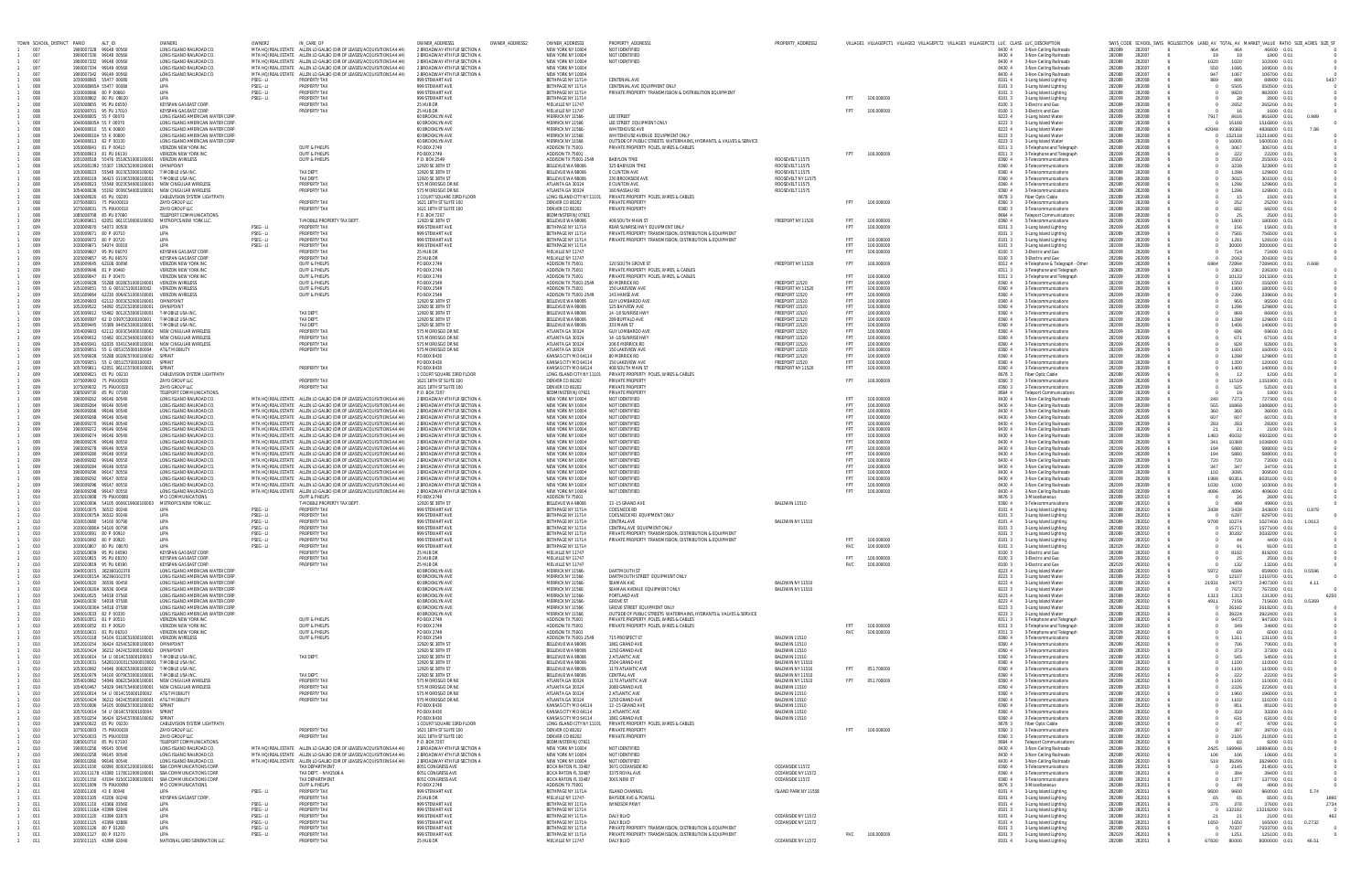| TOWN SCHOOL_DISTRICT PARID<br>007 |                                                    | ALT ID                                                                                                                         | OWNFR1<br>LONG ISLAND RAILROAD CO                                                                                              | OWNER2                 | IN CARE OF<br>MTA HO/REAL ESTATE ALLEN LO GALBO (DIR OF LEASES/ACQUISITIONS A4.44)                                                           | OWNER ADDRESS1<br>OWNER_ADDRESS2<br>2 BROADWAY 4TH FLR SECTION | OWNER ADDRESS3<br>NEW YORK NY 10004           | PROPERTY ADDRESS:<br>NOT IDENTIFIED                                                                                | PROPERTY ADDRESS2                        |                          | VILLAGE1 VILLAGEPCT1 VILLAGE2 VILLAGEPCT2 VILLAGE3 VILLAGEPCT3 LUC CLASS LUC_DESCRIPTION |                  |                                                          | 282089<br>282007                     | SWIS_CODE SCHOOL_SWIS ROLLSECTION LAND_AV TOTAL_AV MARKET_VALUE RATIO SIZE_ACRES SIZE_SI | 464<br>464                  | 46400 0.01                    |                          |                |
|-----------------------------------|----------------------------------------------------|--------------------------------------------------------------------------------------------------------------------------------|--------------------------------------------------------------------------------------------------------------------------------|------------------------|----------------------------------------------------------------------------------------------------------------------------------------------|----------------------------------------------------------------|-----------------------------------------------|--------------------------------------------------------------------------------------------------------------------|------------------------------------------|--------------------------|------------------------------------------------------------------------------------------|------------------|----------------------------------------------------------|--------------------------------------|------------------------------------------------------------------------------------------|-----------------------------|-------------------------------|--------------------------|----------------|
| 007                               | 1900007328 99148 00560<br>1900007330 99148 00560   |                                                                                                                                | LONG ISLAND RAILROAD CO                                                                                                        |                        | MTA HO/REAL ESTATE ALLEN LO GALBO (DIR OF LEASES/ACQUISITIONS A4.44)                                                                         | 2 RROADWAY 4TH ELR SECTION 4                                   | NEW YORK NY 10004                             | NOT IDENTIFIED                                                                                                     |                                          |                          |                                                                                          | 8430 4<br>8430 4 | 3-Non-Ceiling Railroads<br>3-Non-Ceiling Railroads       | 282089<br>282007                     |                                                                                          | 19<br>19                    |                               | 1900 0.01                |                |
| 007                               | 1900007332 99148 00560                             |                                                                                                                                | LONG ISLAND RAILROAD CO                                                                                                        |                        | MTA HO/REAL ESTATE ALLEN LO GALBO (DIR OF LEASES/ACOLIISITIONS A4 44)                                                                        | 2 BROADWAY 4TH FLR SECTION A                                   | NFW YORK NY 10004                             | NOT IDENTIFIED                                                                                                     |                                          |                          |                                                                                          | 8430 4           | 3-Non-Ceiling Railroads                                  | 282089<br>282007                     | 1020                                                                                     | 1020                        | 102000 0.01                   |                          |                |
| 007<br>007                        | 1900007334 99149 00560<br>1900007342 99149 00560   |                                                                                                                                | LONG ISLAND RAILROAD CI<br>LONG ISLAND RAILROAD CO                                                                             |                        | MTA HO/REAL ESTATE ALLEN LO GALBO (DIR OF LEASES/ACQUISITIONS A4.44)<br>MTA HO/REAL ESTATE ALLEN LO GALBO (DIR OF LEASES/ACQUISITIONS A4.44) | 2 BROADWAY 4TH FLR SECTION A<br>2 BROADWAY 4TH FLR SECTION A   | NEW YORK NY 10004<br>NEW YORK NY 10004        |                                                                                                                    |                                          |                          |                                                                                          | 8430 4<br>8430 4 | 3-Non-Ceiling Railroads<br>3-Non-Ceiling Railroads       | 282089<br>282007<br>282089<br>282007 |                                                                                          | 550<br>1695<br>947<br>1067  | 169500 0.0<br>106700 0.01     |                          |                |
| 008                               | 1030008065 55477 00080                             |                                                                                                                                | <b>IIPA</b>                                                                                                                    | PSEG - LI              | PROPERTY TAX                                                                                                                                 | 999 STEWART AVE                                                | BETHPAGE NY 11714-                            | <b>CENTENIAL AVE</b>                                                                                               |                                          |                          |                                                                                          | 8101 4           | 3-Long Island Lighting                                   | 282089<br>282008                     |                                                                                          | 889<br>889                  | 88900 0.01                    |                          | 5437           |
| 008<br>008                        | 1030008065A 55477 00080<br>1030008066 80 P 00660   |                                                                                                                                | LIPA<br>LIPA                                                                                                                   | PSEG - LI<br>PSEG - LI | PROPERTY TAX<br>PROPERTY TAX                                                                                                                 | 999 STEWART AVE<br>999 STEWART AVE                             | BETHPAGE NY 11714<br>BETHPAGE NY 11714        | CENTENIAL AVE EQUIPMENT ONLY<br>PRIVATE PROPERTY TRANSMISSION & DISTRIBUTION EQUIPMENT                             |                                          |                          |                                                                                          | 8101<br>8101 3   | 3-Long Island Lighting<br>3-Long Island Lighting         | 282089<br>282008<br>282089<br>282008 |                                                                                          | 5505<br>9820                | 550500 0.01<br>982000 0.01    |                          |                |
| 008                               | 1030008802 80 PU 08020                             |                                                                                                                                | LIPA                                                                                                                           | PSEG - LI              | PROPERTY TAX                                                                                                                                 | 999 STEWART AVE                                                | BETHPAGE NY 11714                             |                                                                                                                    |                                          |                          | 100,000000                                                                               | 8101 3           | 3-Long Island Lighting                                   | 282009<br>282008                     |                                                                                          | - 28                        |                               | 2800 0.01                |                |
| 008<br>008                        | 1035008655 95 PU 06550<br>1035008701 95 PU 17010   |                                                                                                                                | KEYSPAN GAS EAST CORP.<br><b>KEYSPAN GAS EAST CORP</b>                                                                         |                        | <b>PROPERTY TAX</b><br>PROPERTY TAX                                                                                                          | 25 HUB DR<br>25 HUB DR                                         | MELVILLE NY 11747<br>MELVILLE NY 11747        |                                                                                                                    |                                          | <b>FPT</b>               | 100,000000                                                                               | 8100<br>8100 3   | 3-Electric and Gas<br>3-Electric and Gas                 | 282089<br>282008<br>282009<br>282008 |                                                                                          | 2652<br>-16                 | 265200 0.01                   | 1600 0.01                |                |
| 008                               | 1040008005 55 F 00070                              |                                                                                                                                | LONG ISLAND AMERICAN WATER CORP                                                                                                |                        |                                                                                                                                              | 60 BROOKLYN AVE                                                | MERRICK NY 11566-                             | <b>LEE STREET</b>                                                                                                  |                                          |                          |                                                                                          | 8223 4           | 3-Long Island Water                                      | 282089<br>282008                     | 7917                                                                                     | 8616                        | 861600 0.01                   |                          | 0.989          |
| 008                               | 1040008005A 55 F 00070                             |                                                                                                                                | LONG ISLAND AMERICAN WATER CORP.<br>LONG ISLAND AMERICAN WATER CORP                                                            |                        |                                                                                                                                              | 60 BROOKLYN AVI                                                | MERRICK NY 11566                              | LEE STREET EQUIPMENT ONLY                                                                                          |                                          |                          |                                                                                          | 8223 3           | 3-Long Island Wate                                       | 282089<br>282008                     |                                                                                          | 15168                       | 1516800 0.01                  |                          |                |
| 008<br>008                        | 1040008010 55 K 00600<br>1040008010A 55 K 00600    |                                                                                                                                | LONG ISLAND AMERICAN WATER CORP.                                                                                               |                        |                                                                                                                                              | 60 BROOKLYN AVI<br>60 BROOKLYN AVE                             | MERRICK NY 11566<br>MERRICK NY 11566          | <b>WHITEHOUSE AVE</b><br>WHITEHOUSE AVENUE EQUIPMENT ONLY                                                          |                                          |                          |                                                                                          | 8223 4<br>8223 3 | 3-Long Island Water<br>3-Long Island Water               | 282089<br>282008<br>282089<br>282008 | 42048                                                                                    | 49368<br>152118             | 4936800 0.01<br>15211800 0.01 |                          |                |
| 008                               | 1040008013 82 P 00130                              |                                                                                                                                | LONG ISLAND AMERICAN WATER CORP                                                                                                |                        |                                                                                                                                              | 60 BROOKLYN AVI                                                | MERRICK NY 11566                              | OUTSIDE OF PUBLIC STREETS WATERMAINS, HYDRANTS, & VALVES & SERVICE                                                 |                                          |                          |                                                                                          | 8223 3           | 3-Long Island Water                                      | 282089<br>282008                     |                                                                                          | 16005                       | 1600500 0.01                  |                          |                |
| 008<br>008                        | 1050008041 81 P 00410<br>1050008613 81 PU 06130    |                                                                                                                                | VERIZON NEW YORK INC<br><b>VERIZON NEW YORK IN</b>                                                                             |                        | DUFF & PHFLPS<br>DUFF & PHELPS                                                                                                               | PO BOX 2749<br>PO BOX 2749                                     | ADDISON TX 75001<br>ADDISON TX 7500           | PRIVATE PROPERTY POLES, WIRES & CABLES                                                                             |                                          | <b>FPT</b>               | 100,000000                                                                               | 8311 3<br>8311   | 3-Telephone and Telegraph<br>3-Telephone and Telegraph   | 282089<br>282008<br>282009<br>282008 |                                                                                          | 3067<br>222                 | 306700 0.01<br>22200 0.01     |                          |                |
| 008                               |                                                    | 1051008518  55476  0518C51000100001  VERIZON WIRELESS                                                                          |                                                                                                                                |                        | DUFF & PHELPS                                                                                                                                | P.O. BOX 2549                                                  | ADDISON TX 75001-2549                         | <b>BABYLON TPKE</b>                                                                                                | ROOSEVELT 11575                          |                          |                                                                                          | 8360 4           | 3-Telecommunications                                     | 282089<br>282008                     |                                                                                          | 2550                        | 255000 0.01                   |                          |                |
| 008<br>008                        |                                                    | 10520081392 55307 1392C52000100001 OMNIPOINT<br>1053008023 55548 0023C53000100002 T-MOBILE USA INC                             |                                                                                                                                |                        | <b>TAX DEPT</b>                                                                                                                              | 12920 SE 38TH S'<br>12920 SE 38TH S'                           | BELLEVUE WA 98006<br>BELLEVUE WA 98006        | 325 BABYLON TPKE<br>E CLINTON AVE                                                                                  | ROOSEVELT 11575<br>ROOSEVELT 11575       |                          |                                                                                          | 8360 4<br>8360 4 | 3-Telecommunications<br>3-Telecommunications             | 282089<br>282008<br>282089<br>282008 |                                                                                          | 3239<br>1298                | 323900 0.01<br>129800 0.01    |                          |                |
| 008                               |                                                    | 1053008119 36423 0119C53000100001 T-MOBILE USA INC.                                                                            |                                                                                                                                |                        | TAX DEPT.                                                                                                                                    | 12920 SE 38TH ST                                               | BELLEVUE WA 98006                             | 230 BROOKSIDE AVI                                                                                                  | ROOSEVELT NY 1157                        |                          |                                                                                          | 8360 4           | 3-Telecommunications                                     | 282089<br>282008                     |                                                                                          | 3015                        | 301500 0.01                   |                          |                |
| 008                               |                                                    | 1054008023  55548  0023C54000100003  NEW CINGULAR WIRELESS                                                                     |                                                                                                                                |                        | PROPERTY TAX                                                                                                                                 | 575 MOROSGO DR NE                                              | ATLANTA GA 30324                              | E CLINTON AVE                                                                                                      | ROOSEVELT 11575                          |                          |                                                                                          | 8360 4           | 3-Telecommunications                                     | 282089<br>282008                     |                                                                                          | 1298                        | 129800 0.01                   |                          |                |
| 008<br>008                        | 1065008020 65 PU 00200                             | 1054008036 55192 0036C54000100001 NEW CINGULAR WIRELES                                                                         | CABLEVISION SYSTEM LIGHTPATH                                                                                                   |                        | <b>PROPERTY TAX</b>                                                                                                                          | 575 MOROSGO DR NI<br>1 COURT SQUARE 33RD FLOOR                 | ATLANTA GA 30324<br>LONG ISLAND CITY NY 11101 | 160 NASSAU RE<br>PRIVATE PROPERTY POLES, WIRES & CABLES                                                            | ROOSEVELT 11575                          |                          |                                                                                          | 8360<br>8678 3   | 3-Telecommunications<br>Fiber Optic Cable                | 282089<br>282008<br>282089<br>282008 |                                                                                          | 1298<br>- 15                | 129800 0.01                   | 1500 0.01                |                |
| 008                               | 1075008001 75 P9U00010                             |                                                                                                                                | ZAYO GROUP LLC                                                                                                                 |                        | PROPERTY TAX                                                                                                                                 | 1621 18TH ST SUITE 100                                         | DENVER CO 80202                               | <b>PRIVATE PROPERTY</b>                                                                                            |                                          | <b>FPT</b>               | 100.000000                                                                               | 8360 3           | 3-Telecommunications                                     | 282008<br>282009                     |                                                                                          | 252                         | 25200 0.01                    |                          |                |
| 008<br>008                        | 1075008031 75 P9U00310                             |                                                                                                                                | ZAYO GROUP LLC<br>TELEPORT COMMUNICATIONS                                                                                      |                        | PROPERTY TAX                                                                                                                                 | 1621 18TH ST SUITE 100                                         | <b>DENVER CO 80202</b>                        | PRIVATE PROPERTY                                                                                                   |                                          |                          |                                                                                          | 8360<br>8664 4   | 3-Telecommunications                                     | 282089<br>282008<br>282089<br>282008 |                                                                                          | 682<br>- 25                 | 68200 0.01                    |                          |                |
| 009                               | 1085008708 85 PU 07080                             | 1019009611  62051  0611C19000100002  METROPCS NEW YORK LLC                                                                     |                                                                                                                                |                        | T-MOBILE PROPERTY TAX DEPT.                                                                                                                  | P.O. BOX 7207<br>12920 SE 38TH ST                              | BEDMINSTER NJ 07921<br>BELLEVUE WA 98006      | 408 SOUTH MAIN ST                                                                                                  | FREEPORT NY 11520                        | <b>FPT</b>               | 100,000000                                                                               | 8360 4           | <b>Teleport Communication</b><br>3-Telecommunications    | 282009<br>282009                     |                                                                                          | 1800                        | 180000 0.01                   | 2500 0.01                |                |
| 009                               | 1030009070 54073 00500                             |                                                                                                                                | LIPA                                                                                                                           | PSEG - LI              | PROPERTY TAX                                                                                                                                 | 999 STEWART AVE                                                | BETHPAGE NY 11714                             | REAR SUNRISE HWY EQUIPMENT ONLY                                                                                    |                                          | FPT                      | 100,000000                                                                               | 8101 3           | 3-Long Island Lighting                                   | 282009<br>282009                     |                                                                                          | 156                         | 15600 0.01                    |                          |                |
| 009<br>009                        | 1030009071 80 P 00710<br>1030009072 80 P 00720     |                                                                                                                                | LIPA<br>LIPA                                                                                                                   | PSEG - LI<br>PSEG - LI | PROPERTY TAX<br>PROPERTY TAX                                                                                                                 | 999 STEWART AVE<br>999 STEWART AVE                             | BETHPAGE NY 11714<br>BETHPAGE NY 11714        | PRIVATE PROPERTY TRANSMISSION, DISTRIBUTION & FOURMENT<br>PRIVATE PROPERTY TRANSMISSION, DISTRIBUTION & EQUIPMENT  |                                          | FPT                      | 100.000000                                                                               | 8101 3<br>8101 3 | 3-Long Island Lighting<br>3-Long Island Lighting         | 282089<br>282009<br>282009<br>282009 |                                                                                          | 7565<br>1281                | 756500 0.01<br>128100 0.01    |                          |                |
| 009                               | 1030009671 54074 00010                             |                                                                                                                                | <b>I IPA</b>                                                                                                                   | PSEG - LI              | PROPERTY TAX                                                                                                                                 | 999 STEWART AVE                                                | BETHPAGE NY 11714                             |                                                                                                                    |                                          | FPT                      | 100,000000                                                                               | 8101 3           | 3-Long Island Lighting                                   | 282009<br>282009                     |                                                                                          | 30000                       | 3000000 0.01                  |                          |                |
| 009                               | 1035009607 95 PU 06070                             |                                                                                                                                | KEYSPAN GAS EAST CORP                                                                                                          |                        | <b>PROPERTY TAX</b>                                                                                                                          | 25 HUB DR                                                      | MELVILLE NY 11747                             |                                                                                                                    |                                          | FPT                      | 100,000000                                                                               | 8100 3           | 3-Electric and Gas                                       | 282009<br>282009                     |                                                                                          | 724                         |                               | 72400 0.01               |                |
| 009<br>009                        | 1035009657 95 PU 06570<br>1050009045 62108 00090   |                                                                                                                                | <b>KEYSPAN GAS EAST COR</b><br>VERIZON NEW YORK INC                                                                            |                        | PROPERTY TAX<br><b>DUFF &amp; PHELPS</b>                                                                                                     | 25 HUB DR<br>PO BOX 2749                                       | MELVILLE NY 11747<br>ADDISON TX 75001         | 120 SOUTH GROVE ST                                                                                                 | FREEPORT NY 11520                        | FPT                      | 100.000000                                                                               | 8100 3<br>8312 4 | 3-Electric and Gas<br>4-Telephone & Telegraph - Other    | 282089<br>282009<br>282009<br>282009 | 6984                                                                                     | 2043<br>72894               | 204300 0.01<br>7289400 0.01   |                          |                |
| 009                               | 1050009046 81 P 00460                              |                                                                                                                                | VERIZON NEW YORK IN                                                                                                            |                        | DUFF & PHFLPS                                                                                                                                | PO BOX 2749                                                    | ADDISON TX 75001                              | PRIVATE PROPERTY POLES, WIRES, & CABLES                                                                            |                                          |                          |                                                                                          | 8311 3           | 3-Telephone and Telegraph                                | 282089<br>282009                     |                                                                                          | 2363                        | 236300 0.01                   |                          |                |
| 009<br>009                        | 1050009047 81 P 00470                              | 1051009028  55288  0028C51000100001  VERIZON WIRELESS                                                                          | <b>VERIZON NEW YORK IN</b>                                                                                                     |                        | DUFF & PHELPS<br><b>DUFF &amp; PHELPS</b>                                                                                                    | PO BOX 2749<br>PO BOX 2549                                     | ADDISON TX 75001<br>ADDISON TX 75001-2549     | PRIVATE PROPERTY POLES, WIRES, & CABLE:<br>80 MERRICK RD                                                           | FREEPORT 11520                           | <b>FPT</b><br><b>FPT</b> | 100,000000<br>100,000000                                                                 | 8311 3<br>8360 4 | 3-Telephone and Telegraph<br>3-Telecommunications        | 282009<br>282009<br>282009<br>282009 |                                                                                          | 10133<br>1550               | 1013300 0.01<br>155000 0.01   |                          |                |
| 009                               |                                                    | 1051009051 55 G 0051C51000100002 VERIZON WIRELESS                                                                              |                                                                                                                                |                        | DUFF & PHELPS                                                                                                                                | PO BOX 2549                                                    | ADDISON TX 75001                              | 150 LAKEVIEW AVE                                                                                                   | FREEPORT NY 11520                        | <b>FPT</b>               | 100.000000                                                                               | 8360 4           | 3-Telecommunications                                     | 282009<br>282009                     |                                                                                          | 1800                        | 180000 0.01                   |                          |                |
| 009                               |                                                    | 1051009064  62230  0064C51000100001  VERIZON WIRELESS                                                                          |                                                                                                                                |                        | <b>DUFF &amp; PHELPS</b>                                                                                                                     | PO BOX 2549                                                    | ADDISON TX 75001-2549                         | 143 HANSE AVE                                                                                                      | FREEPORT 11520                           | <b>FPT</b>               | 100,000000                                                                               | 8360             | 3-Telecommunications                                     | 282009<br>282009                     |                                                                                          | 2396                        | 239600 0.01                   |                          |                |
| 009<br>009                        |                                                    | 1052009003 62112 0003C52000100001 OMNIPOINT<br>1052009522 54092 0522C52000100001 OMNIPOINT                                     |                                                                                                                                |                        |                                                                                                                                              | 12920 SE 38TH S'<br>12920 SE 38TH S'                           | BELLEVUE WA 98006<br>BELLEVUE WA 98006        | <b>GUY LOMBARDO AVE</b><br>125 BAYVIEW AVE                                                                         | FREEPORT 11520<br>FREEPORT 11520         | FPT<br><b>FPT</b>        | 100,000000<br>100,000000                                                                 | 8360 4<br>8360 4 | 3-Telecommunications<br>3-Telecommunications             | 282009<br>282009<br>282009<br>282009 |                                                                                          | 955<br>1298                 | 95500 0.01<br>129800 0.01     |                          |                |
| 009                               |                                                    | 1053009012  55482  0012C53000100001  T-MOBILE USA INC                                                                          |                                                                                                                                |                        | TAX DEPT.                                                                                                                                    | 12920 SE 38TH ST                                               | BELLEVUE WA 98006                             | 14 - 18 SUNRISE HW                                                                                                 | FREEPORT 11520                           |                          | 100,000000                                                                               | 8360 4           | 3-Telecommunications                                     | 282009<br>282009                     |                                                                                          |                             | 86900 0.01                    |                          |                |
| 009                               |                                                    | 1053009397 62 D 0397C53000100001 T-MOBILE USA INC                                                                              |                                                                                                                                |                        | <b>TAX DEPT</b>                                                                                                                              | 12920 SE 38TH S'                                               | BELLEVUE WA 98006                             | 289 BUFFALO AVE                                                                                                    | FREEPORT 11520                           | <b>FPT</b>               | 100,000000                                                                               | 8360 4           | 3-Telecommunications                                     | 282009<br>282009                     |                                                                                          | 1298                        | 129800 0.01                   |                          |                |
| 009<br>009                        |                                                    | 1053009445   55389   0445C53000100001   T-MOBILE USA IN<br>1054009003 62112 0003C54000100002 NEW CINGULAR WIRELES              |                                                                                                                                |                        | TAX DEPT.<br><b>PROPERTY TA</b>                                                                                                              | 12920 SE 38TH ST<br>575 MOROSGO DR NI                          | BELLEVUE WA 98006<br>ATLANTA GA 30324         | 333 MAIN ST<br>GUY LOMBARDO AVI                                                                                    | FREEPORT 11520<br>FREEPORT 11520         | FPT<br><b>FPT</b>        | 100.000000<br>100.000000                                                                 | 8360 4<br>8360   | 3-Telecommunications<br>3-Telecommunications             | 282009<br>282009<br>282009<br>282009 |                                                                                          | 1406<br>696                 | 140600 0.01<br>69600 0.0      |                          |                |
| 009                               |                                                    | 1054009012  55482  0012C54000100003  NEW CINGULAR WIRELES                                                                      |                                                                                                                                |                        | <b>PROPERTY TAX</b>                                                                                                                          | 575 MOROSGO DR NE                                              | ATLANTA GA 30324                              | 14 - 18 SUNRISE HW                                                                                                 | FREEPORT 11520                           | <b>FPT</b>               | 100,000000                                                                               | 8360 4           | 3-Telecommunications                                     | 282009<br>282009                     |                                                                                          | 671                         | 67100 0.01                    |                          |                |
| 009                               |                                                    | 1054009341  62035  0341C54000100001  NEW CINGULAR WIRELESS                                                                     |                                                                                                                                |                        | PROPERTY TAX                                                                                                                                 | 575 MOROSGO DR NE                                              | ATLANTA GA 30324                              | 206 E MERRICK RD                                                                                                   | FREEPORT 11520                           | <b>FPT</b>               | 100.000000                                                                               | 8360 4           | 3-Telecommunications                                     | 282009<br>282009                     |                                                                                          | 828                         | 82800 0.01                    |                          |                |
| 009<br>009                        |                                                    | 1055009051 55 G 0051C55000100004 AT&T MOBILITY<br>1057009028 55288 0028C57000100002 SPRINT                                     |                                                                                                                                |                        | <b>PROPERTY TAX</b>                                                                                                                          | 575 MOROSGO DR NE<br>PO BOX 8430                               | ATLANTA GA 30324<br>KANSAS CITY MO 64114      | 150 LAKEVIEW AVI<br>80 MERRICK RD                                                                                  | FREEPORT 11520<br>FRFFPORT 11520         | <b>FPT</b><br>FPT        | 100,000000<br>100,000000                                                                 | 8360 4<br>8360 4 | 3-Telecommunications<br>3-Telecommunications             | 282009<br>282009<br>282009<br>282009 |                                                                                          | 1600<br>1298                | 160000 0.01<br>129800 0.01    |                          |                |
| 009                               |                                                    | 1057009051 55 G 0051C57000100003 SPRINT                                                                                        |                                                                                                                                |                        |                                                                                                                                              | PO BOX 8430                                                    | KANSAS CITY MO 64114                          | 150 LAKEVIEW AVE                                                                                                   | FREEPORT 11520                           | FPT                      | 100.000000                                                                               | 8360 4           | 3-Telecommunications                                     | 282009<br>282009                     |                                                                                          | 1200                        | 120000 0.01                   |                          |                |
| 009                               |                                                    | 1057009611 62051 0611C57000100001 SPRINT                                                                                       |                                                                                                                                |                        | <b>PROPERTY TAX</b>                                                                                                                          | PO BOX 8430                                                    | KANSAS CITY MO 64114                          | 408 SOUTH MAIN ST<br>PRIVATE PROPERTY POLES, WIRES & CABLES                                                        | FREEPORT NY 11520                        | FPT                      | 100,000000                                                                               | 8360 4           | 3-Telecommunications                                     | 282009<br>282009                     |                                                                                          | 1400                        | 140000 0.01                   |                          |                |
| 009<br>009                        | 1065009021 65 PU 00210<br>1075009002 75 P9U00020   |                                                                                                                                | CABLEVISION SYSTEM LIGHTPATH<br>ZAYO GROUP LLC                                                                                 |                        | <b>PROPERTY TAX</b>                                                                                                                          | 1 COURT SQUARE 33RD FLOOR<br>1621 18TH ST SUITE 100            | LONG ISLAND CITY NY 11101<br>DENVER CO 80202  | PRIVATE PROPERTY                                                                                                   |                                          | FPT                      | 100,000000                                                                               | 8678 3<br>8360   | Fiber Optic Cable<br>3-Telecommunications                | 282089<br>282009<br>282009<br>282009 |                                                                                          | - 12<br>11519               | 1151900 0.01                  | 1200 0.01                |                |
| 009                               | 1075009032 75 P9U00320                             |                                                                                                                                | ZAYO GROUP LLC                                                                                                                 |                        | <b>PROPERTY TAX</b>                                                                                                                          | 1621 18TH ST SUITE 100                                         | DENVER CO 80202                               | PRIVATE PROPERT                                                                                                    |                                          |                          |                                                                                          | 8360 7           | 3-Telecommunications                                     | 282089<br>282009                     |                                                                                          | 525                         |                               | 52500 0.01               |                |
| 009<br>009                        | 1085009730 85 PU 07300<br>1900009262 99146 00540   |                                                                                                                                | TELEPORT COMMUNICATIONS<br>LONG ISLAND RAILROAD CO.                                                                            |                        | MTA HO/REAL ESTATE ALLEN LO GALBO (DIR OF LEASES/ACQUISITIONS A4.44)                                                                         | P.O. BOX 7207<br>2 BROADWAY 4TH FLR SECTION A                  | BEDMINSTER NJ 07921<br>NEW YORK NY 10004      | PRIVATE PROPERT<br>NOT IDENTIFIED                                                                                  |                                          | <b>FPT</b>               | 100,000000                                                                               | 8664 4<br>8430 4 | <b>Teleport Communication</b><br>3-Non-Ceiling Railroads | 282089<br>282009<br>282009<br>282009 |                                                                                          | 19<br>240<br>7273           | 727300 0.01                   | 1900 0.01                |                |
| 009                               | 1900009264 99146 00540                             |                                                                                                                                | LONG ISLAND RAILROAD CO                                                                                                        |                        | MTA HO/REAL ESTATE ALLEN LO GALBO (DIR OF LEASES/ACQUISITIONS A4.44)                                                                         | 2 BROADWAY 4TH FLR SECTION A                                   | NEW YORK NY 10004                             | NOT IDENTIFIED                                                                                                     |                                          | <b>FPT</b>               | 100,000000                                                                               | 8430 4           | 3-Non-Ceiling Railroads                                  | 282009<br>282009                     |                                                                                          | 555<br>16868                | 1686800 0.01                  |                          |                |
| 009                               | 1900009266 99146 00540                             |                                                                                                                                | LONG ISLAND RAILROAD CO                                                                                                        |                        | MTA HO/REAL ESTATE ALLEN LO GALBO (DIR OF LEASES/ACQUISITIONS A4.44)                                                                         | 2 BROADWAY 4TH FLR SECTION A                                   | NEW YORK NY 10004                             | NOT IDENTIFIED                                                                                                     |                                          | <b>FPT</b>               | 100.000000                                                                               | 8430 4           | 3-Non-Ceiling Railroads                                  | 282009<br>282009                     |                                                                                          | 360<br>360                  | 36000 0.01                    |                          |                |
| 009<br>009                        | 1900009268 99146 00540<br>1900009270 99146 00540   |                                                                                                                                | LONG ISLAND RAILROAD CO.<br>LONG ISLAND RAILROAD CO                                                                            |                        | MTA HQ/REAL ESTATE ALLEN LO GALBO (DIR OF LEASES/ACQUISITIONS A4.44)<br>MTA HO/REAL ESTATE ALLEN LO GALBO (DIR OF LEASES/ACQUISITIONS A4.44) | 2 BROADWAY 4TH FLR SECTION A<br>2 BROADWAY 4TH FLR SECTION A   | NEW YORK NY 10004<br>NEW YORK NY 10004        | NOT IDENTIFIED<br>NOT IDENTIFIED                                                                                   |                                          | <b>FPT</b>               | 100,000000<br>100,000000                                                                 | 8430 4<br>8430 4 | 3-Non-Ceiling Railroads<br>3-Non-Ceiling Railroads       | 282009<br>282009<br>282009<br>282009 |                                                                                          | 607<br>607<br>283<br>283    | 60700 0.01<br>28300 0.01      |                          |                |
| 009                               | 1900009272 99146 00540                             |                                                                                                                                | LONG ISLAND RAILROAD CO.                                                                                                       |                        | MTA HO/REAL ESTATE ALLEN LO GALBO (DIR OF LEASES/ACQUISITIONS A4.44)                                                                         | 2 BROADWAY 4TH FLR SECTION A                                   | NEW YORK NY 10004                             | NOT IDENTIFIED                                                                                                     |                                          | FPT                      | 100.000000                                                                               | 8430 4           | 3-Non-Ceiling Railroads                                  | 282009<br>282009                     |                                                                                          | - 21<br>- 21                |                               | 2100 0.01                |                |
| 009                               | 1900009274 99146 00540                             |                                                                                                                                | LONG ISLAND RAILROAD CO                                                                                                        |                        | MTA HO/REAL ESTATE ALLEN LO GALBO (DIR OF LEASES/ACQUISITIONS A4.44)                                                                         | 2 BROADWAY 4TH FLR SECTION                                     | NEW YORK NY 10004                             | NOT IDENTIFIED                                                                                                     |                                          | <b>FPT</b>               | 100,000000                                                                               | 8430             | 3-Non-Ceiling Railroads                                  | 282009<br>282009                     | 1483                                                                                     | 45032                       | 4503200 0.01                  |                          |                |
| 009<br>009                        | 1900009276 99146 00550<br>1900009278 99146 00550   |                                                                                                                                | LONG ISLAND RAILROAD CO<br>LONG ISLAND RAILROAD CO.                                                                            |                        | MTA HO/REAL ESTATE ALLEN LO GALBO (DIR OF LEASES/ACQUISITIONS A4.44)<br>MTA HO/REAL ESTATE ALLEN LO GALBO (DIR OF LEASES/ACQUISITIONS A4.44) | 2 BROADWAY 4TH FLR SECTION A<br>2 BROADWAY 4TH FLR SECTION A   | NEW YORK NY 10004<br>NEW YORK NY 10004        | NOT IDENTIFIED<br>NOT IDENTIFIED                                                                                   |                                          | <b>FPT</b><br><b>FPT</b> | 100,000000<br>100,000000                                                                 | 8430 4<br>8430 4 | 3-Non-Ceiling Railroads<br>3-Non-Ceiling Railroads       | 282009<br>282009<br>282009<br>282009 |                                                                                          | 341<br>10368<br>194<br>5880 | 1036800 0.01<br>588000 0.01   |                          |                |
| 009                               | 1900009280 99146 00550                             |                                                                                                                                | LONG ISLAND RAILROAD CO                                                                                                        |                        | MTA HO/REAL ESTATE ALLEN LO GALBO (DIR OF LEASES/ACQUISITIONS A4.44)                                                                         | 2 BROADWAY 4TH FLR SECTION A                                   | NEW YORK NY 10004                             | NOT IDENTIFIED                                                                                                     |                                          | <b>FPT</b>               | 100,000000                                                                               | 8430 4           | 3-Non-Ceiling Railroads                                  | 282009<br>282009                     |                                                                                          | 194<br>5880                 | 588000 0.01                   |                          |                |
| 009                               | 1900009282 99146 00550                             |                                                                                                                                | LONG ISLAND RAILROAD CO                                                                                                        |                        | MTA HO/REAL ESTATE ALLEN LO GALBO (DIR OF LEASES/ACQUISITIONS A4.44)                                                                         | 2 BROADWAY 4TH FLR SECTION A                                   | NEW YORK NY 10004                             | NOT IDENTIFIED                                                                                                     |                                          | FPT                      | 100,000000                                                                               | 8430 4           | 3-Non-Ceiling Railroads                                  | 282009<br>282009                     |                                                                                          | 720<br>720                  | 72000 0.01                    |                          |                |
| 009<br>009                        | 1900009284 99146 00550<br>1900009290 99147 00550   |                                                                                                                                | LONG ISLAND RAILROAD CO<br>LONG ISLAND RAILROAD CO                                                                             |                        | MTA HQ/REAL ESTATE ALLEN LO GALBO (DIR OF LEASES/ACQUISITIONS A4.44)<br>MTA HO/REAL ESTATE ALLEN LO GALBO (DIR OF LEASES/ACQUISITIONS A4.44) | 2 BROADWAY 4TH FLR SECTION A<br>2 BROADWAY 4TH FLR SECTION     | NEW YORK NY 10004<br>NEW YORK NY 10004        | NOT IDENTIFIED<br>NOT IDENTIFIED                                                                                   |                                          | FPT<br>FPT               | 100,000000<br>100,000000                                                                 | 8430 4<br>8430 4 | 3-Non-Ceiling Railroads<br>3-Non-Ceiling Railroads       | 282009<br>282009<br>282009<br>282009 |                                                                                          | 347<br>347<br>102<br>3095   | 34700 0.01<br>309500 0.01     |                          |                |
| 009                               | 1900009292 99147 00550                             |                                                                                                                                | LONG ISLAND RAILROAD CO                                                                                                        |                        | MTA HO/REAL ESTATE ALLEN LO GALBO (DIR OF LEASES/ACQUISITIONS A4.44)                                                                         | 2 BROADWAY 4TH FLR SECTION A                                   | NEW YORK NY 10004                             | NOT IDENTIFIED                                                                                                     |                                          | <b>FPT</b>               | 100,000000                                                                               | 8430 4           | 3-Non-Ceiling Railroads                                  | 282009<br>282009                     | 1988                                                                                     | 60351                       | 6035100 0.01                  |                          |                |
| 009                               | 1900009296 99147 00550                             |                                                                                                                                | LONG ISLAND RAILROAD CO                                                                                                        |                        | MTA HO/REAL ESTATE ALLEN LO GALBO (DIR OF LEASES/ACQUISITIONS A4.44)                                                                         | 2 BROADWAY 4TH FLR SECTION A                                   | NEW YORK NY 10004                             | NOT IDENTIFIED                                                                                                     |                                          | <b>FPT</b>               | 100,000000                                                                               | 8430 4           | 3-Non-Ceiling Railroads                                  | 282009<br>282009                     | 1030                                                                                     | 1030                        | 103000 0.01                   |                          |                |
| 009<br>010                        | 1900009298 99147 00550<br>1015010008 79 P9U00080   |                                                                                                                                | LONG ISLAND RAILROAD CO<br>MCLCOMMUNICATIONS                                                                                   |                        | MTA HO/REAL ESTATE ALLEN LO GALBO (DIR OF LEASES/ACQUISITIONS A4.44)<br>DUFF & PHFLPS                                                        | 2 BROADWAY 4TH FLR SECTION A<br>PO BOX 2749                    | NEW YORK NY 10004<br>ADDISON TX 75001         | NOT IDENTIFIED                                                                                                     |                                          | <b>FPT</b>               | 100.000000                                                                               | 8430 4<br>8676 3 | 3-Non-Ceiling Railroads<br>3-Miscellaneous               | 282009<br>282009<br>282089<br>282010 | 4096                                                                                     | 4096<br>- 26                | 409600 0.01                   | 2600 0.01                |                |
| 010                               |                                                    | 1019010006    54105    0006C19000100003    METROPCS                           NEW YORK    LL                                   |                                                                                                                                |                        | T-MOBILE PROPERTY TAX DEPT                                                                                                                   | 12920 SE 38TH S                                                | BELLEVUE WA 98006                             | 13 - 15 GRAND AVI                                                                                                  | BALDWIN 11510                            |                          |                                                                                          | 8360             | 3-Telecommunications                                     | 282089<br>282010                     |                                                                                          | 499                         | 49900 0.01                    |                          |                |
| 010<br>010                        | 1030010075 36532 00240<br>1030010075A 36532 00240  |                                                                                                                                | LIPA<br>LIPA                                                                                                                   | PSEG - LI<br>PSEG - LI | <b>PROPERTY TAX</b><br><b>PROPERTY TAX</b>                                                                                                   | 999 STEWART AVE<br>999 STEWART AVE                             | BETHPAGE NY 11714-<br>BETHPAGE NY 11714       | COES NECK RD<br>COES NECK RD EQUIPMENT ONLY                                                                        |                                          |                          |                                                                                          | 8101 4<br>8101 3 | 3-Long Island Lighting<br>3-Long Island Lighting         | 282089<br>282010<br>282089<br>282010 | 3438                                                                                     | 3438<br>6297                | 629700 0.01                   | 343800 0.01              | 0.879          |
| 010                               | 1030010080 54100 00790                             |                                                                                                                                | LIPA                                                                                                                           | PSEG - LI              | <b>PROPERTY TAX</b>                                                                                                                          | 999 STEWART AVE                                                | BETHPAGE NY 11714                             | <b>CENTRAL AVE</b>                                                                                                 | BALDWIN NY 11510                         |                          |                                                                                          | 8101 4           | 3-Long Island Lighting                                   | 282089<br>282010                     | 9708                                                                                     | 10274                       | 1027400 0.01                  |                          |                |
| 010                               | 1030010080A 54100 00790                            |                                                                                                                                | <b>I IPA</b>                                                                                                                   | PSEG - LI              | <b>PROPERTY TAX</b>                                                                                                                          | 999 STFWART AVE                                                | BETHPAGE NY 11714                             | CENTRAL AVE EQUIPMENT ONLY                                                                                         |                                          |                          |                                                                                          | 8101 3           | 3-Long Island Lighting                                   | 282089<br>282010                     |                                                                                          | 15771                       | 1577100 0.01                  |                          |                |
| 010                               | 1030010091 80 P 00910<br>1030010092 80 P 00920     |                                                                                                                                | LIPA<br><b>I IPA</b>                                                                                                           | PSEG - LI<br>PSEG - LI | PROPERTY TAX<br>PROPERTY TAX                                                                                                                 | 999 STEWART AVE<br>999 STEWART AVE                             | BETHPAGE NY 11714<br>BETHPAGE NY 11714        | PRIVATE PROPERTY TRANSMISSION, DISTRIBUTION & EQUIPMENT<br>PRIVATE PROPERTY TRANSMISSION, DISTRIBUTION & EQUIPMENT |                                          |                          | 100,000000                                                                               | 8101 3<br>8101 3 | 3-Long Island Lighting<br>3-Long Island Lighting         | 282089<br>282010<br>282009<br>282010 |                                                                                          | 30332<br>44                 | 3033200 0.01                  | 4400 0.01                |                |
| 010                               | 1030010807 80 PU 08070                             |                                                                                                                                |                                                                                                                                | PSEG - LI              | <b>PROPERTY TAX</b>                                                                                                                          | 999 STEWART AVE                                                | BETHPAGE NY 11714                             |                                                                                                                    |                                          | <b>RVC</b>               | 100.000000                                                                               | 8101 3           | 3-Long Island Lighting                                   | 282029<br>282010                     |                                                                                          |                             |                               | 9100 0.01                |                |
| 010<br>010                        | 1035010659 95 PU 06590<br>1035010815 95 PU 08150   |                                                                                                                                | KEYSPAN GAS EAST CORP.<br>KEYSPAN GAS EAST CORP.                                                                               |                        | PROPERTY TAX<br>PROPERTY TAX                                                                                                                 | 25 HUB DR<br>25 HUB DR                                         | MELVILLE NY 11747<br>MELVILLE NY 11747        |                                                                                                                    |                                          | FPT                      | 100.000000                                                                               | 8100 3<br>8100 3 | 3-Electric and Gas<br>3-Electric and Gas                 | 282089<br>282010<br>282009<br>282010 |                                                                                          | 8192<br>- 25                | 819200 0.01                   | 2500 0.01                |                |
| 010                               | 1035010819 95 PU 08190                             |                                                                                                                                | KEYSPAN GAS EAST CORP.                                                                                                         |                        | PROPERTY TAX                                                                                                                                 | 25 HUB DR                                                      | MELVILLE NY 11747                             |                                                                                                                    |                                          | RVC                      | 100.000000                                                                               | 8100 3           | 3-Electric and Gas                                       | 282029<br>282010                     |                                                                                          | 132                         |                               | 13200 0.01               |                |
| 010                               | 1040010015 362360102370                            |                                                                                                                                | LONG ISLAND AMERICAN WATER CORP.                                                                                               |                        |                                                                                                                                              | 60 BROOKLYN AVE                                                | MERRICK NY 11566-                             | DARTMOUTH ST                                                                                                       |                                          |                          |                                                                                          | 8223 4           | 3-Long Island Water                                      | 282089<br>282010                     | 5972                                                                                     | 6599                        | 659900 0.01                   |                          | 0.5596         |
| 010<br>010                        | 1040010015A 362360102370<br>1040010020 36536 00450 |                                                                                                                                | LONG ISLAND AMERICAN WATER CORP<br>LONG ISLAND AMERICAN WATER CORP                                                             |                        |                                                                                                                                              | 60 BROOKLYN AVE<br>60 BROOKLYN AVE                             | MERRICK NY 11566<br>MERRICK NY 11566-         | DARTMOUTH STREET EQUIPMENT ONLY<br>SFAMAN AVE                                                                      | BAI DWIN NY 11510                        |                          |                                                                                          | 8223 3<br>8223 4 | 3-Long Island Water<br>3-Long Island Water               | 282089<br>282010<br>282089<br>282010 | 21931                                                                                    | 12107<br>24073              | 1210700 0.01<br>2407300 0.01  |                          |                |
| 010                               | 1040010020A 36536 00450                            |                                                                                                                                | LONG ISLAND AMERICAN WATER CORP                                                                                                |                        |                                                                                                                                              | 60 BROOKLYN AVI                                                | MERRICK NY 11566                              | SEAMAN AVENUE EQUIPMENT ONLY                                                                                       | BALDWIN NY 11510                         |                          |                                                                                          | 8223 3           | 3-Long Island Water                                      | 282089<br>282010                     |                                                                                          | 7672                        | 767200 0.01                   |                          |                |
| 010<br>010                        | 1040010025 54018 07560<br>1040010030 54018 07580   |                                                                                                                                | LONG ISLAND AMERICAN WATER CORP.<br>LONG ISLAND AMERICAN WATER CORP                                                            |                        |                                                                                                                                              | 60 BROOKLYN AVE<br>60 BROOKLYN AVE                             | MERRICK NY 11566-<br>MERRICK NY 11566-        | PORTLAND AVE<br><b>GROVE ST</b>                                                                                    |                                          |                          |                                                                                          | 8223 4<br>8223 4 | 3-Long Island Water                                      | 282089<br>282010<br>282089<br>282010 | 1313<br>4911                                                                             | 1313<br>7156                | 131300 0.01<br>715600 0.01    |                          | 6250<br>0.5369 |
| 010                               | 1040010030A 54018 07580                            |                                                                                                                                | LONG ISLAND AMERICAN WATER CORP                                                                                                |                        |                                                                                                                                              | 60 BROOKLYN AV                                                 | MERRICK NY 11566                              | GROVE STREET FOURMENT ONLY                                                                                         |                                          |                          |                                                                                          | 8223 3           | 3-Long Island Water<br>3-Long Island Water               | 282089<br>282010                     |                                                                                          | 26182                       | 2618200 0.01                  |                          |                |
| 010                               | 1040010033 82 P 00330                              |                                                                                                                                | LONG ISLAND AMERICAN WATER CORP.                                                                                               |                        |                                                                                                                                              | 60 BROOKLYN AVI                                                | MERRICK NY 11566                              | OUTSIDE OF PUBLIC STREETS WATERMAINS, HYDRANTS & VALVES & SERVICE                                                  |                                          |                          |                                                                                          | 8223 3           | 3-Long Island Water                                      | 282089<br>282010                     |                                                                                          | 39224                       | 3922400 0.01                  |                          |                |
| 010<br>010                        | 1050010051 81 P 00510<br>1050010052 81 P 00520     |                                                                                                                                | VERIZON NEW YORK INC<br>VERIZON NEW YORK INC                                                                                   |                        | DUFF & PHELPS<br>DUFF & PHELPS                                                                                                               | PO BOX 2749<br>PO BOX 2749                                     | ADDISON TX 75001<br>ADDISON TX 75001          | PRIVATE PROPERTY POLES, WIRES & CABLES<br>PRIVATE PROPERTY POLES, WIRES & CABLES                                   |                                          | <b>FPT</b>               | 100,000000                                                                               | 8311 3<br>8311 3 | 3-Telephone and Telegraph<br>3-Telephone and Telegraph   | 282010<br>282089<br>282009<br>282010 |                                                                                          | 9473<br>349                 | 947300 0.01<br>34900 0.01     |                          |                |
| 010                               | 1050010631 81 PU 06310                             |                                                                                                                                | <b>VERIZON NEW YORK INC</b>                                                                                                    |                        | DUFF & PHELPS                                                                                                                                | PO BOX 2749                                                    | ADDISON TX 75001                              |                                                                                                                    |                                          | <b>RVC</b>               | 100.000000                                                                               | 8311 3           | 3-Telephone and Telegraph                                | 282029<br>282010                     |                                                                                          | - 60                        |                               | 6000 0.01                |                |
| 010<br>010                        |                                                    | 1051010118  54104  0118C51000100001  VERIZON WIRELESS<br>1052010254 36424 0254C52000100003 OMNIPOINT                           |                                                                                                                                |                        | DUFF & PHELPS                                                                                                                                | PO BOX 2549<br>12920 SE 38TH S'                                | ADDISON TX 75001-2549<br>BELLEVUE WA 98006    | 715 PROSPECT ST<br>1861 GRAND AVE                                                                                  | BALDWIN 11510<br>BALDWIN 11510           |                          |                                                                                          | 8360 4<br>8360 4 | 3-Telecommunications<br>3-Telecommunications             | 282089<br>282010<br>282089<br>282010 |                                                                                          | 1311<br>706                 | 131100 0.01<br>70600 0.01     |                          |                |
| 010                               |                                                    | 1052010424 36212 0424C52000100002 OMNIPOINT                                                                                    |                                                                                                                                |                        |                                                                                                                                              | 12920 SE 38TH ST                                               | BELLEVUE WA 98006                             | 1250 GRAND AVE                                                                                                     | BALDWIN 11510                            |                          |                                                                                          | 8360 4           | 3-Telecommunications                                     | 282089<br>282010                     |                                                                                          | 373                         |                               | 37300 0.01               |                |
| 010                               |                                                    | 1053010014   54   0014C53000100003   T-MOBILE USA INC.                                                                         |                                                                                                                                |                        | TAX DEPT.                                                                                                                                    | 12920 SE 38TH ST                                               | BELLEVUE WA 98006                             | 2 ATLANTIC AVE                                                                                                     | BALDWIN 11510                            |                          |                                                                                          | 8360 4           | 3-Telecommunications                                     | 282089<br>282010                     |                                                                                          | 545                         |                               | 54500 0.01               |                |
| 010<br>010                        |                                                    | 1053010031  54281010031C53000100001  T-MOBILE USA INC<br>1053010062 54046 0062C53000100002 T-MOBILE USA INC                    |                                                                                                                                |                        |                                                                                                                                              | 12920 SE 38TH ST<br>12920 SE 38TH ST                           | BELLEVUE WA 98006<br>BELLEVUE WA 98006        | 2504 GRAND AVE<br>1170 ATLANTIC AVE                                                                                | BALDWIN NY 11510<br>BALDWIN NY 11510     |                          | FPT 051.700000                                                                           | 8360 4<br>8360 4 | 3-Telecommunications<br>3-Telecommunications             | 282089<br>282010<br>282009<br>282010 |                                                                                          | 1100<br>1100                | 110000 0.01<br>110000 0.01    |                          |                |
| 010                               |                                                    | 1053010079  54100  0079C53000100001  T-MOBILE USA INC.                                                                         |                                                                                                                                |                        | TAX DEPT.                                                                                                                                    | 12920 SE 38TH ST                                               | BELLEVUE WA 98006                             | CENTRAL AVE                                                                                                        | BALDWIN NY 11510                         |                          |                                                                                          | 8360 4           | 3-Telecommunications                                     | 282089<br>282010                     |                                                                                          | 222                         |                               | 22200 0.01               |                |
| 010<br>010                        |                                                    | 1054010062    54046    0062C54000100001    NEW CINGULAR WIRELESS<br>1054010467  54029  0467C54000100001  NEW CINGULAR WIRELESS |                                                                                                                                |                        | <b>PROPERTY TAX</b><br><b>PROPERTY TAX</b>                                                                                                   | 575 MOROSGO DR NE<br>575 MOROSGO DR NE                         | ATLANTA GA 30324<br>ATLANTA GA 30324          | 1170 ATLANTIC AVE<br>2080 GRAND AVE                                                                                | BALDWIN NY 11510<br>BALDWIN 11510        |                          | FPT 051.700000                                                                           | 8360 4<br>8360 4 | 3-Telecommunications<br>3-Telecommunications             | 282009<br>282010<br>282089<br>282010 |                                                                                          | 1100<br>2226                | 110000 0.01<br>222600 0.01    |                          |                |
| 010                               |                                                    |                                                                                                                                |                                                                                                                                |                        | <b>PROPERTY TAX</b>                                                                                                                          | 575 MOROSGO DR NE                                              | ATLANTA GA 30324                              | 2 ATLANTIC AVE                                                                                                     | BALDWIN 11510                            |                          |                                                                                          | 8360 4           | 3-Telecommunications                                     | 282089<br>282010                     |                                                                                          | 1960                        | 196000 0.01                   |                          |                |
| 010                               |                                                    | 1055010424 36212 0424C55000100001 AT&T MOBILITY                                                                                |                                                                                                                                |                        | <b>PROPERTY TAX</b>                                                                                                                          | 575 MOROSGO DR NE                                              | ATLANTA GA 30324                              | 1250 GRAND AVE                                                                                                     | BALDWIN 11510                            |                          |                                                                                          | 8360 4           | 3-Telecommunications                                     | 282089<br>282010                     |                                                                                          | 1102                        | 110200 0.01                   |                          |                |
| 010<br>010                        |                                                    | 1057010006  54105  0006C57000100002  SPRINT<br>1057010014  54  U  0014C57000100004  SPRINT                                     |                                                                                                                                |                        |                                                                                                                                              | PO BOX 8430<br>PO BOX 8430                                     | KANSAS CITY MO 64114<br>KANSAS CITY MO 64114  | 13-15 GRAND AV<br>2 ATLANTIC AVE                                                                                   | BALDWIN 11510<br>BALDWIN 11510           |                          |                                                                                          | 8360 4<br>8360 4 | 3-Telecommunications<br>3-Telecommunications             | 282089<br>282010<br>282089<br>282010 |                                                                                          | 851<br>333                  | 85100 0.01<br>33300 0.01      |                          |                |
| 010                               |                                                    | 1057010254 36424 0254C57000100002 SPRINT                                                                                       |                                                                                                                                |                        |                                                                                                                                              | PO BOX 8430                                                    | KANSAS CITY MO 64114                          | 1861 GRAND AVE                                                                                                     | BALDWIN 11510                            |                          |                                                                                          | 8360 4           | 3-Telecommunications                                     | 282089<br>282010                     |                                                                                          | 631                         |                               | 63100 0.01               |                |
| 010                               | 1065010022 65 PU 00220                             |                                                                                                                                | CABLEVISION SYSTEM LIGHTPATH                                                                                                   |                        |                                                                                                                                              | 1 COURT SQUARE 33RD FLOOR                                      | LONG ISLAND CITY NY 11101                     | PRIVATE PROPERTY POLES, WIRES & CABLES                                                                             |                                          |                          |                                                                                          | 8678 3           | Fiber Optic Cable                                        | 282089<br>282010                     |                                                                                          | 47                          |                               | 4700 0.01                |                |
| 010<br>010                        | 1075010003 75 P9U00030<br>1075010033 75 P9U00330   |                                                                                                                                | ZAYO GROUP LLC<br>ZAYO GROUP LLC                                                                                               |                        | <b>PROPERTY TAX</b><br><b>PROPERTY TAX</b>                                                                                                   | 1621 18TH ST SUITE 100<br>1621 18TH ST SUITE 100               | <b>DENVER CO 80202</b><br>DENVER CO 80202     | <b>PRIVATE PROPERTY</b><br><b>PRIVATE PROPERTY</b>                                                                 |                                          | <b>FPT</b>               | 100,000000                                                                               | 8360 3<br>8360 3 | 3-Telecommunications<br>3-Telecommunications             | 282009<br>282010<br>282089<br>282010 |                                                                                          | 397<br>2105                 | 210500 0.01                   | 39700 0.01               |                |
| 010                               | 1085010710 85 PU 07100                             |                                                                                                                                | TELEPORT COMMUNICATIONS                                                                                                        |                        |                                                                                                                                              | P.O. BOX 7207                                                  | BEDMINSTER NJ 07921                           |                                                                                                                    |                                          |                          |                                                                                          | 8664 4           | <b>Teleport Communication</b>                            | 282089<br>282010                     |                                                                                          | 82                          |                               | 8200 0.01                |                |
| 010<br>010                        | 1900010256 99145 00540<br>1900010258 99145 00540   |                                                                                                                                | LONG ISLAND RAILROAD CO<br>LONG ISLAND RAILROAD CO                                                                             |                        | MTA HO/REAL ESTATE ALLEN LO GALBO (DIR OF LEASES/ACQUISITIONS A4.44)<br>MTA HO/REAL ESTATE ALLEN LO GALBO (DIR OF LEASES/ACQUISITIONS A4.44) | 2 BROADWAY 4TH FLR SECTION A<br>2 BROADWAY 4TH FLR SECTION A   | NEW YORK NY 10004<br>NEW YORK NY 10004        | NOT IDENTIFIED<br>NOT IDENTIFIED                                                                                   |                                          |                          |                                                                                          | 8430 4<br>84304  | 3-Non-Ceiling Railroads<br>3-Non-Ceiling Railroads       | 282089<br>282010<br>282089<br>282010 | 2425                                                                                     | 69946<br>106<br>106         | 6994600 0.01<br>10600 0.01    |                          |                |
| 010                               | 1900010260 99146 00540                             |                                                                                                                                | LONG ISLAND RAILROAD CO.                                                                                                       |                        | MTA HO/REAL ESTATE ALLEN LO GALBO (DIR OF LEASES/ACQUISITIONS A4.44)                                                                         | 2 BROADWAY 4TH FLR SECTION A                                   | NEW YORK NY 10004                             | NOT IDENTIFIED                                                                                                     |                                          |                          |                                                                                          | 8430 4           | 3-Non-Ceiling Railroads                                  | 282089<br>282010                     |                                                                                          | 518<br>36299                | 3629900 0.01                  |                          |                |
| 011                               |                                                    |                                                                                                                                | 1012011030   60090   0030C12000100001   SBA COMMUNICATIONS CORP.                                                               |                        | TAX DEPARTMENT                                                                                                                               | 8051 CONGRESS AVE                                              | BOCA RATON FL 33487                           | 3671 OCEANSIDE RD                                                                                                  | OCEANSIDE 11572                          |                          |                                                                                          | 8360 4           | 3-Telecommunications                                     | 282089<br>282011                     |                                                                                          | 2145                        | 214500 0.01                   |                          |                |
| 011<br>011                        |                                                    |                                                                                                                                | 10120111178  43380  1178C12000100001  SBA COMMUNICATIONS CORP<br>1012011150  43194  0150C12000100001  SBA COMMUNICATIONS CORP. |                        | TAX DEPT. - NY41508-A<br>TAX DEPARTMENT                                                                                                      | 8051 CONGRESS AVE<br>8051 CONGRESS AVE                         | BOCA RATON FL 33487<br>BOCA RATON FL 33487    | 3375 ROYAL AVE<br>3001 NEW ST                                                                                      | OCEANSIDE NY 11572<br>OCEANSIDE 11572    |                          |                                                                                          | 8360 4<br>8360 4 | 3-Telecommunications<br>3-Telecommunications             | 282089<br>282011<br>282089<br>282011 |                                                                                          | 394<br>1377                 | 39400 0.01<br>137700 0.01     |                          |                |
| 011                               | 1015011009 79 P9U00090                             |                                                                                                                                | MCI COMMUNICATIONS                                                                                                             |                        | <b>DUFF &amp; PHELPS</b>                                                                                                                     | PO BOX 2749                                                    | ADDISON TX 75001                              |                                                                                                                    |                                          |                          |                                                                                          | 8676 3           | 3-Miscellaneous                                          | 282089<br>282011                     |                                                                                          | - 49                        |                               | 4900 0.01                |                |
| 011<br>011                        | 1030011100 43 E 00040<br>1030011105 43206 00240    |                                                                                                                                | <b>IIPA</b><br>KEYSPAN GAS EAST CORP.                                                                                          | PSEG - LI              | <b>PROPERTY TAX</b><br>PROPERTY TAX                                                                                                          | 999 STEWART AVE<br>25 HUB DR                                   | BETHPAGE NY 11714-<br>MELVILLE NY 11747-      | <b>ISLAND CHANNEL</b><br><b>BAYSIDE AVE &amp; POWELL</b>                                                           | ISLAND PARK NY 11558                     |                          |                                                                                          | 8101 4<br>8101 4 | 3-Long Island Lighting<br>3-Long Island Lighting         | 282089<br>28201<br>282089<br>282011  | 9600                                                                                     | 9600<br>65                  |                               | 960000 0.01<br>6500 0.01 | 5.74           |
| 011                               | 1030011110 43368 03560                             |                                                                                                                                | LIPA                                                                                                                           | PSEG - LI              | <b>PROPERTY TAX</b>                                                                                                                          | 999 STEWART AVE                                                | BETHPAGE NY 11714-                            | <b>WINDSOR PKWY</b>                                                                                                |                                          |                          |                                                                                          | 8101 4           | 3-Long Island Lighting                                   | 282089<br>282011                     |                                                                                          | 376<br>376                  |                               | 37600 0.01               | 2734           |
| 011                               | 1030011116A 43399 02040                            |                                                                                                                                | <b>I IPA</b>                                                                                                                   | PSEG - LI              | PROPERTY TAX                                                                                                                                 | 999 STFWART AVE                                                | BETHPAGE NY 11714                             |                                                                                                                    |                                          |                          |                                                                                          | 8101 3           | 3-Long Island Lighting                                   | 282089<br>282011                     |                                                                                          | 132182                      | 13218200 0.01                 |                          |                |
| 011<br>011                        | 1030011120 43399 02870<br>1030011125 43399 02880   |                                                                                                                                | LIPA<br>LIPA                                                                                                                   | PSEG - LI<br>PSEG - LI | <b>PROPERTY TAX</b><br><b>PROPERTY TAX</b>                                                                                                   | 999 STEWART AVE<br>999 STEWART AVE                             | BETHPAGE NY 11714-<br>BETHPAGE NY 11714-      | DALY BLVD<br>DALY BLVD                                                                                             | OCEANSIDE NY 11572<br>OCEANSIDE NY 11572 |                          |                                                                                          | 8101 4<br>8101 4 | 3-Long Island Lighting<br>3-Long Island Lighting         | 282089<br>282011<br>282089<br>282011 |                                                                                          | 21<br>1650<br>1650          |                               | 2100 0.01<br>165000 0.01 | 0.2732         |
| 011                               | 1030011126 80 P 01260                              |                                                                                                                                | <b>IIPA</b>                                                                                                                    | PSEG - LI              | PROPERTY TAX                                                                                                                                 | 999 STEWART AVE                                                | BETHPAGE NY 11714                             | PRIVATE PROPERTY TRANSMISSION. DISTRIBUTION & FOURMENT                                                             |                                          |                          |                                                                                          | 8101 3           | 3-Long Island Lighting                                   | 282011<br>282089                     |                                                                                          | 70337                       | 7033700 0.01                  |                          |                |
| 011<br>011                        | 1030011127 80 P 01270<br>1035011115 43399 02040    |                                                                                                                                | NATIONAL GRID GENERATION LLC                                                                                                   | PSEG - LI              | <b>PROPERTY TAX</b><br><b>PROPERTY TAX</b>                                                                                                   | 999 STEWART AVE<br>25 HUB DR                                   | BETHPAGE NY 11714<br>MELVILLE NY 11747        | PRIVATE PROPERTY TRANSMISSION, DISTRIBUTION & EQUIPMENT<br><b>DALY BLVD</b>                                        | OCEANSIDE NY 11572                       | <b>RVC</b>               | 100.000000                                                                               | 8101 3<br>8101 4 | 3-Long Island Lighting<br>3-Long Island Lighting         | 282029<br>282011<br>282089<br>282011 | 67830                                                                                    | 1251<br>80000               | 125100 0.01<br>8000000 0.01   |                          | 46.51          |
|                                   |                                                    |                                                                                                                                |                                                                                                                                |                        |                                                                                                                                              |                                                                |                                               |                                                                                                                    |                                          |                          |                                                                                          |                  |                                                          |                                      |                                                                                          |                             |                               |                          |                |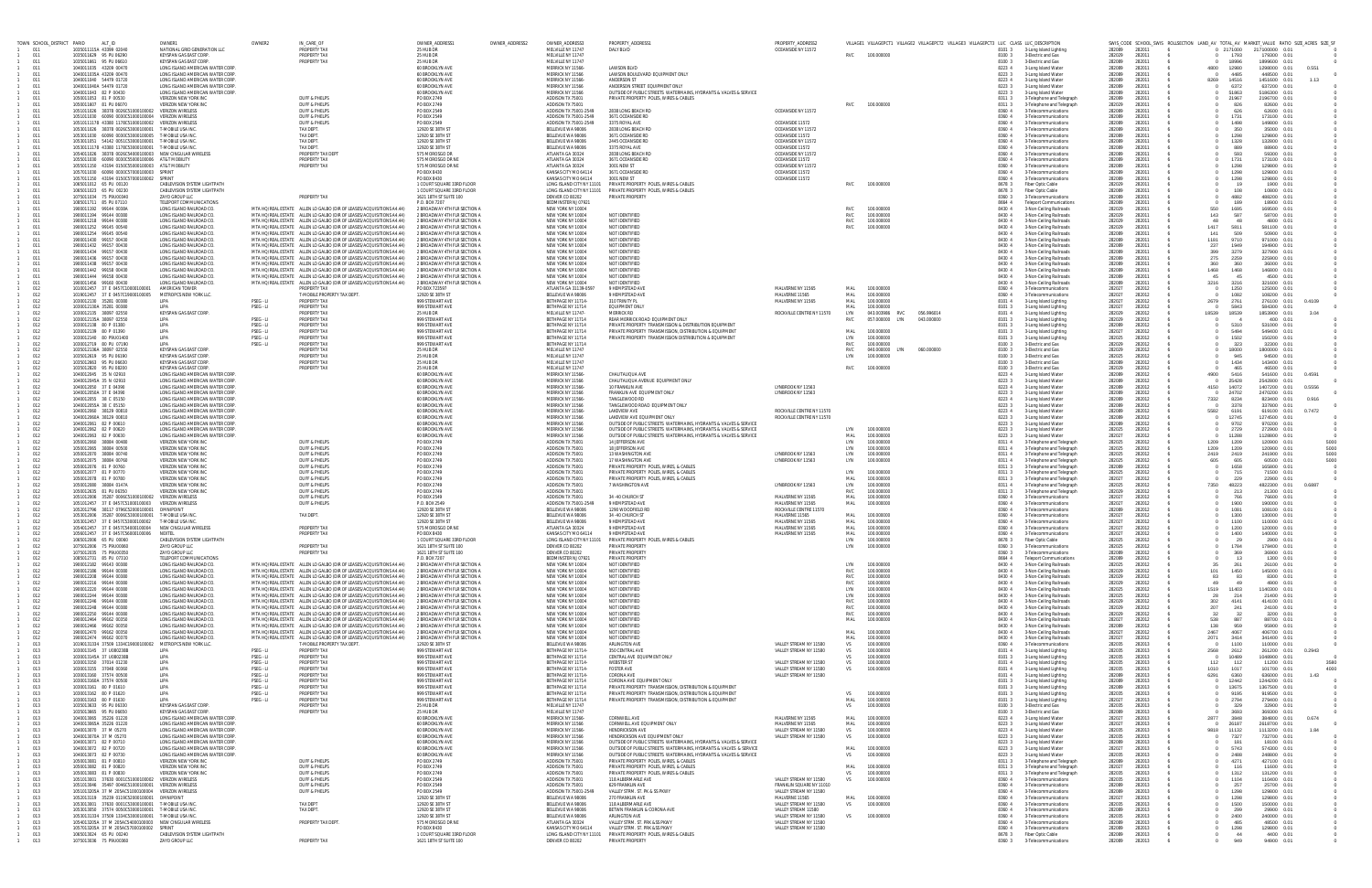| TOWN SCHOOL_DISTRICT PARID<br>011 | ALT ID<br>1035011115A 43399 02040                                                                            | OWNER1<br>NATIONAL GRID GENERATION LLC                             | OWNER2                 | IN CARE OF<br>PROPERTY TAX                                                                                                                    | <b>OWNER ADDRESS</b><br>25 HUB DR                            | OWNER_ADDRESS2 | OWNER_ADDRESS3<br>MELVILLE NY 11747               | <b>PROPERTY ADDRESS1</b><br>DALY BLVD                                                                                                  | PROPERTY ADDRESS2<br>OCEANSIDE NY 11572          |                          | VILLAGE1 VILLAGEPCT1 VILLAGE2 VILLAGEPCT2 VILLAGE3 VILLAGEPCT3 LUC CLASS LUC_DESCRIPTION | 81013             |                                                          | 282089           | SWIS_CODE SCHOOL_SWIS ROLLSECTION LAND_AV TOTAL_AV MARKET_VALUE RATIO SIZE_ACRES SIZE_SF<br>282011 |              | 0 2171000      | 217100000 0.01               |              |
|-----------------------------------|--------------------------------------------------------------------------------------------------------------|--------------------------------------------------------------------|------------------------|-----------------------------------------------------------------------------------------------------------------------------------------------|--------------------------------------------------------------|----------------|---------------------------------------------------|----------------------------------------------------------------------------------------------------------------------------------------|--------------------------------------------------|--------------------------|------------------------------------------------------------------------------------------|-------------------|----------------------------------------------------------|------------------|----------------------------------------------------------------------------------------------------|--------------|----------------|------------------------------|--------------|
| 011                               | 1035011629 95 PU 06290                                                                                       | KEYSPAN GAS EAST CORP.                                             |                        | PROPERTY TAX                                                                                                                                  | 25 HUB DR                                                    |                | MELVILLE NY 11747                                 |                                                                                                                                        |                                                  |                          | RVC 100.000000                                                                           | 8100 3            | 3-Long Island Lighting<br>3-Electric and Gas             | 282029           | 282011                                                                                             |              | 1793           | 179300 0.01                  |              |
| 011<br>011                        | 1035011661 95 PU 0661<br>1040011035 43209 00470                                                              | <b>KEYSPAN GAS EAST CORP</b><br>LONG ISLAND AMERICAN WATER CORF    |                        | PROPERTY TAX                                                                                                                                  | 25 HUB DR<br><b>60 BROOKLYN AV</b>                           |                | MELVILLE NY 11747<br>MERRICK NY 11566             | <b>LAWSON BLVD</b>                                                                                                                     |                                                  |                          |                                                                                          | 8100 3<br>82234   | 3-Electric and Gas<br>3-Long Island Wate                 | 282089<br>282089 | 282011<br>282011                                                                                   | 4800         | 18996<br>12980 | 1899600 0.01<br>1298000 0.01 | 0.551        |
| 011                               | 1040011035A 43209 00470                                                                                      | LONG ISLAND AMERICAN WATER CORP                                    |                        |                                                                                                                                               | 60 BROOKLYN AVI                                              |                | MERRICK NY 11566                                  | LAWSON BOULEVARD EQUIPMENT ONLY                                                                                                        |                                                  |                          |                                                                                          | 8223 3            | 3-Long Island Water                                      | 282089           | 282011                                                                                             |              | 4485           | 448500 0.01                  |              |
| 011<br>011                        | 1040011040 54479 01720<br>1040011040A 54479 01720                                                            | LONG ISLAND AMERICAN WATER CORF<br>LONG ISLAND AMERICAN WATER CORE |                        |                                                                                                                                               | 60 BROOKLYN AVI<br>60 BROOKLYN AV                            |                | MERRICK NY 11566-<br>MERRICK NY 11566             | <b>ANDERSON ST</b><br>ANDERSON STREET EQUIPMENT ONLY                                                                                   |                                                  |                          |                                                                                          | 8223 4<br>8223 3  | 3-Long Island Water<br>3-Long Island Water               | 282089<br>282089 | 282011<br>282011                                                                                   | 8269         | 14516<br>6372  | 1451600 0.01<br>637200 0.01  | 1.13         |
| 011                               | 1040011043 82 P 0043                                                                                         | LONG ISLAND AMERICAN WATER COR                                     |                        |                                                                                                                                               | 60 BROOKLYN AVI                                              |                | MERRICK NY 11566                                  | OUTSIDE OF PUBLIC STREETS WATERMAINS, HYDRANTS & VALVES & SERVICE                                                                      |                                                  |                          |                                                                                          | 8223 3            | 3-Long Island Water                                      | 282089           | 282011                                                                                             |              | 51863          | 5186300 0.01                 |              |
| 011<br>011                        | 1050011053 81 P 00530<br>1050011607 81 PU 06070                                                              | <b>VERIZON NEW YORK INC</b><br><b>VERIZON NEW YORK INC</b>         |                        | <b>DUFF &amp; PHELPS</b><br><b>DUFF &amp; PHELPS</b>                                                                                          | PO BOX 2749<br>PO BOX 2749                                   |                | ADDISON TX 75001<br>ADDISON TX 75001              | PRIVATE PROPERTY POLES, WIRES & CABLES                                                                                                 |                                                  |                          |                                                                                          | 8311 3            | 3-Telephone and Telegraph                                | 282089           | 282011                                                                                             |              | 21967          | 2196700 0.01<br>82600 0.01   |              |
| 011                               | 1051011026 38378 0026C51000100002 VERIZON WIRELESS                                                           |                                                                    |                        | <b>DUFF &amp; PHELPS</b>                                                                                                                      | PO BOX 2549                                                  |                | ADDISON TX 75001-2549                             | 2838 LONG BEACH RD                                                                                                                     | OCEANSIDE NY 11572                               |                          | RVC 100.000000                                                                           | 83113<br>8360 4   | 3-Telephone and Telegraph<br>3-Telecommunications        | 282029<br>282089 | 282011<br>282011                                                                                   |              | 826<br>626     | 62600 0.01                   |              |
| 011                               | 1051011030  60090  0030C51000100004  VERIZON WIRELESS                                                        |                                                                    |                        | <b>DUFF &amp; PHELPS</b>                                                                                                                      | PO BOX 2549                                                  |                | ADDISON TX 75001-2549                             | 3671 OCEANSIDE RD                                                                                                                      |                                                  |                          |                                                                                          | 8360 4            | 3-Telecommunication                                      | 282089           | 282011                                                                                             |              | 1731           | 173100 0.01                  |              |
| 011<br>011                        | 10510111178 43380 1178C51000100002 VERIZON WIRELESS<br>1053011026 38378 0026C53000100001 T-MOBILE USA IN     |                                                                    |                        | <b>DUFF &amp; PHELPS</b><br><b>TAX DEPT</b>                                                                                                   | PO BOX 2549<br>12920 SE 38TH ST                              |                | ADDISON TX 75001-2549<br>BELLEVUE WA 98006        | 3375 ROYAL AVE<br>2838 LONG BEACH RD                                                                                                   | OCEANSIDE 11572<br>OCEANSIDE NY 11572            |                          |                                                                                          | 8360 4<br>8360 4  | 3-Telecommunication<br>3-Telecommunication               | 282089<br>282089 | 282011<br>282011                                                                                   |              | 1498<br>350    | 149800 0.01<br>35000 0.01    |              |
| 011                               | 1053011030    60090    0030C53000100005    T-MOBILE USA INC                                                  |                                                                    |                        | <b>TAX DEPT</b>                                                                                                                               | 12920 SE 38TH ST                                             |                | BELLEVUE WA 98006                                 | 3671 OCEANSIDE RD                                                                                                                      | OCEANSIDE 11572                                  |                          |                                                                                          | 83604             | 3-Telecommunications                                     | 282089           | 282011                                                                                             |              | 1298           | 129800 0.01                  |              |
| 011<br>011                        | 1053011051  54142  0051C53000100001  T-MOBILE USA IN(<br>10530111178 43380 1178C53000100001 T-MOBILE USA INC |                                                                    |                        | <b>TAX DEPT</b><br><b>TAX DEPT</b>                                                                                                            | 12920 SE 38TH S'<br>12920 SE 38TH S'                         |                | BELLEVUE WA 98006<br>BELLEVUE WA 98006            | 2445 OCEANSIDE RD<br>3375 ROYAL AVE                                                                                                    | OCEANSIDE NY 11572<br>OCEANSIDE 11572            |                          |                                                                                          | 8360 4<br>8360 4  | 3-Telecommunications<br>3-Telecommunication              | 282089<br>282089 | 282011<br>282011                                                                                   |              | 1328<br>889    | 132800 0.01<br>88900 0.01    |              |
| 011                               | 1054011026 38378 0026C54000100003 NEW CINGULAR WIRELESS                                                      |                                                                    |                        | PROPERTY TAX DEPT                                                                                                                             | 575 MOROSGO DR                                               |                | ATLANTA GA 30324                                  | 2838 LONG BEACH RD                                                                                                                     | OCEANSIDE NY 11572                               |                          |                                                                                          | 8360 4            | 3-Telecommunications                                     | 282089           | 282011                                                                                             |              | 593            | 59300 0.01                   |              |
| 011                               | 1055011030  60090  0030C55000100006  AT&T MOBILITY<br>1055011150  43194  0150C55000100003  AT&T MOBILITY     |                                                                    |                        | <b>PROPERTY TAX</b><br>PROPERTY TAX                                                                                                           | 575 MOROSGO DR NE<br>575 MOROSGO DR NE                       |                | ATLANTA GA 30324<br>ATLANTA GA 30324              | 3671 OCEANSIDE RD<br>3001 NEW ST                                                                                                       | OCEANSIDE 11572<br>OCEANSIDE NY 1157             |                          |                                                                                          | 8360 4<br>8360    | 3-Telecommunication<br>3-Telecommunication               | 282089<br>282089 | 282011<br>282011                                                                                   |              | 1731<br>1298   | 173100 0.01<br>129800 0.01   |              |
| 011                               | 1057011030    60090    0030C57000100003    SPRINT                                                            |                                                                    |                        |                                                                                                                                               | PO BOX 8430                                                  |                | KANSAS CITY MO 6411                               | 3671 OCEANSIDE RD                                                                                                                      | OCEANSIDE 11572                                  |                          |                                                                                          | 83604             | 3-Telecommunication                                      | 282089           | 282011                                                                                             |              | 1298           | 129800 0.01                  |              |
| 011<br>011                        | 1057011150  43194  0150C57000100002  SPRINT<br>1065011012 65 PU 00120                                        | CABLEVISION SYSTEM LIGHTPATH                                       |                        |                                                                                                                                               | PO BOX 8430<br>1 COURT SQUARE 33RD FLOOR                     |                | KANSAS CITY MO 64114<br>LONG ISLAND CITY NY 11101 | 3001 NEW ST<br>PRIVATE PROPERTY POLES, WIRES & CABLES                                                                                  | OCEANSIDE 11572                                  |                          | RVC 100.000000                                                                           | 8360 4<br>8678 3  | 3-Telecommunications<br>Fiber Optic Cable                | 282089<br>282029 | 282011<br>282011                                                                                   |              | 1298<br>19     | 129800 0.01<br>1900 0.01     |              |
| 011                               | 1065011023 65 PU 00230                                                                                       | CABLEVISION SYSTEM LIGHTPATH                                       |                        |                                                                                                                                               | 1 COURT SQUARE 33RD FLOOR                                    |                | LONG ISLAND CITY NY 11101                         | PRIVATE PROPERTY POLES, WIRES & CABLES                                                                                                 |                                                  |                          |                                                                                          | 86783             | Fiber Optic Cable                                        | 282089           | 282011                                                                                             |              | 108            | 10800 0.01                   |              |
| 011                               | 1075011034 75 P9U00340                                                                                       | ZAYO GROUP LLC                                                     |                        | PROPERTY TAX                                                                                                                                  | 1621 18TH ST SUITE 100<br>P.O. BOX 7207                      |                | DENVER CO 80202                                   | PRIVATE PROPERTY                                                                                                                       |                                                  |                          |                                                                                          | 8360 3            | 3-Telecommunication                                      | 282089<br>282089 | 282011<br>282011                                                                                   |              | 4882           | 488200 0.01<br>18900 0.01    |              |
| 011<br>011                        | 1085011711 85 PU 07110<br>1900011192 99144 0038A                                                             | TELEPORT COMMUNICATION:<br>LONG ISLAND RAILROAD CO                 |                        | MTA HO/REAL ESTATE ALLEN LO GALBO (DIR OF LEASES/ACQUISITIONS A4.44)                                                                          | 2 BROADWAY 4TH FLR SECTION A                                 |                | BEDMINSTER NJ 07921<br>NEW YORK NY 10004          |                                                                                                                                        |                                                  | <b>RVC</b>               | 100,000000                                                                               | 8664 4<br>8430 4  | <b>Teleport Communication</b><br>3-Non-Ceiling Railroads | 282029           | 282011                                                                                             | 550          | 189<br>1695    | 169500 0.01                  |              |
| 011                               | 1900011194 99144 0038                                                                                        | LONG ISLAND RAILROAD CO                                            |                        | MTA HO/REAL ESTATE ALLEN LO GALBO (DIR OF LEASES/ACQUISITIONS A4.44)                                                                          | 2 BROADWAY 4TH FLR SECTION                                   |                | NEW YORK NY 10004                                 | NOT IDENTIFIED                                                                                                                         |                                                  | <b>RVC</b>               | 100,000000                                                                               | 8430 4            | 3-Non-Ceiling Railroads                                  | 282029           | 282011                                                                                             | 143          | 587            | 58700 0.01                   |              |
| 011<br>011                        | 1900011218 99144 00380<br>1900011252 99145 00540                                                             | LONG ISLAND RAILROAD CO<br>LONG ISLAND RAILROAD CO                 |                        | MTA HO/REAL ESTATE ALLEN LO GALBO (DIR OF LEASES/ACQUISITIONS A4.44)<br>MTA HQ/REAL ESTATE ALLEN LO GALBO (DIR OF LEASES/ACQUISITIONS A4.44)  | 2 BROADWAY 4TH FLR SECTION A<br>2 BROADWAY 4TH FLR SECTION A |                | NEW YORK NY 10004<br>NEW YORK NY 10004            | NOT IDENTIFIED<br>NOT IDENTIFIED                                                                                                       |                                                  | <b>RVC</b><br><b>RVC</b> | 100.000000<br>100,000000                                                                 | 8430 4<br>8430 4  | 3-Non-Ceiling Railroads<br>3-Non-Ceiling Railroads       | 282029<br>282029 | 282011<br>282011                                                                                   | 1417         | 48<br>5811     | 4800 0.01<br>581100 0.01     |              |
| 011                               | 1900011254 99145 00540                                                                                       | LONG ISLAND RAILROAD CI                                            |                        | MTA HO/REAL ESTATE ALLEN LO GALBO (DIR OF LEASES/ACQUISITIONS A4.44)                                                                          | 2 BROADWAY 4TH FLR SECTION                                   |                | NEW YORK NY 10004                                 | NOT IDENTIFIED                                                                                                                         |                                                  |                          |                                                                                          | 8430 4            | 3-Non-Ceiling Railroads                                  | 282089           | 282011                                                                                             | 141          | 509            | 50900 0.01                   |              |
| 011                               | 1900011430 99157 00430<br>1900011432 99157 00430                                                             | LONG ISLAND RAILROAD CO<br>LONG ISLAND RAILROAD CO                 |                        | MTA HO/REAL ESTATE ALLEN LO GALBO (DIR OF LEASES/ACQUISITIONS A4.44)<br>MTA HO/REAL ESTATE ALLEN LO GALBO (DIR OF LEASES/ACQUISITIONS A4.44)  | 2 BROADWAY 4TH FLR SECTION A<br>2 BROADWAY 4TH FLR SECTION A |                | NEW YORK NY 10004<br>NEW YORK NY 10004            | NOT IDENTIFIED<br>NOT IDENTIFIED                                                                                                       |                                                  |                          |                                                                                          | 8430 4<br>8430 4  | 3-Non-Ceiling Railroads<br>3-Non-Ceiling Railroads       | 282089<br>282089 | 282011<br>282011                                                                                   | 1181<br>237  | 9710<br>1949   | 971000 0.01<br>194900 0.01   |              |
|                                   | 1900011434 99157 00430                                                                                       | LONG ISLAND RAILROAD CO                                            |                        | MTA HO/REAL ESTATE ALLEN LO GALBO (DIR OF LEASES/ACQUISITIONS A4.44)                                                                          | 2 BROADWAY 4TH FLR SECTION                                   |                | NEW YORK NY 10004                                 | NOT IDENTIFIED                                                                                                                         |                                                  |                          |                                                                                          | 8430 4            | 3-Non-Ceiling Railroads                                  | 282089           | 282011                                                                                             | 399          | 3279           | 327900 0.01                  |              |
| 011<br>011                        | 1900011436 99157 00430<br>1900011438 99157 00430                                                             | LONG ISLAND RAILROAD CO<br>LONG ISLAND RAILROAD CO                 |                        | MTA HO/REAL ESTATE ALLEN LO GALBO (DIR OF LEASES/ACQUISITIONS A4.44)<br>MTA HQ/REAL ESTATE ALLEN LO GALBO (DIR OF LEASES/ACQUISITIONS A4.44)  | 2 BROADWAY 4TH FLR SECTION A<br>2 BROADWAY 4TH FLR SECTION A |                | NEW YORK NY 10004<br>NEW YORK NY 10004            | NOT IDENTIFIED<br>NOT IDENTIFIED                                                                                                       |                                                  |                          |                                                                                          | 8430 4<br>8430 4  | 3-Non-Ceiling Railroads<br>3-Non-Ceiling Railroads       | 282089<br>282089 | 282011<br>282011                                                                                   | 275<br>360   | 2259<br>360    | 225900 0.01<br>36000 0.01    |              |
|                                   | 1900011442 99158 0043                                                                                        | LONG ISLAND RAILROAD CO                                            |                        | MTA HO/REAL ESTATE ALLEN LO GALBO (DIR OF LEASES/ACQUISITIONS A4.44)                                                                          | 2 BROADWAY 4TH FLR SECTION A                                 |                | NEW YORK NY 10004                                 | NOT IDENTIFIED                                                                                                                         |                                                  |                          |                                                                                          | 8430 4            | 3-Non-Ceiling Railroads                                  | 282089           | 282011                                                                                             | 1468         | 1468           | 146800 0.01                  |              |
| 011<br>011                        | 1900011444 99158 00430<br>1900011456 99160 00430                                                             | LONG ISLAND RAILROAD CO<br>LONG ISLAND RAILROAD CO                 |                        | MTA HO/REAL ESTATE ALLEN LO GALBO (DIR OF LEASES/ACQUISITIONS A4.44)<br>MTA HO/REAL ESTATE ALLEN LO GALBO (DIR OF LEASES/ACQUISITIONS A4.44)  | 2 BROADWAY 4TH FLR SECTION A<br>2 BROADWAY 4TH FLR SECTION A |                | NEW YORK NY 10004<br>NEW YORK NY 10004            | NOT IDENTIFIED<br>NOT IDENTIFIED                                                                                                       |                                                  |                          |                                                                                          | 8430 4<br>8430 4  | 3-Non-Ceiling Railroads<br>3-Non-Ceiling Railroads       | 282089<br>282089 | 282011<br>282011                                                                                   | -45<br>3216  | -45<br>3216    | 4500 0.01<br>321600 0.01     |              |
| 012                               | 1010012457 37 E 0457C10000100001                                                                             | AMERICAN TOWER                                                     |                        | PROPERTY TAX                                                                                                                                  | PO BOX 723597                                                |                | ATLANTA GA 31139-0597                             | 9 HEMPSTEAD AVE                                                                                                                        | MALVERNE NY 11565                                | MAL                      | 100.000000                                                                               | 8360 4            | 3-Telecommunication                                      | 282027           | 282012                                                                                             |              | 1250           | 125000 0.01                  |              |
| 012<br>012                        | 1019012457 37 E 0457C19000100005<br>1030012130 35281 00380                                                   | METROPCS NEW YORK LLC<br>LIPA                                      | PSEG - LI              | T-MOBILE PROPERTY TAX DEPT<br>PROPERTY TAX                                                                                                    | 12920 SE 38TH ST<br>999 STEWART AVE                          |                | BELLEVUE WA 98006<br>BETHPAGE NY 11714            | 9 HEMPSTEAD AV<br>310 TRINITY PL                                                                                                       | MALVERNE 11565<br>MALVERNE NY 11565              | MAL<br>MAL               | 100.000000<br>100,000000                                                                 | 8360 4<br>8101 4  | 3-Telecommunication<br>3-Long Island Lighting            | 282027<br>282027 | 282012<br>282012                                                                                   | 2679         | 1082<br>2761   | 108200 0.01<br>276100 0.01   | 0.4109       |
| 012                               | 1030012130A 35281 00380                                                                                      | LIPA                                                               | PSEG - LI              | PROPERTY TAX                                                                                                                                  | 999 STEWART AVE                                              |                | BETHPAGE NY 11714                                 | EQUIPMENT ONLY                                                                                                                         |                                                  | MAL                      | 100,000000                                                                               | 8101 3            | 3-Long Island Lighting                                   | 282027           | 282012                                                                                             |              | 5843           | 584300 0.01                  |              |
| 012<br>012                        | 1030012135 38097 02550<br>1030012135A 38097 02550                                                            | <b>KEYSPAN GAS EAST CORP</b><br>LIPA                               | PSEG - LI              | PROPERTY TAX<br>PROPERTY TAX                                                                                                                  | 25 HUB DR<br>999 STEWART AV                                  |                | MELVILLE NY 11747<br>BETHPAGE NY 1171             | <b>MERRICK RD</b><br>REAR MERRICK ROAD EQUIPMENT ONLY                                                                                  | ROCKVILLE CENTRE NY 11570                        | LYN<br><b>RVC</b>        | 043.003986 RVC<br>056 996014<br>057.000000 LYN<br>043.000000                             | 8101 4<br>8101 3  | 3-Long Island Lighting<br>3-Long Island Lighting         | 282029<br>282029 | 282012<br>282012                                                                                   | 18539        | 18539          | 1853900 0.01<br>400 0.01     |              |
| 012                               | 1030012138 80 P 01380                                                                                        | LIPA                                                               | PSEG - LI              | <b>PROPERTY TAX</b>                                                                                                                           | 999 STEWART AVE                                              |                | BETHPAGE NY 11714                                 | PRIVATE PROPERTY TRANSMISSION & DISTRIBUTION EQUIPMENT                                                                                 |                                                  |                          |                                                                                          | 8101 3            | 3-Long Island Lighting                                   | 282089           | 282012                                                                                             |              | 5310           | 531000 0.01                  |              |
| 012                               | 1030012139 80 P 01390                                                                                        | <b>IIPA</b>                                                        | PSEG - LI              | PROPERTY TAX                                                                                                                                  | 999 STFWART AV                                               |                | BETHPAGE NY 11714                                 | PRIVATE PROPERTY TRANSMISSION. DISTRIBUTION & FOURMEN<br>PRIVATE PROPERTY TRANSMISSION DISTRIBUTION & FOURMENT                         |                                                  | MAL                      | 100.000000                                                                               | 8101 3            | 3-Long Island Lighting                                   | 282027           | 282012                                                                                             |              | 5494           | 549400 0.01                  |              |
| 012<br>012                        | 1030012140 80 P9U01400<br>1030012719 80 PU 07190                                                             | LIPA<br>LIPA                                                       | PSEG - LI<br>PSEG - LI | PROPERTY TAX<br><b>PROPERTY TAX</b>                                                                                                           | 999 STEWART AV<br>999 STEWART AVE                            |                | BETHPAGE NY 1171<br>BETHPAGE NY 11714             |                                                                                                                                        |                                                  | <b>LYN</b><br><b>RVC</b> | 100.000000<br>100.000000                                                                 | 8101 3<br>8100 3  | 3-Long Island Lighting<br>3-Electric and Gas             | 282025<br>282029 | 282012<br>282012                                                                                   |              | 1502<br>323    | 150200 0.01<br>32300 0.01    |              |
| 012                               | 1035012136A 38097 02550                                                                                      | KEYSPAN GAS EAST CORP.                                             |                        | PROPERTY TAX                                                                                                                                  | 25 HUB DR                                                    |                | MELVILLE NY 11747                                 |                                                                                                                                        |                                                  | <b>RVC</b>               | 040.000000 LYN<br>060.000000                                                             | 8100 3            | 3-Electric and Gas                                       | 282029           | 282012                                                                                             |              | 18000          | 1800000 0.01                 |              |
| 012<br>012                        | 1035012619 95 PU 06190<br>1035012663 95 PU 06630                                                             | KEYSPAN GAS FAST COR<br>KEYSPAN GAS EAST CORP                      |                        | PROPERTY TAX<br>PROPERTY TAX                                                                                                                  | 25 HUB DR<br>25 HUB DR                                       |                | MELVILLE NY 1174<br>MELVILLE NY 11747             |                                                                                                                                        |                                                  | <b>LYN</b>               | 100,000000                                                                               | 8100 3<br>8100 3  | 3-Electric and Gas<br>3-Electric and Gas                 | 282025<br>282089 | 282012<br>282012                                                                                   |              | 945<br>1434    | 94500 0.01<br>143400 0.01    |              |
| 012                               | 1035012820 95 PU 08200                                                                                       | <b>KEYSPAN GAS EAST CORP</b>                                       |                        | PROPERTY TAX                                                                                                                                  | 25 HUB DR                                                    |                | MELVILLE NY 11747                                 |                                                                                                                                        |                                                  | <b>RVC</b>               | 100,000000                                                                               | 8100 3            | 3-Electric and Gas                                       | 282029           | 282012                                                                                             |              | 465            | 46500 0.01                   |              |
| 012<br>012                        | 1040012045 35 N 02910<br>1040012045A 35 N 02910                                                              | LONG ISLAND AMERICAN WATER COR<br>LONG ISLAND AMERICAN WATER CORE  |                        |                                                                                                                                               | 60 BROOKLYN AV<br>60 BROOKLYN AVI                            |                | MERRICK NY 11566<br>MERRICK NY 11566              | CHAUTAUQUA AVI<br>CHAUTAUQUA AVENUE EQUIPMENT ONLY                                                                                     |                                                  |                          |                                                                                          | 8223 4<br>8223 3  | 3-Long Island Water<br>3-Long Island Water               | 282089<br>282089 | 282012<br>282012                                                                                   | 4900         | 5416<br>25428  | 541600 0.01<br>2542800 0.01  | 0.4591       |
| 012                               | 1040012050 37 E 04390                                                                                        | LONG ISLAND AMERICAN WATER CORP                                    |                        |                                                                                                                                               | 60 BROOKLYN AVE                                              |                | MERRICK NY 11566-                                 | 10 FRANKLIN AVE                                                                                                                        | LYNBROOK NY 11563                                |                          |                                                                                          | 82234             | 3-Long Island Water                                      | 282089           | 282012                                                                                             | 4150         | 14072          | 1407200 0.01                 | 0.5556       |
| 012                               | 1040012050A 37 E 04390                                                                                       | LONG ISLAND AMERICAN WATER CORF                                    |                        |                                                                                                                                               | 60 BROOKLYN AVE                                              |                | MERRICK NY 11566<br>MERRICK NY 11566              | FRANKLIN AVE EQUIPMENT ONLY                                                                                                            | LYNBROOK NY 11563                                |                          |                                                                                          | 8223              | 3-Long Island Water                                      | 282089           | 282012                                                                                             |              | 24702          | 2470200 0.01                 |              |
| 012<br>012                        | 1040012055 38 C 05150<br>1040012055A 38 C 05150                                                              | LONG ISLAND AMERICAN WATER COR<br>LONG ISLAND AMERICAN WATER COR   |                        |                                                                                                                                               | 60 BROOKLYN AVI<br>60 BROOKLYN AVI                           |                | MERRICK NY 11566                                  | TANGLEWOOD RD<br>TANGLEWOOD ROAD EQUIPMENT ONLY                                                                                        |                                                  |                          |                                                                                          | 82234<br>8223     | 3-Long Island Water<br>3-Long Island Water               | 282089<br>282089 | 282012<br>282012                                                                                   | 7332         | 8234<br>3378   | 823400 0.01<br>337800 0.01   | 0.916        |
| 012                               | 1040012060 38129 00810                                                                                       | LONG ISLAND AMERICAN WATER CORF                                    |                        |                                                                                                                                               | 60 BROOKLYN AVI                                              |                | MERRICK NY 11566-                                 | LAKEVIEW AVE                                                                                                                           | ROCKVILLE CENTRE NY 11570                        |                          |                                                                                          | 82234             | 3-Long Island Water                                      | 282089           | 282012                                                                                             | 5582         | 6191           | 619100 0.01                  | 0.7472       |
| 012<br>012                        | 1040012060A 38129 00810<br>1040012061 82 P 00610                                                             | LONG ISLAND AMERICAN WATER CORF<br>LONG ISLAND AMERICAN WATER CORF |                        |                                                                                                                                               | 60 BROOKLYN AVE<br>60 BROOKLYN AV                            |                | MERRICK NY 11566<br>MERRICK NY 11566              | LAKEVIEW AVE EQUIPMENT ONLY<br>OUTSIDE OF PUBLIC STREETS WATERMAINS, HYDRANTS & VALVES & SERVICE                                       | ROCKVILLE CENTRE NY 11570                        |                          |                                                                                          | 82233<br>8223 3   | 3-Long Island Water<br>3-Long Island Water               | 282089<br>282089 | 282012<br>282012                                                                                   |              | 12745<br>9702  | 1274500 0.01<br>970200 0.01  |              |
| 012                               | 1040012062 82 P 00620                                                                                        | LONG ISLAND AMERICAN WATER CORP                                    |                        |                                                                                                                                               | 60 BROOKLYN AVI                                              |                | MERRICK NY 11566                                  | OUTSIDE OF PUBLIC STREETS WATERMAINS, HYDRANTS & VALVES & SERVICE                                                                      |                                                  | LYN                      | 100.000000                                                                               | 8223 3            | 3-Long Island Water                                      | 282025           | 282012                                                                                             |              | 2729           | 272900 0.01                  |              |
| 012<br>012                        | 1040012063 82 P 00630<br>1050012060 38084 00480                                                              | LONG ISLAND AMERICAN WATER CORF<br><b>VERIZON NEW YORK INC</b>     |                        | <b>DUFF &amp; PHELPS</b>                                                                                                                      | 60 BROOKLYN AVI<br>PO BOX 2749                               |                | MERRICK NY 11566<br>ADDISON TX 75001              | OUTSIDE OF PUBLIC STREETS WATERMAINS, HYDRANTS & VALVES & SERVICE<br>14 JEFFERSON AVE                                                  |                                                  | MAL<br>LYN               | 100,000000<br>100,000000                                                                 | 8223 3<br>8311 4  | 3-Long Island Water<br>3-Telephone and Telegraph         | 282027<br>282025 | 282012<br>282012                                                                                   | 1209         | 11288<br>1209  | 1128800 0.01<br>120900 0.01  | 5000         |
| 012                               | 1050012065 38084 00500                                                                                       | VERIZON NEW YORK INC                                               |                        | <b>DUFF &amp; PHELPS</b>                                                                                                                      | PO BOX 2749                                                  |                | ADDISON TX 75001                                  | 18 JEFFERSON AVE                                                                                                                       |                                                  | LYN                      | 100.000000                                                                               | 8311 4            | 3-Telephone and Telegraph                                | 282025           | 282012                                                                                             | 1209         | 1209           | 120900 0.01                  | 5000         |
| 012                               | 1050012070 38084 00740<br>1050012075 38084 00760                                                             | VERIZON NEW YORK INC<br><b>VERIZON NEW YORK INC</b>                |                        | <b>DUFF &amp; PHELPS</b><br><b>DUFF &amp; PHELPS</b>                                                                                          | PO BOX 2749<br>PO BOX 2749                                   |                | ADDISON TX 75001<br>ADDISON TX 75001              | 13 WASHINGTON AVE<br>17 WASHINGTON AVE                                                                                                 | LYNBROOK NY 11563<br>LYNBROOK NY 11563           | LYN                      | 100,000000<br>100,000000                                                                 | 83114<br>83114    | 3-Telephone and Telegraph                                | 282025           | 282012<br>282012                                                                                   | 2419         | 2419<br>605    | 241900 0.01                  | 5000<br>5000 |
| 012<br>012                        | 1050012076 81 P 00760                                                                                        | <b>VERIZON NEW YORK INC</b>                                        |                        | <b>DUFF &amp; PHELPS</b>                                                                                                                      | PO BOX 2749                                                  |                | ADDISON TX 75001                                  | PRIVATE PROPERTY POLES, WIRES, & CABLES                                                                                                |                                                  | LYN                      |                                                                                          | 8311 3            | 3-Telephone and Telegraph<br>3-Telephone and Telegraph   | 282025<br>282089 | 282012                                                                                             |              | 1658           | 60500 0.01<br>165800 0.01    |              |
| 012                               | 1050012077 81 P 00770                                                                                        | <b>VERIZON NEW YORK IN</b>                                         |                        | <b>DUFF &amp; PHELPS</b>                                                                                                                      | PO BOX 2749                                                  |                | ADDISON TX 75001                                  | PRIVATE PROPERTY POLES, WIRES, & CABLES                                                                                                |                                                  | <b>LYN</b>               | 100,000000                                                                               | 8311 3            | 3-Telephone and Telegraph                                | 282025           | 282012                                                                                             |              | 715            | 71500 0.01                   |              |
| 012<br>012                        | 1050012078 81 P 00780<br>1050012080 38084 0147/                                                              | <b>VERIZON NEW YORK IN</b><br>VERIZON NEW YORK INC                 |                        | DUFF & PHELPS<br>DUFF & PHELPS                                                                                                                | PO BOX 274<br>PO BOX 2749                                    |                | ADDISON TX 75001<br>ADDISON TX 75001              | PRIVATE PROPERTY POLES, WIRES, & CABLES<br>7 WASHINGTON AVI                                                                            | LYNBROOK NY 11563                                | MAL<br>LYN               | 100,000000<br>100.000000                                                                 | 8311 3<br>83114   | 3-Telephone and Telegraph<br>3-Telephone and Telegraph   | 282027<br>282025 | 282012<br>282012                                                                                   | 7350         | 229<br>48223   | 22900 0.01<br>4822300 0.01   | 0.6887       |
| 012                               | 1050012635 81 PU 06350                                                                                       | VERIZON NEW YORK INC                                               |                        | <b>DUFF &amp; PHELPS</b>                                                                                                                      | PO BOX 2749                                                  |                | ADDISON TX 75001                                  |                                                                                                                                        |                                                  | <b>RVC</b>               | 100,000000                                                                               | 8311 3            | 3-Telephone and Telegraph                                | 282029           | 282012                                                                                             |              | 213            | 21300 0.01                   |              |
| 012<br>012                        | 1051012006  35287  0006C51000100002  VERIZON WIRELESS<br>1051012457 37 E 0457C51000100003 VERIZON WIRELESS   |                                                                    |                        | <b>DUFF &amp; PHELPS</b><br>DUFF & PHELPS                                                                                                     | PO BOX 2549<br>P.O. BOX 2549                                 |                | ADDISON TX 75001<br>ADDISON TX 75001-2549         | 34 - 40 CHURCH ST<br>9 HEMPSTEAD AVE                                                                                                   | MALVERNE NY 11565<br>MALVERNE NY 11565           | MAL<br>MAL               | 100,000000<br>100.000000                                                                 | 8360 4<br>8360 4  | 3-Telecommunications<br>3-Telecommunications             | 282027<br>282027 | 282012<br>282012                                                                                   |              | 1900           | 76600 0.01<br>190000 0.01    |              |
| 012                               | 1052012796 38117 0796C52000100001 OMNIPOINT                                                                  |                                                                    |                        |                                                                                                                                               | 12920 SE 38TH ST                                             |                | BELLEVUE WA 98006                                 | 1290 WOODFIELD RD                                                                                                                      | ROCKVILLE CENTRE 11570                           |                          |                                                                                          | 8360 4            | 3-Telecommunications                                     | 282089           | 282012                                                                                             |              | 1081           | 108100 0.01                  |              |
| 012<br>012                        | 1053012006 35287 0006C53000100001 T-MOBILE USA INC<br>1053012457 37 F 0457C53000100002 T-MOBILE USA INC      |                                                                    |                        | TAX DEPT.                                                                                                                                     | 12920 SE 38TH ST<br>12920 SE 38TH ST                         |                | BELLEVUE WA 98006<br>BELLEVUE WA 98006            | 34 - 40 CHURCH ST<br>9 HEMPSTEAD AVE                                                                                                   | MALVERNE 11565<br>MALVERNE NY 11565              | MAL<br>MAL               | 100.000000<br>100,000000                                                                 | 8360 4<br>83604   | 3-Telecommunication<br>3-Telecommunications              | 282027<br>282027 | 282012<br>282012                                                                                   |              | 1300<br>1100   | 130000 0.01<br>110000 0.01   |              |
| 012                               | 1054012457 37 E 0457C54000100004 NEW CINGULAR WIRELESS                                                       |                                                                    |                        | PROPERTY TAX                                                                                                                                  | 575 MOROSGO DR NE                                            |                | ATLANTA GA 30324                                  | 9 HEMPSTEAD AVE                                                                                                                        | MALVERNE NY 11565                                | MAL                      | 100,000000                                                                               | 8360 4            | 3-Telecommunications                                     | 282027           | 282012                                                                                             |              | 1200           | 120000 0.01                  |              |
| 012                               | 1056012457 37 E 0457C56000100006 NEXTEL                                                                      | CABLEVISION SYSTEM LIGHTPATH                                       |                        | <b>PROPERTY TAX</b>                                                                                                                           | PO BOX 8430<br>1 COURT SQUARE 33RD FLOOR                     |                | KANSAS CITY MO 64114                              | 9 HEMPSTEAD AVE<br>LONG ISLAND CITY NY 11101 PRIVATE PROPERTY POLES, WIRES & CABLES                                                    | MALVERNE NY 11565                                | MAL                      | 100,000000<br>100,000000                                                                 | 8360 4<br>8678 3  | 3-Telecommunications                                     | 282027<br>282025 | 282012                                                                                             |              | 1400<br>-29    | 140000 0.01                  |              |
| 012<br>012                        | 1065012006 65 PU 00060<br>1075012006 75 P9U00060                                                             | ZAYO GROUP LLC                                                     |                        | PROPERTY TAX                                                                                                                                  | 1621 18TH ST SUITE 100                                       |                | DENVER CO 80202                                   | PRIVATE PROPERT                                                                                                                        |                                                  | LYN                      | LYN 100.000000                                                                           | 8360 3            | Fiber Optic Cable<br>3-Telecommunication                 | 282025           | 282012<br>282012                                                                                   |              | 1784           | 2900 0.01<br>178400 0.01     |              |
| 012<br>012                        | 1075012035 75 P9U00350<br>1085012731 85 PU 07310                                                             | ZAYO GROUP LLC<br>TELEPORT COMMUNICATIONS                          |                        | PROPERTY TAX                                                                                                                                  | 1621 18TH ST SUITE 100<br>P.O. BOX 7207                      |                | DENVER CO 80202<br>BEDMINSTER NJ 07921            | PRIVATE PROPERTY<br>PRIVATE PROPERT                                                                                                    |                                                  |                          |                                                                                          | 8360 3<br>-8664-4 | 3-Telecommunication<br><b>Teleport Communications</b>    | 282089<br>282089 | 282012<br>282012                                                                                   |              | 369<br>- 13    | 36900 0.01<br>1300 0.01      |              |
| 012                               | 1900012182 99143 0038                                                                                        | LONG ISLAND RAILROAD CO                                            |                        | MTA HO/REAL ESTATE ALLEN LO GALBO (DIR OF LEASES/ACQUISITIONS A4.44)                                                                          | 2 BROADWAY 4TH FLR SECTION A                                 |                | NEW YORK NY 10004                                 | NOT IDENTIFIED                                                                                                                         |                                                  | <b>LYN</b>               | 100,000000                                                                               | 8430 4            | 3-Non-Ceiling Railroads                                  | 282025           | 282012                                                                                             |              | 261            | 26100 0.01                   |              |
| 012                               | 1900012186 99144 00380<br>1900012208 99144 0038                                                              | LONG ISLAND RAILROAD CO<br>LONG ISLAND RAILROAD CO                 |                        | MTA HO/REAL ESTATE ALLEN LO GALBO (DIR OF LEASES/ACQUISITIONS A4.44)<br>MTA HO/REAL ESTATE ALLEN LO GALBO (DIR OF LEASES/ACOUJISITIONS A4-44) | 2 BROADWAY 4TH FLR SECTION A<br>2 BROADWAY 4TH FLR SECTION A |                | NEW YORK NY 10004<br>NEW YORK NY 10004            | NOT IDENTIFIED<br>NOT IDENTIFIED                                                                                                       |                                                  | <b>RVC</b><br><b>RVC</b> | 100,000000<br>100,000000                                                                 | 8430 4<br>8430 4  | 3-Non-Ceiling Railroads                                  | 282029<br>282029 | 282012<br>282012                                                                                   | 101<br>83    | 1450<br>83     | 145000 0.01<br>8300 0.01     |              |
| 012<br>012                        | 1900012216 99144 0038                                                                                        | LONG ISLAND RAILROAD CO                                            |                        | MTA HO/REAL ESTATE ALLEN LO GALBO (DIR OF LEASES/ACQUISITIONS A4.44)                                                                          | 2 BROADWAY 4TH FLR SECTION A                                 |                | NEW YORK NY 10004                                 | NOT IDENTIFIED                                                                                                                         |                                                  | <b>RVC</b>               | 100,000000                                                                               | 8430 4            | 3-Non-Ceiling Railroads<br>3-Non-Ceiling Railroads       | 282029           | 282012                                                                                             |              |                | 4900 0.01                    |              |
| 012                               | 1900012220 99144 00380                                                                                       | LONG ISLAND RAILROAD CO                                            |                        | MTA HO/REAL ESTATE ALLEN LO GALBO (DIR OF LEASES/ACQUISITIONS A4.44)                                                                          | 2 BROADWAY 4TH FLR SECTION A                                 |                | NEW YORK NY 10004                                 | NOT IDENTIFIED                                                                                                                         |                                                  | <b>LYN</b>               | 100.000000                                                                               | 8430 4            | 3-Non-Ceiling Railroads                                  | 282025           | 282012                                                                                             | 1519         | 11403          | 1140300 0.01                 |              |
| 012<br>012                        | 1900012244 99144 00380<br>1900012246 99144 0038                                                              | LONG ISLAND RAILROAD CO.<br>LONG ISLAND RAILROAD CO                |                        | MTA HQ/REAL ESTATE ALLEN LO GALBO (DIR OF LEASES/ACQUISITIONS A4.44)<br>MTA HO/REAL ESTATE ALLEN LO GALBO (DIR OF LEASES/ACQUISITIONS A4.44)  | 2 BROADWAY 4TH FLR SECTION A<br>2 BROADWAY 4TH FLR SECTION A |                | NEW YORK NY 10004<br>NEW YORK NY 10004            | NOT IDENTIFIED<br>NOT IDENTIFIED                                                                                                       |                                                  | <b>LYN</b><br><b>RVC</b> | 100,000000<br>100,000000                                                                 | 8430 4<br>8430 4  | 3-Non-Ceiling Railroads<br>3-Non-Ceiling Railroads       | 282025<br>282029 | 282012<br>282012                                                                                   | -28<br>302   | 214<br>4141    | 21400 0.01<br>414100 0.01    |              |
| 012                               | 1900012248 99144 00380                                                                                       | LONG ISLAND RAILROAD CO                                            |                        | MTA HO/REAL ESTATE ALLEN LO GALBO (DIR OF LEASES/ACQUISITIONS A4.44)                                                                          | 2 BROADWAY 4TH FLR SECTION A<br>2 BROADWAY 4TH FLR SECTION A |                | NEW YORK NY 10004                                 | NOT IDENTIFIED                                                                                                                         |                                                  | <b>RVC</b><br><b>RVC</b> | 100.000000                                                                               | 8430 4            | 3-Non-Ceiling Railroads                                  | 282029           | 282012                                                                                             | 207          | 241            | 24100 0.01                   |              |
| 012<br>012                        | 1900012250 99144 00380<br>1900012464 99162 00350                                                             | LONG ISLAND RAILROAD CO<br>LONG ISLAND RAILROAD CO                 |                        | MTA HQ/REAL ESTATE ALLEN LO GALBO (DIR OF LEASES/ACQUISITIONS A4.44)<br>MTA HO/REAL ESTATE ALLEN LO GALBO (DIR OF LEASES/ACQUISITIONS A4.44)  | 2 BROADWAY 4TH FLR SECTION A                                 |                | NEW YORK NY 10004<br>NEW YORK NY 10004            | NOT IDENTIFIED<br>NOT IDENTIFIED                                                                                                       |                                                  | MAL                      | 100,000000<br>100.000000                                                                 | 8430 4<br>8430 4  | 3-Non-Ceiling Railroads<br>3-Non-Ceiling Railroads       | 282029<br>282027 | 282012<br>282012                                                                                   | 538          | - 32<br>887    | 3200 0.01<br>88700 0.01      |              |
| 012                               | 1900012466 99162 00350                                                                                       | LONG ISLAND RAILROAD CO                                            |                        | MTA HO/REAL ESTATE ALLEN LO GALBO (DIR OF LEASES/ACQUISITIONS A4.44)                                                                          | 2 BROADWAY 4TH FLR SECTION A                                 |                | NEW YORK NY 10004                                 | NOT IDENTIFIED                                                                                                                         |                                                  |                          |                                                                                          | 8430 4            | 3-Non-Ceiling Railroads                                  | 282089           | 282012                                                                                             | 138          | 959            | 95900 0.01                   |              |
| 012<br>012                        | 1900012470 99162 00350<br>1900012474 99162 00370                                                             | LONG ISLAND RAILROAD CO<br>LONG ISLAND RAILROAD CO                 |                        | MTA HQ/REAL ESTATE ALLEN LO GALBO (DIR OF LEASES/ACQUISITIONS A4.44)<br>MTA HO/REAL ESTATE ALLEN LO GALBO (DIR OF LEASES/ACQUISITIONS A4.44)  | 2 BROADWAY 4TH FLR SECTION A<br>2 BROADWAY 4TH FLR SECTION A |                | NEW YORK NY 10004<br>NEW YORK NY 10004            | NOT IDENTIFIED<br>NOT IDENTIFIED                                                                                                       |                                                  | MAL<br>MAL               | 100,000000<br>100,000000                                                                 | 84304<br>8430 4   | 3-Non-Ceiling Railroads<br>3-Non-Ceiling Railroads       | 282027<br>282027 | 282012<br>282012                                                                                   | 2467<br>2071 | 4067<br>3414   | 406700 0.01<br>341400 0.01   |              |
| 013                               | 10190131334 37509 1334C19000100002 METROPCS NEW YORK LLC.                                                    |                                                                    |                        | T-MOBILE PROPERTY TAX DEPT.                                                                                                                   | 12920 SE 38TH ST                                             |                | BELLEVUE WA 98006                                 | ARLINGTON AVE                                                                                                                          | VALLEY STREAM NY 11580                           | <b>VS</b>                | 100,000000                                                                               | 8360 4            | 3-Telecommunications                                     | 282035           | 282013                                                                                             |              | 1100           | 110000 0.01                  |              |
| 013<br>013                        | 1030013145 37 U080238E<br>1030013145A 37 U080238E                                                            | LIPA<br>LIPA                                                       | PSEG - LI<br>PSEG - LI | <b>PROPERTY TAX</b><br><b>PROPERTY TAX</b>                                                                                                    | 999 STEWART AV<br>999 STEWART AVE                            |                | BETHPAGE NY 11714<br>BETHPAGE NY 11714            | 350 CENTRAL AVI<br>CENTRAL AVE EQUIPMENT ONLY                                                                                          | VALLEY STREAM NY 11580                           | <b>VS</b>                | 100,000000<br>100,000000                                                                 | 8101 4<br>8101 3  | 3-Long Island Lighting<br>3-Long Island Lighting         | 282035<br>282035 | 282013<br>282013                                                                                   | 2568         | 2612<br>10489  | 261200 0.01<br>1048900 0.01  | 0.2943       |
| 013                               | 1030013150 37014 01230                                                                                       | lipa                                                               | PSEG - LI              | PROPERTY TAX                                                                                                                                  | 999 STEWART AVE                                              |                | BETHPAGE NY 11714                                 | <b>WEBSTER ST</b>                                                                                                                      | VALLEY STREAM NY 11580                           | VS                       | 100.000000                                                                               | 8101 4            | 3-Long Island Lighting                                   | 282035           | 282013                                                                                             | 112          | 112            | 11200 0.01                   | 3580         |
| 013<br>013                        | 1030013155 37048 00360<br>1030013160 37574 00500                                                             | LIPA<br>LIPA                                                       | PSEG - LI<br>PSEG - LI | <b>PROPERTY TAX</b><br><b>PROPERTY TAX</b>                                                                                                    | 999 STEWART AVE<br>999 STEWART AVE                           |                | BETHPAGE NY 11714<br>BETHPAGE NY 11714            | <b>FOSTER AVI</b><br><b>CORONA AVE</b>                                                                                                 | VALLEY STREAM NY 11580<br>VALLEY STREAM NY 11580 | VS                       | 100,000000                                                                               | 8101 4<br>8101 4  | 3-Long Island Lighting<br>3-Long Island Lighting         | 282035<br>282089 | 282013<br>282013                                                                                   | 1010<br>6291 | 1017<br>6360   | 101700 0.01<br>636000 0.01   | 1.43         |
| 013                               | 1030013160A 37574 00500                                                                                      | LIPA                                                               | PSEG - LI              | <b>PROPERTY TAX</b>                                                                                                                           | 999 STEWART AVE                                              |                | BETHPAGE NY 11714                                 | CORONA AVE EQUIPMENT ONLY                                                                                                              |                                                  |                          |                                                                                          | 8101 3            | 3-Long Island Lighting                                   | 282089           | 282013                                                                                             |              | 12442          | 1244200 0.01                 |              |
| 013                               | 1030013161 80 P 01610                                                                                        | LIPA<br>LIPA                                                       | PSEG - LI              | PROPERTY TAX<br>PROPERTY TAX                                                                                                                  | 999 STEWART AV<br>999 STEWART AVE                            |                | BETHPAGE NY 1171<br>BETHPAGE NY 11714             | PRIVATE PROPERTY TRANSMISSION, DISTRIBUTION & EQUIPMENT<br>PRIVATE PROPERTY TRANSMISSION. DISTRIBUTION & EQUIPMENT                     |                                                  |                          | 100.000000                                                                               | 8101 3            | 3-Long Island Lighting                                   | 282089<br>282035 | 282013<br>282013                                                                                   |              | 13675<br>9195  | 1367500 0.01                 |              |
| 013<br>013                        | 1030013162 80 P 01620<br>1030013163 80 P 01630                                                               | <b>IIPA</b>                                                        | PSEG - LI<br>PSEG - LI | <b>PROPERTY TAX</b>                                                                                                                           | 999 STEWART AVE                                              |                | BETHPAGE NY 11714                                 | PRIVATE PROPERTY TRANSMISSION, DISTRIBUTION & EQUIPMENT                                                                                |                                                  | VS<br>MAL                | 100,000000                                                                               | 8101 3<br>8101 3  | 3-Long Island Lighting<br>3-Long Island Lighting         | 282027           | 282013                                                                                             |              | 2794           | 919500 0.01<br>279400 0.01   |              |
| 013                               | 1035013633 95 PU 06330                                                                                       | <b>KEYSPAN GAS EAST CORF</b>                                       |                        | PROPERTY TAX                                                                                                                                  | 25 HUB DR                                                    |                | MELVILLE NY 11747                                 |                                                                                                                                        |                                                  | <b>VS</b>                | 100,000000                                                                               | 8100 3            | 3-Electric and Gas                                       | 282035           | 282013                                                                                             |              | 329            | 32900 0.01                   |              |
| 013<br>013                        | 1035013665 95 PU 06650<br>1040013065 35226 01220                                                             | <b>KEYSPAN GAS EAST CORP</b><br>LONG ISLAND AMERICAN WATER CORP    |                        | PROPERTY TA)                                                                                                                                  | 25 HUB DR<br>60 BROOKLYN AVE                                 |                | MELVILLE NY 11747<br>MERRICK NY 11566-            | <b>CORNWELL AVE</b>                                                                                                                    | MALVERNE NY 11565                                | MAL                      | 100.000000                                                                               | 8100 3<br>8223 4  | 3-Electric and Gas<br>3-Long Island Wate                 | 282089<br>282027 | 282013<br>282013                                                                                   | 2877         | 3693<br>3848   | 369300 0.01<br>384800 0.01   | 0.674        |
| 013                               | 1040013065A 35226 01220                                                                                      | LONG ISLAND AMERICAN WATER CORP.                                   |                        |                                                                                                                                               | 60 BROOKLYN AVE                                              |                | MERRICK NY 11566                                  | CORNWELL AVE EQUIPMENT ONLY                                                                                                            | MALVERNE NY 11565                                | MAL                      | 100.000000                                                                               | 8223 3            | 3-Long Island Wate                                       | 282027           | 282013                                                                                             |              | 26187          | 2618700 0.01                 |              |
| 013<br>013                        | 1040013070 37 M 05270<br>1040013070A 37 M 05270                                                              | LONG ISLAND AMERICAN WATER CORP<br>LONG ISLAND AMERICAN WATER CORP |                        |                                                                                                                                               | 60 BROOKLYN AVE<br>60 BROOKLYN AVE                           |                | MERRICK NY 11566-<br>MERRICK NY 11566             | <b>HENDRICKSON AVE</b><br>HENDRICKSON AVE EQUIPMENT ONLY                                                                               | VALLEY STREAM NY 11580<br>VALLEY STREAM NY 11580 | VS<br>VS                 | 100.000000<br>100,000000                                                                 | 8223 4<br>8223 3  | 3-Long Island Water<br>3-Long Island Water               | 282035<br>282035 | 282013<br>282013                                                                                   | 9818         | 11132<br>7327  | 1113200 0.01<br>732700 0.01  |              |
| 013                               | 1040013071 82 P 00710                                                                                        | LONG ISLAND AMERICAN WATER CORP                                    |                        |                                                                                                                                               | 60 BROOKLYN AVE                                              |                | MERRICK NY 11566                                  | OUTSIDE OF PUBLIC STREETS WATERMAINS, HYDRANTS & VALVES & SERVICE                                                                      |                                                  |                          |                                                                                          | 8223              | 3-Long Island Water                                      | 282089           | 282013                                                                                             |              | 181            | 18100 0.01                   |              |
| 013<br>013                        | 1040013072 82 P 00720<br>1040013073 82 P 00730                                                               | LONG ISLAND AMERICAN WATER CORE<br>LONG ISLAND AMERICAN WATER CORF |                        |                                                                                                                                               | 60 BROOKLYN AV<br>60 BROOKLYN AV                             |                | MERRICK NY 11566<br>MERRICK NY 11566              | OUTSIDE OF PUBLIC STREETS WATERMAINS. HYDRANTS & VALVES & SERVICE<br>OUTSIDE OF PUBLIC STREETS WATERMAINS. HYDRANTS & VALVES & SERVICE |                                                  | MAL<br><b>VS</b>         | 100,000000<br>100,000000                                                                 | 82233<br>8223 3   | 3-Long Island Water<br>3-Long Island Water               | 282027<br>282035 | 282013<br>282013                                                                                   |              | 5743<br>2488   | 574300 0.01<br>248800 0.01   |              |
| 013                               | 1050013081 81 P 00810                                                                                        | VERIZON NEW YORK INC                                               |                        | DUFF & PHELPS                                                                                                                                 | PO BOX 2749                                                  |                | ADDISON TX 75001                                  | PRIVATE PROPERTY POLES, WIRES, & CABLES                                                                                                |                                                  |                          |                                                                                          | 8311 3            | 3-Telephone and Telegraph                                | 282089           | 282013                                                                                             |              | 4271           | 427100 0.01                  |              |
| 013                               | 1050013082 81 P 00820<br>1050013083 81 P 00830                                                               | VERIZON NEW YORK INC<br><b>VERIZON NEW YORK IN</b>                 |                        | <b>DUFF &amp; PHELPS</b>                                                                                                                      | PO BOX 2749<br>PO BOX 2749                                   |                | ADDISON TX 75001<br>ADDISON TX 75001              | PRIVATE PROPERTY POLES, WIRES, & CABLES                                                                                                |                                                  | MAL<br><b>VS</b>         | 100,000000<br>100,000000                                                                 | 83113<br>8311 3   | 3-Telephone and Telegraph                                | 282027<br>282035 | 282013<br>282013                                                                                   |              | 116<br>1312    | 11600 0.01                   |              |
| 013<br>013                        | 1051013001 37630 0001C51000100002 VERIZON WIRELESS                                                           |                                                                    |                        | DUFF & PHELPS<br>DUFF & PHELPS                                                                                                                | PO BOX 2549                                                  |                | ADDISON TX 75001                                  | PRIVATE PROPERTY POLES, WIRES & CABLES<br>118 AI BERMARI E AVE                                                                         | VALLEY STREAM NY 11580                           | VS                       | 100.000000                                                                               | 8360 4            | 3-Telephone and Telegraph<br>3-Telecommunications        | 282035           | 282013                                                                                             |              | 1104           | 131200 0.01<br>110400 0.01   |              |
| 013                               | 1051013046  35497  0046C51000100001  VERIZON WIRELESS                                                        |                                                                    |                        | <b>DUFF &amp; PHELPS</b>                                                                                                                      | PO BOX 2549                                                  |                | ADDISON TX 75001                                  | 629 FRANKLIN AVE                                                                                                                       | FRANKLIN SQUARE NY 11010                         |                          |                                                                                          | 8360 4            | 3-Telecommunications                                     | 282089           | 282013                                                                                             |              | 257            | 25700 0.01                   |              |
| 013<br>013                        | 1051013205A 37 M 205AC51000100004 VERIZON WIRELESS<br>1052013119 35239 0119C52000100001 OMNIPOINT            |                                                                    |                        | DUFF & PHELPS                                                                                                                                 | PO BOX 2549<br>12920 SE 38TH ST                              |                | ADDISON TX 75001-2549<br>BELLEVUE WA 98006        | VALLEY STRM. ST. PK & SS PKWY<br>270 FRANKLIN AVE                                                                                      | VALLEY STREAM NY 11580<br>MALVERNE 11565         | MAL                      | 100.000000                                                                               | 8360<br>8360 4    | 3-Telecommunications<br>3-Telecommunication              | 282089<br>282027 | 282013<br>282013                                                                                   |              | 1298<br>1298   | 129800 0.01<br>129800 0.01   |              |
| 013                               | 1053013001 37630 0001C53000100001 T-MOBILE USA INC                                                           |                                                                    |                        | <b>TAX DEPT</b>                                                                                                                               | 12920 SE 38TH ST                                             |                | BELLEVUE WA 98006                                 | 118 ALBERMARLE AVE                                                                                                                     | VALLEY STREAM NY 11580                           | VS                       | 100,000000                                                                               | 83604             | 3-Telecommunications                                     | 282035           | 282013                                                                                             |              | 1500           | 150000 0.01                  |              |
| 013<br>013                        | 1053013050 37574 0050C53000100001 T-MOBILE USA INC<br>10530131334 37509 1334C53000100001 T-MOBILE USA INC    |                                                                    |                        | TAX DEPT.                                                                                                                                     | 12920 SE 38TH ST<br>12920 SE 38TH ST                         |                | BELLEVUE WA 98006<br>BELLEVUE WA 98006            | BETWN FRANKLIN & CORONA AV<br>ARLINGTON AVE                                                                                            | VALLEY STREAM 11580<br>VALLEY STREAM NY 11580    | VS                       | 100,000000                                                                               | 8360 4<br>8360 4  | 3-Telecommunication<br>3-Telecommunication               | 282089<br>282035 | 282013<br>282013                                                                                   |              | 299<br>2400    | 29900 0.01<br>240000 0.01    |              |
| 013                               | 1054013205A 37 M 205AC54000100003 NEW CINGULAR WIRELESS                                                      |                                                                    |                        | PROPERTY TAX DEPT.                                                                                                                            | 575 MOROSGO DR NE                                            |                | ATLANTA GA 30324                                  | VALLEY STRM. ST. PRK &SS PKWY                                                                                                          | VALLEY STREAM NY 11580                           |                          |                                                                                          | 8360 4            | 3-Telecommunication                                      | 282089           | 282013                                                                                             |              | 485            | 48500 0.01                   |              |
| 013<br>013                        | 1057013205A 37 M 205AC57000100002 SPRINT<br>1065013024 65 PU 00240                                           | CABLEVISION SYSTEM LIGHTPATH                                       |                        |                                                                                                                                               | PO BOX 8430<br>1 COURT SQUARE 33RD FLOOR                     |                | KANSAS CITY MO 64114<br>LONG ISLAND CITY NY 11101 | VALLEY STRM. ST. PRK &SS PKWY<br>PRIVATE PROPERTY POLES, WIRES & CABLES                                                                | VALLEY STREAM NY 11580                           |                          |                                                                                          | 8360 4<br>86783   | 3-Telecommunication<br>Fiber Optic Cable                 | 282089<br>282089 | 282013<br>282013                                                                                   |              | 1298<br>-44    | 129800 0.01<br>4400 0.01     |              |
| 013                               | 1075013036 75 P9U00360                                                                                       | ZAYO GROUP LLC                                                     |                        | PROPERTY TAX                                                                                                                                  | 1621 18TH ST SUITE 100                                       |                | DENVER CO 80202                                   | PRIVATE PROPERTY                                                                                                                       |                                                  |                          |                                                                                          | 8360 3            | 3-Telecommunication                                      | 282089           | 282013                                                                                             |              | 949            | 94900 0.01                   |              |
|                                   |                                                                                                              |                                                                    |                        |                                                                                                                                               |                                                              |                |                                                   |                                                                                                                                        |                                                  |                          |                                                                                          |                   |                                                          |                  |                                                                                                    |              |                |                              |              |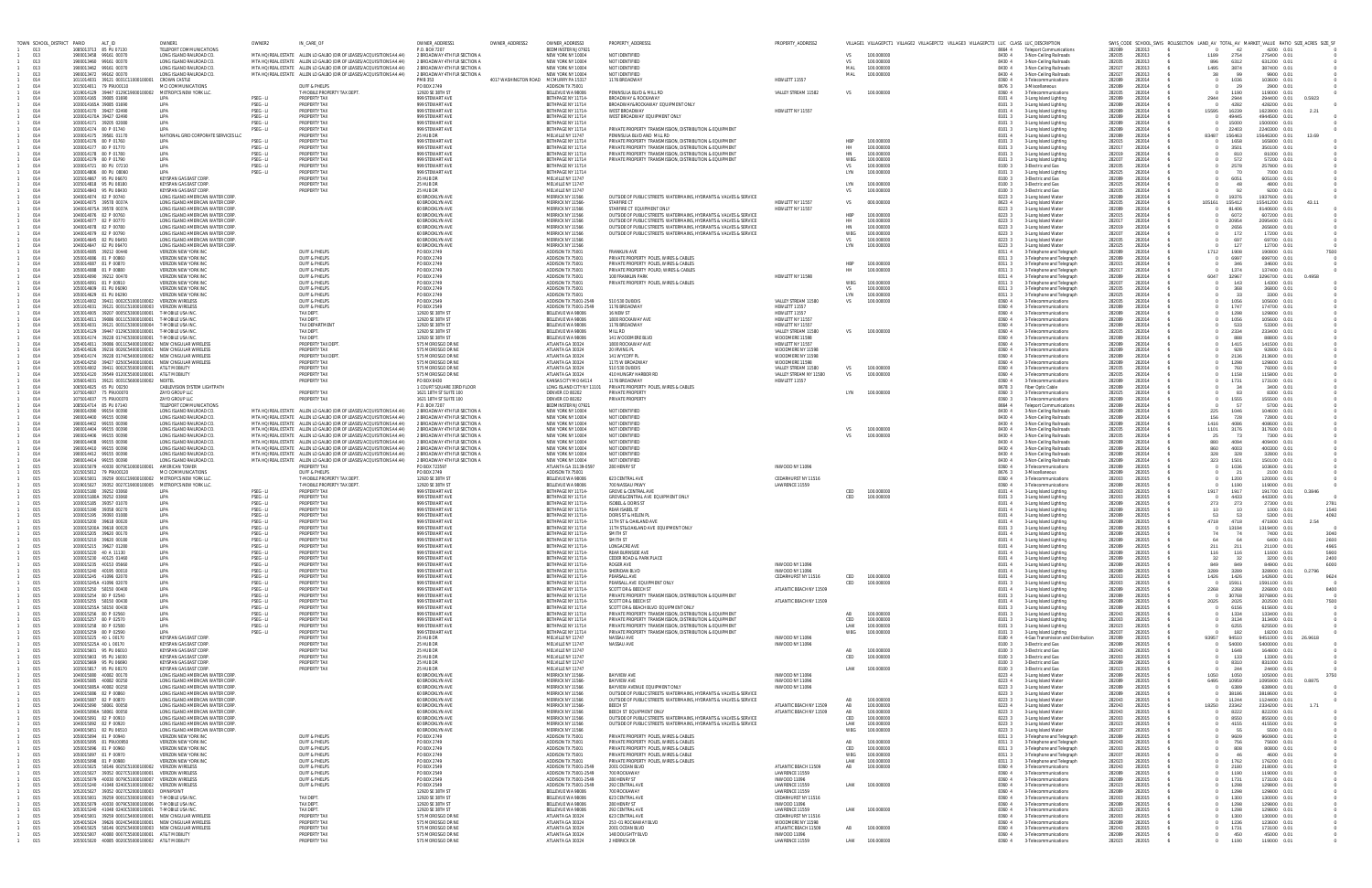| TOWN SCHOOL_DISTRICT PARID |                                                   | ALT ID                                                                                                         | OWNFR1                                                              | OWNER2                 | IN_CARE_OF                                                                                                                                   | <b>OWNER ADDRESS1</b>                                        | OWNER ADDRESS2                        | <b>OWNER ADDRESS3</b>                           | PROPERTY_ADDRESS1                                                                                                                      | PROPERTY ADDRESS2                                |                  | VILLAGE1 VILLAGEPCT1 VILLAGE2 VILLAGEPCT2 VILLAGE3 VILLAGEPCT3 LUC CLASS LUC_DESCRIPTION |                  |                                                               |                                      | SWIS_CODE SCHOOL_SWIS ROLLSECTION LAND_AV TOTAL_AV MARKET_VALUE RATIO SIZE_ACRES SIZE_SF |                         |                              |         |
|----------------------------|---------------------------------------------------|----------------------------------------------------------------------------------------------------------------|---------------------------------------------------------------------|------------------------|----------------------------------------------------------------------------------------------------------------------------------------------|--------------------------------------------------------------|---------------------------------------|-------------------------------------------------|----------------------------------------------------------------------------------------------------------------------------------------|--------------------------------------------------|------------------|------------------------------------------------------------------------------------------|------------------|---------------------------------------------------------------|--------------------------------------|------------------------------------------------------------------------------------------|-------------------------|------------------------------|---------|
| 013<br>013                 | 1085013713 85 PU 07130<br>1900013458 99161 00370  |                                                                                                                | TELEPORT COMMUNICATIONS<br>LONG ISLAND RAILROAD CO                  |                        | MTA HO/REAL ESTATE ALLEN LO GALBO (DIR OF LEASES/ACQUISITIONS A4.44)                                                                         | P.O. BOX 7207<br>2 BROADWAY 4TH FLR SECTION A                |                                       | BEDMINSTER NJ 07921<br>NEW YORK NY 10004        | NOT IDENTIFIED                                                                                                                         |                                                  | <b>VS</b>        | 100,000000                                                                               | 8664 4<br>8430 4 | <b>Teleport Communication</b><br>3-Non-Ceiling Railroads      | 282089<br>282013<br>282013<br>282035 | $^{\circ}$<br>1189                                                                       | - 42<br>2754            | 4200 0.01<br>275400 0.01     |         |
| 013                        | 1900013460 99161 00370                            |                                                                                                                | LONG ISLAND RAILROAD CO                                             |                        | MTA HO/REAL ESTATE ALLEN LO GALBO (DIR OF LEASES/ACQUISITIONS A4.44)                                                                         | 2 BROADWAY 4TH FLR SECTION A                                 |                                       | NEW YORK NY 10004                               | NOT IDENTIFIED                                                                                                                         |                                                  | <b>VS</b>        | 100.000000                                                                               | 8430 4           | 3-Non-Ceiling Railroads                                       | 282035<br>282013                     | 896                                                                                      | 6312                    | 631200 0.01                  |         |
| 013                        | 1900013462 99161 00370                            |                                                                                                                | LONG ISLAND RAILROAD CO                                             |                        | MTA HO/REAL ESTATE ALLEN LO GALBO (DIR OF LEASES/ACQUISITIONS A4.44)                                                                         | 2 BROADWAY 4TH FLR SECTION A                                 |                                       | NEW YORK NY 10004                               | NOT IDENTIFIED                                                                                                                         |                                                  | MAL              | 100,000000                                                                               | 8430 4           | 3-Non-Ceiling Railroads                                       | 282027<br>282013                     | 1495                                                                                     | 3874                    | 387400 0.01                  |         |
| 013                        | 1900013472 99162 00370                            |                                                                                                                | LONG ISLAND RAILROAD CO                                             |                        | MTA HQ/REAL ESTATE ALLEN LO GALBO (DIR OF LEASES/ACQUISITIONS A4.44)                                                                         | 2 BROADWAY 4TH FLR SECTION A                                 |                                       | NEW YORK NY 10004                               | NOT IDENTIFIED                                                                                                                         |                                                  | MAL              | 100.000000                                                                               | 8430 4           | 3-Non-Ceiling Railroads                                       | 282027<br>282013                     | -38                                                                                      | 9 <sup>c</sup>          | 9900 0.01                    |         |
| 014                        |                                                   | 1011014031 39121 0031C11000100001 CROWN CASTLE                                                                 |                                                                     |                        |                                                                                                                                              | <b>PMB 353</b>                                               | 4017 WASHINGTON ROAD MCMURRY PA 15317 |                                                 | 1176 BROADWAY                                                                                                                          | HEWLETT 11557                                    |                  |                                                                                          | 8360             | 3-Telecommunications                                          | 282089<br>282014                     |                                                                                          | 1036                    | 103600 0.01                  |         |
| 014<br>014                 | 1015014011 79 P9U00110                            | 1019014129 39447 0129C19000100002 METROPCS NEW YORK LL                                                         | MCI COMMUNICATION                                                   |                        | <b>DUFF &amp; PHELPS</b><br>T-MOBILE PROPERTY TAX DEPT.                                                                                      | PO BOX 2749<br>12920 SE 38TH ST                              |                                       | ADDISON TX 75001<br>BELLEVUE WA 98006           | PENINSULA BLVD & MILL RD                                                                                                               | VALLEY STREAM 11582                              | <b>VS</b>        | 100.000000                                                                               | 8676 3           | 3-Miscellaneous<br>3-Telecommunications                       | 282089<br>282014<br>282035<br>282014 |                                                                                          | - 29<br>1190            | 2900 0.01<br>119000 0.01     |         |
| 014                        | 1030014165 39085 01690                            |                                                                                                                | LIPA                                                                | PSEG - LI              | <b>PROPERTY TAX</b>                                                                                                                          | 999 STEWART AVE                                              |                                       | BETHPAGE NY 11714                               | <b>BROADWAY &amp; ROCKAWAY</b>                                                                                                         |                                                  |                  |                                                                                          | 8360 4<br>8101.  | 3-Long Island Lighting                                        | 282089<br>282014                     | 2944                                                                                     | 2944                    | 294400 0.01                  |         |
| 014                        | 1030014165A 39085 01690                           |                                                                                                                | LIPA                                                                | PSEG - LI              | <b>PROPERTY TAX</b>                                                                                                                          | 999 STEWART AVE                                              |                                       | BETHPAGE NY 11714                               | BROADWAY&ROCKAWAY EQUIPMENT ONLY                                                                                                       |                                                  |                  |                                                                                          | 8101 3           | 3-Long Island Lighting                                        | 282089<br>282014                     |                                                                                          | 4282                    | 428200 0.01                  |         |
| 014                        | 1030014170 39427 02490                            |                                                                                                                | LIPA                                                                | PSEG - LI              | <b>PROPERTY TAX</b>                                                                                                                          | 999 STEWART AVE                                              |                                       | BETHPAGE NY 11714                               | <b>WEST BROADWAY</b>                                                                                                                   | HEWLETT NY 11557                                 |                  |                                                                                          | 8101 4           | 3-Long Island Lighting                                        | 282089<br>282014                     | 15595                                                                                    | 16239                   | 1623900 0.01                 | 2.21    |
| 014                        | 1030014170A 39427 02490                           |                                                                                                                | LIPA                                                                | PSEG - LI              | PROPERTY TAX                                                                                                                                 | 999 STEWART AV                                               |                                       | BETHPAGE NY 1171                                | WEST BROADWAY EQUIPMENT ONLY                                                                                                           |                                                  |                  |                                                                                          | 8101             | 3-Long Island Lighting                                        | 282089<br>282014                     |                                                                                          | 49445                   | 4944500 0.01                 |         |
| 014                        | 1030014171 39205 02080                            |                                                                                                                | <b>I IPA</b>                                                        | PSEG - LI              | PROPERTY TAX                                                                                                                                 | 999 STEWART AVE                                              |                                       | BETHPAGE NY 11714                               |                                                                                                                                        |                                                  |                  |                                                                                          | 8101 3           | 3-Long Island Lighting                                        | 282089<br>282014                     |                                                                                          | 15000                   | 1500000 0.01                 |         |
| 014                        | 1030014174 80 P 01740                             |                                                                                                                | <b>I IPA</b>                                                        | PSEG - LI              | PROPERTY TAX                                                                                                                                 | 999 STEWART AVE                                              |                                       | BETHPAGE NY 11714                               | PRIVATE PROPERTY TRANSMISSION, DISTRIBUTION & EQUIPMENT                                                                                |                                                  |                  |                                                                                          | 8101 3           | 3-Long Island Lighting                                        | 282089<br>282014                     |                                                                                          | 22403                   | 2240300 0.01                 |         |
| 014<br>014                 | 1030014175 39581 01170<br>1030014176 80 P 01760   |                                                                                                                | NATIONAL GRID CORPORATE SERVICES LLC<br><b>I IPA</b>                | PSEG - LI              | <b>PROPERTY TAX</b><br>PROPERTY TAX                                                                                                          | 25 HUB DR<br>999 STEWART AVE                                 |                                       | MELVILLE NY 11747<br>BETHPAGE NY 11714          | PENINSULA BLVD AND MILL RD<br>PRIVATE PROPERTY TRANSMISSION. DISTRIBUTION & EQUIPMENT                                                  |                                                  | HBP              | 100,000000                                                                               | 8101 4<br>8101 3 | 3-Long Island Lighting                                        | 282089<br>282014<br>282015<br>282014 | 83487                                                                                    | 156463<br>1658          | 15646300 0.01<br>165800 0.01 |         |
| 014                        | 1030014177 80 P 01770                             |                                                                                                                | LIPA                                                                | PSEG - LI              | PROPERTY TAX                                                                                                                                 | 999 STEWART AVE                                              |                                       | BETHPAGE NY 11714                               | PRIVATE PROPERTY TRANSMISSION, DISTRIBUTION & EQUIPMENT                                                                                |                                                  | HH               | 100.000000                                                                               | 8101             | 3-Long Island Lighting<br>3-Long Island Lighting              | 282017<br>282014                     |                                                                                          | 3501                    | 350100 0.01                  |         |
| 014                        | 1030014178 80 P 01780                             |                                                                                                                | LIPA                                                                | PSEG - LI              | <b>PROPERTY TAX</b>                                                                                                                          | 999 STEWART AVE                                              |                                       | BETHPAGE NY 11714                               | PRIVATE PROPERTY TRANSMISSION. DISTRIBUTION & EQUIPMENT                                                                                |                                                  | HN               | 100,000000                                                                               | 8101 3           | 3-Long Island Lighting                                        | 282019<br>282014                     |                                                                                          | 810                     | 81000 0.01                   |         |
| 014                        | 1030014179 80 P 01790                             |                                                                                                                | LIPA                                                                | PSEG - LI              | PROPERTY TAX                                                                                                                                 | 999 STEWART AVE                                              |                                       | BETHPAGE NY 11714                               | PRIVATE PROPERTY TRANSMISSION. DISTRIBUTION & FOURMENT                                                                                 |                                                  | WBG              | 100,000000                                                                               | 8101             | 3-Long Island Lighting                                        | 282037<br>282014                     |                                                                                          | 572                     | 57200 0.01                   |         |
| 014                        | 1030014721 80 PU 07210                            |                                                                                                                | LIPA                                                                | PSEG - LI              | PROPERTY TAX                                                                                                                                 | 999 STEWART AVE                                              |                                       | BETHPAGE NY 11714                               |                                                                                                                                        |                                                  | <b>VS</b>        | 100.000000                                                                               | 8100 3           | 3-Electric and Gas                                            | 282035<br>282014                     |                                                                                          | 2578                    | 257800 0.01                  |         |
| 014                        | 1030014806 80 PU 08060                            |                                                                                                                | <b>I IPA</b>                                                        | PSEG - LI              | PROPERTY TAX                                                                                                                                 | 999 STEWART AVE                                              |                                       | BETHPAGE NY 11714                               |                                                                                                                                        |                                                  | LYN              | 100,000000                                                                               | 8101 3           | 3-Long Island Lighting                                        | 282025<br>282014                     |                                                                                          | - 70                    | 7000 0.01                    |         |
| 014<br>014                 | 1035014667 95 PU 06670<br>1035014818 95 PU 08180  |                                                                                                                | <b>KEYSPAN GAS FAST CORP</b><br><b>KEYSPAN GAS EAST CORE</b>        |                        | PROPERTY TAX<br>PROPERTY TAX                                                                                                                 | 25 HUB DR<br>25 HUB DR                                       |                                       | MFI VII I F NY 11747<br>MELVILLE NY 1174        |                                                                                                                                        |                                                  |                  | 100,00000                                                                                | 8100 3<br>8100 3 | 3-Electric and Gas                                            | 282089<br>282014<br>282025<br>282014 |                                                                                          | 6051                    | 605100 0.01<br>4800 0.01     |         |
| 014                        | 1035014843 95 PU 08430                            |                                                                                                                | <b>KEYSPAN GAS EAST CORP</b>                                        |                        | PROPERTY TAX                                                                                                                                 | 25 HUB DR                                                    |                                       | MELVILLE NY 11747                               |                                                                                                                                        |                                                  | LYN<br><b>VS</b> | 100,000000                                                                               | 8100 3           | 3-Electric and Gas<br>3-Electric and Gas                      | 282035<br>282014                     |                                                                                          | -92                     | 9200 0.01                    |         |
| 014                        | 1040014074 82 P 00740                             |                                                                                                                | LONG ISLAND AMERICAN WATER CORP                                     |                        |                                                                                                                                              | 60 BROOKLYN AVI                                              |                                       | MERRICK NY 11566                                | OUTSIDE OF PUBLIC STREETS WATERMAINS, HYDRANTS & VALVES & SERVICE                                                                      |                                                  |                  |                                                                                          | 8223.3           | 3-Long Island Water                                           | 282089<br>282014                     |                                                                                          | 19376                   | 1937600 0.01                 |         |
| 014                        | 1040014075 39578 0037A                            |                                                                                                                | LONG ISLAND AMERICAN WATER CORP.                                    |                        |                                                                                                                                              | 60 BROOKLYN AVI                                              |                                       | MERRICK NY 11566                                | <b>STARFIRE CT</b>                                                                                                                     | HEWLETT NY 11557                                 | <b>VS</b>        | 000.000000                                                                               | 8623 4           | 3-Long Island Water                                           | 282035<br>282014                     | 105161                                                                                   | 155412                  | 15541200 0.01                | 43.11   |
| 014                        | 1040014075A 39578 0037A                           |                                                                                                                | LONG ISLAND AMERICAN WATER CORP                                     |                        |                                                                                                                                              | 60 BROOKLYN AVI                                              |                                       | MERRICK NY 11566                                | STARFIRE CT_EQUIPMENT ONLY                                                                                                             | HEWLETT NY 11557                                 |                  |                                                                                          | 8223 3           | 3-Long Island Water                                           | 282089<br>282014                     |                                                                                          | 81406                   | 8140600 0.01                 |         |
| 014                        | 1040014076 82 P 00760                             |                                                                                                                | LONG ISLAND AMERICAN WATER CORP                                     |                        |                                                                                                                                              | 60 BROOKLYN AVE                                              |                                       | MERRICK NY 11566                                | OUTSIDE OF PUBLIC STREETS WATERMAINS, HYDRANTS & VALVES & SERVICE                                                                      |                                                  | HBP              | 100.000000                                                                               | 8223 3           | 3-Long Island Water                                           | 282014<br>282015                     |                                                                                          | 6072                    | 607200 0.01                  |         |
| 014                        | 1040014077 82 P 00770                             |                                                                                                                | LONG ISLAND AMERICAN WATER CORE                                     |                        |                                                                                                                                              | 60 BROOKLYN AV                                               |                                       | MERRICK NY 11566                                | OUTSIDE OF PUBLIC STREETS WATERMAINS, HYDRANTS & VALVES & SERVICE                                                                      |                                                  | HH               | 100,000000                                                                               | 8223             | 3-Long Island Water                                           | 282017<br>282014                     |                                                                                          | 20954                   | 2095400 0.01                 |         |
| 014<br>014                 | 1040014078 82 P 00780<br>1040014079 82 P 00790    |                                                                                                                | LONG ISLAND AMERICAN WATER CORP<br>LONG ISLAND AMERICAN WATER CORP. |                        |                                                                                                                                              | 60 BROOKLYN AVI<br>60 BROOKLYN AVE                           |                                       | MERRICK NY 11566<br>MERRICK NY 11566            | OUTSIDE OF PUBLIC STREETS WATERMAINS. HYDRANTS & VALVES & SERVICE<br>OUTSIDE OF PUBLIC STREETS WATERMAINS, HYDRANTS & VALVES & SERVICE |                                                  | HN<br>WBG        | 100,000000<br>100.000000                                                                 | 8223<br>8223 3   | 3-Long Island Water<br>3-Long Island Water                    | 282019<br>282014<br>282037<br>282014 |                                                                                          | 2656<br>172             | 265600 0.01<br>17200 0.01    |         |
| 014                        | 1040014645 82 PU 06450                            |                                                                                                                | LONG ISLAND AMERICAN WATER CORE                                     |                        |                                                                                                                                              | 60 BROOKLYN AVI                                              |                                       | MERRICK NY 11566                                |                                                                                                                                        |                                                  | VS.              | 100,000000                                                                               | 8223 3           | 3-Long Island Water                                           | 282035<br>282014                     |                                                                                          | 697                     | 69700 0.01                   |         |
| 014                        | 1040014647 82 PU 06470                            |                                                                                                                | LONG ISLAND AMERICAN WATER CORP                                     |                        |                                                                                                                                              | <b>60 BROOKLYN AVE</b>                                       |                                       | MERRICK NY 11566                                |                                                                                                                                        |                                                  | LYN              | 100.000000                                                                               | 8223 3           | 3-Long Island Water                                           | 282025<br>282014                     |                                                                                          | 127                     | 12700 0.01                   |         |
| 014                        | 1050014085 39212 00440                            |                                                                                                                | VERIZON NEW YORK INC                                                |                        | DUFF & PHELPS                                                                                                                                | PO BOX 2749                                                  |                                       | ADDISON TX 75001                                | <b>FRANKLIN AVE</b>                                                                                                                    |                                                  |                  |                                                                                          | 8311 4           | 3-Telephone and Telegraph                                     | 282089<br>282014                     | 1712                                                                                     | 1908                    | 190800 0.01                  | 7500    |
| 014                        | 1050014086 81 P 00860                             |                                                                                                                | <b>VERIZON NEW YORK INC</b>                                         |                        | DUFF & PHELPS                                                                                                                                | PO BOX 2749                                                  |                                       | ADDISON TX 75001                                | PRIVATE PROPERTY POLES, WIRES & CABLES                                                                                                 |                                                  |                  |                                                                                          | 8311 3           | 3-Telephone and Telegraph                                     | 282089<br>282014                     |                                                                                          | 6997                    | 699700 0.01                  |         |
| 014                        | 1050014087 81 P 00870                             |                                                                                                                | <b>VERIZON NEW YORK INC</b>                                         |                        | <b>DUFF &amp; PHELPS</b>                                                                                                                     | PO BOX 2749                                                  |                                       | ADDISON TX 75001                                | PRIVATE PROPERTY POLES, WIRES & CABLES                                                                                                 |                                                  | HBP              | 100,000000                                                                               | 8311 3           | 3-Telephone and Telegraph                                     | 282015<br>282014                     |                                                                                          | 346                     | 34600 0.01                   |         |
| 014                        | 1050014088 81 P 00880                             |                                                                                                                | VERIZON NEW YORK INC                                                |                        | <b>DUFF &amp; PHELPS</b>                                                                                                                     | PO BOX 2749                                                  |                                       | ADDISON TX 75001                                | PRIVATE PROPERTY POLRD. WIRES & CABLES                                                                                                 |                                                  |                  | 100.000000                                                                               | 8311 3           | 3-Telephone and Telegraph                                     | 282017<br>282014                     |                                                                                          | 1374                    | 137400 0.01                  |         |
| 014<br>014                 | 1050014090 39212 00470<br>1050014091 81 P 00910   |                                                                                                                | VERIZON NEW YORK INC<br><b>VERIZON NEW YORK INC</b>                 |                        | DUFF & PHELPS<br>DUFF & PHFLPS                                                                                                               | PO BOX 2749<br>PO BOX 2749                                   |                                       | ADDISON TX 75001<br>ADDISON TX 75001            | <b>108 FRANKLIN PARK</b><br>PRIVATE PROPERTY POLES, WIRES & CABLES                                                                     | HEWLETT NY 11598                                 | WBG              | 100,000000                                                                               | 8311 4<br>8311 3 | 3-Telephone and Telegraph<br>3-Telephone and Telegraph        | 282089<br>282014<br>282037<br>282014 | 6047                                                                                     | 32967<br>143            | 3296700 0.01<br>14300 0.01   | 0.4958  |
| 014                        | 1050014609 81 PU 06090                            |                                                                                                                | <b>VERIZON NEW YORK INC</b>                                         |                        | DUFF & PHELPS                                                                                                                                | PO BOX 2749                                                  |                                       | ADDISON TX 75001                                |                                                                                                                                        |                                                  | <b>VS</b>        | 100,000000                                                                               | 8311 3           | 3-Telephone and Telegraph                                     | 282035<br>282014                     |                                                                                          | 368                     | 36800 0.01                   |         |
| 014                        | 1050014629 81 PU 06290                            |                                                                                                                | <b>VERIZON NEW YORK INC</b>                                         |                        | DUFF & PHELPS                                                                                                                                | PO BOX 2749                                                  |                                       | ADDISON TX 75001                                |                                                                                                                                        |                                                  | LYN              | 100,000000                                                                               | 8311 3           | 3-Telephone and Telegraph                                     | 282025<br>282014                     |                                                                                          | - 33                    | 3300 0.01                    |         |
| 014                        |                                                   | 1051014002 39411 0002C51000100002 VERIZON WIRELESS                                                             |                                                                     |                        | <b>DUFF &amp; PHELPS</b>                                                                                                                     | PO BOX 2549                                                  |                                       | ADDISON TX 75001-2549                           | 510 530 DUBOIS                                                                                                                         | VALLEY STREAM 11580                              | <b>VS</b>        | 100,000000                                                                               | 8360 4           | 3-Telecommunications                                          | 282035<br>282014                     |                                                                                          | 1056                    | 105600 0.01                  |         |
| 014                        |                                                   | 1051014031 39121 0031C51000100003 VERIZON WIRELES                                                              |                                                                     |                        | <b>DUFF &amp; PHELPS</b>                                                                                                                     | PO BOX 2549                                                  |                                       | ADDISON TX 75001-2549                           | 1176 BROADWAY                                                                                                                          | HEWLETT 11557                                    |                  |                                                                                          | 8360             | 3-Telecommunications                                          | 282089<br>282014                     |                                                                                          | 1747                    | 174700 0.01                  |         |
| 014                        |                                                   | 1053014005 39207 0005C53000100001 T-MOBILE USA INC                                                             |                                                                     |                        | TAX DEPT.                                                                                                                                    | 12920 SE 38TH ST                                             |                                       | BELLEVUE WA 98006                               | 16 NEW ST                                                                                                                              | HEWLETT 11557                                    |                  |                                                                                          | 8360 4           | 3-Telecommunications                                          | 282089<br>282014                     |                                                                                          | 1298                    | 129800 0.01                  |         |
| 014                        |                                                   | 1053014011 39086 0011C53000100001 T-MOBILE USA INC                                                             |                                                                     |                        | TAX DEPT.                                                                                                                                    | 12920 SE 38TH S                                              |                                       | BELLEVUE WA 98006                               | 1800 ROCKAWAY AVI                                                                                                                      | HEWLETT NY 11557                                 |                  |                                                                                          | 8360 4           | 3-Telecommunications                                          | 282089<br>282014                     |                                                                                          | 1056                    | 105600 0.01                  |         |
| 014<br>014                 |                                                   | 1053014031 39121 0031C53000100004 T-MOBILE USA IN<br>1053014129 39447 0129C53000100001 T-MOBILE USA IN         |                                                                     |                        | <b>TAX DEPARTMENT</b><br>TAX DEPT.                                                                                                           | 12920 SE 38TH S<br>12920 SE 38TH ST                          |                                       | BELLEVUE WA 98006                               | 1176 BROADWAY<br>MILL RD                                                                                                               | HEWLETT NY 11557                                 |                  | 100,000000                                                                               | 8360<br>8360 4   | 3-Telecommunications                                          | 282089<br>282014<br>282035<br>282014 |                                                                                          | 533<br>2334             | 53300 0.01                   |         |
| 014                        |                                                   | 1053014174 39228 0174C53000100001 T-MOBILE USA INC                                                             |                                                                     |                        | TAX DEPT.                                                                                                                                    | 12920 SE 38TH ST                                             |                                       | BELLEVUE WA 98006<br>BELLEVUE WA 98006          | 141 WOODMERE BLVD                                                                                                                      | VALLEY STREAM 11580<br>WOODMERE 11598            | VS <sub>1</sub>  |                                                                                          | 8360 4           | 3-Telecommunications<br>3-Telecommunications                  | 282089<br>282014                     |                                                                                          | 888                     | 233400 0.01<br>88800 0.01    |         |
| 014                        |                                                   | 1054014011 39086 0011C54000100002 NEW CINGULAR WIRELES!                                                        |                                                                     |                        | PROPERTY TAX DEPT.                                                                                                                           | 575 MOROSGO DR N                                             |                                       | ATLANTA GA 30324                                | 1800 ROCKAWAY AVI                                                                                                                      | HEWLETT NY 11557                                 |                  |                                                                                          | 8360             | 3-Telecommunications                                          | 282089<br>282014                     |                                                                                          | 1415                    | 141500 0.01                  |         |
| 014                        |                                                   | 1054014026 39216 0026C54000100001 NEW CINGULAR WIRELES                                                         |                                                                     |                        | PROPERTY TAX                                                                                                                                 | 575 MOROSGO DR N                                             |                                       | ATLANTA GA 30324                                | 20 IRVING PL                                                                                                                           | WOODMERE NY 11598                                |                  |                                                                                          | 8360 4           | 3-Telecommunications                                          | 282089<br>282014                     |                                                                                          | 928                     | 92800 0.01                   |         |
| 014                        |                                                   | 1054014174 39228 0174C54000100002 NEW CINGULAR WIRELES!                                                        |                                                                     |                        | PROPERTY TAX DEPT                                                                                                                            | 575 MOROSGO DR NI                                            |                                       | ATLANTA GA 30324                                | 141 WYCOFF PL                                                                                                                          | WOODMERE NY 11598                                |                  |                                                                                          | 8360 4           | 3-Telecommunications                                          | 282089<br>282014                     |                                                                                          | 2136                    | 213600 0.01                  |         |
| 014                        |                                                   | 1054014250  39427  0250C54000100001  NEW CINGULAR WIRELES!                                                     |                                                                     |                        | PROPERTY TAX                                                                                                                                 | 575 MOROSGO DR NI                                            |                                       | ATLANTA GA 30324                                | 1175 W BROADWAY                                                                                                                        | WOODMERE 11598                                   |                  |                                                                                          | 8360             | 3-Telecommunications                                          | 282089<br>282014                     |                                                                                          | 1298                    | 129800 0.01                  |         |
| 014                        |                                                   | 1055014002 39411 0002C55000100001 AT&T MOBILITY                                                                |                                                                     |                        | <b>PROPERTY TAX</b>                                                                                                                          | 575 MOROSGO DR NI                                            |                                       | ATLANTA GA 30324                                | 510 530 DUBOIS                                                                                                                         | VALLEY STREAM 11580                              | VS.              | 100,000000                                                                               | 8360 4           | 3-Telecommunications                                          | 282035<br>282014                     |                                                                                          | 760<br>1158             | 76000 0.01                   |         |
| 014<br>014                 |                                                   | 1055014120 39549 0120C55000100001 AT&T MOBILITY<br>1056014031 39121 0031C56000100002 NEXTEL                    |                                                                     |                        | PROPERTY TAX<br>PROPERTY TAX                                                                                                                 | 575 MOROSGO DR NE<br>PO BOX 8430                             |                                       | ATLANTA GA 30324<br>KANSAS CITY MO 64114        | 410 HUNGRY HARBOR RD<br>1176 BROADWAY                                                                                                  | VALLEY STREAM NY 11580<br>HEWLETT 11557          | VS               | 100.000000                                                                               | 8360 4<br>8360 4 | 3-Telecommunications<br>3-Telecommunications                  | 282035<br>282014<br>282089<br>282014 |                                                                                          | 1731                    | 115800 0.01<br>173100 0.01   |         |
| 014                        | 1065014025 65 PU 00250                            |                                                                                                                | CABLEVISION SYSTEM LIGHTPATH                                        |                        |                                                                                                                                              | 1 COURT SQUARE 33RD FLOOR                                    |                                       | LONG ISLAND CITY NY 11101                       | PRIVATE PROPERTY POLES, WIRES & CABLES                                                                                                 |                                                  |                  |                                                                                          | 86783            | Fiber Optic Cable                                             | 282089<br>282014                     |                                                                                          | 34                      | 3400 0.01                    |         |
| 014                        | 1075014007 75 P9U00070                            |                                                                                                                | ZAYO GROUP LL                                                       |                        | PROPERTY TAX                                                                                                                                 | 1621 18TH ST SUITE 100                                       |                                       | DENVER CO 80202                                 | <b>PRIVATE PROPER</b>                                                                                                                  |                                                  | LYN              | 100,000000                                                                               | 8360             | 3-Telecommunications                                          | 282025<br>282014                     |                                                                                          | 83                      | 8300 0.01                    |         |
| 014                        | 1075014037 75 P9U00370                            |                                                                                                                | ZAYO GROUP LLC                                                      |                        | PROPERTY TAX                                                                                                                                 | 1621 18TH ST SUITE 100                                       |                                       | DENVER CO 80202                                 | PRIVATE PROPERTY                                                                                                                       |                                                  |                  |                                                                                          | 8360 3           | 3-Telecommunication                                           | 282089<br>282014                     |                                                                                          | 1555                    | 155500 0.01                  |         |
| 014                        | 1085014714 85 PU 07140                            |                                                                                                                | TELEPORT COMMUNICATIONS                                             |                        |                                                                                                                                              | P.O. BOX 7207                                                |                                       | BEDMINSTER NJ 0792                              |                                                                                                                                        |                                                  |                  |                                                                                          | 8664 4           | <b>Teleport Communications</b>                                | 282089<br>282014                     |                                                                                          | - 57                    | 5700 0.01                    |         |
| 014<br>014                 | 1900014390 99154 00390<br>1900014400 99155 00390  |                                                                                                                | LONG ISLAND RAILROAD CO<br>LONG ISLAND RAILROAD CO                  |                        | MTA HO/REAL ESTATE ALLEN LO GALBO (DIR OF LEASES/ACQUISITIONS A4.44)<br>MTA HO/REAL ESTATE ALLEN LO GALBO (DIR OF LEASES/ACQUISITIONS A4.44) | 2 BROADWAY 4TH FLR SECTION A<br>2 BROADWAY 4TH FLR SECTION A |                                       | NEW YORK NY 10004                               | NOT IDENTIFIED<br>NOT IDENTIFIED                                                                                                       |                                                  |                  |                                                                                          | 8430 4<br>8430 4 | 3-Non-Ceiling Railroads                                       | 282089<br>282014<br>282089<br>282014 | 225<br>156                                                                               | 1046                    | 104600 0.01                  |         |
| 014                        | 1900014402 99155 00390                            |                                                                                                                | LONG ISLAND RAILROAD CO                                             |                        | MTA HO/REAL ESTATE ALLEN LO GALBO (DIR OF LEASES/ACQUISITIONS A4.44)                                                                         | 2 BROADWAY 4TH FLR SECTION A                                 |                                       | NEW YORK NY 10004<br>NEW YORK NY 10004          | NOT IDENTIFIED                                                                                                                         |                                                  |                  |                                                                                          | 8430 4           | 3-Non-Ceiling Railroads<br>3-Non-Ceiling Railroads            | 282089<br>282014                     | 1416                                                                                     | 728<br>4086             | 72800 0.01<br>408600 0.01    |         |
| 014                        | 1900014404 99155 00390                            |                                                                                                                | LONG ISLAND RAILROAD CO                                             |                        | MTA HO/REAL ESTATE ALLEN LO GALBO (DIR OF LEASES/ACQUISITIONS A4.44)                                                                         | 2 BROADWAY 4TH FLR SECTION A                                 |                                       | NEW YORK NY 10004                               | NOT IDENTIFIED                                                                                                                         |                                                  | <b>VS</b>        | 100,00000                                                                                | 8430 4           | 3-Non-Ceiling Railroads                                       | 282035<br>282014                     | 1101                                                                                     | 3176                    | 317600 0.01                  |         |
| 014                        | 1900014406 99155 00390                            |                                                                                                                | LONG ISLAND RAILROAD CO                                             |                        | MTA HO/REAL ESTATE ALLEN LO GALBO (DIR OF LEASES/ACQUISITIONS A4.44)                                                                         | 2 BROADWAY 4TH FLR SECTION A                                 |                                       | NEW YORK NY 10004                               | NOT IDENTIFIED                                                                                                                         |                                                  | <b>VS</b>        | 100,000000                                                                               | 8430 4           | 3-Non-Ceiling Railroads                                       | 282035<br>282014                     | - 25                                                                                     | - 73                    | 7300 0.01                    |         |
| 014                        | 1900014408 99155 00390                            |                                                                                                                | LONG ISLAND RAILROAD CO                                             |                        | MTA HO/REAL ESTATE ALLEN LO GALBO (DIR OF LEASES/ACQUISITIONS A4.44)                                                                         | 2 BROADWAY 4TH FLR SECTION A                                 |                                       | NEW YORK NY 10004                               | NOT IDENTIFIED                                                                                                                         |                                                  |                  |                                                                                          | 8430 4           | 3-Non-Ceiling Railroads                                       | 282089<br>282014                     | 880                                                                                      | 4094                    | 409400 0.01                  |         |
| 014                        | 1900014410 99155 00390                            |                                                                                                                | LONG ISLAND RAILROAD CO                                             |                        | MTA HO/REAL ESTATE ALLEN LO GALBO (DIR OF LEASES/ACQUISITIONS A4.44)                                                                         | 2 BROADWAY 4TH FLR SECTION A                                 |                                       | NEW YORK NY 10004                               | NOT IDENTIFIED                                                                                                                         |                                                  |                  |                                                                                          | 8430             | 3-Non-Ceiling Railroads                                       | 282089<br>282014                     | 860                                                                                      | 4003                    | 400300 0.01                  |         |
| 014                        | 1900014412 99155 00390                            |                                                                                                                | LONG ISLAND RAILROAD CO                                             |                        | MTA HO/REAL ESTATE ALLEN LO GALBO (DIR OF LEASES/ACQUISITIONS A4.44)                                                                         | 2 BROADWAY 4TH FLR SECTION A                                 |                                       | NEW YORK NY 10004                               | NOT IDENTIFIED                                                                                                                         |                                                  |                  |                                                                                          | 8430 4           | 3-Non-Ceiling Railroads                                       | 282089<br>282014                     | 328                                                                                      | 328                     | 32800 0.01                   |         |
| 014                        | 1900014414 99155 00390                            |                                                                                                                | LONG ISLAND RAILROAD CO                                             |                        | MTA HQ/REAL ESTATE ALLEN LO GALBO (DIR OF LEASES/ACQUISITIONS A4.44)                                                                         | 2 BROADWAY 4TH FLR SECTION A                                 |                                       | NEW YORK NY 10004                               | NOT IDENTIFIED                                                                                                                         |                                                  |                  |                                                                                          | 8430 4           | 3-Non-Ceiling Railroads                                       | 282089<br>282014                     | 323                                                                                      | 1501                    | 150100 0.01                  |         |
| 015<br>015                 | 1015015012 79 P9U00120                            | 1010015079  40030  0079C10000100001  AMERICAN TOWER                                                            | MCI COMMUNICATIONS                                                  |                        | PROPERTY TAX<br>DUFF & PHELPS                                                                                                                | PO BOX 723597<br>PO BOX 2749                                 |                                       | ATLANTA GA 31139-0597<br>ADDISON TX 75001       | 280 HENRY ST                                                                                                                           | INWOOD NY 11096                                  |                  |                                                                                          | 8360<br>86763    | 3-Telecommunications<br>3-Miscellaneous                       | 282089<br>282015<br>282089<br>282015 |                                                                                          | 1036<br>- 21            | 103600 0.01<br>2100 0.01     |         |
| 015                        |                                                   | 1019015001 39259 0001C19000100002 METROPCS NEW YORK LL                                                         |                                                                     |                        | T-MOBILE PROPERTY TAX DEPT.                                                                                                                  | 12920 SE 38TH ST                                             |                                       | BELLEVUE WA 98006                               | 623 CENTRAL AVE                                                                                                                        | CEDARHURST NY 11516                              |                  |                                                                                          | 8360 4           | 3-Telecommunications                                          | 282003<br>282015                     |                                                                                          | 1200                    | 120000 0.01                  |         |
| 015                        |                                                   | 1019015027 39352 0027C19000100005 METROPCS NEW YORK LLO                                                        |                                                                     |                        | T-MOBILE PROPERTY TAX DEPT                                                                                                                   | 12920 SE 38TH ST                                             |                                       | BELLEVUE WA 98006                               | 700 NASSAU PKWY                                                                                                                        | LAWRENCE 11559                                   |                  |                                                                                          | 8360 4           | 3-Telecommunications                                          | 282089<br>282015                     |                                                                                          | 1190                    | 119000 0.01                  |         |
| 015                        | 1030015180 39252 03060                            |                                                                                                                | <b>I IPA</b>                                                        | PSEG - LI              | <b>PROPERTY TAX</b>                                                                                                                          | 999 STEWART AVE                                              |                                       | BETHPAGE NY 11714-                              | <b>GROVE &amp; CENTRAL AVE</b>                                                                                                         |                                                  | CED              | 100,000000                                                                               | 8101 4           | 3-Long Island Lighting                                        | 282003<br>282015                     | 1917                                                                                     | 1917                    | 191700 0.01                  | 0.3846  |
| 015                        | 1030015180A 39252 03060                           |                                                                                                                | LIPA                                                                | PSEG - LI              | PROPERTY TAX                                                                                                                                 | 999 STEWART AVE<br>999 STEWART AVE                           |                                       | BETHPAGE NY 11714                               | GROVE&CENTRAL AVE EQUIPMENT ONLY                                                                                                       |                                                  | CED              | 100.000000                                                                               | 8101             | 3-Long Island Lighting                                        | 282003<br>282015<br>282089<br>282015 |                                                                                          | 4433                    | 443300 0.01                  | 2781    |
| 015<br>015                 | 1030015185 39357 01070<br>1030015190 39358 00270  |                                                                                                                | LIPA<br><b>I IPA</b>                                                | PSEG - LI<br>PSEG - LI | PROPERTY TAX<br><b>PROPERTY TAX</b>                                                                                                          | 999 STEWART AVE                                              |                                       | BETHPAGE NY 11714-<br><b>BETHPAGE NY 11714-</b> | ISOBEL & DORIS ST<br>REAR ISAREL ST                                                                                                    |                                                  |                  |                                                                                          | 8101<br>8101 -   | 3-Long Island Lighting                                        | 282089<br>282015                     | 273                                                                                      | 273<br>10               | 27300 0.01<br>1000 0.01      | 1540    |
| 015                        | 1030015195 39393 01080                            |                                                                                                                | LIPA                                                                | PSEG - LI              | PROPERTY TAX                                                                                                                                 | 999 STEWART AVE                                              |                                       | BETHPAGE NY 11714                               | DORIS ST & HELEN PL                                                                                                                    |                                                  |                  |                                                                                          | 8101             | 3-Long Island Lighting<br>3-Long Island Lighting              | 282089<br>282015                     |                                                                                          | 53                      | 5300 0.01                    | 4092    |
| 015                        | 1030015200 39618 00020                            |                                                                                                                | LIPA                                                                | PSEG - LI              | PROPERTY TAX                                                                                                                                 | 999 STEWART AVE                                              |                                       | BETHPAGE NY 11714                               | 11TH ST & OAKLAND AVE                                                                                                                  |                                                  |                  |                                                                                          | 8101 4           | 3-Long Island Lighting                                        | 282089<br>282015                     | 4718                                                                                     | 4718                    | 471800 0.01                  | 2.54    |
| 015                        | 1030015200A 39618 00020                           |                                                                                                                | <b>IIPA</b>                                                         | PSEG - LI              | PROPERTY TAX                                                                                                                                 | 999 STFWART AVE                                              |                                       | <b>BETHPAGE NY 11714</b>                        | 11TH ST&OAKLAND AVE EQUIPMENT ONLY                                                                                                     |                                                  |                  |                                                                                          | 8101 3           | 3-Long Island Lighting                                        | 282089<br>282015                     |                                                                                          | 13194                   | 1319400 0.01                 |         |
|                            | 1030015205 39620 00170                            |                                                                                                                | LIPA                                                                | PSEG - LI              | PROPERTY TAX                                                                                                                                 | 999 STEWART AV                                               |                                       | BETHPAGE NY 11714                               | SMITH ST                                                                                                                               |                                                  |                  |                                                                                          | 8101.            | 3-Long Island Lighting                                        | 282089<br>282015                     | 74                                                                                       | 74                      | 7400 0.01                    | 3040    |
| 015                        | 1030015210 39620 00180                            |                                                                                                                | <b>IIPA</b>                                                         | PSEG - LI              | PROPERTY TAX                                                                                                                                 |                                                              |                                       |                                                 |                                                                                                                                        |                                                  |                  |                                                                                          |                  | 3-Long Island Lighting                                        |                                      | 64                                                                                       | -64                     | 6400 0.01                    | 2600    |
|                            | 030015215<br>1030015220 40 A 11130                | 39627 01280                                                                                                    | <b>IIPA</b><br>LIPA                                                 |                        |                                                                                                                                              | 999 STEWART AVE                                              |                                       | BETHPAGE NY 11714-                              | SMITH ST                                                                                                                               |                                                  |                  |                                                                                          | 8101 4           |                                                               | 282089<br>282015                     |                                                                                          |                         | 21100 0.01<br>11600 0.01     | 5900    |
| 015                        | 1030015230 40125 01460                            |                                                                                                                |                                                                     | PSEG - LI              | PROPERTY TA)                                                                                                                                 | 999 STEWART AVE                                              |                                       | BETHPAGE NY 11714-                              | LONGACRE AVE                                                                                                                           |                                                  |                  |                                                                                          | 8101 4           | 3-Long Island Lightin                                         | 28201<br>282089                      | 211                                                                                      |                         |                              | 2400    |
| 015                        | 1030015235 40153 05660                            |                                                                                                                | <b>IIPA</b>                                                         | PSEG - LI<br>PSEG - LI | <b>PROPERTY TAX</b><br>PROPERTY TAX                                                                                                          | 999 STEWART AVE<br>999 STEWART AVE                           |                                       | BETHPAGE NY 11714-<br>BETHPAGE NY 11714-        | <b>REAR BURNSIDE AVE</b><br>CEDER ROAD & PARK PLACE                                                                                    |                                                  |                  |                                                                                          | 8101 4<br>8101 4 | 3-Long Island Lighting                                        | 282089<br>282015<br>282089<br>282015 | 116<br>- 32                                                                              | 116<br>- 32             | 3200 0.01                    | 6000    |
| 015                        |                                                   |                                                                                                                | LIPA                                                                | PSEG - LI              | PROPERTY TAX                                                                                                                                 | 999 STEWART AVE                                              |                                       | BETHPAGE NY 11714-                              | ROGER AVE                                                                                                                              | INWOOD NY 11096                                  |                  |                                                                                          | 8101 4           | 3-Long Island Lighting<br>3-Long Island Lighting              | 282089<br>282015                     | 849                                                                                      | 849                     | 84900 0.01                   | 0.2796  |
| 015                        | 1030015240 40195 00010                            |                                                                                                                | LIPA                                                                | PSEG - LI              | PROPERTY TA)                                                                                                                                 | 999 STEWART AVE                                              |                                       | BETHPAGE NY 11714-                              | SHERIDAN BLVD                                                                                                                          | <b>INWOOD NY 11096</b>                           |                  |                                                                                          | 8101             | 3-Long Island Lighting                                        | 282089<br>282015                     | 3289                                                                                     | 3289                    | 328900 0.01                  |         |
| 015                        | 1030015245  41096  02070                          |                                                                                                                | LIPA                                                                | PSEG - LI              | <b>PROPERTY TAX</b>                                                                                                                          | 999 STEWART AVE                                              |                                       | BETHPAGE NY 11714                               | PEARSALL AVE                                                                                                                           | CEDARHURST NY 11516                              | CED              | 100,000000                                                                               | 8101 -           | 3-Long Island Lighting                                        | 282003<br>282015                     | 1426                                                                                     | 1426                    | 142600 0.01                  | 9624    |
| 015<br>015                 | 1030015245A 41096 02070                           |                                                                                                                | <b>LIPA</b>                                                         | PSEG - LI              | PROPERTY TAX                                                                                                                                 | 999 STEWART AVE                                              |                                       | BETHPAGE NY 11714                               | PEARSALL AVE EQUIPMENT ONLY                                                                                                            |                                                  | CED              | 100.000000                                                                               | 8101 3           | 3-Long Island Lighting                                        | 282015<br>282003                     |                                                                                          | 15911                   | 1591100 0.01                 |         |
| 015                        | 1030015250 58150 00400                            |                                                                                                                | LIPA<br><b>IIPA</b>                                                 | PSEG - LI              | PROPERTY TAX<br>PROPERTY TAX                                                                                                                 | 999 STEWART AVE<br>999 STEWART AVE                           |                                       | BETHPAGE NY 11714-<br><b>BETHPAGE NY 11714</b>  | <b>SCOTT DR &amp; BEECH ST</b>                                                                                                         | ATLANTIC BEACH NY 11509                          |                  |                                                                                          | 8101 4<br>8101 3 | 3-Long Island Lighting                                        | 282089<br>282015<br>282089<br>282015 | 2268                                                                                     | 2268                    | 226800 0.01                  | 8400    |
| 015                        | 1030015254 80 P 02540<br>1030015255 58150 00430   |                                                                                                                | LIPA                                                                | PSEG - LI<br>PSEG - LI | PROPERTY TAX                                                                                                                                 | 999 STEWART AVE                                              |                                       | BETHPAGE NY 11714-                              | PRIVATE PROPERTY TRANSMISSION, DISTRIBUTION & EQUIPMENT<br>SCOTT DR & BEECH ST                                                         | ATLANTIC BEACH NY 11509                          |                  |                                                                                          | 8101             | 3-Long Island Lighting<br>3-Long Island Lighting              | 282089<br>282015                     | 2025                                                                                     | 30768<br>2025           | 3076800 0.01<br>202500 0.01  | 7500    |
| 015                        | 1030015255A 58150 00430                           |                                                                                                                | LIPA                                                                | PSEG - LI              | PROPERTY TAX                                                                                                                                 | 999 STEWART AVE                                              |                                       | BETHPAGE NY 11714                               | SCOTT DR & BEACH BLVD EQUIPMENT ONLY                                                                                                   |                                                  |                  |                                                                                          | 8101             | 3-Long Island Lighting                                        | 282089<br>282015                     |                                                                                          | 6156                    | 615600 0.01                  |         |
| 015                        | 1030015256 80 P 02560                             |                                                                                                                | <b>IIPA</b>                                                         | PSEG - LI              | PROPERTY TAX                                                                                                                                 | 999 STEWART AVE                                              |                                       | <b>BETHPAGE NY 11714</b>                        | PRIVATE PROPERTY TRANSMISSION. DISTRIBUTION & EQUIPMENT                                                                                |                                                  | AB               | 100,000000                                                                               | 8101 3           | 3-Long Island Lighting                                        | 282043<br>282015                     |                                                                                          | 1334                    | 133400 0.01                  |         |
|                            | 1030015257 80 P 02570                             |                                                                                                                | LIPA                                                                | PSEG - LI              | <b>PROPERTY TAX</b>                                                                                                                          | 999 STEWART AV                                               |                                       | BETHPAGE NY 11714                               | PRIVATE PROPERTY TRANSMISSION. DISTRIBUTION & EQUIPMENT                                                                                |                                                  | CED              | 100,000000                                                                               | 8101 3           | 3-Long Island Lighting                                        | 282003<br>282015                     |                                                                                          | 3134                    | 313400 0.01                  |         |
| 015                        | 1030015258 80 P 02580                             |                                                                                                                | LIPA                                                                | PSEG - LI              | PROPERTY TAX                                                                                                                                 | 999 STEWART AVE                                              |                                       | BETHPAGE NY 11714                               | PRIVATE PROPERTY TRANSMISSION, DISTRIBUTION & EQUIPMENT                                                                                |                                                  | LAW              | 100.000000                                                                               | 8101 3           | 3-Long Island Lighting                                        | 282023<br>282015                     |                                                                                          | 6255                    | 625500 0.01                  |         |
| 015                        | 1030015259 80 P 02590<br>1035015225 40 L 00170    |                                                                                                                | <b>I IPA</b><br><b>KEYSPAN GAS EAST CORE</b>                        | PSEG - LI              | PROPERTY TAX<br>PROPERTY TA)                                                                                                                 | 999 STEWART AVE<br>25 HUB DR                                 |                                       | <b>BETHPAGE NY 11714</b><br>MELVILLE NY 11747   | PRIVATE PROPERTY TRANSMISSION. DISTRIBUTION & EQUIPMENT<br>NASSAU AVE                                                                  | <b>INWOOD NY 11096</b>                           | WBG              | 100.000000                                                                               | 8101 3<br>8180 4 | 3-Long Island Lighting<br>4-Gas Transmission and Distribution | 282037<br>282015<br>282089<br>282015 | 93957                                                                                    | 182<br>94510            | 18200 0.01                   | 26,9618 |
| 015<br>015                 | 1035015225A 40 L 00170                            |                                                                                                                | KEYSPAN GAS EAST CORP.                                              |                        | <b>PROPERTY TAX</b>                                                                                                                          | 25 HUB DR                                                    |                                       | MELVILLE NY 11747                               | NASSAU AVE                                                                                                                             | <b>INWOOD NY 11096</b>                           |                  |                                                                                          | 8100 3           | 3-Electric and Gas                                            | 282089<br>282015                     |                                                                                          | 54000                   | 9451000 0.01<br>5400000 0.01 |         |
| 015                        | 1035015601 95 PU 06010                            |                                                                                                                | KEYSPAN GAS EAST CORP.                                              |                        | PROPERTY TAX                                                                                                                                 | 25 HUB DR                                                    |                                       | MELVILLE NY 11747                               |                                                                                                                                        |                                                  | AB               | 100,000000                                                                               | 8100 3           | 3-Electric and Gas                                            | 282043<br>282015                     |                                                                                          | 1648                    | 164800 0.01                  |         |
| 015                        | 1035015603 95 PU 16030                            |                                                                                                                | <b>KEYSPAN GAS EAST CORP</b>                                        |                        | PROPERTY TA)                                                                                                                                 | 25 HUB DR                                                    |                                       | MELVILLE NY 11747                               |                                                                                                                                        |                                                  | CED              | 100,000000                                                                               | 8100 3           | 3-Electric and Gas                                            | 282003<br>282015                     |                                                                                          | 133                     | 13300 0.01                   |         |
| 015                        | 1035015669 95 PU 06690                            |                                                                                                                | <b>KEYSPAN GAS EAST CORP</b>                                        |                        | PROPERTY TAX                                                                                                                                 | 25 HUB DR                                                    |                                       | MELVILLE NY 11747                               |                                                                                                                                        |                                                  |                  |                                                                                          | 8100 3           | 3-Electric and Gas                                            | 282089<br>282015                     |                                                                                          | 8310                    | 831000 0.01                  |         |
| 015                        | 1035015817 95 PU 08170                            |                                                                                                                | <b>KEYSPAN GAS EAST CORP</b>                                        |                        | PROPERTY TAX                                                                                                                                 | 25 HUB DR                                                    |                                       | MELVILLE NY 11747                               |                                                                                                                                        |                                                  | LAW              | 100,000000                                                                               | 8100 3           | 3-Electric and Gas                                            | 282023<br>282015                     |                                                                                          | 244                     | 24400 0.01                   |         |
| 015                        | 1040015080 40082 00170                            |                                                                                                                | LONG ISLAND AMERICAN WATER CORE                                     |                        |                                                                                                                                              | 60 BROOKLYN AV                                               |                                       | MERRICK NY 11566                                | <b>BAYVIEW AVE</b><br><b>BAYVIFW AVE</b>                                                                                               | INWOOD NY 11096                                  |                  |                                                                                          | 8223             | 3-Long Island Wate                                            | 282089<br>282015<br>282089<br>282015 | 1050                                                                                     | 1050                    | 105000 0.01                  |         |
| 015<br>015                 | 1040015085 40082 00250<br>1040015085A 40082 00250 |                                                                                                                | LONG ISLAND AMERICAN WATER CORP<br>LONG ISLAND AMERICAN WATER CORP. |                        |                                                                                                                                              | <b>60 BROOKLYN AV</b><br>60 BROOKLYN AVI                     |                                       | MERRICK NY 11566<br>MERRICK NY 11566            | BAYVIEW AVENUE EQUIPMENT ONLY                                                                                                          | <b>INWOOD NY 11096</b><br><b>INWOOD NY 11096</b> |                  |                                                                                          | 82234<br>8223 3  | 3-Long Island Water<br>3-Long Island Water                    | 282089<br>282015                     | 6495                                                                                     | 10959<br>6389           | 1095900 0.01<br>638900 0.01  | 0.8875  |
| 015                        | 1040015086 82 P 00860                             |                                                                                                                | LONG ISLAND AMERICAN WATER CORP.                                    |                        |                                                                                                                                              | 60 BROOKLYN AVE                                              |                                       | MERRICK NY 11566                                | OUTSIDE OF PUBLIC STREETS WATERMAINS, HYDRANTS & VALVES & SERVICE                                                                      |                                                  |                  |                                                                                          | 8223             | 3-Long Island Water                                           | 282089<br>282015                     |                                                                                          | 38186                   | 3818600 0.01                 |         |
| 015                        | 1040015087 82 P 00870                             |                                                                                                                | LONG ISLAND AMERICAN WATER CORP                                     |                        |                                                                                                                                              | 60 BROOKLYN AVI                                              |                                       | MERRICK NY 11566                                | OUTSIDE OF PUBLIC STREETS WATERMAINS, HYDRANTS & VALVES & SERVICE                                                                      |                                                  | AB               | 100,000000                                                                               | 8223             | 3-Long Island Water                                           | 282043<br>282015                     |                                                                                          | 11244                   | 1124400 0.01                 |         |
| 015                        | 1040015090 58061 00050                            |                                                                                                                | LONG ISLAND AMERICAN WATER CORP.                                    |                        |                                                                                                                                              | 60 BROOKLYN AVE                                              |                                       | MERRICK NY 11566-                               | <b>BFFCH ST</b>                                                                                                                        | ATLANTIC BEACH NY 11509                          | AB               | 100.000000                                                                               | 8223             | 3-Long Island Wate                                            | 282043<br>282015                     | 18250                                                                                    | 23342                   | 2334200 0.01                 | 1.71    |
| 015                        | 1040015090A 58061 00050                           |                                                                                                                | LONG ISLAND AMERICAN WATER CORP                                     |                        |                                                                                                                                              | 60 BROOKLYN AVE                                              |                                       | MERRICK NY 11566                                | BEECH ST_EQUIPMENT ONLY                                                                                                                | ATLANTIC BEACH NY 11509                          | AB               | 100,000000                                                                               | 8223             | 3-Long Island Water                                           | 282043<br>282015                     |                                                                                          | 8222                    | 822200 0.01                  |         |
| 015                        | 1040015091 82 P 00910                             |                                                                                                                | LONG ISLAND AMERICAN WATER CORP                                     |                        |                                                                                                                                              | 60 BROOKLYN AVI                                              |                                       | MERRICK NY 11566                                | OUTSIDE OF PUBLIC STREETS WATERMAINS. HYDRANTS & VALVES & SERVICE                                                                      |                                                  | CED              | 100,000000                                                                               | 8223             | 3-Long Island Water                                           | 282003<br>282015                     |                                                                                          | 8550                    | 855000 0.01                  |         |
| 015<br>015                 | 1040015092 82 P 00920<br>1040015651 82 PU 06510   |                                                                                                                | LONG ISLAND AMERICAN WATER CORE<br>LONG ISLAND AMERICAN WATER CORP  |                        |                                                                                                                                              | 60 BROOKLYN AVI<br>60 BROOKLYN AVI                           |                                       | MERRICK NY 11566<br>MERRICK NY 11566            | OUTSIDE OF PUBLIC STREETS WATERMAINS, HYDRANTS & VALVES & SERVICE                                                                      |                                                  | LAW<br>WBG       | 100,000000<br>100,000000                                                                 | 8223<br>8223 3   | 3-Long Island Water<br>3-Long Island Water                    | 282023<br>282015<br>282037<br>282015 |                                                                                          | 4155<br>- 55            | 415500 0.01                  |         |
| 015                        | 1050015094 81 P 00940                             |                                                                                                                | VERIZON NEW YORK INC.                                               |                        | DUFF & PHELPS                                                                                                                                | PO BOX 2749                                                  |                                       | ADDISON TX 75001                                | PRIVATE PROPERTY POLES, WIRES & CABLES                                                                                                 |                                                  |                  |                                                                                          | 8311 3           | 3-Telephone and Telegraph                                     | 282089<br>282015                     |                                                                                          | 9609                    | 5500 0.01<br>960900 0.01     |         |
| 015                        | 1050015095 81 P9U00950                            |                                                                                                                | <b>VERIZON NEW YORK IN</b>                                          |                        | DUFF & PHELPS                                                                                                                                | PO BOX 2749                                                  |                                       | ADDISON TX 75001                                | PRIVATE PROPERTY POLES, WIRES & CABLES                                                                                                 |                                                  | AB               | 100.00000                                                                                | 8311             | 3-Telephone and Telegraph                                     | 282043<br>282015                     |                                                                                          | 756                     | 75600 0.01                   |         |
| 015                        | 1050015096 81 P 00960                             |                                                                                                                | <b>VERIZON NEW YORK INC</b>                                         |                        | <b>DUFF &amp; PHELPS</b>                                                                                                                     | PO BOX 2749                                                  |                                       | ADDISON TX 75001                                | PRIVATE PROPERTY POLES, WIRES & CABLES                                                                                                 |                                                  | CED              | 100,000000                                                                               | 8311 3           | 3-Telephone and Telegraph                                     | 282003<br>282015                     |                                                                                          | 808                     | 80800 0.01                   |         |
| 015                        | 1050015097 81 P 00970                             |                                                                                                                | VERIZON NEW YORK INC                                                |                        | <b>DUFF &amp; PHELPS</b>                                                                                                                     | PO BOX 2749                                                  |                                       | ADDISON TX 75001                                | PRIVATE PROPERTY POLES, WIRES & CABLE                                                                                                  |                                                  | WBG              | 100,000000                                                                               | 8311 3           | 3-Telephone and Telegraph                                     | 282037<br>282015                     |                                                                                          |                         | 4600 0.01                    |         |
| 015                        | 1050015098 81 P 00980                             |                                                                                                                | <b>VERIZON NEW YORK INC</b>                                         |                        | DUFF & PHELPS                                                                                                                                | PO BOX 2749                                                  |                                       | ADDISON TX 75001                                | PRIVATE PROPERTY POLES, WIRES & CABLES                                                                                                 |                                                  | LAW              | 100,000000                                                                               | 8311 3           | 3-Telephone and Telegraph                                     | 282023<br>282015                     |                                                                                          | 1762                    | 176200 0.01                  |         |
| 015<br>015                 |                                                   | 1051015025  58146  0025C51000100002  VERIZON WIRELESS<br>1051015027 39352 0027C51000100001 VERIZON WIRELESS    |                                                                     |                        | DUFF & PHELPS<br><b>DUFF &amp; PHELPS</b>                                                                                                    | PO BOX 2549<br>PO BOX 2549                                   |                                       | ADDISON TX 75001-2549<br>ADDISON TX 75001-2549  | 2001 OCEAN BLVD<br>700 ROCKAWAY                                                                                                        | ATLANTIC BEACH 11509<br>LAWRENCE 11559           | AB               | 100.000000                                                                               | 8360 4<br>8360 4 | 3-Telecommunications<br>3-Telecommunications                  | 282043<br>282015<br>282089<br>282015 |                                                                                          | 2180<br>1190            | 218000 0.01<br>119000 0.01   |         |
| 015                        |                                                   | 1051015079  40030  0079C51000100007  VERIZON WIRELES                                                           |                                                                     |                        | DUFF & PHELPS                                                                                                                                | PO BOX 2549                                                  |                                       | ADDISON TX 75001-2549                           | 280 HENRY ST                                                                                                                           | <b>INWOOD 11096</b>                              |                  |                                                                                          | 8360             | 3-Telecommunications                                          | 282089<br>28201                      |                                                                                          | 1731                    | 173100 0.01                  |         |
| 015                        |                                                   | 1051015240  41048  0240C51000100002  VERIZON WIRELESS                                                          |                                                                     |                        | DUFF & PHELPS                                                                                                                                | PO BOX 2549                                                  |                                       | ADDISON TX 75001-2549                           | 292 CENTRAL AVI                                                                                                                        | LAWRENCE 11559                                   | LAW              | 100,000000                                                                               | 8360 4           | 3-Telecommunications                                          | 282023<br>282015                     |                                                                                          | 1298                    | 129800 0.01                  |         |
| 015                        |                                                   | 1052015027 39352 0027C52000100003 OMNIPOINT                                                                    |                                                                     |                        |                                                                                                                                              | 12920 SE 38TH ST                                             |                                       | BELLEVUE WA 98006                               | 700 ROCKAWAY                                                                                                                           | LAWRENCE 11559                                   |                  |                                                                                          | 8360 4           | 3-Telecommunications                                          | 282089<br>282015                     |                                                                                          | 1298                    | 129800 0.01                  |         |
| 015                        |                                                   | 1053015001 39259 0001C53000100003 T-MOBILE USA IN                                                              |                                                                     |                        | TAX DEPT.                                                                                                                                    | 12920 SE 38TH ST                                             |                                       | BELLEVUE WA 98006                               | 623 CENTRAL AVI                                                                                                                        | CEDARHURST NY 1151                               |                  |                                                                                          | 8360             | 3-Telecommunications                                          | 282003<br>282015                     |                                                                                          | 1300                    | 130000 0.01                  |         |
| 015                        |                                                   | 1053015079  40030  0079C53000100006  T-MOBILE USA INC<br>1053015240  41048  0240C53000100001  T-MOBILE USA INC |                                                                     |                        | <b>TAX DFPT</b>                                                                                                                              | 12920 SE 38TH ST                                             |                                       | BELLEVUE WA 98006                               | 280 HENRY ST                                                                                                                           | <b>INWOOD 11096</b>                              | LAW              | 100,000000                                                                               | 8360 4           | 3-Telecommunications<br>3-Telecommunications                  | 282089<br>282015<br>282015           |                                                                                          | 1298<br>1298            | 129800 0.01                  |         |
| 015<br>015                 |                                                   | 1054015001 39259 0001C54000100001 NEW CINGULAR WIRELES                                                         |                                                                     |                        | TAX DEPT.<br>PROPERTY TA)                                                                                                                    | 12920 SE 38TH ST<br>575 MOROSGO DR NI                        |                                       | BELLEVUE WA 98006<br>ATLANTA GA 30324           | 292 CENTRAL AVE<br>623 CENTRAL AVE                                                                                                     | LAWRENCE 11559<br>CEDARHURST NY 1151             |                  |                                                                                          | 8360 4<br>8360 4 | 3-Telecommunications                                          | 282023<br>282003<br>282015           |                                                                                          | 1300                    | 129800 0.01<br>130000 0.01   |         |
| 015                        |                                                   | 1054015024 39626 0024C54000100001 NEW CINGULAR WIRELES!                                                        |                                                                     |                        | PROPERTY TAX                                                                                                                                 | 575 MOROSGO DR NI                                            |                                       | ATLANTA GA 30324                                | 253 -01 ROCKAWAY BLVD                                                                                                                  | WOODMERE NY 11598                                |                  |                                                                                          | 8360 4           | 3-Telecommunications                                          | 282089<br>282015                     |                                                                                          | 1236                    | 123600 0.01                  |         |
| 015                        |                                                   | 1054015025  58146  0025C54000100003  NEW CINGULAR WIRELESS                                                     |                                                                     |                        | PROPERTY TAX                                                                                                                                 | 575 MOROSGO DR NI                                            |                                       | ATLANTA GA 30324                                | 2001 OCEAN BLVD                                                                                                                        | ATLANTIC BEACH 11509                             | AB               | 100,000000                                                                               | 8360 4           | 3-Telecommunications                                          | 282043<br>282015                     |                                                                                          | 1731                    | 173100 0.01                  |         |
| 015<br>015                 |                                                   | 1055015007  40080  0007C55000100001  AT&T MOBILITY<br>1055015020  40085  0020C55000100002  AT&T MOBILITY       |                                                                     |                        | <b>PROPERTY TAX</b><br>PROPERTY TAX                                                                                                          | 575 MOROSGO DR NE<br>575 MOROSGO DR NE                       |                                       | ATLANTA GA 30324<br>ATLANTA GA 30324            | 148 DOUGHTY BLVD<br>2 HERRICK DR                                                                                                       | <b>INWOOD 11096</b><br>LAWRENCE 11559            | <b>JAW</b>       | 100,000000                                                                               | 8360 4<br>8360 4 | 3-Telecommunications<br>3-Telecommunications                  | 282089<br>282015<br>282023<br>282015 |                                                                                          | 45 <sub>C</sub><br>1190 | 45000 0.01<br>119000 0.01    |         |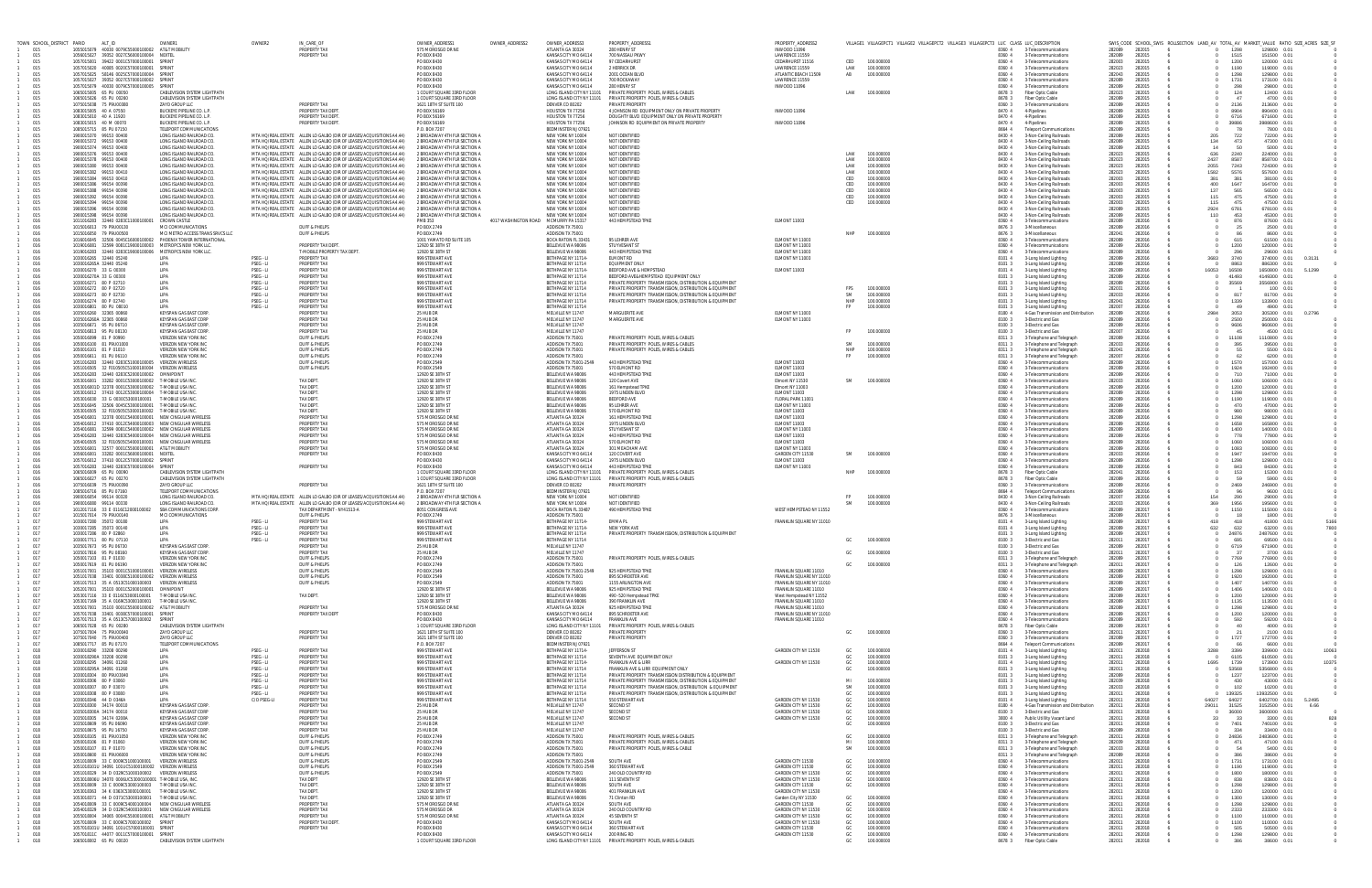| TOWN SCHOOL_DISTRICT PARID | ALT ID                                                                                                                | OWNER <sup>®</sup>                                            | OWNER2                   | IN CARE OF                                                                                                                                   | OWNER_ADDRESS1                                               | OWNER_ADDRESS2                        | OWNER_ADDRESS3                               | PROPERTY ADDRESS                                                                                | PROPERTY_ADDRESS2                                 |                   | VILLAGE1 VILLAGEPCT1 VILLAGE2 VILLAGEPCT2 VILLAGE3 VILLAGEPCT3 LUC CLASS LUC_DESCRIPTION |                  |                                                               |                                      | SWIS_CODE SCHOOL_SWIS ROLLSECTION LAND_AV TOTAL_AV MARKET_VALUE RATIO SIZE_ACRES SIZE_SF |                 |                              |                     |
|----------------------------|-----------------------------------------------------------------------------------------------------------------------|---------------------------------------------------------------|--------------------------|----------------------------------------------------------------------------------------------------------------------------------------------|--------------------------------------------------------------|---------------------------------------|----------------------------------------------|-------------------------------------------------------------------------------------------------|---------------------------------------------------|-------------------|------------------------------------------------------------------------------------------|------------------|---------------------------------------------------------------|--------------------------------------|------------------------------------------------------------------------------------------|-----------------|------------------------------|---------------------|
| 015<br>015                 | 1055015079  40030  0079C55000100002  AT&T MOBILITY<br>1056015027 39352 0027C56000100004 NEXTE                         |                                                               |                          | PROPERTY TAX<br>PROPERTY TAX                                                                                                                 | 575 MOROSGO DR NE<br>PO BOX 8430                             |                                       | ATLANTA GA 30324<br>KANSAS CITY MO 64114     | 280 HENRY ST<br>700 NASSAU PKW                                                                  | <b>INWOOD 11096</b><br><b>LAWRENCE 11559</b>      |                   |                                                                                          | 83604<br>8360 4  | 3-Telecommunications<br>3-Telecommunications                  | 282089<br>282015<br>282089<br>282015 |                                                                                          | 1298<br>1515    | 129800 0.01<br>151500 0.01   |                     |
| 015                        | 1057015001 39422 0001C57000100001 SPRIN                                                                               |                                                               |                          |                                                                                                                                              | PO BOX 8430                                                  |                                       | KANSAS CITY MO 64114                         | 97 CEDARHURST                                                                                   | CEDARHURST 11516                                  | CED               | 100,000000                                                                               | 8360 4           | 3-Telecommunications                                          | 282003<br>282015                     |                                                                                          | 1200            | 120000 0.01                  |                     |
| 015                        | 1057015020  40085  0020C57000100001  SPRINT                                                                           |                                                               |                          |                                                                                                                                              | PO BOX 8430                                                  |                                       | KANSAS CITY MO 64114                         | 2 HERRICK DR                                                                                    | LAWRENCE 11559                                    | LAW               | 100.000000                                                                               | 8360 4           | 3-Telecommunications                                          | 282023<br>282015                     |                                                                                          | 1190            | 119000 0.01                  |                     |
| 015<br>015                 | 1057015025 58146 0025C57000100004 SPRIN<br>1057015027 39352 0027C57000100002 SPRINT                                   |                                                               |                          |                                                                                                                                              | PO BOX 8430<br>PO BOX 8430                                   |                                       | KANSAS CITY MO 64114<br>KANSAS CITY MO 64114 | 2001 OCEAN BLVI<br>700 ROCKAWAY                                                                 | ATLANTIC BEACH 11509<br>LAWRENCE 11559            | AB                | 100,000000                                                                               | 8360<br>8360 4   | 3-Telecommunications<br>3-Telecommunications                  | 282043<br>282015<br>282089<br>282015 |                                                                                          | 1298<br>1731    | 129800 0.0<br>173100 0.01    |                     |
| 015                        | 1057015079  40030  0079C57000100005  SPRINT                                                                           |                                                               |                          |                                                                                                                                              | PO BOX 8430                                                  |                                       | KANSAS CITY MO 64114                         | 280 HENRY S                                                                                     | <b>INWOOD 11096</b>                               |                   |                                                                                          | 8360 4           | 3-Telecommunications                                          | 282089<br>282015                     |                                                                                          | 298             | 29800 0.01                   |                     |
| 015                        | 1065015005 65 PU 00050                                                                                                | CABLEVISION SYSTEM LIGHTPATH                                  |                          |                                                                                                                                              | 1 COURT SQUARE 33RD FLOOR                                    |                                       | LONG ISLAND CITY NY 11101                    | PRIVATE PROPERTY POLES, WIRES & CABLES                                                          |                                                   | LAW               | 100,000000                                                                               | 8678 3           | Fiber Optic Cable                                             | 282023<br>282015                     |                                                                                          | 124             | 12400 0.01                   |                     |
| 015                        | 1065015026 65 PU 00260                                                                                                | CABLEVISION SYSTEM LIGHTPATH<br><b>ZAYO GROUP LLC</b>         |                          |                                                                                                                                              | 1 COURT SQUARE 33RD FLOOR                                    |                                       |                                              | LONG ISLAND CITY NY 11101 PRIVATE PROPERTY POLES, WIRES & CABLES<br>PRIVATE PROPERTY            |                                                   |                   |                                                                                          | 8678 3           | Fiber Optic Cable                                             | 282089<br>282015<br>282015           |                                                                                          | 47              | 4700 0.01                    |                     |
| 015<br>015                 | 1075015038 75 P9U00380<br>1083015005 40 A 07550                                                                       | BUCKEYE PIPELINE CO. L.P.                                     |                          | PROPERTY TAX<br>PROPERTY TAX DEPT                                                                                                            | 1621 18TH ST SUITE 100<br>PO BOX 56169                       |                                       | DENVER CO 80202<br>HOUSTON TX 77256          | 4 JOHNSON RD EQUIPMENT ONLY ON PRIVATE PROPERTY                                                 | <b>INWOOD 11096</b>                               |                   |                                                                                          | 8360 3<br>8470 4 | 3-Telecommunications<br>4-Pipelines                           | 282089<br>282089<br>282015           |                                                                                          | 2136<br>8904    | 213600 0.01<br>890400 0.01   |                     |
| 015                        | 1083015010 40 A 11920                                                                                                 | <b>BUCKEYE PIPELINE CO. L.P</b>                               |                          | PROPERTY TAX DEPT                                                                                                                            | PO BOX 56169                                                 |                                       | HOUSTON TX 77256                             | DOUGHTY RIVEL FOURMENT ONLY ON PRIVATE PROPERT                                                  |                                                   |                   |                                                                                          | 8470 4           | 4-Pipelines                                                   | 282089<br>282015                     |                                                                                          | 6716            | 671600 0.01                  |                     |
| 015                        | 1083015015 40 M 00070                                                                                                 | <b>BUCKEYE PIPELINE CO. L.</b>                                |                          | PROPERTY TAX DEPT                                                                                                                            | PO BOX 56169                                                 |                                       | HOUSTON TX 77256                             | JOHNSON RD EQUIPMENT ON PRIVATE PROPERTY                                                        | <b>INWOOD 11096</b>                               |                   |                                                                                          | 8470 4           | 4-Pipelines                                                   | 282089<br>28201                      |                                                                                          | 39886           | 3988600 0.0                  |                     |
| 015<br>015                 | 1085015715 85 PU 07150<br>1900015370 99153 00400                                                                      | TELEPORT COMMUNICATION!<br>LONG ISLAND RAILROAD CO            |                          | MTA HO/REAL ESTATE ALLEN LO GALBO (DIR OF LEASES/ACQUISITIONS A4.44)                                                                         | P.O. BOX 7207<br>2 BROADWAY 4TH FLR SECTION A                |                                       | BEDMINSTER NJ 07921<br>NEW YORK NY 10004     | NOT IDENTIFIED                                                                                  |                                                   |                   |                                                                                          | 8664 4<br>8430 4 | <b>Teleport Communications</b><br>3-Non-Ceiling Railroads     | 282089<br>282015<br>282089<br>282015 | 205                                                                                      | 78<br>722       | 7800 0.01<br>72200 0.01      |                     |
| 015                        | 1900015372 99153 00400                                                                                                | LONG ISLAND RAILROAD CO.                                      |                          | MTA HO/REAL ESTATE ALLEN LO GALBO (DIR OF LEASES/ACQUISITIONS A4.44)                                                                         | 2 BROADWAY 4TH FLR SECTION A                                 |                                       | NEW YORK NY 10004                            | NOT IDENTIFIED                                                                                  |                                                   |                   |                                                                                          | 8430 4           | 3-Non-Ceiling Railroads                                       | 282089<br>282015                     | 134                                                                                      | 473             | 47300 0.01                   |                     |
| 015                        | 1900015374 99153 00400                                                                                                | LONG ISLAND RAILROAD CO                                       |                          | MTA HO/REAL ESTATE ALLEN LO GALBO (DIR OF LEASES/ACQUISITIONS A4.44)                                                                         | 2 BROADWAY 4TH FLR SECTION A                                 |                                       | NEW YORK NY 10004                            | NOT IDENTIFIED                                                                                  |                                                   |                   |                                                                                          | 8430 4           | 3-Non-Ceiling Railroads                                       | 282089<br>282015                     | -14                                                                                      | - 50            | 5000 0.01                    |                     |
| 015<br>015                 | 1900015376 99153 00400<br>1900015378 99153 00400                                                                      | LONG ISLAND RAILROAD CO.<br>LONG ISLAND RAILROAD CO           |                          | MTA HO/REAL ESTATE ALLEN LO GALBO (DIR OF LEASES/ACQUISITIONS A4.44)<br>MTA HO/REAL ESTATE ALLEN LO GALBO (DIR OF LEASES/ACQUISITIONS A4.44) | 2 BROADWAY 4TH FLR SECTION A<br>2 BROADWAY 4TH FLR SECTION A |                                       | NEW YORK NY 10004<br>NEW YORK NY 10004       | NOT IDENTIFIED<br>NOT IDENTIFIED                                                                |                                                   | <b>IAW</b><br>LAW | 100,000000<br>100,000000                                                                 | 8430 4<br>8430 4 | 3-Non-Ceiling Railroads                                       | 282023<br>282015<br>282023<br>282015 | 636<br>2437                                                                              | 2240<br>8587    | 224000 0.01<br>858700 0.0    |                     |
| 015                        | 1900015380 99153 00400                                                                                                | LONG ISLAND RAILROAD CO                                       |                          | MTA HO/REAL ESTATE ALLEN LO GALBO (DIR OF LEASES/ACQUISITIONS A4.44)                                                                         | 2 BROADWAY 4TH FLR SECTION A                                 |                                       | NEW YORK NY 10004                            | NOT IDENTIFIED                                                                                  |                                                   | LAW               | 100,000000                                                                               | 8430 4           | 3-Non-Ceiling Railroads<br>3-Non-Ceiling Railroads            | 282023<br>282015                     | 2055                                                                                     | 7243            | 724300 0.01                  |                     |
| 015                        | 1900015382 99153 00410                                                                                                | LONG ISLAND RAILROAD CO                                       |                          | MTA HO/REAL ESTATE ALLEN LO GALBO (DIR OF LEASES/ACOUJSITIONS A4.44)                                                                         | 2 BROADWAY 4TH FLR SECTION A                                 |                                       | NEW YORK NY 10004                            | NOT IDENTIFIED                                                                                  |                                                   | LAW               | 100,000000                                                                               | 8430 4           | 3-Non-Ceiling Railroads                                       | 282023<br>282015                     | 1582                                                                                     | 5576            | 557600 0.01                  |                     |
| 015                        | 1900015384 99153 0041                                                                                                 | LONG ISLAND RAILROAD CO                                       |                          | MTA HO/REAL ESTATE ALLEN LO GALBO (DIR OF LEASES/ACQUISITIONS A4.44)                                                                         | 2 BROADWAY 4TH FLR SECTION A                                 |                                       | NEW YORK NY 10004                            | NOT IDENTIFIED                                                                                  |                                                   | CED               | 100.000000                                                                               | 8430 4           | 3-Non-Ceiling Railroads                                       | 282003<br>282015                     | 381                                                                                      |                 | 38100 0.01                   |                     |
| 015                        | 1900015386 99154 00390                                                                                                | LONG ISLAND RAILROAD CO                                       |                          | MTA HO/REAL ESTATE ALLEN LO GALBO (DIR OF LEASES/ACQUISITIONS A4.44)                                                                         | 2 BROADWAY 4TH FLR SECTION A                                 |                                       | NEW YORK NY 10004                            | NOT IDENTIFIED                                                                                  |                                                   | CED               | 100,000000                                                                               | 8430 4           | 3-Non-Ceiling Railroads                                       | 282003<br>282015                     | 400                                                                                      | 1647            | 164700 0.01                  |                     |
| 015<br>015                 | 1900015388 99154 00390<br>1900015392 99154 0039                                                                       | LONG ISLAND RAILROAD CO<br>LONG ISLAND RAILROAD CO            |                          | MTA HO/REAL ESTATE ALLEN LO GALBO (DIR OF LEASES/ACQUISITIONS A4.44)<br>MTA HO/REAL ESTATE ALLEN LO GALBO (DIR OF LEASES/ACQUISITIONS A4.44) | 2 BROADWAY 4TH FLR SECTION A<br>2 BROADWAY 4TH FLR SECTION A |                                       | NEW YORK NY 10004<br>NEW YORK NY 10004       | NOT IDENTIFIED<br>NOT IDENTIFIED                                                                |                                                   | CED<br>CED        | 100.000000<br>100,000000                                                                 | 8430 4<br>8430 4 | 3-Non-Ceiling Railroads<br>3-Non-Ceiling Railroads            | 282003<br>282015<br>282003<br>282015 | 137<br>115                                                                               | 565<br>475      | 56500 0.01<br>47500 0.0      |                     |
| 015                        | 1900015394 99154 00390                                                                                                | LONG ISLAND RAILROAD CO                                       |                          | MTA HO/REAL ESTATE ALLEN LO GALBO (DIR OF LEASES/ACQUISITIONS A4.44)                                                                         | 2 BROADWAY 4TH FLR SECTION A                                 |                                       | NEW YORK NY 10004                            | NOT IDENTIFIED                                                                                  |                                                   | CED               | 100,000000                                                                               | 8430 4           | 3-Non-Ceiling Railroads                                       | 282003<br>282015                     | 115                                                                                      | 475             | 47500 0.01                   |                     |
| 015                        | 1900015396 99154 00390                                                                                                | LONG ISLAND RAILROAD CO                                       |                          | MTA HO/REAL ESTATE ALLEN LO GALBO (DIR OF LEASES/ACQUISITIONS A4.44)                                                                         | 2 BROADWAY 4TH FLR SECTION A                                 |                                       | NEW YORK NY 10004                            | NOT IDENTIFIED                                                                                  |                                                   |                   |                                                                                          | 8430 4           | 3-Non-Ceiling Railroads                                       | 282089<br>282015                     | 2924                                                                                     | 6781            | 678100 0.01                  |                     |
| 015                        | 1900015398 99154 00390                                                                                                | LONG ISLAND RAILROAD CO                                       |                          | MTA HO/REAL ESTATE ALLEN LO GALBO (DIR OF LEASES/ACQUISITIONS A4.44)                                                                         | 2 BROADWAY 4TH FLR SECTION A                                 |                                       | NEW YORK NY 10004                            | NOT IDENTIFIED                                                                                  |                                                   |                   |                                                                                          | 8430 4           | 3-Non-Ceiling Railroads                                       | 282089<br>282015                     | 110                                                                                      | 453             | 45300 0.01                   |                     |
| 016<br>016                 | 1011016283 32440 0283C11000100001 CROWN CASTLE<br>1015016013 79 P9U00130                                              | MCI COMMUNICATIONS                                            |                          | <b>DUFF &amp; PHELPS</b>                                                                                                                     | <b>PMR 353</b><br>PO BOX 2749                                | 4017 WASHINGTON ROAD MCMURRY PA 15317 | ADDISON TX 7500                              | 443 HEMPSTEAD TPK                                                                               | <b>ELMONT 11003</b>                               |                   |                                                                                          | 8360 4<br>8676   | 3-Telecommunications<br>3-Miscellaneous                       | 282089<br>282016<br>282089<br>282016 |                                                                                          | 876             | 87600 0.01<br>$2500 - 0.0$   |                     |
| 016                        | 1015016050 79 P9U00500                                                                                                | MCI METRO ACCESS TRANS SRVCS LLC                              |                          | DUFF & PHELPS                                                                                                                                | PO BOX 2749                                                  |                                       | ADDISON TX 75001                             |                                                                                                 |                                                   | NHP               | 100,000000                                                                               | 8676             | 3-Miscellaneous                                               | 282041<br>282016                     |                                                                                          |                 | 8600 0.01                    |                     |
| 016                        |                                                                                                                       | 1016016045 32506 0045C16000100002 PHOENIX TOWER INTERNATIONAL |                          |                                                                                                                                              | 1001 YAMATO RD SUITE 105                                     |                                       | BOCA RATON FL 33431                          | 95 I FHRER AVE                                                                                  | <b>FI MONT NY 11003</b>                           |                   |                                                                                          | 8360 4           | 3-Telecommunications                                          | 282089<br>282016                     |                                                                                          | 615             | 61500 0.01                   |                     |
| 016                        | 1019016081 32599 0081C19000100003 METROPCS NEW YORK LLC<br>1019016283  32440  0283C19000100006  METROPCS NEW YORK LLO |                                                               |                          | PROPERTY TAX DEPT.<br><b>T-MOBILE PROPERTY TAX DEPT</b>                                                                                      | 12920 SE 38TH ST<br>12920 SE 38TH ST                         |                                       | BELLEVUE WA 98006                            | STUYVESANT ST<br>443 HEMPSTEAD TPK                                                              | ELMONT NY 11003<br>ELMONT NY 11003                |                   |                                                                                          | 8360<br>8360 4   | 3-Telecommunications                                          | 282089<br>282016<br>282089<br>282016 |                                                                                          | 1200            | 120000 0.01                  |                     |
| 016<br>016                 | 1030016265 32440 05240                                                                                                | LIPA                                                          | PSEG - LI                | PROPERTY TAX                                                                                                                                 | 999 STEWART AVE                                              |                                       | BELLEVUE WA 98006<br>BETHPAGE NY 11714-      | <b>ELMONT RD</b>                                                                                | ELMONT NY 11003                                   |                   |                                                                                          | 8101             | 3-Telecommunication<br>3-Long Island Lighting                 | 282089<br>282016                     | 3683                                                                                     | 296<br>3740     | 29600 0.01<br>374000 0.01    | 0.3131              |
| 016                        | 1030016265A 32440 05240                                                                                               | LIPA                                                          | PSEG - LI                | PROPERTY TAX                                                                                                                                 | 999 STEWART AVE                                              |                                       | BETHPAGE NY 11714                            | <b>EQUIPMENT ONL'</b>                                                                           |                                                   |                   |                                                                                          | 8101             | 3-Long Island Lighting                                        | 282089<br>282016                     |                                                                                          | 8863            | 886300 0.01                  |                     |
| 016                        | 1030016270 33 G 00300                                                                                                 | LIPA                                                          | PSEG - LI                | PROPERTY TAX                                                                                                                                 | 999 STEWART AVE                                              |                                       | BETHPAGE NY 11714-                           | <b>BEDFORD AVE &amp; HEMPSTEAD</b>                                                              | ELMONT 11003                                      |                   |                                                                                          | 8101 4           | 3-Long Island Lighting                                        | 282089<br>282016                     | 16053                                                                                    | 16508           | 1650800 0.01                 | 5.1299              |
| 016<br>016                 | 1030016270A 33 G 00300<br>1030016271 80 P 02710                                                                       | LIPA<br>LIPA                                                  | PSEG - LI<br>PSEG - LI   | PROPERTY TAX<br><b>PROPERTY TAX</b>                                                                                                          | 999 STEWART AVE<br>999 STEWART AVE                           |                                       | BETHPAGE NY 11714<br>BETHPAGE NY 11714       | BEDFORD AVE&HEMPSTEAD EQUIPMENT ONLY<br>PRIVATE PROPERTY TRANSMISSION, DISTRIBUTION & EQUIPMENT |                                                   |                   |                                                                                          | 8101 3<br>8101 3 | 3-Long Island Lighting<br>3-Long Island Lighting              | 282016<br>282089<br>282089<br>282016 |                                                                                          | 41493<br>35569  | 4149300 0.01<br>3556900 0.01 |                     |
| 016                        | 1030016272 80 P 02720                                                                                                 | lipa                                                          | PSEG - LI                | PROPERTY TAX                                                                                                                                 | 999 STEWART AVE                                              |                                       | BETHPAGE NY 11714                            | PRIVATE PROPERTY TRANSMISSION. DISTRIBUTION & EQUIPMENT                                         |                                                   | FPS               | 100,000000                                                                               | 8101 3           | 3-Long Island Lighting                                        | 282031<br>282016                     |                                                                                          |                 | 100 0.01                     |                     |
| 016                        | 1030016273 80 P 02730                                                                                                 | LIPA                                                          | PSEG - LI                | PROPERTY TAX                                                                                                                                 | 999 STEWART AVE                                              |                                       | BETHPAGE NY 11714                            | PRIVATE PROPERTY TRANSMISSION, DISTRIBUTION & EQUIPMENT                                         |                                                   | <b>SM</b>         | 100.000000                                                                               | 8101 3           | 3-Long Island Lighting                                        | 282033<br>282016                     | $\Omega$                                                                                 | 817             | 81700 0.01                   |                     |
| 016                        | 1030016274 80 P 02740                                                                                                 | LIPA                                                          | PSEG - LI                | <b>PROPERTY TAX</b>                                                                                                                          | 999 STEWART AV                                               |                                       | BETHPAGE NY 11714                            | PRIVATE PROPERTY TRANSMISSION. DISTRIBUTION & EQUIPMENT                                         |                                                   | NHF               | 100,000000                                                                               | 8101             | 3-Long Island Lighting                                        | 282041<br>282016                     |                                                                                          | 1339            | 133900 0.01                  |                     |
| 016<br>016                 | 1030016801 80 PU 08010<br>1035016260 32365 00860                                                                      | <b>I IPA</b><br>KEYSPAN GAS EAST CORP.                        | PSEG - LI                | PROPERTY TAX<br>PROPERTY TAX                                                                                                                 | 999 STEWART AVE<br>25 HUB DR                                 |                                       | BETHPAGE NY 11714<br>MELVILLE NY 11747       | MARGUERITE AVE                                                                                  | ELMONT NY 11003                                   |                   | 100,000000                                                                               | 8101 3<br>8180 4 | 3-Long Island Lighting<br>4-Gas Transmission and Distribution | 282007<br>282016<br>282089<br>282016 | 2984                                                                                     | - 49<br>3053    | 4900 0.01<br>305300 0.01     | 0.2796              |
| 016                        | 1035016260A 32365 00860                                                                                               | <b>KEYSPAN GAS EAST CORP</b>                                  |                          | <b>PROPERTY TAX</b>                                                                                                                          | 25 HUB DR                                                    |                                       | MELVILLE NY 11747                            | <b>MARGUERITE AVE</b>                                                                           | ELMONT NY 11003                                   |                   |                                                                                          | 8100 3           | 3-Electric and Gas                                            | 282089<br>282016                     |                                                                                          | 2500            | 250000 0.01                  |                     |
| 016                        | 1035016671 95 PU 06710                                                                                                | <b>KEYSPAN GAS EAST CORE</b>                                  |                          | <b>PROPERTY TAX</b>                                                                                                                          | 25 HUB DR                                                    |                                       | MELVILLE NY 11747                            |                                                                                                 |                                                   |                   |                                                                                          | 8100 3           | 3-Electric and Gas                                            | 282089<br>282016                     |                                                                                          | 9606            | 960600 0.01                  |                     |
| 016                        | 1035016813 95 PU 08130                                                                                                | <b>KEYSPAN GAS EAST CORP</b>                                  |                          | PROPERTY TAX                                                                                                                                 | 25 HUB DR                                                    |                                       | MELVILLE NY 11747                            |                                                                                                 |                                                   |                   | 100.000000                                                                               | 8100 3           | 3-Electric and Gas                                            | 282007<br>282016                     |                                                                                          | 45              | 4500 0.01                    |                     |
| 016                        | 1050016099 81 P 00990<br>1050016100 81 P9U01000                                                                       | <b>VERIZON NEW YORK INC</b><br>VERIZON NEW YORK INC           |                          | <b>DUFF &amp; PHELPS</b><br>DUFF & PHFLPS                                                                                                    | PO BOX 2749<br>PO BOX 2749                                   |                                       | ADDISON TX 75001<br>ADDISON TX 75001         | PRIVATE PROPERTY POLES, WIRES & CABLES<br>PRIVATE PROPERTY POLES, WIRES & CABLES                |                                                   | <b>SM</b>         | 100,000000                                                                               | 8311<br>8311 3   | 3-Telephone and Telegraph                                     | 282089<br>282016<br>282033<br>282016 |                                                                                          | 11108<br>395    | 1110800 0.01<br>39500 0.01   |                     |
| 016                        | 1050016101 81 P 01010                                                                                                 | <b>VERIZON NEW YORK IN</b>                                    |                          | <b>DUFF &amp; PHELPS</b>                                                                                                                     | PO BOX 2749                                                  |                                       | ADDISON TX 7500                              | PRIVATE PROPERTY POLES, WIRES & CABLES                                                          |                                                   |                   | 100,000000                                                                               | 8311 3           | 3-Telephone and Telegraph<br>3-Telephone and Telegraph        | 282041<br>282016                     |                                                                                          |                 | 5500 0.0                     |                     |
|                            | 1050016611 81 PU 06110                                                                                                | <b>VERIZON NEW YORK INC</b>                                   |                          | DUFF & PHELPS                                                                                                                                | PO BOX 2749                                                  |                                       | ADDISON TX 75001                             |                                                                                                 |                                                   |                   | 100,000000                                                                               | 8311 3           | 3-Telephone and Telegraph                                     | 282007<br>282016                     |                                                                                          | -62             | 6200 0.01                    |                     |
| 016                        | 1051016283 32440 0283C51000100005 VERIZON WIRFLESS                                                                    |                                                               |                          | DUFF & PHFLPS                                                                                                                                | PO BOX 2549                                                  |                                       | ADDISON TX 75001-2549                        | 443 HEMPSTEAD TPKE                                                                              | FLMONT 11003                                      |                   |                                                                                          | 8360 4           | 3-Telecommunications                                          | 282089<br>282016                     |                                                                                          | 1570            | 157000 0.01                  |                     |
| 016                        | 1051016505 32 F010505C51000100004 VERIZON WIRELESS                                                                    |                                                               |                          | DUFF & PHELPS                                                                                                                                | PO BOX 2549                                                  |                                       | ADDISON TX 75001                             | 570 ELMONT RD                                                                                   | <b>ELMONT 11003</b>                               |                   |                                                                                          | 8360             | 3-Telecommunications                                          | 282089<br>282016                     |                                                                                          | 1924            | 192400 0.0                   |                     |
| 016<br>016                 | 1052016283 32440 0283C52000100002 OMNIPOINT<br>1053016001 33282 0001C53000100002 T-MOBILE USA INC                     |                                                               |                          | TAX DEPT.                                                                                                                                    | 12920 SE 38TH ST<br>12920 SE 38TH ST                         |                                       | BELLEVUE WA 98006<br>BELLEVUE WA 98006       | 443 HEMPSTEAD TPKE<br>120 Covert AVE                                                            | ELMONT 11003<br>Elmont NY 11530                   | <b>SM</b>         | 100,000000                                                                               | 8360 4<br>8360 4 | 3-Telecommunications<br>3-Telecommunications                  | 282089<br>282016<br>282033<br>282016 |                                                                                          | 710<br>1060     | 71000 0.01<br>106000 0.01    |                     |
| 016                        | 1053016001D 32378 0001C53000100002 T-MOBILE USA INC                                                                   |                                                               |                          | <b>TAX DEPT</b>                                                                                                                              | 12920 SE 38TH ST                                             |                                       | BELLEVUE WA 98006                            | 161 Hempstead TPK                                                                               | Elmont NY 11003                                   |                   |                                                                                          | 8360 4           | 3-Telecommunications                                          | 282089<br>282016                     |                                                                                          | 1200            | 120000 0.01                  |                     |
| 016                        | 1053016012 37410 0012C53000100004 T-MOBILE USA INC                                                                    |                                                               |                          | <b>TAX DEPT</b>                                                                                                                              | 12920 SE 38TH ST                                             |                                       | BELLEVUE WA 98006                            | 1975 LINDEN BLVD                                                                                | FLMONT 11003                                      |                   |                                                                                          | 8360 4           | 3-Telecommunications                                          | 282089<br>282016                     |                                                                                          | 1298            | 129800 0.01                  |                     |
| 016                        | 1053016030 33 G 0030C53000100001 T-MOBILE USA INC                                                                     |                                                               |                          | TAX DEPT.                                                                                                                                    | 12920 SE 38TH ST                                             |                                       | BELLEVUE WA 98006                            | <b>BEDFORD AVE</b>                                                                              | FLORAL PARK 1100                                  |                   |                                                                                          | 8360 4           | 3-Telecommunications                                          | 282089<br>282016                     |                                                                                          | 1190            | 119000 0.01                  |                     |
| 016<br>016                 | 1053016045 32506 0045C53000100001 T-MOBILE USA INC<br>1053016505 32 F010505C53000100002 T-MOBILE USA INC              |                                                               |                          | <b>TAX DEPT</b><br><b>TAX DEPT</b>                                                                                                           | 12920 SE 38TH S'<br>12920 SE 38TH ST                         |                                       | BELLEVUE WA 98006<br>BELLEVUE WA 98006       | 95 LEHRER AVE<br>570 FLMONT RD                                                                  | ELMONT NY 1100<br><b>FLMONT 11003</b>             |                   |                                                                                          | 8360<br>8360 4   | 3-Telecommunications<br>3-Telecommunications                  | 282089<br>282016<br>282089<br>282016 |                                                                                          | 470<br>-980     | 47000 0.0<br>98000 0.01      |                     |
| 016                        | 1054016001 32378 0001C54000100001 NEW CINGULAR WIRELESS                                                               |                                                               |                          | PROPERTY TAX                                                                                                                                 | 575 MOROSGO DR NE                                            |                                       | ATLANTA GA 30324                             | 161 HEMPSTEAD TPKI                                                                              | <b>ELMONT 11003</b>                               |                   |                                                                                          | 8360 4           | 3-Telecommunications                                          | 282089<br>282016                     |                                                                                          | 1298            | 129800 0.01                  |                     |
| 016                        | 1054016012 37410 0012C54000100003 NEW CINGULAR WIRELESS                                                               |                                                               |                          | <b>PROPERTY TAX</b>                                                                                                                          | 575 MOROSGO DR NE                                            |                                       | ATLANTA GA 30324                             | 1975 LINDEN BLVD                                                                                | ELMONT 11003                                      |                   |                                                                                          | 8360 4           | 3-Telecommunications                                          | 282089<br>282016                     |                                                                                          | 1658            | 165800 0.01                  |                     |
| 016                        | 1054016081  32599  0081C54000100002  NEW CINGULAR WIRELESS                                                            |                                                               |                          | <b>PROPERTY TAX</b>                                                                                                                          | 575 MOROSGO DR NE                                            |                                       | ATLANTA GA 30324                             | STUYVESANT ST                                                                                   | <b>FI MONT NY 11003</b>                           |                   |                                                                                          | 8360 4           | 3-Telecommunications                                          | 282089<br>282016                     |                                                                                          | 1400            | 140000 0.01                  |                     |
| 016<br>016                 | 1054016283  32440  0283C54000100004  NEW CINGULAR WIRELESS<br>1054016505 32 F010505C54000100001 NEW CINGULAR WIRELESS |                                                               |                          | PROPERTY TAX<br><b>PROPERTY TAX</b>                                                                                                          | 575 MOROSGO DR NE<br>575 MOROSGO DR NE                       |                                       | ATLANTA GA 30324<br>ATLANTA GA 30324         | 443 HEMPSTEAD TPKI<br>570 ELMONT RD                                                             | <b>ELMONT 11003</b><br>ELMONT 11003               |                   |                                                                                          | 8360 4<br>8360 4 | 3-Telecommunications<br>3-Telecommunications                  | 282089<br>282016<br>282089<br>282016 |                                                                                          | 778<br>1060     | 77800 0.01<br>106000 0.01    |                     |
| 016                        | 1055016001 32577 0001C55000100001 AT&T MOBILITY                                                                       |                                                               |                          | PROPERTY TAX                                                                                                                                 | 575 MOROSGO DR NE                                            |                                       | ATLANTA GA 30324                             | 301 MFACHAM AVE                                                                                 | <b>FLMONT NY 11003</b>                            |                   |                                                                                          | 8360 4           | 3-Telecommunications                                          | 282089<br>282016                     |                                                                                          | 1083            | 108300 0.01                  |                     |
| 016                        | 1056016001 33282 0001C56000100001 NEXTE                                                                               |                                                               |                          | <b>PROPERTY TAX</b>                                                                                                                          | PO BOX 8430                                                  |                                       | KANSAS CITY MO 6411                          | 120 COVERT AVE                                                                                  | GARDEN CITY 11530                                 | SM                | 100,000000                                                                               | 8360 4           | 3-Telecommunications                                          | 282033<br>282016                     |                                                                                          | 1947            | 194700 0.01                  |                     |
| 016                        | 1057016012 37410 0012C57000100002 SPRINT                                                                              |                                                               |                          |                                                                                                                                              | PO BOX 8430                                                  |                                       | KANSAS CITY MO 64114                         | 1975 LINDEN BLVD                                                                                | ELMONT 11003                                      |                   |                                                                                          | 8360 4           | 3-Telecommunications                                          | 282089<br>282016                     |                                                                                          | 1298            | 129800 0.01                  |                     |
| 016<br>016                 | 1057016283 32440 0283C57000100004 SPRINT<br>1065016009 65 PU 00090                                                    | <b>CABLEVISION SYSTEM LIGHTPATH</b>                           |                          | PROPERTY TAX                                                                                                                                 | PO BOX 8430                                                  |                                       | KANSAS CITY MO 64114                         | <b>443 HEMPSTEAD TPK</b><br>LONG ISLAND CITY NY 11101 PRIVATE PROPERTY POLES WIRES & CABLE      | ELMONT NY 11003                                   | <b>NHP</b>        | 100,000000                                                                               | 8360 4<br>8678 3 | 3-Telecommunications                                          | 282089<br>282016<br>282041<br>282016 |                                                                                          | 843<br>153      | 84300 0.01<br>15300 0.0      |                     |
| 016                        | 1065016027 65 PU 00270                                                                                                | <b>CABLEVISION SYSTEM LIGHTPATH</b>                           |                          |                                                                                                                                              | 1 COURT SQUARE 33RD FLOOR<br>1 COURT SQUARE 33RD FLOOR       |                                       |                                              | LONG ISLAND CITY NY 11101 PRIVATE PROPERTY POLES, WIRES & CABLES                                |                                                   |                   |                                                                                          | 8678 3           | Fiber Optic Cable<br>Fiber Optic Cable                        | 282089<br>282016                     |                                                                                          | 59              | 5900 0.0                     |                     |
| -016                       | 1075016039 75 P9U00390                                                                                                | ZAYO GROUP LLC                                                |                          | <b>PROPERTY TAX</b>                                                                                                                          | 1621 18TH ST SUITE 100                                       |                                       | DENVER CO 80202                              | PRIVATE PROPERTY                                                                                |                                                   |                   |                                                                                          | 8360 3           | 3-Telecommunications                                          | 282016<br>282089                     |                                                                                          | 2469            | 246900 0.01                  |                     |
|                            | 1085016716 85 PU 07160                                                                                                | <b>TELEPORT COMMUNICATIONS</b>                                |                          |                                                                                                                                              | P.O. BOX 7207                                                |                                       | BEDMINSTER NJ 07921                          |                                                                                                 |                                                   |                   |                                                                                          | 8664             | <b>Teleport Communications</b>                                | 282089<br>282016                     |                                                                                          |                 | 960000.0                     |                     |
|                            | 1900016054 99114 00320<br>1900016080 99114 00330                                                                      | LONG ISLAND RAILROAD CO.<br>LONG ISLAND RAILROAD CO           |                          | MTA HO/REAL ESTATE ALLEN LO GALBO (DIR OF LEASES/ACQUISITIONS A4.44)<br>MTA HO/REAL ESTATE ALLEN LO GALBO (DIR OF LEASES/ACQUISITIONS A4.44) | 2 BROADWAY 4TH FLR SECTION A<br>2 BROADWAY 4TH FLR SECTION A |                                       | NEW YORK NY 10004<br>NEW YORK NY 10004       | NOT IDENTIFIED<br>NOT IDENTIFIED                                                                |                                                   |                   | 100,000000<br>100,000000                                                                 | 8430 4<br>8430 4 | 3-Non-Ceiling Railroads                                       | 282007<br>282016<br>282033<br>282016 | 154<br>369                                                                               | 290<br>1956     | 29000 0.01<br>195600 0.01    |                     |
| 016<br>017                 | 1012017116 33 F 0116C12000100002                                                                                      | SBA COMMUNICATIONS CORP                                       |                          | TAX DEPARTMENT - NY41513-A                                                                                                                   | 8051 CONGRESS AVE                                            |                                       | BOCA RATON FL 33487                          | 490 HEMPSTEAD TPKE                                                                              | WEST HEMPSTEAD NY 11552                           |                   |                                                                                          | 8360             | 3-Non-Ceiling Railroads<br>3-Telecommunications               | 282089<br>282017                     |                                                                                          | 1150            | 115000 0.0                   |                     |
| 017                        | 1015017014 79 P9U00140                                                                                                | MCLCOMMUNICATIONS                                             |                          | DUFF & PHELPS                                                                                                                                | PO BOX 2749                                                  |                                       | ADDISON TX 75001                             |                                                                                                 |                                                   |                   |                                                                                          | 8676 3           | 3-Miscellaneous                                               | 282089<br>282017                     |                                                                                          | -18             | 1800 0.0                     |                     |
| 017                        | 1030017280 35072 00180                                                                                                | LIPA                                                          | PSEG - LI                | PROPERTY TAX                                                                                                                                 | 999 STEWART AVE                                              |                                       | BETHPAGE NY 11714-                           | <b>FMMA PI</b>                                                                                  | FRANKLIN SQUARE NY 11010                          |                   |                                                                                          | 8101             | 3-Long Island Lighting                                        | 282089<br>282017                     | 418                                                                                      | 418             | 41800 0.01                   | 5166                |
| 017                        | 1030017285 35073 00140<br>1030017286 80 P 02860                                                                       | LIPA<br><b>I IPA</b>                                          | PSEG - LI<br>PSEG - LI   | <b>PROPERTY TAX</b><br><b>PROPERTY TAX</b>                                                                                                   | 999 STEWART AVE<br>999 STFWART AVE                           |                                       | BETHPAGE NY 11714-<br>BETHPAGE NY 11714      | <b>NEW YORK AVE</b><br>PRIVATE PROPERTY TRANSMISSION, DISTRIBUTION & EQUIPMENT                  |                                                   |                   |                                                                                          | 8101.<br>8101 3  | 3-Long Island Lighting<br>3-Long Island Lighting              | 282089<br>282017<br>282089<br>282017 | 632                                                                                      | 632<br>24876    | 63200 0.01<br>2487600 0.01   |                     |
|                            | 1030017711 80 PU 07110                                                                                                | <b>IIPA</b>                                                   | $PSFG - H$               | PROPERTY TAX                                                                                                                                 | 999 STFWART AVE                                              |                                       | BETHPAGE NY 11714                            |                                                                                                 |                                                   |                   | 100,00000                                                                                | 8100 3           | 3-Electric and Gas                                            | 282011<br>282017                     |                                                                                          | 695             | 69500 0.01                   |                     |
| 017                        | 1035017673 95 PU 06730                                                                                                | <b>KEYSPAN GAS EAST CORP</b>                                  |                          | PROPERTY TAX                                                                                                                                 | 25 HUB DR                                                    |                                       | MELVILLE NY 11747                            |                                                                                                 |                                                   |                   |                                                                                          | 8100 3           | 3-Electric and Ga                                             | 282089<br>282017                     |                                                                                          | 6719            | 671900 0.01                  |                     |
| 017<br>017                 | 1035017816 95 PU 08160<br>1050017103 81 P 01030                                                                       | KEYSPAN GAS EAST CORE<br><b>VERIZON NEW YORK INC</b>          |                          | PROPERTY TAX<br><b>DUFF &amp; PHELPS</b>                                                                                                     | 25 HUB DR<br>PO BOX 2749                                     |                                       | MELVILLE NY 11747<br>ADDISON TX 75001        |                                                                                                 |                                                   | GC                | 100.000000                                                                               | 8100 3<br>8311 3 | 3-Electric and Gas                                            | 282011<br>282017<br>282089<br>282017 |                                                                                          | -37<br>7769     | 3700 0.01                    |                     |
| 017                        | 1050017619 81 PU 06190                                                                                                | <b>VERIZON NEW YORK INC</b>                                   |                          | DUFF & PHELPS                                                                                                                                | PO BOX 2749                                                  |                                       | ADDISON TX 75001                             | PRIVATE PROPERTY POLES, WIRES & CABLES                                                          |                                                   | GC                | 100,000000                                                                               | 8311 3           | 3-Telephone and Telegraph<br>3-Telephone and Telegraph        | 282011<br>282017                     |                                                                                          | 126             | 776900 0.01<br>12600 0.01    |                     |
| 017                        | 1051017001 35103 0001C51000100001 VERIZON WIRELESS                                                                    |                                                               |                          | <b>DUFF &amp; PHELPS</b>                                                                                                                     | PO BOX 2549                                                  |                                       | ADDISON TX 75001-2549                        | 925 HEMPSTEAD TPKE                                                                              | FRANKLIN SQUARE 11010                             |                   |                                                                                          | 8360 4           | 3-Telecommunications                                          | 282089<br>282017                     |                                                                                          | 1298            | 129800 0.01                  |                     |
| 017                        | 1051017038  33401  0038C51000100002  VERIZON WIRELESS                                                                 |                                                               |                          | <b>DUFF &amp; PHELPS</b>                                                                                                                     | PO BOX 2549                                                  |                                       | ADDISON TX 75001                             | 895 SCHROETER AVE                                                                               | FRANKLIN SQUARE NY 11010                          |                   |                                                                                          | 8360 4           | 3-Telecommunications                                          | 282089<br>282017                     |                                                                                          | 1920            | 192000 0.01                  |                     |
| 017<br>017                 | 1051017513 35 A 0513C51000100003<br>1052017001 35103 0001C52000100001 OMNIPOINT                                       | <b>VERIZON WIRELESS</b>                                       |                          | DUFF & PHELPS                                                                                                                                | PO BOX 2549<br>12920 SE 38TH ST                              |                                       | ADDISON TX 75001<br>BELLEVUE WA 98006        | 1155 ARLINGTON AVE<br>925 HEMPSTEAD TPKE                                                        | FRANKLIN SQUARE NY 11010<br>FRANKLIN SQUARE 11010 |                   |                                                                                          | 8360 4<br>8360 4 | 3-Telecommunications<br>3-Telecommunications                  | 282089<br>282017<br>282089<br>282017 |                                                                                          | 1407<br>1406    | 140700 0.01<br>140600 0.01   |                     |
| 017                        | 1053017116 33 E 0116C53000100001 T-MOBILE USA INC                                                                     |                                                               |                          | TAX DEPT.                                                                                                                                    | 12920 SE 38TH ST                                             |                                       | BELLEVUE WA 98006                            | 490 -520 Hempstead TPKI                                                                         | West Hempstead NY 11552                           |                   |                                                                                          | 8360 4           | 3-Telecommunications                                          | 282089<br>282017                     |                                                                                          | 1200            | 120000 0.01                  |                     |
| 017                        | 1053017169 35 A 0169C53000100001 T-MOBILE USA INC                                                                     |                                                               |                          |                                                                                                                                              | 12920 SE 38TH ST                                             |                                       | BELLEVUE WA 98006                            | 390 FRANKLIN AVE                                                                                | FRANKLIN SQUARE 11010                             |                   |                                                                                          | 8360 4           | 3-Telecommunications                                          | 282089<br>282017                     |                                                                                          | 1135            | 113500 0.01                  |                     |
| 017<br>017                 | 1055017001 35103 0001C55000100002 AT&T MOBILITY<br>1057017038 33401 0038C57000100001 SPRINT                           |                                                               |                          | PROPERTY TAX<br>PROPERTY TAX DEPT                                                                                                            | 575 MOROSGO DR NE<br>PO BOX 8430                             |                                       | ATLANTA GA 30324<br>KANSAS CITY MO 64114     | 925 HEMPSTEAD TPKI<br>895 SCHROETER AVE                                                         | FRANKLIN SQUARE 11010<br>FRANKLIN SQUARE NY 11010 |                   |                                                                                          | 8360 4<br>8360 4 | 3-Telecommunications<br>3-Telecommunications                  | 282089<br>282017<br>282089<br>282017 |                                                                                          | 1298<br>1200    | 129800 0.01<br>120000 0.01   |                     |
| 017                        | 1057017513 35 A 0513C57000100002 SPRINT                                                                               |                                                               |                          |                                                                                                                                              | PO BOX 8430                                                  |                                       | KANSAS CITY MO 64114                         | FRANKLIN AVE                                                                                    | FRANKLIN SQUARE 11010                             |                   |                                                                                          | 8360 4           | 3-Telecommunications                                          | 282089<br>282017                     |                                                                                          | 592             | 59200 0.01                   |                     |
| 017                        | 1065017028 65 PU 00280                                                                                                | <b>CABLEVISION SYSTEM LIGHTPATH</b>                           |                          |                                                                                                                                              | 1 COURT SQUARE 33RD FLOOR                                    |                                       |                                              | LONG ISLAND CITY NY 11101 PRIVATE PROPERTY POLES, WIRES & CABLES                                |                                                   |                   |                                                                                          | 8678 3           | Fiber Optic Cable                                             | 282089<br>282017                     |                                                                                          | 40              | 4000 0.01                    |                     |
| 017<br>017                 | 1075017004 75 P9U00040<br>1075017040 75 P9U00400                                                                      | ZAYO GROUP LLC<br>ZAYO GROUP LLC                              |                          | <b>PROPERTY TAX</b><br>PROPERTY TAX                                                                                                          | 1621 18TH ST SUITE 100                                       |                                       | DENVER CO 80202                              | PRIVATE PROPERTY<br><b>PRIVATE PROPERTY</b>                                                     |                                                   | GC                | 100.000000                                                                               | 8360 3<br>8360 3 | 3-Telecommunications                                          | 282011<br>282017<br>282089<br>282017 |                                                                                          | 1727            | 2100 0.01                    |                     |
| 017                        | 1085017717 85 PU 07170                                                                                                | TELEPORT COMMUNICATIONS                                       |                          |                                                                                                                                              | 1621 18TH ST SUITE 100<br>P.O. BOX 7207                      |                                       | DENVER CO 80202<br>BEDMINSTER NJ 07921       |                                                                                                 |                                                   |                   |                                                                                          | 8664             | 3-Telecommunications<br><b>Teleport Communications</b>        | 282089<br>282017                     |                                                                                          | 66              | 172700 0.01<br>6600 0.01     |                     |
| 018                        | 1030018290 33208 00290                                                                                                | lipa                                                          | PSEG - LI                | PROPERTY TAX                                                                                                                                 | 999 STEWART AVE                                              |                                       | BETHPAGE NY 11714-                           | JEFFERSON ST                                                                                    | GARDEN CITY NY 11530                              | GC                | 100,000000                                                                               | 8101 4           | 3-Long Island Lighting                                        | 282011<br>282018                     | 3288                                                                                     | 3399            | 339900 0.01                  | 10063               |
| 018                        | 1030018290A 33208 00290                                                                                               | lipa                                                          | PSEG - LI                | PROPERTY TAX                                                                                                                                 | 999 STEWART AVE                                              |                                       | BETHPAGE NY 11714                            | SEVENTH AVE EQUIPMENT ONLY                                                                      |                                                   | GC                | 100,000000                                                                               | 8101 3           | 3-Long Island Lighting                                        | 282011<br>282018                     |                                                                                          | 6105            | 610500 0.01                  |                     |
| 018<br>018                 | 1030018295 34091 01260<br>1030018295A 34091 01260                                                                     | LIPA<br>LIPA                                                  | PSEG - LI<br>PSEG - LI   | PROPERTY TAX<br>PROPERTY TAX                                                                                                                 | 999 STEWART AVE<br>999 STEWART AVE                           |                                       | BETHPAGE NY 11714-<br>BETHPAGE NY 11714      | FRANKLIN AVE & LIRR<br>FRANKLIN AVE & LIRR EQUIPMENT ONLY                                       | GARDEN CITY NY 11530                              | GC<br>GC          | 100.000000<br>100,000000                                                                 | 8101 4<br>8101 3 | 3-Long Island Lighting<br>3-Long Island Lighting              | 282011<br>282018<br>282011<br>282018 | 1695                                                                                     | 1739<br>53568   | 173900 0.01<br>5356800 0.01  | 10375               |
| 018                        | 1030018304 80 P9U03040                                                                                                | <b>I IPA</b>                                                  | PSEG - LI                | PROPERTY TAX                                                                                                                                 | 999 STFWART AVE                                              |                                       | BETHPAGE NY 11714                            | PRIVATE PROPERTY TRANSMISSION DISTRIBUTION & EQUIPMENT                                          |                                                   |                   |                                                                                          | 8101 3           | 3-Long Island Lighting                                        | 282089<br>282018                     |                                                                                          | 1237            | 123700 0.01                  |                     |
| 018                        | 1030018306 80 P 03060                                                                                                 | LIPA                                                          | PSEG - LI                | <b>PROPERTY TAX</b>                                                                                                                          | 999 STEWART AVE                                              |                                       | BETHPAGE NY 11714                            | PRIVATE PROPERTY TRANSMISSION. DISTRIBUTION & EQUIPMENT                                         |                                                   | MI                | 100,000000                                                                               | 8101 3           | 3-Long Island Lighting                                        | 282039<br>282018                     |                                                                                          | 430             | 43000 0.01                   |                     |
| 018                        | 1030018307 80 P 03070                                                                                                 | LIPA                                                          | PSEG - LI                | PROPERTY TAX                                                                                                                                 | 999 STEWART AVE                                              |                                       | BETHPAGE NY 11714                            | PRIVATE PROPERTY TRANSMISSION, DISTRIBUTION & EQUIPMENT                                         |                                                   | -SM               | 100,000000                                                                               | 8101 3           | 3-Long Island Lighting                                        | 282033<br>282018                     |                                                                                          | 102             | 10200 0.01                   |                     |
| 018<br>018                 | 1030018308 80 P 03080<br>1030018346 44 D 0346A                                                                        | LIPA<br>LIPA                                                  | PSEG - LI<br>C/O PSEG-LI | PROPERTY TAX<br>PROPERTY TAX                                                                                                                 | 999 STEWART AVE<br>999 STEWART AVE                           |                                       | BETHPAGE NY 11714<br>BETHPAGE NY 11714       | PRIVATE PROPERTY TRANSMISSION, DISTRIBUTION & EQUIPMENT<br>550 STEWART AVE                      | GARDEN CITY NY 11530                              | -GC<br>GC         | 100,000000<br>100,000000                                                                 | 8101 3<br>8101 4 | 3-Long Island Lightin<br>3-Long Island Lighting               | 282018<br>282011<br>282011<br>282018 | 64027                                                                                    | 139325<br>64027 | 13932500 0.01                | 6402700 0.01 5.2495 |
| 018                        | 1035018300 34174 00010                                                                                                | KEYSPAN GAS EAST CORP.                                        |                          | <b>PROPERTY TAX</b>                                                                                                                          | 25 HUB DR                                                    |                                       | MELVILLE NY 11747                            | <b>SECOND ST</b>                                                                                | GARDEN CITY NY 11530                              | GC                | 100.000000                                                                               | 8180 4           | 4-Gas Transmission and Distribution                           | 282011<br>282018                     | 29011                                                                                    | 31525           | 3152500 0.01                 |                     |
| 018                        | 1035018300A 34174 00010                                                                                               | KEYSPAN GAS EAST CORP                                         |                          | PROPERTY TAX                                                                                                                                 | 25 HUB DR                                                    |                                       | MELVILLE NY 11747                            | <b>SECOND ST</b>                                                                                | GARDEN CITY NY 11530                              | GC                | 100,000000                                                                               | 8100 3           | 3-Electric and Gas                                            | 282011<br>282018                     |                                                                                          | 36000           | 3600000 0.01                 |                     |
| 018<br>018                 | 1035018305 34174 0208A<br>1035018609 95 PU 06090                                                                      | <b>KEYSPAN GAS EAST CORP</b><br>KEYSPAN GAS EAST CORP         |                          | PROPERTY TAX<br><b>PROPERTY TAX</b>                                                                                                          | 25 HUB DR<br>25 HUB DR                                       |                                       | MELVILLE NY 11747<br>MELVILLE NY 11747       | <b>SECOND ST</b>                                                                                | GARDEN CITY NY 11530                              | GC<br>GC          | 100,000000<br>100,000000                                                                 | 3800 4<br>8100 3 | Public Utillity Vacant Land<br>3-Electric and Gas             | 282011<br>282018<br>282011<br>282018 | 33                                                                                       | 33<br>7401      | 3300 0.01<br>740100 0.01     | 828                 |
| 018                        | 1035018675 95 PU 16750                                                                                                | KEYSPAN GAS EAST CORP.                                        |                          | PROPERTY TAX                                                                                                                                 | 25 HUB DR                                                    |                                       | MELVILLE NY 11747                            |                                                                                                 |                                                   |                   |                                                                                          | 8100 3           | 3-Electric and Gas                                            | 282089<br>282018                     |                                                                                          | 334             | 33400 0.01                   |                     |
| 018                        | 1050018105 81 P9U01050                                                                                                | <b>VERIZON NEW YORK INC</b>                                   |                          | <b>DUFF &amp; PHELPS</b>                                                                                                                     | PO BOX 2749                                                  |                                       | ADDISON TX 75001                             | PRIVATE PROPERTY POLES, WIRES & CABLES                                                          |                                                   | GC                | 100,000000                                                                               | 8311 3           | 3-Telephone and Telegraph                                     | 282011<br>282018                     |                                                                                          | 24836           | 2483600 0.01                 |                     |
| 018                        | 1050018106 81 P 01060                                                                                                 | <b>VERIZON NEW YORK INC</b>                                   |                          | DUFF & PHELPS                                                                                                                                | PO BOX 2749                                                  |                                       | ADDISON TX 75001                             | <b>PRIVATE PROPERTY POLES, WIRES &amp; CABLES</b>                                               |                                                   | MI                | 100,000000                                                                               | 8311 3           | 3-Telephone and Telegraph                                     | 282039<br>282018                     |                                                                                          | 471             | 47100 0.01                   |                     |
| 018<br>018                 | 1050018107 81 P 01070<br>1050018600 81 P9U06000                                                                       | VERIZON NEW YORK INC<br><b>VERIZON NEW YORK INC</b>           |                          | <b>DUFF &amp; PHELPS</b><br>DUFF & PHELPS                                                                                                    | PO BOX 2749<br>PO BOX 2749                                   |                                       | ADDISON TX 75001<br>ADDISON TX 75001         | PRIVATE PROPERTY POLES, WIRES & CABLE                                                           |                                                   | SM                | 100.000000                                                                               | 8311 3<br>8311 3 | 3-Telephone and Telegraph<br>3-Telephone and Telegraph        | 282033<br>282018<br>282089<br>282018 |                                                                                          | 386             | 5400 0.01<br>38600 0.01      |                     |
| 018                        | 1051018009 33 C 0009C51000100001 VERIZON WIRELESS                                                                     |                                                               |                          | <b>DUFF &amp; PHELPS</b>                                                                                                                     | PO BOX 2549                                                  |                                       | ADDISON TX 75001-2549                        | SOUTH AVE                                                                                       | GARDEN CITY 11530                                 | GC                | 100,000000                                                                               | 8360 4           | 3-Telecommunications                                          | 282011<br>282018                     |                                                                                          | 1731            | 173100 0.01                  |                     |
| 018                        | 1051018101U 34091 101UC51000100002 VERIZON WIRELESS                                                                   |                                                               |                          | <b>DUFF &amp; PHELPS</b>                                                                                                                     | PO BOX 2549                                                  |                                       | ADDISON TX 75001-2549                        | 360 STEWART AVE                                                                                 | GARDEN CITY 11530                                 | GC                | 100.000000                                                                               | 8360 4           | 3-Telecommunications                                          | 282011<br>282018                     |                                                                                          | 1190            | 119000 0.01                  |                     |
| 018                        | 1051018329 34 D 0329C51000100002 VERIZON WIRELESS                                                                     |                                                               |                          | DUFF & PHELPS                                                                                                                                | PO BOX 2549                                                  |                                       | ADDISON TX 75001                             | 240 OLD COUNTRY RD                                                                              | GARDEN CITY NY 11530                              | GC                | 100,000000                                                                               | 8360 4           | 3-Telecommunications                                          | 282011<br>282018                     |                                                                                          | 1800            | 180000 0.01                  |                     |
| 018<br>018                 | 1053018006U 34070 0006UC53000100001 T-MOBILE USA. INC<br>1053018009 33 C 0009C53000100003                             | T-MOBILE USA INC                                              |                          | <b>TAX DFPT</b><br><b>TAX DEPT</b>                                                                                                           | 12920 SE 38TH ST<br>12920 SE 38TH ST                         |                                       | BELLEVUE WA 98006<br>BELLEVUE WA 98006       | <b>111 SEVENTH ST</b><br>SOUTH AVE                                                              | GARDEN CITY NY 11530<br>GARDEN CITY 11530         | - GC<br>GC        | 100,000000<br>100,000000                                                                 | 8360 4<br>8360 4 | 3-Telecommunications<br>3-Telecommunications                  | 282011<br>282018<br>282011<br>282018 |                                                                                          | 838<br>1298     | 83800 0.01<br>129800 0.01    |                     |
| 018                        | 1053018363 34 K 0363C53000100001 T-MOBILE USA INC                                                                     |                                                               |                          | TAX DEPT.                                                                                                                                    | 12920 SE 38TH ST                                             |                                       | BELLEVUE WA 98006                            | 401 FRANKLIN AVI                                                                                | GARDEN CITY NY 11530                              |                   |                                                                                          | 8360 4           | 3-Telecommunications                                          | 282011<br>282018                     |                                                                                          | 1200            | 120000 0.01                  |                     |
| 018                        | 1053018371  44  D  0371C53000100001  T-MOBILE USA INC                                                                 |                                                               |                          | TAX DEPT.                                                                                                                                    | 12920 SE 38TH ST                                             |                                       | BELLEVUE WA 98006                            | 71 Clinton RD                                                                                   | Garden City NY 11530                              | GC                | 100,000000                                                                               | 8360 4           | 3-Telecommunications                                          | 282011<br>282018                     |                                                                                          | 1300            | 130000 0.01                  |                     |
| 018                        | 1054018009 33 C 0009C54000100004 NEW CINGULAR WIRELESS                                                                |                                                               |                          | <b>PROPERTY TAX</b>                                                                                                                          | 575 MOROSGO DR NE                                            |                                       | ATLANTA GA 30324                             | SOUTH AVE                                                                                       | GARDEN CITY 11530                                 | GC                | 100.000000                                                                               | 8360 4           | 3-Telecommunications                                          | 282011<br>282018                     |                                                                                          | 1298            | 129800 0.01                  |                     |
| 018<br>018                 | 1054018329 34 D 0329C54000100001 NEW CINGULAR WIRELESS<br>1055018004 34065 0004C55000100001 AT&T MOBILITY             |                                                               |                          | PROPERTY TAX<br>PROPERTY TAX                                                                                                                 | 575 MOROSGO DR<br>575 MOROSGO DR NE                          |                                       | ATLANTA GA 30324<br>ATLANTA GA 30324         | 240 OLD COUNTRY RD<br><b>45 SEVENTH ST</b>                                                      | GARDEN CITY NY 11530<br>GARDEN CITY NY 11530      | - GC<br>GC        | 100,000000<br>100,000000                                                                 | 8360 4<br>8360 4 | 3-Telecommunications<br>3-Telecommunications                  | 282011<br>282018<br>282011<br>282018 |                                                                                          | 2333<br>1100    | 233300 0.01<br>110000 0.01   |                     |
| 018                        | 1057018009 33 C 0009C57000100002 SPRINT                                                                               |                                                               |                          | PROPERTY TAX DEPT                                                                                                                            | PO BOX 8430                                                  |                                       | KANSAS CITY MO 64114                         | SOUTH AVE                                                                                       | GARDEN CITY NY 11530                              | - GC              | 100,000000                                                                               | 8360 4           | 3-Telecommunications                                          | 282011<br>282018                     |                                                                                          | 1100            | 110000 0.01                  |                     |
| 018                        | 1057018101U 34091 101UC57000100001 SPRINT                                                                             |                                                               |                          | PROPERTY TAX                                                                                                                                 | PO BOX 8430                                                  |                                       | KANSAS CITY MO 64114                         | 360 STEWART AVE                                                                                 | GARDEN CITY 11530                                 | - GC              | 100,000000                                                                               | 8360 4           | 3-Telecommunication                                           | 282011<br>282018                     |                                                                                          | 505             | 50500 0.01                   |                     |
| 018<br>018                 | 105701811C  44077 0011C57000100001  SPRINT<br>1065018002 65 PU 00020                                                  | <b>CABLEVISION SYSTEM LIGHTPATH</b>                           |                          |                                                                                                                                              | PO BOX 8430<br>1 COURT SQUARE 33RD FLOOR                     |                                       | KANSAS CITY MO 64114                         | 200 RING RD<br>LONG ISLAND CITY NY 11101 PRIVATE PROPERTY POLES, WIRES & CABLES                 | GARDEN CITY 11530                                 | GC<br>GC          | 100,000000<br>100,000000                                                                 | 8360 4<br>8678 3 | 3-Telecommunications<br>Fiber Optic Cable                     | 282018<br>282011<br>282011<br>282018 |                                                                                          | 1298<br>386     | 129800 0.01<br>38600 0.01    |                     |
|                            |                                                                                                                       |                                                               |                          |                                                                                                                                              |                                                              |                                       |                                              |                                                                                                 |                                                   |                   |                                                                                          |                  |                                                               |                                      |                                                                                          |                 |                              |                     |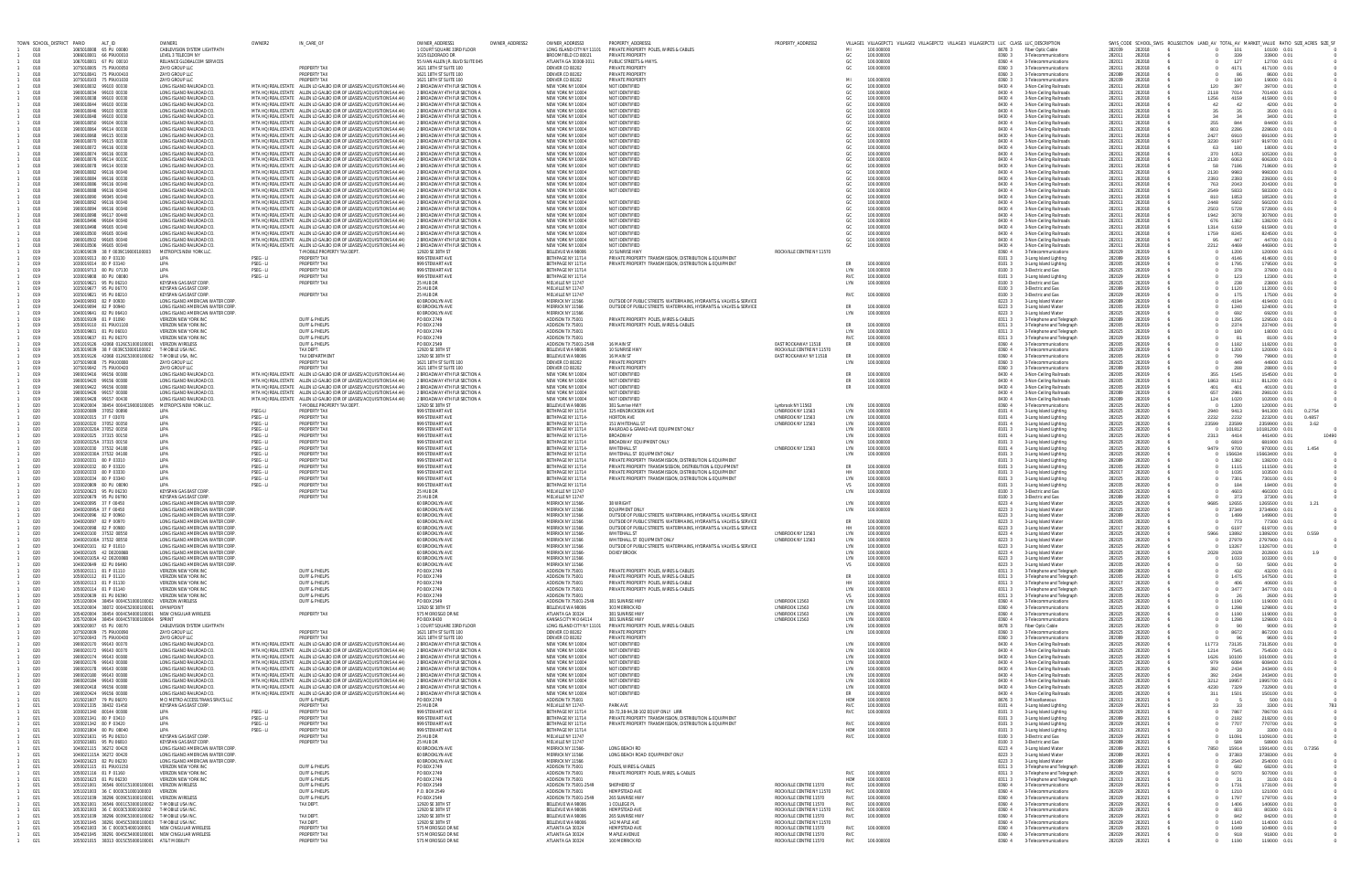| TOWN SCHOOL_DISTRICT PARID<br>018 | 1065018008 65 PU 00080                            | ALT_ID                                                                                                  | OWNFR1<br>CABLEVISION SYSTEM LIGHTPATH                                                                            | OWNER2                 | IN_CARE_OF                                                                                                                                    | OWNER_ADDRESS1<br>1 COURT SQUARE 33RD FLOOR                  | OWNER_ADDRESS2 | OWNER_ADDRESS3<br>LONG ISLAND CITY NY 11101  | PROPERTY ADDRESS1<br>PRIVATE PROPERTY POLES, WIRES & CABLES                                                                            | PROPERTY_ADDRESS2                                   | MI                       | VILLAGE1 VILLAGEPCT1 VILLAGE2 VILLAGEPCT2 VILLAGE3 VILLAGEPCT3 LUC CLASS LUC_DESCRIPTION<br>100,000000 |                  | Fiber Optic Cable                                      | 282039<br>282018                     | SWIS_CODE SCHOOL_SWIS ROLLSECTION LAND_AV TOTAL_AV MARKET_VALUE RATIO SIZE_ACRES SIZE_SI | 101            | 10100 0.01                   |                  |
|-----------------------------------|---------------------------------------------------|---------------------------------------------------------------------------------------------------------|-------------------------------------------------------------------------------------------------------------------|------------------------|-----------------------------------------------------------------------------------------------------------------------------------------------|--------------------------------------------------------------|----------------|----------------------------------------------|----------------------------------------------------------------------------------------------------------------------------------------|-----------------------------------------------------|--------------------------|--------------------------------------------------------------------------------------------------------|------------------|--------------------------------------------------------|--------------------------------------|------------------------------------------------------------------------------------------|----------------|------------------------------|------------------|
| 018                               | 1066018001 66 P9U00010                            |                                                                                                         | LEVEL 3 TELECOM NY                                                                                                |                        |                                                                                                                                               | 1025 ELDORADO DF                                             |                | BROOMFIELD CO 80021                          | PRIVATE PROPERT                                                                                                                        |                                                     | GC                       | 100,000000                                                                                             | 86783<br>8360 3  | 3-Telecommunications                                   | 282011<br>282018                     |                                                                                          | 339            | 33900 0.01                   |                  |
| 018<br>018                        | 1067018001 67 PU 00010<br>1075018005 75 P9U00050  |                                                                                                         | RELIANCE GLOBALCOM SERVICES<br>ZAYO GROUP LLC                                                                     |                        | PROPERTY TAX                                                                                                                                  | 55 IVAN ALLEN JR. BLVD SUITE 845<br>1621 18TH ST SUITE 100   |                | ATLANTA GA 30308-3011<br>DENVER CO 80202     | PUBLIC STREETS & HWYS<br><b>PRIVATE PROPERTY</b>                                                                                       |                                                     | GC<br>GC.                | 100,000000<br>100,000000                                                                               | 8360 4<br>8360 3 | 3-Telecommunications<br>3-Telecommunications           | 282011<br>282018<br>282018<br>282011 |                                                                                          | 127<br>4171    | 12700 0.01<br>417100 0.01    |                  |
| 018                               | 1075018041 75 P9U00410                            |                                                                                                         | ZAYO GROUP LL                                                                                                     |                        | <b>PROPERTY TAX</b>                                                                                                                           | 1621 18TH ST SUITE 100                                       |                | DENVER CO 80202                              | PRIVATE PROPERT                                                                                                                        |                                                     |                          |                                                                                                        | 8360             | 3-Telecommunications                                   | 282089<br>282018                     |                                                                                          |                | 8600 0.01                    |                  |
| 018<br>018                        | 1075018103 75 P9U01030<br>1900018032 99103 00330  |                                                                                                         | ZAYO GROUP LLC<br>LONG ISLAND RAILROAD CO                                                                         |                        | PROPERTY TAX<br>MTA HQ/REAL ESTATE ALLEN LO GALBO (DIR OF LEASES/ACQUISITIONS A4.44)                                                          | 1621 18TH ST SUITE 100<br>2 BROADWAY 4TH FLR SECTION A       |                | <b>DENVER CO 80202</b><br>NEW YORK NY 10004  | PRIVATE PROPERTY<br>NOT IDENTIFIED                                                                                                     |                                                     |                          | 100,000000<br>100,000000                                                                               | 8360 3<br>8430 4 | 3-Telecommunications<br>3-Non-Ceiling Railroads        | 282039<br>282018<br>282011<br>282018 | 120                                                                                      | 190<br>397     | 19000 0.01<br>39700 0.01     |                  |
| 018                               | 1900018034 99103 00330                            |                                                                                                         | LONG ISLAND RAILROAD CO                                                                                           |                        | MTA HO/REAL ESTATE ALLEN LO GALBO (DIR OF LEASES/ACQUISITIONS A4.44)                                                                          | 2 BROADWAY 4TH FLR SECTION A                                 |                | NEW YORK NY 10004                            | NOT IDENTIFIED                                                                                                                         |                                                     |                          | 100,000000                                                                                             | 8430 4           | 3-Non-Ceiling Railroads                                | 282011<br>282018                     | 2118                                                                                     | 7014           | 701400 0.01                  |                  |
| 018<br>018                        | 1900018038 99103 00330<br>1900018044 99103 00330  |                                                                                                         | LONG ISLAND RAILROAD CO<br>LONG ISLAND RAILROAD CO                                                                |                        | MTA HO/REAL ESTATE ALLEN LO GALBO (DIR OF LEASES/ACOUJISITIONS A4-44)<br>MTA HQ/REAL ESTATE ALLEN LO GALBO (DIR OF LEASES/ACQUISITIONS A4.44) | 2 BROADWAY 4TH FLR SECTION /<br>2 BROADWAY 4TH FLR SECTION A |                | NEW YORK NY 10004<br>NEW YORK NY 10004       | NOT IDENTIFIED<br>NOT IDENTIFIED                                                                                                       |                                                     |                          | 100,000000<br>100,000000                                                                               | 8430 4<br>8430 4 | 3-Non-Ceiling Railroads<br>3-Non-Ceiling Railroads     | 282011<br>282018<br>282011<br>282018 | 1256                                                                                     | 4159<br>- 42   | 415900 0.01<br>4200 0.01     |                  |
| 018                               | 1900018046 99103 00330                            |                                                                                                         | LONG ISLAND RAILROAD CO                                                                                           |                        | MTA HO/REAL ESTATE ALLEN LO GALBO (DIR OF LEASES/ACQUISITIONS A4.44)                                                                          | 2 BROADWAY 4TH FLR SECTION A                                 |                | NEW YORK NY 10004                            | NOT IDENTIFIED                                                                                                                         |                                                     |                          | 100.000000                                                                                             | 8430 4           | 3-Non-Ceiling Railroads                                | 282011<br>282018                     |                                                                                          |                | 3500 0.01                    |                  |
| 018<br>018                        | 1900018048 99103 00330<br>1900018050 99104 0033   |                                                                                                         | LONG ISLAND RAILROAD CO<br>LONG ISLAND RAILROAD CO                                                                |                        | MTA HO/REAL ESTATE ALLEN LO GALBO (DIR OF LEASES/ACOULSITIONS A4-44)<br>MTA HO/REAL ESTATE ALLEN LO GALBO (DIR OF LEASES/ACQUISITIONS A4.44)  | 2 BROADWAY 4TH FLR SECTION /<br>2 BROADWAY 4TH FLR SECTION / |                | NEW YORK NY 10004<br>NEW YORK NY 1000-       | NOT IDENTIFIED<br>NOT IDENTIFIED                                                                                                       |                                                     |                          | 100,000000<br>100.000000                                                                               | 8430 4<br>8430 4 | 3-Non-Ceiling Railroads<br>3-Non-Ceiling Railroads     | 282011<br>282018<br>282011<br>282018 | 255                                                                                      | 844            | 3400 0.01<br>84400 0.01      |                  |
| 018                               | 1900018064 99114 00330                            |                                                                                                         | LONG ISLAND RAILROAD CO                                                                                           |                        | MTA HO/REAL ESTATE ALLEN LO GALBO (DIR OF LEASES/ACQUISITIONS A4.44)                                                                          | 2 BROADWAY 4TH FLR SECTION /                                 |                | NEW YORK NY 10004                            | NOT IDENTIFIED                                                                                                                         |                                                     |                          | 100,000000                                                                                             | 8430 4           | 3-Non-Ceiling Railroads                                | 282011<br>282018                     | 803                                                                                      | 2286           | 228600 0.01                  |                  |
| 018<br>018                        | 1900018068 99115 00330<br>1900018070 99115 00330  |                                                                                                         | LONG ISLAND RAILROAD CO<br>LONG ISLAND RAILROAD CO                                                                |                        | MTA HO/REAL ESTATE ALLEN LO GALBO (DIR OF LEASES/ACQUISITIONS A4.44)<br>MTA HO/REAL ESTATE ALLEN LO GALBO (DIR OF LEASES/ACQUISITIONS A4.44)  | 2 BROADWAY 4TH FLR SECTION A<br>2 BROADWAY 4TH FLR SECTION / |                | NEW YORK NY 10004<br>NEW YORK NY 10004       | NOT IDENTIFIED<br>NOT IDENTIFIED                                                                                                       |                                                     |                          | 100,000000<br>100.000000                                                                               | 8430 4<br>8430 4 | 3-Non-Ceiling Railroads<br>3-Non-Ceiling Railroads     | 282011<br>282018<br>282011<br>282018 | 2427<br>3230                                                                             | 6910<br>9197   | 691000 0.01<br>919700 0.01   |                  |
| 018                               | 1900018072 99116 00330                            |                                                                                                         | LONG ISLAND RAILROAD CO                                                                                           |                        | MTA HO/REAL ESTATE ALLEN LO GALBO (DIR OF LEASES/ACQUISITIONS A4.44)                                                                          | 2 BROADWAY 4TH FLR SECTION A                                 |                | NEW YORK NY 10004                            | NOT IDENTIFIED                                                                                                                         |                                                     |                          | 100,000000                                                                                             | 8430 4           | 3-Non-Ceiling Railroads                                | 282011<br>282018                     |                                                                                          | 63<br>180      | 18000 0.01                   |                  |
| 018<br>018                        | 1900018074 99116 00330<br>1900018076 99114 0033   |                                                                                                         | LONG ISLAND RAILROAD CO<br>LONG ISLAND RAILROAD CO                                                                |                        | MTA HQ/REAL ESTATE ALLEN LO GALBO (DIR OF LEASES/ACQUISITIONS A4.44)<br>MTA HO/REAL ESTATE ALLEN LO GALBO (DIR OF LEASES/ACOULSITIONS A4-44)  | 2 BROADWAY 4TH FLR SECTION A<br>2 BROADWAY 4TH FLR SECTION A |                | NEW YORK NY 10004<br>NEW YORK NY 10004       | NOT IDENTIFIED<br>NOT IDENTIFIED                                                                                                       |                                                     |                          | 100,000000<br>100,000000                                                                               | 8430 4<br>8430   | 3-Non-Ceiling Railroads<br>3-Non-Ceiling Railroads     | 282011<br>282018<br>282011<br>282018 | 370<br>2130                                                                              | 1053<br>6063   | 105300 0.01<br>606300 0.01   |                  |
| 018                               | 1900018078 99114 00330                            |                                                                                                         | LONG ISLAND RAILROAD CO                                                                                           |                        | MTA HO/REAL ESTATE ALLEN LO GALBO (DIR OF LEASES/ACQUISITIONS A4.44)<br>MTA HO/REAL ESTATE ALLEN LO GALBO (DIR OF LEASES/ACOUJISITIONS A4-44) | 2 BROADWAY 4TH FLR SECTION A                                 |                | NEW YORK NY 10004                            | NOT IDENTIFIED                                                                                                                         |                                                     |                          | 100,000000                                                                                             | 8430 4           | 3-Non-Ceiling Railroads                                | 282011<br>282018                     |                                                                                          | 7186<br>58     | 718600 0.01                  |                  |
| 018<br>018                        | 1900018082 99116 00340<br>1900018084 99116 00330  |                                                                                                         | LONG ISLAND RAILROAD CO.<br>LONG ISLAND RAILROAD CO                                                               |                        | MTA HO/REAL ESTATE ALLEN LO GALBO (DIR OF LEASES/ACQUISITIONS A4.44)                                                                          | 2 BROADWAY 4TH FLR SECTION A<br>2 BROADWAY 4TH FLR SECTION / |                | NEW YORK NY 10004<br>NEW YORK NY 1000-       | NOT IDENTIFIED<br>NOT IDENTIFIED                                                                                                       |                                                     |                          | 100.000000<br>100,000000                                                                               | 8430 4<br>8430 4 | 3-Non-Ceiling Railroads<br>3-Non-Ceiling Railroads     | 282011<br>282018<br>282011<br>282018 | 2130<br>2393                                                                             | 9983<br>2393   | 998300 0.01<br>239300 0.01   |                  |
| 018                               | 1900018086 99116 00340                            |                                                                                                         | LONG ISLAND RAILROAD CO                                                                                           |                        | MTA HO/REAL ESTATE ALLEN LO GALBO (DIR OF LEASES/ACQUISITIONS A4.44)                                                                          | 2 BROADWAY 4TH FLR SECTION A                                 |                | NEW YORK NY 10004                            | NOT IDENTIFIED                                                                                                                         |                                                     |                          | 100,000000                                                                                             | 8430 4           | 3-Non-Ceiling Railroads                                | 282011<br>282018                     | 763                                                                                      | 2043           | 204300 0.01                  |                  |
| 018<br>018                        | 1900018088 99116 00340<br>1900018090 99345 0034   |                                                                                                         | LONG ISLAND RAILROAD CO<br>LONG ISLAND RAILROAD CO                                                                |                        | MTA HO/REAL ESTATE ALLEN LO GALBO (DIR OF LEASES/ACQUISITIONS A4.44)<br>MTA HO/REAL ESTATE ALLEN LO GALBO (DIR OF LEASES/ACQUISITIONS A4.44)  | 2 BROADWAY 4TH FLR SECTION /<br>2 BROADWAY 4TH FLR SECTION / |                | NEW YORK NY 10004<br>NEW YORK NY 1000-       | NOT IDENTIFIED                                                                                                                         |                                                     |                          | 100,000000<br>100.000000                                                                               | 8430 4<br>8430   | 3-Non-Ceiling Railroads<br>3-Non-Ceiling Railroads     | 282011<br>282018<br>282011<br>282018 | 2549<br>810                                                                              | 5833<br>1853   | 583300 0.01<br>185300 0.01   |                  |
| 018                               | 1900018092 99116 00340                            |                                                                                                         | LONG ISLAND RAILROAD CO                                                                                           |                        | MTA HO/REAL ESTATE ALLEN LO GALBO (DIR OF LEASES/ACQUISITIONS A4.44)                                                                          | 2 BROADWAY 4TH FLR SECTION /                                 |                | NEW YORK NY 10004                            | NOT IDENTIFIED                                                                                                                         |                                                     |                          | 100,000000                                                                                             | 8430 4           | 3-Non-Ceiling Railroads                                | 282011<br>282018                     | 2448                                                                                     | 5602           | 560200 0.01                  |                  |
| 018<br>018                        | 1900018094 99116 00340<br>1900018098 99117 00440  |                                                                                                         | LONG ISLAND RAILROAD CO<br>LONG ISLAND RAILROAD CO.                                                               |                        | MTA HQ/REAL ESTATE ALLEN LO GALBO (DIR OF LEASES/ACQUISITIONS A4.44)<br>MTA HO/REAL ESTATE ALLEN LO GALBO (DIR OF LEASES/ACQUISITIONS A4.44)  | 2 BROADWAY 4TH FLR SECTION A<br>2 BROADWAY 4TH FLR SECTION A |                | NEW YORK NY 10004<br>NEW YORK NY 10004       | NOT IDENTIFIED<br>NOT IDENTIFIED                                                                                                       |                                                     |                          | 100,000000<br>100.000000                                                                               | 8430 4<br>8430 4 | 3-Non-Ceiling Railroads<br>3-Non-Ceiling Railroads     | 282011<br>282018<br>282011<br>282018 | 2503<br>1942                                                                             | 5728<br>3078   | 572800 0.01<br>307800 0.01   |                  |
| 018                               | 1900018496 99164 00340                            |                                                                                                         | LONG ISLAND RAILROAD CO                                                                                           |                        | MTA HO/REAL ESTATE ALLEN LO GALBO (DIR OF LEASES/ACQUISITIONS A4.44)                                                                          | 2 BROADWAY 4TH FLR SECTION /                                 |                | NEW YORK NY 10004                            | NOT IDENTIFIED                                                                                                                         |                                                     |                          | 100,000000                                                                                             | 8430 4           | 3-Non-Ceiling Railroads                                | 282011<br>282018                     | 676                                                                                      | 1382           | 138200 0.01                  |                  |
| 018<br>018                        | 1900018498 99165 0034<br>1900018500 99165 00340   |                                                                                                         | LONG ISLAND RAILROAD CO<br>LONG ISLAND RAILROAD CO                                                                |                        | MTA HO/REAL ESTATE ALLEN LO GALBO (DIR OF LEASES/ACQUISITIONS A4.44)<br>MTA HO/REAL ESTATE ALLEN LO GALBO (DIR OF LEASES/ACQUISITIONS A4.44)  | 2 BROADWAY 4TH FLR SECTION A<br>2 BROADWAY 4TH FLR SECTION A |                | NEW YORK NY 1000-<br>NEW YORK NY 10004       | NOT IDENTIFIED<br>NOT IDENTIFIED                                                                                                       |                                                     |                          | 100.000000<br>100,000000                                                                               | 8430 4<br>8430 4 | 3-Non-Ceiling Railroads<br>3-Non-Ceiling Railroads     | 282011<br>282018<br>282011<br>282018 | 1314<br>1759                                                                             | 6159<br>8245   | 615900 0.01<br>824500 0.01   |                  |
| 018                               | 1900018502 99165 00340                            |                                                                                                         | LONG ISLAND RAILROAD CO                                                                                           |                        | MTA HO/REAL ESTATE ALLEN LO GALBO (DIR OF LEASES/ACQUISITIONS A4.44)                                                                          | 2 BROADWAY 4TH FLR SECTION A                                 |                | NEW YORK NY 10004                            | NOT IDENTIFIED                                                                                                                         |                                                     |                          | 100,000000                                                                                             | 8430 4           | 3-Non-Ceiling Railroads                                | 282011<br>282018                     |                                                                                          | 447            | 44700 0.01                   |                  |
| 018<br>019                        | 1900018506 99165 00340                            | 1019019039 38 F 0039C19000100003                                                                        | LONG ISLAND RAILROAD CO<br>METROPCS NEW YORK LLC                                                                  |                        | MTA HO/REAL ESTATE ALLEN LO GALBO (DIR OF LEASES/ACQUISITIONS A4.44)<br>T-MOBILE PROPERTY TAX DEPT                                            | 2 BROADWAY 4TH FLR SECTION A<br>12920 SE 38TH ST             |                | NEW YORK NY 1000-<br>BELLEVUE WA 98006       | NOT IDENTIFIED<br>10 SUNRISE HWY                                                                                                       | ROCKVILLE CENTRE NY 11570                           |                          | 100,000000                                                                                             | 8430 4<br>8360 4 | 3-Non-Ceiling Railroads<br>3-Telecommunications        | 282011<br>282018<br>282029<br>282019 | 2212                                                                                     | 4469<br>1200   | 446900 0.01<br>120000 0.01   |                  |
| 019                               | 1030019313 80 P 03130                             |                                                                                                         | LIPA                                                                                                              | PSEG - LI              | <b>PROPERTY TAX</b>                                                                                                                           | 999 STEWART AVE                                              |                | BETHPAGE NY 11714                            | PRIVATE PROPERTY TRANSMISSION, DISTRIBUTION & EQUIPMENT                                                                                |                                                     |                          |                                                                                                        | 8101 3           | 3-Long Island Lighting                                 | 282089<br>282019                     |                                                                                          | 4146           | 414600 0.01                  |                  |
| 019<br>019                        | 1030019314 80 P 03140<br>1030019713 80 PU 07130   |                                                                                                         | LIPA<br>LIPA                                                                                                      | PSEG - LI<br>PSEG - LI | PROPERTY TAX<br>PROPERTY TAX                                                                                                                  | 999 STEWART AVE<br>999 STEWART AVI                           |                | BETHPAGE NY 1171<br>BETHPAGE NY 1171         | PRIVATE PROPERTY TRANSMISSION, DISTRIBUTION & EQUIPMENT                                                                                |                                                     | ER<br>LYN                | 100,000000<br>100,000000                                                                               | 8101<br>8100     | 3-Long Island Lighting<br>3-Electric and Gas           | 282005<br>282019<br>282025<br>282019 |                                                                                          | 1795<br>378    | 179500 0.01<br>37800 0.01    |                  |
| 019                               | 1030019808 80 PU 08080                            |                                                                                                         | <b>IIPA</b>                                                                                                       | PSEG - LI              | PROPERTY TAX                                                                                                                                  | 999 STEWART AVE                                              |                | BETHPAGE NY 11714                            |                                                                                                                                        |                                                     | RVC                      | 100,000000                                                                                             | 8101 3           | 3-Long Island Lighting                                 | 282019<br>282029                     |                                                                                          | 123            | 12300 0.01                   |                  |
| 019<br>019                        | 1035019621 95 PU 0621<br>1035019677 95 PU 06770   |                                                                                                         | KEYSPAN GAS EAST CORP.<br><b>KEYSPAN GAS EAST CORP</b>                                                            |                        | PROPERTY TAX                                                                                                                                  | 25 HUB DR<br>25 HUB DR                                       |                | MELVILLE NY 11747<br>MELVILLE NY 11747       |                                                                                                                                        |                                                     | <b>LYN</b>               | 100,000000                                                                                             | 8100<br>8100 3   | 3-Electric and Gas<br>3-Electric and Gas               | 282025<br>282019<br>282089<br>282019 |                                                                                          | 238<br>1120    | 23800 0.01<br>112000 0.01    |                  |
| 019                               | 1035019821 95 PU 0821                             |                                                                                                         | KEYSPAN GAS EAST CORP.                                                                                            |                        | PROPERTY TAX                                                                                                                                  | 25 HUB DR                                                    |                | MELVILLE NY 11747                            |                                                                                                                                        |                                                     | <b>RVC</b>               | 100,000000                                                                                             | 8100             | 3-Electric and Gas                                     | 282029<br>282019                     |                                                                                          | 175            | 17500 0.01                   |                  |
| 019<br>019                        | 1040019093 82 P 00930<br>1040019094 82 P 00940    |                                                                                                         | LONG ISLAND AMERICAN WATER CORF<br>LONG ISLAND AMERICAN WATER CORE                                                |                        |                                                                                                                                               | 60 BROOKLYN AV<br>60 BROOKLYN AVE                            |                | MERRICK NY 11566<br>MERRICK NY 11566         | OUTSIDE OF PUBLIC STREETS WATERMAINS. HYDRANTS & VALVES & SERVICE<br>OUTSIDE OF PUBLIC STREETS WATERMAINS, HYDRANTS & VALVES & SERVICE |                                                     | ER                       | 100,000000                                                                                             | 8223<br>8223     | 3-Long Island Water<br>3-Long Island Water             | 282089<br>282019<br>282005<br>282019 |                                                                                          | 4194<br>1240   | 419400 0.01<br>124000 0.01   |                  |
| 019                               | 1040019641 82 PU 06410                            |                                                                                                         | LONG ISLAND AMERICAN WATER CORP.                                                                                  |                        |                                                                                                                                               | 60 BROOKLYN AVE                                              |                | MERRICK NY 11566                             |                                                                                                                                        |                                                     | <b>LYN</b>               | 100.000000                                                                                             | 8223 3           | 3-Long Island Water                                    | 282025<br>282019                     |                                                                                          | 692            | 69200 0.01                   |                  |
| 019<br>019                        | 1050019109 81 P 01090<br>1050019110 81 P9U01100   |                                                                                                         | VERIZON NEW YORK INC<br><b>VERIZON NEW YORK IN</b>                                                                |                        | DUFF & PHELPS<br>DUFF & PHELPS                                                                                                                | PO BOX 2749<br>PO BOX 2749                                   |                | ADDISON TX 75001<br>ADDISON TX 75001         | PRIVATE PROPERTY POLES, WIRES & CABLES<br>PRIVATE PROPERTY POLES, WIRES & CABLES                                                       |                                                     | FR.                      | 100,000000                                                                                             | 8311<br>8311 3   | 3-Telephone and Telegraph<br>3-Telephone and Telegraph | 282089<br>282019<br>282005<br>282019 |                                                                                          | 1295<br>2374   | 129500 0.01<br>237400 0.01   |                  |
| 019                               | 1050019601 81 PU 06010                            |                                                                                                         | <b>VERIZON NEW YORK INC</b>                                                                                       |                        | DUFF & PHELPS                                                                                                                                 | PO BOX 2749                                                  |                | ADDISON TX 75001                             |                                                                                                                                        |                                                     | <b>LYN</b>               | 100,000000                                                                                             | 8311             | 3-Telephone and Telegraph                              | 282025<br>282019                     |                                                                                          | 180            | 18000 0.01                   |                  |
| 019<br>019                        | 1050019637 81 PU 06370                            | 1051019126  42068  0126C51000100001  VERIZON WIRELESS                                                   | <b>VERIZON NEW YORK IN</b>                                                                                        |                        | DUFF & PHELPS<br><b>DUFF &amp; PHELPS</b>                                                                                                     | PO BOX 2749<br>PO BOX 2549                                   |                | ADDISON TX 75001<br>ADDISON TX 75001-2549    | 16 MAIN ST                                                                                                                             | EAST ROCKAWAY 11518                                 | RVC<br>ER                | 100,000000<br>100,000000                                                                               | 83113<br>8360 4  | 3-Telephone and Telegraph<br>3-Telecommunications      | 282029<br>282019<br>282005<br>282019 |                                                                                          | 1182           | 8100 0.01<br>118200 0.01     |                  |
| 019                               |                                                   | 1053019039 38 F 0039C53000100002 T-MOBILE USA INC                                                       |                                                                                                                   |                        | TAX DEPT.                                                                                                                                     | 12920 SE 38TH S                                              |                | BELLEVUE WA 98006                            | 10 SUNRISE HWY                                                                                                                         | ROCKVILLE CENTRE NY 11570                           |                          |                                                                                                        | 8360 4           | 3-Telecommunications                                   | 282029<br>282019                     |                                                                                          | 1200           | 120000 0.01                  |                  |
| 019<br>019                        | 1075019008 75 P9U00080                            | 1053019126  42068  0126C53000100002  T-MOBILE USA, INC                                                  | <b>ZAYO GROUP LLC</b>                                                                                             |                        | TAX DEPARTMENT<br>PROPERTY TAX                                                                                                                | 12920 SE 38TH ST<br>1621 18TH ST SUITE 100                   |                | BELLEVUE WA 98006<br><b>DENVER CO 80202</b>  | 16 MAIN ST<br>PRIVATE PROPERT                                                                                                          | EAST ROCKAWAY NY 11518                              | ER<br>LYN                | 100,000000<br>100,000000                                                                               | 8360 4<br>8360 3 | 3-Telecommunications<br>3-Telecommunications           | 282005<br>282019<br>282025<br>282019 |                                                                                          | 799<br>449     | 79900 0.01<br>44900 0.01     |                  |
| 019                               | 1075019042 75 P9U00420                            |                                                                                                         | ZAYO GROUP LL                                                                                                     |                        | <b>PROPERTY TAX</b>                                                                                                                           | 1621 18TH ST SUITE 100                                       |                | DENVER CO 80202                              | PRIVATE PROPERT                                                                                                                        |                                                     |                          |                                                                                                        | 8360             | 3-Telecommunications                                   | 282089<br>282019                     |                                                                                          | 288            | 28800 0.01                   |                  |
| 019<br>019                        | 1900019416 99156 00380<br>1900019420 99156 00380  |                                                                                                         | LONG ISLAND RAILROAD CO<br>LONG ISLAND RAILROAD CO                                                                |                        | MTA HO/REAL ESTATE ALLEN LO GALBO (DIR OF LEASES/ACQUISITIONS A4.44)<br>MTA HQ/REAL ESTATE ALLEN LO GALBO (DIR OF LEASES/ACQUISITIONS A4.44)  | 2 BROADWAY 4TH FLR SECTION /<br>2 BROADWAY 4TH FLR SECTION A |                | NEW YORK NY 10004<br>NEW YORK NY 10004       | NOT IDENTIFIED<br>NOT IDENTIFIED                                                                                                       |                                                     | ER<br>ER                 | 100,000000<br>100,000000                                                                               | 8430 4<br>8430 4 | 3-Non-Ceiling Railroads<br>3-Non-Ceiling Railroads     | 282005<br>282019<br>282005<br>282019 | 355<br>1863                                                                              | 1545<br>8112   | 154500 0.01<br>811200 0.01   |                  |
| 019                               | 1900019422 99156 0038                             |                                                                                                         | LONG ISLAND RAILROAD CI                                                                                           |                        | MTA HO/REAL ESTATE ALLEN LO GALBO (DIR OF LEASES/ACQUISITIONS A4.44)                                                                          | 2 BROADWAY 4TH FLR SECTION /                                 |                | NEW YORK NY 1000-                            | NOT IDENTIFIED                                                                                                                         |                                                     | ER                       | 100,000000                                                                                             | 8430 4           | 3-Non-Ceiling Railroads                                | 282005<br>282019                     | 401                                                                                      | 401            | 40100 0.01                   |                  |
| 019<br>019                        | 1900019426 99157 00380<br>1900019428 99157 00430  |                                                                                                         | LONG ISLAND RAILROAD CO<br>LONG ISLAND RAILROAD CO                                                                |                        | MTA HO/REAL ESTATE ALLEN LO GALBO (DIR OF LEASES/ACQUISITIONS A4.44)<br>MTA HQ/REAL ESTATE ALLEN LO GALBO (DIR OF LEASES/ACQUISITIONS A4.44)  | 2 BROADWAY 4TH FLR SECTION A<br>2 BROADWAY 4TH FLR SECTION A |                | NEW YORK NY 10004<br>NEW YORK NY 10004       | NOT IDENTIFIED<br>NOT IDENTIFIED                                                                                                       |                                                     |                          |                                                                                                        | 8430 4<br>8430 4 | 3-Non-Ceiling Railroads<br>3-Non-Ceiling Railroads     | 282089<br>282019<br>282089<br>282019 | 657<br>124                                                                               | 2981<br>1020   | 298100 0.01<br>102000 0.01   |                  |
| 020                               |                                                   |                                                                                                         | 1019020004 38454 0004C19000100005 METROPCS NEW YORK LLC                                                           |                        | <b>T-MOBILE PROPERTY TAX DEPT</b>                                                                                                             | 12920 SE 38TH S                                              |                | BELLEVUE WA 98006                            | 381 Sunrise HW                                                                                                                         | Lynbrook NY 11563                                   | LYN                      | 100,000000                                                                                             | 8360             | 3-Telecommunications                                   | 282025<br>282020                     |                                                                                          | 1200           | 120000 0.01                  |                  |
| 020<br>020                        | 1030020089 37052 00890<br>1030020315 37 F 03070   |                                                                                                         | I IPA<br>LIPA                                                                                                     | PSEG-LL<br>PSEG - LI   | <b>PROPERTY TAX</b><br>PROPERTY TAX                                                                                                           | 999 STEWART AVI<br>999 STEWART AVE                           |                | BETHPAGE NY 11714<br>BETHPAGE NY 11714-      | 325 HENDRICKSON AVE<br><b>HORTON AVE</b>                                                                                               | LYNBROOK NY 11563<br>LYNBROOK NY 11563              | LYN<br><b>LYN</b>        | 100,000000<br>100.000000                                                                               | 8101 4<br>8101 4 | 3-Long Island Lighting<br>3-Long Island Lighting       | 282025<br>282020<br>282025<br>282020 | 2940<br>2232                                                                             | 9413<br>2232   | 941300 0.01<br>223200 0.01   | 0.2754<br>0.4857 |
| 020                               | 1030020320 37052 00350                            |                                                                                                         | LIPA                                                                                                              | PSEG - LI              | PROPERTY TAX                                                                                                                                  | 999 STEWART AVE                                              |                | BETHPAGE NY 11714-                           | 151 WHITEHALL ST                                                                                                                       | LYNBROOK NY 11563                                   | LYN                      | 100.000000                                                                                             | 8101 4           | 3-Long Island Lighting                                 | 282025<br>282020                     | 23599                                                                                    | 23599          | 2359900 0.01                 | 3.62             |
| 020<br>020                        | 1030020320A 37052 00350<br>1030020325 37315 00150 |                                                                                                         | LIPA<br>LIPA                                                                                                      | PSEG - LI<br>PSEG - LI | PROPERTY TAX<br>PROPERTY TAX                                                                                                                  | 999 STEWART AVE<br>999 STEWART AVE                           |                | BETHPAGE NY 11714<br>BETHPAGE NY 11714-      | RAILROAD & GRAND AVE EQUIPMENT ONLY<br><b>BROADWAY</b>                                                                                 |                                                     | LYN<br>LYN               | 100,000000<br>100,000000                                                                               | 8101 3<br>8101 4 | 3-Long Island Lighting<br>3-Long Island Lighting       | 282025<br>282020<br>282025<br>282020 | 2313                                                                                     | 101812<br>4414 | 10181200 0.01<br>441400 0.01 | 10490            |
| 020                               | 1030020325A 37315 00150                           |                                                                                                         | LIPA                                                                                                              | PSEG - LI              | PROPERTY TAX                                                                                                                                  | 999 STEWART AVE                                              |                | BETHPAGE NY 11714                            | BROADWAY EQUIPMENT ONLY                                                                                                                |                                                     | LYN                      | 100,000000                                                                                             | 8101             | 3-Long Island Lighting                                 | 282025<br>282020                     |                                                                                          | 6819           | 681900 0.01                  |                  |
| 020<br>020                        | 1030020330 37532 04180<br>1030020330A 37532 04180 |                                                                                                         | LIPA<br>LIPA                                                                                                      | PSEG - LI<br>PSEG - LI | <b>PROPERTY TAX</b><br>PROPERTY TAX                                                                                                           | 999 STEWART AVE<br>999 STEWART AVE                           |                | BETHPAGE NY 11714<br>BETHPAGE NY 11714       | <b>WHITFHALL ST</b><br>WHITEHALL ST_EQUIPMENT ONLY                                                                                     | LYNBROOK NY 11563                                   | LYN<br><b>LYN</b>        | 100,000000<br>100,000000                                                                               | 8101 4<br>8101   | 3-Long Island Lighting<br>3-Long Island Lighting       | 282025<br>282020<br>282025<br>282020 | 9479                                                                                     | 9700<br>56634  | 970000 0.01<br>15663400 0.01 | 1.454            |
| 020                               | 1030020331 80 P 03310                             |                                                                                                         | LIPA                                                                                                              | PSEG - LI              | PROPERTY TAX                                                                                                                                  | 999 STEWART AVE                                              |                | BETHPAGE NY 11714                            | PRIVATE PROPERTY TRANSMISSION, DISTRIBUTION & EQUIPMENT                                                                                |                                                     |                          |                                                                                                        | 8101             | 3-Long Island Lighting                                 | 282089<br>282020                     |                                                                                          | 1382           | 138200 0.01                  |                  |
| 020<br>020                        | 1030020332 80 P 03320<br>1030020333 80 P 03330    |                                                                                                         | <b>I IPA</b><br>LIPA                                                                                              | PSEG - L<br>PSEG - L   | <b>PROPERTY TAX</b><br>PROPERTY TAX                                                                                                           | 999 STFWART AVI<br>999 STEWART AV                            |                | <b>BETHPAGE NY 11714</b><br>BETHPAGE NY 1171 | PRIVATE PROPERTY TRANSMSISSION. DISTRIBUTION & EQUIPMENT<br>PRIVATE PROPERTY TRANSMISSION. DISTRIBUTION & EQUIPMEN                     |                                                     | FR.                      | 100,000000<br>100.000000                                                                               | 8101<br>8101     | 3-Long Island Lighting<br>3-Long Island Lighting       | 282020<br>282005<br>282017<br>282020 |                                                                                          | 1115<br>1035   | 111500 0.01<br>103500 0.01   |                  |
| 020                               | 1030020334 80 P 03340                             |                                                                                                         | LIPA                                                                                                              | PSEG - LI              | PROPERTY TAX                                                                                                                                  | 999 STEWART AVI                                              |                | BETHPAGE NY 11714                            | PRIVATE PROPERTY TRANSMISSION, DISTRIBUTION & EQUIPMENT                                                                                |                                                     | LYN                      | 100,000000                                                                                             | 8101             | 3-Long Island Lighting                                 | 282025<br>282020                     |                                                                                          | 7301           | 730100 0.01                  |                  |
| 020<br>020                        | 1030020809 80 PU 08090<br>1035020623 95 PU 06230  |                                                                                                         | <b>IIPA</b><br>KEYSPAN GAS EAST CORP.                                                                             | PSEG - LI              | PROPERTY TAX<br>PROPERTY TAX                                                                                                                  | 999 STEWART AVE<br>25 HUB DR                                 |                | BETHPAGE NY 11714<br>MELVILLE NY 11747       |                                                                                                                                        |                                                     | VS.<br><b>LYN</b>        | 100,000000<br>100,000000                                                                               | 8101<br>8100 3   | 3-Long Island Lighting<br>3-Electric and Gas           | 282020<br>282035<br>282025<br>282020 |                                                                                          | 184<br>4603    | 18400 0.01<br>460300 0.01    |                  |
| 020                               | 1035020679 95 PU 06790                            |                                                                                                         | KEYSPAN GAS EAST CORP.                                                                                            |                        | PROPERTY TAX                                                                                                                                  | 25 HUB DR                                                    |                | MELVILLE NY 1174                             |                                                                                                                                        |                                                     |                          |                                                                                                        | 8100 3           | 3-Electric and Gas                                     | 282089<br>282020                     |                                                                                          | 373            | 37300 0.01                   |                  |
| 020<br>020                        | 1040020095 37 F 00450<br>1040020095A 37 F 00450   |                                                                                                         | LONG ISLAND AMERICAN WATER CORF<br>LONG ISLAND AMERICAN WATER CORF                                                |                        |                                                                                                                                               | 60 BROOKLYN AVI<br>60 BROOKLYN AV                            |                | MERRICK NY 11566<br>MERRICK NY 11566         | 38 WRIGHT<br>EQUIPMENT ONLY                                                                                                            |                                                     | <b>LYN</b><br><b>LYN</b> | 100.000000<br>100,000000                                                                               | 8223 4<br>8223   | 3-Long Island Wate<br>3-Long Island Water              | 282025<br>282020<br>282025<br>282020 | 9685                                                                                     | 12655<br>37349 | 1265500 0.01<br>3734900 0.01 | 1.21             |
| 020                               | 1040020096 82 P 00960                             |                                                                                                         | LONG ISLAND AMERICAN WATER CORE                                                                                   |                        |                                                                                                                                               | 60 BROOKLYN AVI                                              |                | MERRICK NY 11566                             | OUTSIDE OF PUBLIC STREETS, WATERMAINS, HYDRANTS & VALVES & SERVICE                                                                     |                                                     |                          |                                                                                                        | 8223             | 3-Long Island Water                                    | 282089<br>282020                     |                                                                                          | 1499           | 149900 0.01                  |                  |
| 020<br>020                        | 1040020097 82 P 00970<br>1040020098 82 P 00980    |                                                                                                         | LONG ISLAND AMERICAN WATER CORP.<br>LONG ISLAND AMERICAN WATER CORF                                               |                        |                                                                                                                                               | 60 BROOKLYN AVE<br>60 BROOKLYN AV                            |                | MERRICK NY 11566<br>MERRICK NY 11566         | OUTSIDE OF PUBLIC STREETS WATERMAINS. HYDRANTS & VALVES & SERVICE<br>OUTSIDE OF PUBLIC STREETS WATERMAINS, HYDRANTS & VALVES & SERVICE |                                                     | ER<br>HH                 | 100,000000<br>100,000000                                                                               | 8223 3<br>8223   | 3-Long Island Water<br>3-Long Island Water             | 282005<br>282020<br>282017<br>282020 |                                                                                          | 773<br>6197    | 77300 0.01<br>619700 0.01    |                  |
| 020                               | 1040020100 37532 08550                            |                                                                                                         | LONG ISLAND AMERICAN WATER CORF                                                                                   |                        |                                                                                                                                               | 60 BROOKLYN AVI                                              |                | MERRICK NY 11566-                            | WHITFHALL ST                                                                                                                           | LYNBROOK NY 11563                                   | LYN                      | 100,000000                                                                                             | 82234            | 3-Long Island Water                                    | 282025<br>282020                     | 5966                                                                                     | 13892          | 1389200 0.01                 |                  |
| 020<br>020                        | 1040020100A 37532 08550<br>1040020101 82 P 01010  |                                                                                                         | LONG ISLAND AMERICAN WATER CORP.<br>LONG ISLAND AMERICAN WATER CORI                                               |                        |                                                                                                                                               | 60 BROOKLYN AVI<br>60 BROOKLYN AV                            |                | MERRICK NY 11566<br>MERRICK NY 11566         | WHITEHALL ST EQUIPMENT ONLY<br>OUTSIDE OF PUBLIC STREETS WATERMAINS, HYDRANTS & VALVES & SERVICE                                       | LYNBROOK NY 11563                                   | LYN<br>LYN               | 100,000000<br>100.000000                                                                               | 8223 3<br>8223   | 3-Long Island Water<br>3-Long Island Water             | 282025<br>282020<br>282020<br>282025 |                                                                                          | 27979<br>13267 | 2797900 0.01<br>1326700 0.01 |                  |
| 020                               | 1040020105  42 D020086B                           |                                                                                                         | LONG ISLAND AMERICAN WATER CORF                                                                                   |                        |                                                                                                                                               | 60 BROOKLYN AVI                                              |                | MERRICK NY 11566-                            | DOXEY BROOK                                                                                                                            |                                                     | LYN                      | 100,000000                                                                                             | 8223 4           | 3-Long Island Water                                    | 282025<br>282020                     | 2028                                                                                     | 2028           | 202800 0.01                  | 1.9              |
| 020<br>020                        | 1040020105A 42 D020086E<br>1040020649 82 PU 06490 |                                                                                                         | LONG ISLAND AMERICAN WATER CORE<br>LONG ISLAND AMERICAN WATER CORP                                                |                        |                                                                                                                                               | 60 BROOKLYN AVI<br>60 BROOKLYN AVE                           |                | MERRICK NY 11566<br>MERRICK NY 11566         |                                                                                                                                        |                                                     | <b>LYN</b><br>VS         | 100,000000<br>100.000000                                                                               | 8223 3<br>8223 3 | 3-Long Island Water<br>3-Long Island Water             | 282025<br>282020<br>282035<br>282020 |                                                                                          | 1033<br>50     | 103300 0.01<br>5000 0.01     |                  |
| 020                               | 1050020111 81 P 01110                             |                                                                                                         | <b>VERIZON NEW YORK INC</b>                                                                                       |                        | <b>DUFF &amp; PHELPS</b>                                                                                                                      | PO BOX 2749                                                  |                | ADDISON TX 75001                             | PRIVATE PROPERTY POLES, WIRES & CABLES                                                                                                 |                                                     |                          |                                                                                                        | 8311 3           | 3-Telephone and Telegraph                              | 282089<br>282020                     |                                                                                          | 432            | 43200 0.01                   |                  |
| 020<br>020                        | 1050020112 81 P 01120<br>1050020113 81 P 01130    |                                                                                                         | <b>VERIZON NEW YORK IN</b><br><b>VERIZON NEW YORK INC</b>                                                         |                        | DUFF & PHELPS<br>DUFF & PHELPS                                                                                                                | PO BOX 2749<br>PO BOX 2749                                   |                | ADDISON TX 75001<br>ADDISON TX 75001         | PRIVATE PROPERTY POLES. WIRES & CABLES<br>PRIVATE PROPERTY POLES, WIRES & CABLE                                                        |                                                     | ER<br>HH                 | 00.000000<br>100,000000                                                                                | 8311<br>83113    | 3-Telephone and Telegraph<br>3-Telephone and Telegraph | 282005<br>282020<br>282017<br>282020 |                                                                                          | 1475<br>406    | 147500 0.01<br>40600 0.01    |                  |
| 020                               | 1050020114 81 P 01140                             |                                                                                                         | <b>VERIZON NEW YORK INC</b>                                                                                       |                        | DUFF & PHELPS                                                                                                                                 | PO BOX 2749                                                  |                | ADDISON TX 75001                             | PRIVATE PROPERTY POLES, WIRES & CABLES                                                                                                 |                                                     | <b>LYN</b>               | 100,000000                                                                                             | 8311 3           | 3-Telephone and Telegraph                              | 282025<br>282020                     |                                                                                          | 3477           | 347700 0.01                  |                  |
| 020<br>020                        | 1050020639 81 PU 06390                            | 1051020004 38454 0004C51000100002 VERIZON WIRELESS                                                      | <b>VERIZON NEW YORK INC</b>                                                                                       |                        | DUFF & PHELPS<br><b>DUFF &amp; PHELPS</b>                                                                                                     | PO BOX 2749<br>PO BOX 2549                                   |                | ADDISON TX 75001<br>ADDISON TX 75001-2549    | 381 SUNRISE HWY                                                                                                                        | LYNBROOK 11563                                      | VS<br>LYN                | 100,000000<br>100,000000                                                                               | 8311 3<br>8360 4 | 3-Telephone and Telegraph<br>3-Telecommunications      | 282035<br>282020<br>282025<br>282020 |                                                                                          | 1190           | 2600 0.01<br>119000 0.01     |                  |
| 020                               |                                                   | 1052020004 38072 0004C52000100001 OMNIPOINT                                                             |                                                                                                                   |                        |                                                                                                                                               | 12920 SE 38TH ST                                             |                | BELLEVUE WA 98006                            | 303 MERRICK RD                                                                                                                         | LYNBROOK 11563                                      | <b>LYN</b>               | 100,000000                                                                                             | 8360 4           | 3-Telecommunications                                   | 282025<br>282020                     |                                                                                          | 1298           | 129800 0.01                  |                  |
| 020<br>020                        |                                                   | 1057020004 38454 0004C57000100004 SPRINT                                                                | 1054020004 38454 0004C54000100001 NEW CINGULAR WIRELESS                                                           |                        | PROPERTY TAX                                                                                                                                  | 575 MOROSGO DR NI<br>PO BOX 8430                             |                | ATLANTA GA 30324<br>KANSAS CITY MO 64114     | 381 SUNRISE HWY<br>381 SUNRISE HWY                                                                                                     | LYNBROOK 11563<br>LYNBROOK 11563                    | LYN<br>LYN               | 100,000000<br>100.000000                                                                               | 8360 4<br>8360 4 | 3-Telecommunications<br>3-Telecommunications           | 282025<br>282020<br>282025<br>282020 |                                                                                          | 1190<br>1298   | 119000 0.01<br>129800 0.01   |                  |
| 020<br>020                        | 1065020007 65 PU 00070<br>1075020009 75 P9U00090  |                                                                                                         | CABLEVISION SYSTEM LIGHTPATH<br>ZAYO GROUP LLC                                                                    |                        | PROPERTY TAX                                                                                                                                  | 1 COURT SQUARE 33RD FLOOR<br>1621 18TH ST SUITE 100          |                | LONG ISLAND CITY NY 11101<br>DENVER CO 80202 | PRIVATE PROPERTY POLES, WIRES & CABLES<br>PRIVATE PROPERTY                                                                             |                                                     | LYN<br><b>LYN</b>        | 100,000000<br>100,000000                                                                               | 8678 3<br>8360   | Fiber Optic Cable<br>3-Telecommunication               | 282025<br>282020<br>282025<br>282020 |                                                                                          | - 90<br>8672   | 9000 0.01                    |                  |
| 020                               | 1075020043 75 P9U00430                            |                                                                                                         | ZAYO GROUP LLC                                                                                                    |                        | PROPERTY TAX                                                                                                                                  | 1621 18TH ST SUITE 100                                       |                | DENVER CO 80202                              | PRIVATE PROPERTY                                                                                                                       |                                                     |                          |                                                                                                        | 8360 3           | 3-Telecommunications                                   | 282089<br>282020                     |                                                                                          | - 96           | 867200 0.01<br>9600 0.01     |                  |
| 020<br>020                        | 1900020170 99143 00370<br>1900020172 99143 00370  |                                                                                                         | LONG ISLAND RAILROAD CO<br>LONG ISLAND RAILROAD CO                                                                |                        | MTA HQ/REAL ESTATE ALLEN LO GALBO (DIR OF LEASES/ACQUISITIONS A4.44)<br>MTA HO/REAL ESTATE ALLEN LO GALBO (DIR OF LEASES/ACQUISITIONS A4.44)  | 2 BROADWAY 4TH FLR SECTION A<br>2 BROADWAY 4TH FLR SECTION A |                | NEW YORK NY 10004<br>NEW YORK NY 10004       | NOT IDENTIFIED<br>NOT IDENTIFIED                                                                                                       |                                                     | <b>LYN</b><br>LYN        | 100,000000<br>100.000000                                                                               | 8430 4<br>8430 4 | 3-Non-Ceiling Railroads<br>3-Non-Ceiling Railroads     | 282025<br>282020<br>282025<br>282020 | 11773<br>1214                                                                            | 73135<br>7545  | 7313500 0.01<br>754500 0.01  |                  |
| 020                               | 1900020174 99143 00380                            |                                                                                                         | LONG ISLAND RAILROAD CO                                                                                           |                        | MTA HO/REAL ESTATE ALLEN LO GALBO (DIR OF LEASES/ACQUISITIONS A4.44)                                                                          | 2 BROADWAY 4TH FLR SECTION A                                 |                | NEW YORK NY 10004                            | NOT IDENTIFIED                                                                                                                         |                                                     | LYN                      | 100,000000                                                                                             | 8430 4           | 3-Non-Ceiling Railroads                                | 282025<br>282020                     | 1626                                                                                     | 10100          | 1010000 0.01                 |                  |
| 020<br>020                        | 1900020176 99143 00380<br>1900020178 99143 00380  |                                                                                                         | LONG ISLAND RAILROAD CO<br>LONG ISLAND RAILROAD CO                                                                |                        | MTA HQ/REAL ESTATE ALLEN LO GALBO (DIR OF LEASES/ACQUISITIONS A4.44)<br>MTA HO/REAL ESTATE ALLEN LO GALBO (DIR OF LEASES/ACQUISITIONS A4.44)  | 2 BROADWAY 4TH FLR SECTION A<br>2 BROADWAY 4TH FLR SECTION A |                | NEW YORK NY 10004<br>NEW YORK NY 10004       | NOT IDENTIFIED<br>NOT IDENTIFIED                                                                                                       |                                                     | <b>LYN</b><br>LYN        | 100,000000<br>100.000000                                                                               | 8430 4<br>8430 4 | 3-Non-Ceiling Railroads<br>3-Non-Ceiling Railroads     | 282025<br>282020<br>282025<br>282020 | 979<br>392                                                                               | 6084<br>2434   | 608400 0.01<br>243400 0.01   |                  |
| 020                               | 1900020180 99143 00380                            |                                                                                                         | LONG ISLAND RAILROAD CO                                                                                           |                        | MTA HO/REAL ESTATE ALLEN LO GALBO (DIR OF LEASES/ACQUISITIONS A4.44)                                                                          | 2 BROADWAY 4TH FLR SECTION A                                 |                | NEW YORK NY 10004                            | NOT IDENTIFIED                                                                                                                         |                                                     | LYN                      | 100,000000                                                                                             | 8430 4           | 3-Non-Ceiling Railroads                                | 282025<br>282020                     | 392                                                                                      | 2434           | 243400 0.01                  |                  |
| 020<br>020                        | 1900020184 99143 0038<br>1900020418 99156 00380   |                                                                                                         | LONG ISLAND RAILROAD CI<br>LONG ISLAND RAILROAD CO                                                                |                        | MTA HO/REAL ESTATE ALLEN LO GALBO (DIR OF LEASES/ACQUISITIONS A4.44)<br>MTA HO/REAL ESTATE ALLEN LO GALBO (DIR OF LEASES/ACQUISITIONS A4.44)  | 2 BROADWAY 4TH FLR SECTION /<br>2 BROADWAY 4TH FLR SECTION A |                | NEW YORK NY 1000-<br>NEW YORK NY 10004       | NOT IDENTIFIED<br>NOT IDENTIFIED                                                                                                       |                                                     | LYN<br>LYN               | 100.000000<br>100.000000                                                                               | 8430 4<br>8430 4 | 3-Non-Ceiling Railroads<br>3-Non-Ceiling Railroads     | 282025<br>282020<br>282025<br>282020 | 3212<br>4230                                                                             | 19957<br>7329  | 1995700 0.01<br>732900 0.01  |                  |
| 020                               | 1900020424 99156 00380                            |                                                                                                         | LONG ISLAND RAILROAD CO.                                                                                          |                        | MTA HO/REAL ESTATE ALLEN LO GALBO (DIR OF LEASES/ACQUISITIONS A4.44)                                                                          | 2 BROADWAY 4TH FLR SECTION A                                 |                | NEW YORK NY 10004                            | NOT IDENTIFIED                                                                                                                         |                                                     | ER                       | 100.000000                                                                                             | 8430 4           | 3-Non-Ceiling Railroads                                | 282005<br>282020                     | 311                                                                                      | 1501           | 150100 0.01                  |                  |
| 021<br>021                        | 1015021607 79 PU 06070<br>1030021335 38432 01450  |                                                                                                         | MCI METRO ACCESS TRANS SRVCS LLC<br><b>KEYSPAN GAS EAST CORP</b>                                                  |                        | <b>DUFF &amp; PHELPS</b><br>PROPERTY TAX                                                                                                      | PO BOX 2749<br>25 HUB DR                                     |                | ADDISON TX 75001<br>MELVILLE NY 11747        | <b>PARK AVE</b>                                                                                                                        |                                                     | HEN<br>RVC               | 100,000000<br>100,000000                                                                               | 8676 3<br>8101 4 | 3-Miscellaneous<br>3-Long Island Lighting              | 282013<br>282021<br>282029<br>282021 |                                                                                          | -33<br>- 33    | 500 0.01<br>3300 0.01        |                  |
| 021                               | 1030021340 80144 00380                            |                                                                                                         | LIPA                                                                                                              | PSEG - LI              | <b>PROPERTY TAX</b>                                                                                                                           | 999 STEWART AVE                                              |                | BETHPAGE NY 11714                            | 38-72,38-94,38-102 EQUIP ONLY LIRR                                                                                                     |                                                     | RVC                      | 100,000000                                                                                             | 8101             | 3-Long Island Lighting                                 | 282029<br>282021                     |                                                                                          | 7867           | 786700 0.01                  |                  |
| 021<br>021                        | 1030021341 80 P 03410<br>1030021342 80 P 03420    |                                                                                                         | LIPA<br>LIPA                                                                                                      | PSEG - LI<br>PSEG - LI | PROPERTY TAX<br>PROPERTY TAX                                                                                                                  | 999 STEWART AVE<br>999 STEWART AVE                           |                | BETHPAGE NY 11714<br>BETHPAGE NY 11714       | PRIVATE PROPERTY TRANSMISSION. DISTRIBUTION & EQUIPMEN<br>PRIVATE PROPERTY TRANSMISSION, DISTRIBUTION & EQUIPMENT                      |                                                     | RVC                      | 100,000000                                                                                             | 8101<br>8101     | 3-Long Island Lighting<br>3-Long Island Lighting       | 282089<br>282021<br>282029<br>282021 |                                                                                          | 2182<br>7707   | 218200 0.01<br>770700 0.01   |                  |
| 021                               | 1030021804 80 PU 08040                            |                                                                                                         | LIPA                                                                                                              | PSEG - LI              | <b>PROPERTY TAX</b>                                                                                                                           | 999 STEWART AVE                                              |                | BETHPAGE NY 11714                            |                                                                                                                                        |                                                     | HEM                      | 100.000000                                                                                             | 8101 3           | 3-Long Island Lighting                                 | 282013<br>282021                     |                                                                                          |                | 3300 0.01                    |                  |
| 021<br>021                        | 1035021631 95 PU 0631<br>1035021681 95 PU 06810   |                                                                                                         | KEYSPAN GAS EAST CORP.<br>KEYSPAN GAS EAST CORP.                                                                  |                        | PROPERTY TAX<br><b>PROPERTY TAX</b>                                                                                                           | 25 HUB DR<br>25 HUB DR                                       |                | MELVILLE NY 11747<br>MELVILLE NY 11747       |                                                                                                                                        |                                                     | RVC                      | 100,000000                                                                                             | 8100<br>8100 3   | 3-Electric and Gas<br>3-Electric and Gas               | 282029<br>282021<br>282089<br>282021 |                                                                                          | 11091<br>589   | 1109100 0.01<br>58900 0.01   |                  |
| 021                               | 1040021115 36272 00420                            |                                                                                                         | LONG ISLAND AMERICAN WATER CORP.                                                                                  |                        |                                                                                                                                               | 60 BROOKLYN AVE                                              |                | MERRICK NY 11566-                            | LONG BEACH RD                                                                                                                          |                                                     |                          |                                                                                                        | 8223 4           | 3-Long Island Water                                    | 282089<br>282021                     | 7850                                                                                     | 15914          | 1591400 0.01                 | 0.7356           |
| 021<br>021                        | 1040021115A 36272 00420<br>1040021623 82 PU 06230 |                                                                                                         | LONG ISLAND AMERICAN WATER CORF<br>LONG ISLAND AMERICAN WATER CORP.                                               |                        |                                                                                                                                               | 60 BROOKLYN AVI<br>60 BROOKLYN AV                            |                | MERRICK NY 11566<br>MERRICK NY 11566         | LONG BEACH ROAD EQUIPMENT ONLY                                                                                                         |                                                     |                          |                                                                                                        | 8223<br>8223 3   | 3-Long Island Water<br>3-Long Island Water             | 282089<br>282021<br>282089<br>282021 |                                                                                          | 37383<br>2540  | 3738300 0.01<br>254000 0.01  |                  |
| 021                               | 1050021115 81 P9U01150                            |                                                                                                         | VERIZON NEW YORK INC                                                                                              |                        | DUFF & PHELPS                                                                                                                                 | PO BOX 2749                                                  |                | ADDISON TX 75001                             | POLES, WIRES & CABLES                                                                                                                  |                                                     |                          |                                                                                                        | 8311 3           | 3-Telephone and Telegraph                              | 282089<br>282021                     |                                                                                          | 682            | 68200 0.01                   |                  |
| 021<br>021                        | 1050021116 81 P 01160<br>1050021623 81 PU 06230   |                                                                                                         | <b>VERIZON NEW YORK INC</b><br>VERIZON NEW YORK INC                                                               |                        | DUFF & PHELPS<br>DUFF & PHELPS                                                                                                                | PO BOX 2749<br>PO BOX 2749                                   |                | ADDISON TX 75001<br>ADDISON TX 75001         | PRIVATE PROPERTY POLES, WIRES, & CABLE:                                                                                                |                                                     | RVC<br><b>HFM</b>        | 100,000000<br>100,000000                                                                               | 8311<br>8311     | 3-Telephone and Telegraph<br>3-Telephone and Telegraph | 282029<br>282021<br>282013<br>282021 |                                                                                          | 5070<br>31     | 507000 0.01<br>3100 0.01     |                  |
| 021                               |                                                   | 1051021001 36546 0001C51000100001 VERIZON WIRELESS                                                      |                                                                                                                   |                        | DUFF & PHELPS                                                                                                                                 | PO BOX 2549                                                  |                | ADDISON TX 75001-2549                        | SHEPHERD S                                                                                                                             | ROCKVILLE CENTRE 11570                              | <b>RVC</b>               | 100,000000                                                                                             | 8360 4           | 3-Telecommunications                                   | 282029<br>282021                     |                                                                                          | 1731           | 173100 0.01                  |                  |
| 021<br>021                        |                                                   | 1051021003 36 C 0003C51000100003 VERIZON<br>1051021039 38296 0039051000100001 VERIZON WIRELESS          |                                                                                                                   |                        | DUFF & PHELPS<br><b>DUFF &amp; PHELPS</b>                                                                                                     | P.O. BOX 2549<br>PO BOX 2549                                 |                | ADDISON TX 75001<br>ADDISON TX 75001-2549    | <b>HEMPSTEAD AVE</b><br>265 SUNRISE HWY                                                                                                | ROCKVILLE CENTRE NY 11570<br>ROCKVILLE CENTRE 11570 | RVC<br>RVC               | 100,000000<br>100,000000                                                                               | 8360 4<br>8360 4 | 3-Telecommunications<br>3-Telecommunications           | 282029<br>282021<br>282029<br>282021 |                                                                                          | 1210<br>1797   | 121000 0.01<br>179700 0.01   |                  |
| 021                               |                                                   | 1053021001 36546 0001C53000100002 T-MOBILE USA INC                                                      |                                                                                                                   |                        | TAX DEPT.                                                                                                                                     | 12920 SE 38TH ST                                             |                | BELLEVUE WA 98006                            | 1 COLLEGE PL                                                                                                                           | ROCKVILLE CENTRE 11570                              | <b>RVC</b>               | 100,000000                                                                                             | 8360 4           | 3-Telecommunications                                   | 282029<br>282021                     |                                                                                          | 1406           | 140600 0.01                  |                  |
| 021<br>021                        |                                                   | 1053021003 36 C 0003C53000100002 T-MOBILE USA INC<br>1053021039 38296 0039C53000100002 T-MOBILE USA INC |                                                                                                                   |                        | TAX DEPT.                                                                                                                                     | 12920 SE 38TH ST<br>12920 SE 38TH ST                         |                | BELLEVUE WA 98006<br>BELLEVUE WA 98006       | <b>HEMPSTEAD AVE</b><br>265 SUNRISE HWY                                                                                                | ROCKVILLE CENTRE NY 11570<br>ROCKVILLE CENTRE 11570 | RVC<br>RVC               | 100,000000<br>100.000000                                                                               | 8360 4<br>8360 4 | 3-Telecommunication<br>3-Telecommunications            | 282029<br>282021<br>282029<br>282021 |                                                                                          | 803<br>842     | 80300 0.01<br>84200 0.01     |                  |
| 021                               |                                                   | 1053021045 38291 0045C53000100003 T-MOBILE USA IN                                                       |                                                                                                                   |                        | TAX DEPT.<br>PROPERTY TAX                                                                                                                     | 12920 SE 38TH ST                                             |                | BELLEVUE WA 98006                            | 142 MAPLE AVE<br><b>HEMPSTEAD AVE</b>                                                                                                  | ROCKVILLE CENTRE NY 11570                           |                          | 100,000000                                                                                             | 8360 4           | 3-Telecommunications                                   | 282029<br>282021<br>282029<br>282021 |                                                                                          | 1140<br>1049   | 114000 0.01                  |                  |
| 021<br>021                        |                                                   |                                                                                                         | 1054021003 36 C 0003C54000100001 NEW CINGULAR WIRELESS<br>1054021045 38291 0045C54000100001 NEW CINGULAR WIRELESS |                        | PROPERTY TAX                                                                                                                                  | 575 MOROSGO DR NI<br>575 MOROSGO DR NE                       |                | ATLANTA GA 30324<br>ATLANTA GA 30324         | <b>MAPLE AVENUE</b>                                                                                                                    | ROCKVILLE CENTRE 11570<br>ROCKVILLE CENTRE 11570    | RVC<br>RVC               |                                                                                                        | 8360 4<br>83604  | 3-Telecommunications<br>3-Telecommunications           | 282029<br>282021                     |                                                                                          | 918            | 104900 0.01<br>91800 0.01    |                  |
| 021                               |                                                   | 1055021015 38313 0015C55000100001 AT&T MOBILITY                                                         |                                                                                                                   |                        | PROPERTY TAX                                                                                                                                  | 575 MOROSGO DR NE                                            |                | ATLANTA GA 30324                             | 100 MERRICK RD                                                                                                                         | ROCKVILLE CENTRE 11570                              | RVC                      | 100.000000                                                                                             | 8360 4           | 3-Telecommunication                                    | 282029<br>282021                     |                                                                                          | 1190           | 119000 0.01                  |                  |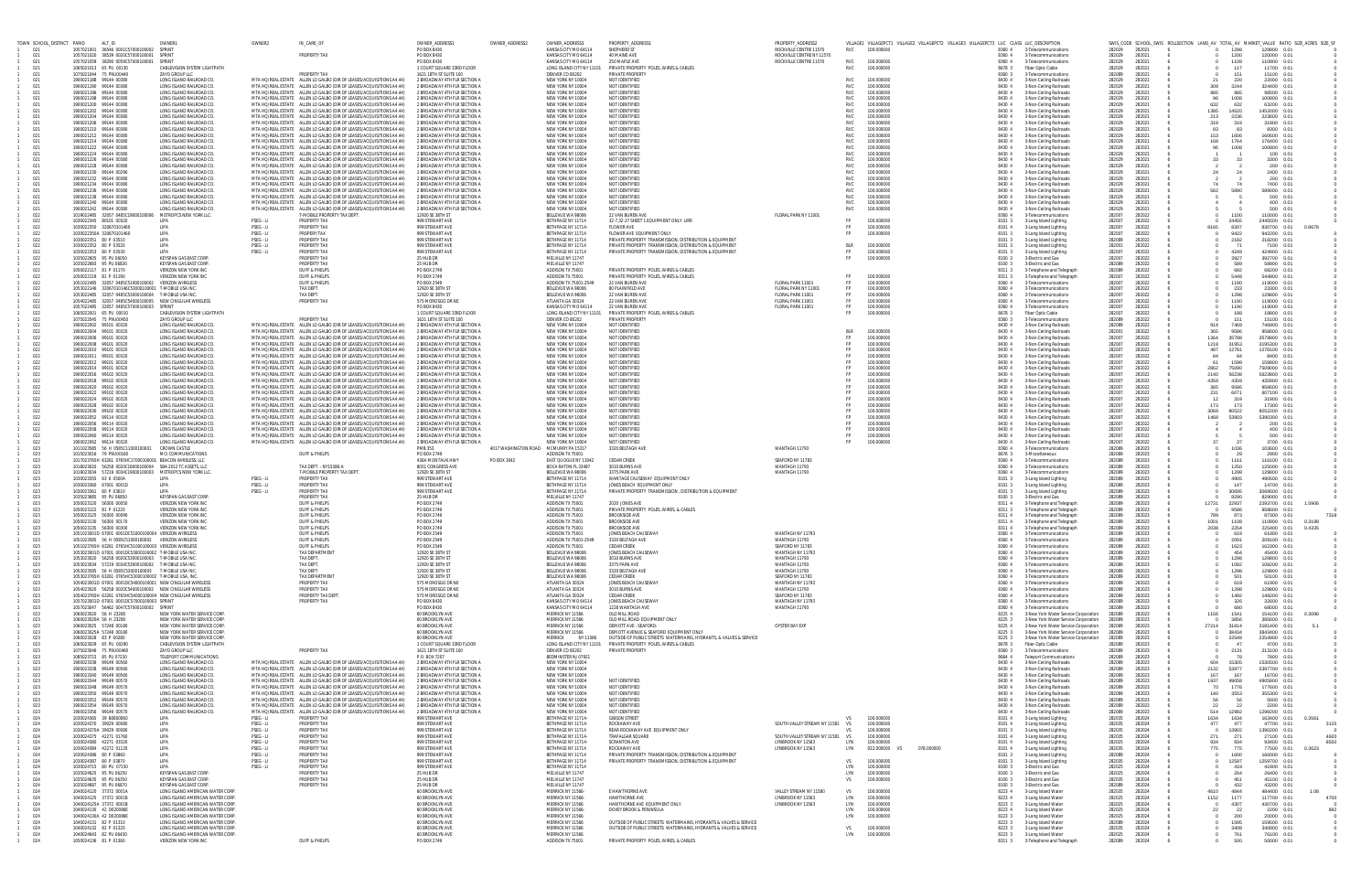| TOWN SCHOOL_DISTRICT PARID | ALT ID                                                                                                                        |                                                                     | OWNER2                 | IN_CARE_OF                                                                                                                                   | <b>OWNER ADDRESS*</b>                                        | OWNER_ADDRESS2                        | <b>OWNER ADDRESS:</b>                             | PROPERTY ADDRESS                                                                                                   | PROPERTY ADDRESS2                                   |                          | VILLAGE1 VILLAGEPCT1 VILLAGE2 VILLAGEPCT2 VILLAGE3 VILLAGEPCT3 LUC CLASS LUC_DESCRIPTION |                  |                                                                              |                                      | SWIS_CODE SCHOOL_SWIS ROLLSECTION LAND_AV TOTAL_AV MARKET_VALUE RATIO SIZE_ACRES SIZE_SF |                |                              |                  |
|----------------------------|-------------------------------------------------------------------------------------------------------------------------------|---------------------------------------------------------------------|------------------------|----------------------------------------------------------------------------------------------------------------------------------------------|--------------------------------------------------------------|---------------------------------------|---------------------------------------------------|--------------------------------------------------------------------------------------------------------------------|-----------------------------------------------------|--------------------------|------------------------------------------------------------------------------------------|------------------|------------------------------------------------------------------------------|--------------------------------------|------------------------------------------------------------------------------------------|----------------|------------------------------|------------------|
| 021<br>021                 | 1057021001 36546 0001C57000100002 SPRINT<br>1057021020 38539 0020C57000100001 SPRINT                                          |                                                                     |                        | PROPERTY TAX                                                                                                                                 | PO BOX 8430<br>PO BOX 8430                                   |                                       | KANSAS CITY MO 64114<br>KANSAS CITY MO 64114      | SHEPHERD ST<br>40 MAINE AVE                                                                                        | ROCKVILLE CENTRE 11570<br>ROCKVILLE CENTRE NY 11570 | RVC.                     | 100,000000                                                                               | 8360 4           | 8360 4 3-Telecommunications<br>3-Telecommunications                          | 282029<br>282021<br>282029<br>282021 | $^{\circ}$                                                                               | 1298<br>1200   | 129800 0.01<br>120000 0.01   |                  |
| 021<br>021                 | 1057021059 38290 0059C57000100001 SPRINT<br>1065021013 65 PU 00130                                                            | CABLEVISION SYSTEM LIGHTPATH                                        |                        |                                                                                                                                              | PO BOX 8430<br>1 COURT SQUARE 33RD FLOOR                     |                                       | KANSAS CITY MO 64114<br>LONG ISLAND CITY NY 11101 | 250 MAPLE AVE<br>PRIVATE PROPERTY POLES, WIRES & CABLES                                                            | ROCKVILLE CENTRE 11570                              | RVC<br><b>RVC</b>        | 100.000000<br>100.000000                                                                 | 8360 4<br>8678 3 | 3-Telecommunications<br>Fiber Optic Cable                                    | 282029<br>282021<br>282029<br>282021 |                                                                                          | 1109<br>117    | 110900 0.01<br>11700 0.01    |                  |
| 021<br>021                 | 1075021044 75 P9U00440<br>1900021188 99144 00380                                                                              | ZAYO GROUP LLC<br>LONG ISLAND RAILROAD CO                           |                        | PROPERTY TAX<br>MTA HO/REAL ESTATE ALLEN LO GALBO (DIR OF LEASES/ACQUISITIONS A4.44)                                                         | 1621 18TH ST SUITE 100<br>2 BROADWAY 4TH FLR SECTION         |                                       | DENVER CO 80202<br>NEW YORK NY 10004              | PRIVATE PROPERTY<br>NOT IDENTIFIED                                                                                 |                                                     | <b>RVC</b>               | 100.000000                                                                               | 8360 3<br>8430 4 | 3-Telecommunications<br>3-Non-Ceiling Railroads                              | 282089<br>282021<br>282029<br>282021 |                                                                                          | 151<br>220     | 15100 0.01<br>22000 0.01     |                  |
| 021                        | 1900021190 99144 00380                                                                                                        | LONG ISLAND RAILROAD CO                                             |                        | MTA HO/REAL ESTATE ALLEN LO GALBO (DIR OF LEASES/ACOLLISITIONS A4-44)                                                                        | 2 BROADWAY 4TH FLR SECTION A                                 |                                       | NEW YORK NY 10004                                 | NOT IDENTIFIED                                                                                                     |                                                     | <b>RVC</b>               | 100,000000                                                                               | 8430 4           | 3-Non-Ceiling Railroads                                                      | 282021<br>282029                     | 309                                                                                      | 3244           | 324400 0.01                  |                  |
| 021<br>021                 | 1900021196 99144 00380<br>1900021198 99144 00380                                                                              | LONG ISLAND RAILROAD CO<br>LONG ISLAND RAILROAD CO                  |                        | MTA HO/REAL ESTATE ALLEN LO GALBO (DIR OF LEASES/ACQUISITIONS A4.44)<br>MTA HO/REAL ESTATE ALLEN LO GALBO (DIR OF LEASES/ACQUISITIONS A4.44) | 2 BROADWAY 4TH FLR SECTION A<br>2 BROADWAY 4TH FLR SECTION A |                                       | NEW YORK NY 10004<br>NEW YORK NY 10004            | NOT IDENTIFIED<br>NOT IDENTIFIED                                                                                   |                                                     | <b>RVC</b>               | 100.000000<br>100.000000                                                                 | 8430 4<br>8430 4 | 3-Non-Ceiling Railroads<br>3-Non-Ceiling Railroads                           | 282029<br>282021<br>282029<br>282021 | 985<br>96                                                                                | 985<br>1008    | 98500 0.0<br>100800 0.01     |                  |
| 021<br>021                 | 1900021200 99144 00380<br>1900021202 99144 0038                                                                               | LONG ISLAND RAILROAD CO.<br>LONG ISLAND RAILROAD CO                 |                        | MTA HO/REAL ESTATE ALLEN LO GALBO (DIR OF LEASES/ACQUISITIONS A4.44)<br>MTA HO/REAL ESTATE ALLEN LO GALBO (DIR OF LEASES/ACQUISITIONS A4.44  | 2 RROADWAY 4TH ELR SECTION 4<br>2 BROADWAY 4TH FLR SECTION A |                                       | NEW YORK NY 10004<br>NEW YORK NY 10004            | NOT IDENTIFIED<br>NOT IDENTIFIED                                                                                   |                                                     | <b>RVC</b><br><b>RVC</b> | 100,000000<br>100.000000                                                                 | 8430 4<br>8430 4 | 3-Non-Ceiling Railroads<br>3-Non-Ceiling Railroads                           | 282029<br>282021<br>282029<br>282021 | 632<br>1385                                                                              | 632<br>14520   | 63200 0.01<br>1452000 0.01   |                  |
| 021<br>021                 | 1900021204 99144 00380<br>1900021206 99144 00380                                                                              | LONG ISLAND RAILROAD CO.<br>LONG ISLAND RAILROAD CO                 |                        | MTA HO/REAL ESTATE ALLEN LO GALBO (DIR OF LEASES/ACQUISITIONS A4.44)<br>MTA HO/REAL ESTATE ALLEN LO GALBO (DIR OF LEASES/ACQUISITIONS A4.44) | 2 BROADWAY 4TH FLR SECTION A<br>2 BROADWAY 4TH FLR SECTION A |                                       | NEW YORK NY 10004<br>NEW YORK NY 10004            | NOT IDENTIFIED<br>NOT IDENTIFIED                                                                                   |                                                     | <b>RVC</b><br><b>RVC</b> | 100,000000<br>100.000000                                                                 | 8430 4<br>8430 4 | 3-Non-Ceiling Railroads<br>3-Non-Ceiling Railroads                           | 282029<br>282021<br>282029<br>282021 | 213<br>319                                                                               | 2236<br>319    | 223600 0.01<br>31900 0.01    |                  |
| 021                        | 1900021210 99144 00380                                                                                                        | LONG ISLAND RAILROAD CO                                             |                        | MTA HO/REAL ESTATE ALLEN LO GALBO (DIR OF LEASES/ACQUISITIONS A4.44)                                                                         | 2 BROADWAY 4TH FLR SECTION A                                 |                                       | NEW YORK NY 10004                                 | NOT IDENTIFIED                                                                                                     |                                                     | <b>RVC</b>               | 100.000000                                                                               | 8430 4           | 3-Non-Ceiling Railroads                                                      | 282029<br>282021                     | 83                                                                                       | 83             | 8300 0.01                    |                  |
| 021<br>021                 | 1900021212 99144 00380<br>1900021214 99144 00380                                                                              | LONG ISLAND RAILROAD CO.<br>LONG ISLAND RAILROAD CO                 |                        | MTA HO/REAL ESTATE ALLEN LO GALBO (DIR OF LEASES/ACQUISITIONS A4.44)<br>MTA HO/REAL ESTATE ALLEN LO GALBO (DIR OF LEASES/ACQUISITIONS A4.44) | 2 BROADWAY 4TH FLR SECTION A<br>2 BROADWAY 4TH FLR SECTION A |                                       | NEW YORK NY 10004<br>NEW YORK NY 10004            | NOT IDENTIFIED<br>NOT IDENTIFIED                                                                                   |                                                     | <b>RVC</b><br>RVC        | 100.000000<br>100.000000                                                                 | 8430 4<br>8430 4 | 3-Non-Ceiling Railroads<br>3-Non-Ceiling Railroads                           | 282029<br>282021<br>282029<br>282021 | 153<br>168                                                                               | 1606<br>1764   | 160600 0.01<br>176400 0.01   |                  |
| 021<br>021                 | 1900021222 99144 0038<br>1900021224 99144 00380                                                                               | LONG ISLAND RAILROAD CO<br>LONG ISLAND RAILROAD CO                  |                        | MTA HO/REAL ESTATE ALLEN LO GALBO (DIR OF LEASES/ACQUISITIONS A4.44<br>MTA HO/REAL ESTATE ALLEN LO GALBO (DIR OF LEASES/ACQUISITIONS A4.44)  | 2 BROADWAY 4TH FLR SECTION<br>2 BROADWAY 4TH FLR SECTION A   |                                       | NEW YORK NY 10004<br>NEW YORK NY 10004            | NOT IDENTIFIED<br>NOT IDENTIFIED                                                                                   |                                                     | <b>RVC</b><br><b>RVC</b> | 100.000000<br>100,000000                                                                 | 8430 4<br>84304  | 3-Non-Ceiling Railroads<br>3-Non-Ceiling Railroads                           | 282029<br>282021<br>282029<br>282021 |                                                                                          | 1008           | 100800 0.0<br>100 0.01       |                  |
| 021<br>021                 | 1900021226 99144 00380<br>1900021228 99144 00380                                                                              | LONG ISLAND RAILROAD CO.<br>LONG ISLAND RAILROAD CO                 |                        | MTA HO/REAL ESTATE ALLEN LO GALBO (DIR OF LEASES/ACQUISITIONS A4.44)<br>MTA HO/REAL ESTATE ALLEN LO GALBO (DIR OF LEASES/ACQUISITIONS A4.44) | 2 BROADWAY 4TH FLR SECTION A<br>2 BROADWAY 4TH FLR SECTION A |                                       | NEW YORK NY 10004<br>NEW YORK NY 10004            | NOT IDENTIFIED<br>NOT IDENTIFIED                                                                                   |                                                     | <b>RVC</b>               | 100.000000<br>100.000000                                                                 | 8430 4<br>8430 4 | 3-Non-Ceiling Railroads                                                      | 282029<br>282021<br>282029<br>282021 | 33                                                                                       | 33             | 3300 0.01<br>$200 \t 0.0$    |                  |
| 021                        | 1900021230 99144 00290                                                                                                        | LONG ISLAND RAILROAD CO.                                            |                        | MTA HO/REAL ESTATE ALLEN LO GALBO (DIR OF LEASES/ACQUISITIONS A4.44)                                                                         | 2 RROADWAY 4TH FLR SECTION 4                                 |                                       | NEW YORK NY 10004                                 | NOT IDENTIFIED                                                                                                     |                                                     | <b>RVC</b>               | 100,000000                                                                               | 8430 4           | 3-Non-Ceiling Railroads<br>3-Non-Ceiling Railroads                           | 282029<br>282021                     | - 24                                                                                     | - 24           | 2400 0.01                    |                  |
| 021<br>021                 | 1900021232 99144 00380<br>1900021234 99144 00380                                                                              | LONG ISLAND RAILROAD CO.<br>LONG ISLAND RAILROAD CO                 |                        | MTA HQ/REAL ESTATE ALLEN LO GALBO (DIR OF LEASES/ACQUISITIONS A4.44)<br>MTA HO/REAL ESTATE ALLEN LO GALBO (DIR OF LEASES/ACQUISITIONS A4.44) | 2 RROADWAY 4TH ELR SECTION 4<br>2 BROADWAY 4TH FLR SECTION A |                                       | NEW YORK NY 10004<br>NEW YORK NY 10004            | NOT IDENTIFIED<br>NOT IDENTIFIED                                                                                   |                                                     | <b>RVC</b><br><b>RVC</b> | 100.000000<br>100.000000                                                                 | 8430 4<br>8430 4 | 3-Non-Ceiling Railroads<br>3-Non-Ceiling Railroads                           | 282029<br>282021<br>282029<br>282021 | -74                                                                                      | -74            | 200 0.01<br>7400 0.01        |                  |
| 021<br>021                 | 1900021236 99144 00380<br>1900021238 99144 00380                                                                              | LONG ISLAND RAILROAD CO<br>LONG ISLAND RAILROAD CO.                 |                        | MTA HO/REAL ESTATE ALLEN LO GALBO (DIR OF LEASES/ACQUISITIONS A4.44)<br>MTA HO/REAL ESTATE ALLEN LO GALBO (DIR OF LEASES/ACQUISITIONS A4.44) | 2 BROADWAY 4TH FLR SECTION A<br>2 BROADWAY 4TH FLR SECTION A |                                       | NEW YORK NY 10004<br>NEW YORK NY 10004            | NOT IDENTIFIED<br>NOT IDENTIFIED                                                                                   |                                                     | <b>RVC</b><br><b>RVC</b> | 100,000000<br>100.000000                                                                 | 8430 4<br>8430 4 | 3-Non-Ceiling Railroads<br>3-Non-Ceiling Railroads                           | 282029<br>282021<br>282029<br>282021 | 562                                                                                      | 5890           | 589000 0.01<br>500 0.01      |                  |
| 021<br>021                 | 1900021240 99144 00380<br>1900021242 99144 00380                                                                              | LONG ISLAND RAILROAD CO.<br>LONG ISLAND RAILROAD CO                 |                        | MTA HO/REAL ESTATE ALLEN LO GALBO (DIR OF LEASES/ACQUISITIONS A4.44)<br>MTA HO/REAL ESTATE ALLEN LO GALBO (DIR OF LEASES/ACQUISITIONS A4.44) | 2 BROADWAY 4TH FLR SECTION A<br>2 BROADWAY 4TH FLR SECTION A |                                       | NEW YORK NY 10004<br>NEW YORK NY 10004            | NOT IDENTIFIED<br>NOT IDENTIFIED                                                                                   |                                                     | <b>RVC</b><br><b>RVC</b> | 100.000000<br>100.000000                                                                 | 8430 4<br>8430 4 | 3-Non-Ceiling Railroads                                                      | 282029<br>282021<br>282029<br>282021 |                                                                                          |                | 400 0.01<br>500 0.01         |                  |
| 022                        | 1019022485 32057 0485C19000100006 METROPCS NEW YORK LLC                                                                       |                                                                     |                        | <b>T-MOBILE PROPERTY TAX DEPT</b>                                                                                                            | 12920 SE 38TH ST                                             |                                       | BELLEVUE WA 98006                                 | 22 VAN BUREN AV                                                                                                    | FLORAL PARK NY 11001                                |                          |                                                                                          | 8360 4           | 3-Non-Ceiling Railroads<br>3-Telecommunications                              | 282007<br>282022                     |                                                                                          | 1100           | 110000 0.01                  |                  |
| 022<br>022                 | 1030022345 80101 00320<br>1030022350 32067010146                                                                              | LIPA<br>LIPA                                                        | PSEG - LI<br>PSEG - LI | PROPERTY TAX<br>PROPERTY TAX                                                                                                                 | 999 STEWART AVE<br>999 STEWART AVE                           |                                       | BETHPAGE NY 11714<br>BETHPAGE NY 11714-           | 32-7,32-27 SHEET 1 EQUIPMENT ONLY LIRR<br><b>FLOWER AVE</b>                                                        |                                                     | <b>FP</b>                | 100,000000<br>100.000000                                                                 | 8101 3<br>8101 4 | 3-Long Island Lightin<br>3-Long Island Lighting                              | 282007<br>282022<br>282007<br>282022 | 8165                                                                                     | 24455<br>8307  | 2445500 0.01<br>830700 0.01  | 0.8678           |
| 022<br>022                 | 1030022350A 32067010146<br>1030022351 80 P 03510                                                                              | LIPA<br>LIPA                                                        | PSEG - LI<br>PSEG - LI | <b>PROPERY TAX</b><br>PROPERTY TAX                                                                                                           | 999 STEWART AVE<br>999 STEWART AVE                           |                                       | BETHPAGE NY 11714<br>BETHPAGE NY 11714            | FLOWER AVE EQUIPMENT ONLY<br>PRIVATE PROPERTY TRANSMISSION, DISTRIBUTION & EQUIPMENT                               |                                                     | <b>FP</b>                | 100.000000                                                                               | 8101 3<br>8101 3 | 3-Long Island Lighting<br>3-Long Island Lightin                              | 282007<br>282022<br>282089<br>282022 |                                                                                          | 9422<br>2182   | 942200 0.01<br>218200 0.01   |                  |
| 022<br>022                 | 1030022352 80 P 03520<br>1030022353 80 P 03530                                                                                | LIPA<br>LIPA                                                        | PSEG - LI<br>PSEG - LI | PROPERTY TAX<br>PROPERTY TAX                                                                                                                 | 999 STEWART AVE<br>999 STEWART AVE                           |                                       | BETHPAGE NY 11714<br>BETHPAGE NY 11714            | PRIVATE PROPERTY TRANSMISSION, DISTRIBUTION & EQUIPMENT<br>PRIVATE PROPERTY TRANSMISSION, DISTRIBUTION & EQUIPMENT |                                                     | <b>BLR</b><br><b>FP</b>  | 100.000000<br>100.000000                                                                 | 8101 3<br>8101 3 | 3-Long Island Lighting<br>3-Long Island Lighting                             | 282001<br>282022<br>282007<br>282022 |                                                                                          | 71<br>4249     | 7100 0.01<br>424900 0.01     |                  |
| 022                        | 1035022605 95 PU 0605                                                                                                         | <b>KEYSPAN GAS FAST CORP</b>                                        |                        | <b>PROPERTY TAX</b>                                                                                                                          | 25 HUB DR                                                    |                                       | MELVILLE NY 11747                                 |                                                                                                                    |                                                     | <b>FP</b>                | 100,000000                                                                               | 8100 3           | 3-Electric and Gas                                                           | 282007<br>282022                     |                                                                                          | 3927           | 392700 0.01                  |                  |
| 022<br>022                 | 1035022683 95 PU 06830<br>1050022117 81 P 01170                                                                               | KEYSPAN GAS EAST CORP<br><b>VERIZON NEW YORK IN</b>                 |                        | PROPERTY TAX<br><b>DUFF &amp; PHELPS</b>                                                                                                     | 25 HUB DR<br>PO BOX 2749                                     |                                       | MELVILLE NY 11747<br>ADDISON TX 7500              | PRIVATE PROPERTY POLES, WIRES & CABLES                                                                             |                                                     |                          |                                                                                          | 8100 3<br>8311 3 | 3-Electric and Gas<br>3-Telephone and Telegraph                              | 282089<br>282022<br>282089<br>282022 |                                                                                          | 589<br>682     | 58900 0.01<br>68200 0.01     |                  |
| 022<br>022                 | 1050022119 81 P 01190<br>1051022485 32057 0485C51000100002 VERIZON WIRELESS                                                   | VERIZON NEW YORK IN                                                 |                        | DUFF & PHFLPS<br>DUFF & PHELPS                                                                                                               | PO BOX 2749<br>PO BOX 2549                                   |                                       | ADDISON TX 75001<br>ADDISON TX 75001-2549         | <b>PRIVATE PROPERTY POLES, WIRES &amp; CABLES</b><br>22 VAN BUREN AV                                               | FLORAL PARK 11001                                   | <b>FP</b><br><b>FP</b>   | 100,000000<br>100.000000                                                                 | 8311 3<br>8360 4 | 3-Telephone and Telegraph<br>3-Telecommunications                            | 282007<br>282022<br>282007<br>282022 |                                                                                          | 5448<br>1190   | 544800 0.01<br>119000 0.01   |                  |
| 022<br>022                 | 1053022146 32067010146C53000100001 T-MOBILE USA INC.<br>1053022485 32057 0485C53000100004 T-MOBILE USA INC                    |                                                                     |                        | TAX DEPT.<br>TAX DEPT.                                                                                                                       | 12920 SE 38TH ST<br>12920 SE 38TH ST                         |                                       | BELLEVUE WA 98006<br>BELLEVUE WA 98006            | 80 PLAINFIELD AVI<br>22 VAN BUREN AVI                                                                              | FLORAL PARK NY 11001<br>FLORAL PARK 11001           | FP<br>FP                 | 100,000000<br>100,000000                                                                 | 83604<br>8360 4  | 3-Telecommunication<br>3-Telecommunications                                  | 282007<br>282022<br>282007<br>282022 |                                                                                          | 233<br>1298    | 23300 0.01<br>129800 0.01    |                  |
| 022                        | 1054022485 32057 0485C54000100005 NEW CINGULAR WIRELESS                                                                       |                                                                     |                        | PROPERTY TAX                                                                                                                                 | 575 MOROSGO DR NE                                            |                                       | ATLANTA GA 30324                                  | 22 VAN BUREN AVE                                                                                                   | FLORAL PARK 11001                                   | FP                       | 100.000000                                                                               | 8360 4           | 3-Telecommunications                                                         | 282007<br>282022                     |                                                                                          | 1190           | 119000 0.01                  |                  |
| 022<br>022                 | 1057022485 32057 0485C57000100003 SPRINT<br>1065022001 65 PU 00010                                                            | CABLEVISION SYSTEM LIGHTPATH                                        |                        |                                                                                                                                              | PO BOX 8430<br>1 COURT SQUARE 33RD FLOOR                     |                                       | KANSAS CITY MO 64114<br>LONG ISLAND CITY NY 11101 | 22 VAN BUREN AVE<br>PRIVATE PROPERTY POLES, WIRES & CABLES                                                         | FLORAL PARK 11001                                   | FP<br><b>FP</b>          | 100.000000<br>100.000000                                                                 | 8360 4<br>8678 3 | 3-Telecommunications<br>Fiber Optic Cable                                    | 282007<br>282022<br>282007<br>282022 |                                                                                          | 1190<br>188    | 119000 0.01<br>18800 0.01    |                  |
| 022<br>022                 | 1075022045 75 P9U00450<br>1900022002 99101 00320                                                                              | ZAYO GROUP LLC<br>LONG ISLAND RAILROAD CO                           |                        | PROPERTY TAX<br>MTA HO/REAL ESTATE ALLEN LO GALBO (DIR OF LEASES/ACQUISITIONS A4.44)                                                         | 1621 18TH ST SUITE 100<br>2 BROADWAY 4TH FLR SECTION         |                                       | DENVER CO 80202<br>NEW YORK NY 10004              | <b>PRIVATE PROPERT</b><br>NOT IDENTIFIED                                                                           |                                                     |                          |                                                                                          | 8360 3<br>8430 4 | 3-Telecommunications<br>3-Non-Ceiling Railroads                              | 282089<br>282022<br>282089<br>282022 | 914                                                                                      | 151<br>7469    | 15100 0.0<br>746900 0.01     |                  |
| 022<br>022                 | 1900022004 99101 00320<br>1900022006 99101 00320                                                                              | LONG ISLAND RAILROAD CO<br>LONG ISLAND RAILROAD CO                  |                        | MTA HO/REAL ESTATE ALLEN LO GALBO (DIR OF LEASES/ACQUISITIONS A4.44)<br>MTA HO/REAL ESTATE ALLEN LO GALBO (DIR OF LEASES/ACQUISITIONS A4.44) | 2 BROADWAY 4TH FLR SECTION A<br>2 BROADWAY 4TH FLR SECTION   |                                       | NEW YORK NY 10004<br>NEW YORK NY 10004            | NOT IDENTIFIED<br>NOT IDENTIFIED                                                                                   |                                                     | <b>BLR</b>               | 100,000000<br>100.000000                                                                 | 8430 4<br>8430 4 | 3-Non-Ceiling Railroads<br>3-Non-Ceiling Railroads                           | 282001<br>282022<br>282007<br>282022 | 365<br>1364                                                                              | 9586<br>35788  | 958600 0.01<br>3578800 0.01  |                  |
| 022                        | 1900022008 99101 00320                                                                                                        | LONG ISLAND RAILROAD CO                                             |                        | MTA HO/REAL ESTATE ALLEN LO GALBO (DIR OF LEASES/ACQUISITIONS A4.44)                                                                         | 2 BROADWAY 4TH FLR SECTION A                                 |                                       | NEW YORK NY 10004                                 | NOT IDENTIFIED                                                                                                     |                                                     | FP                       | 100.000000                                                                               | 8430 4           | 3-Non-Ceiling Railroads                                                      | 282007<br>282022                     | 1218                                                                                     | 31953          | 3195300 0.01                 |                  |
| 022<br>022                 | 1900022010 99101 00320<br>1900022011 99101 0032                                                                               | LONG ISLAND RAILROAD CO<br>LONG ISLAND RAILROAD CO                  |                        | MTA HQ/REAL ESTATE ALLEN LO GALBO (DIR OF LEASES/ACQUISITIONS A4.44)<br>MTA HO/REAL ESTATE ALLEN LO GALBO (DIR OF LEASES/ACQUISITIONS A4.44  | 2 BROADWAY 4TH FLR SECTION A<br>2 BROADWAY 4TH FLR SECTION   |                                       | NEW YORK NY 10004<br>NEW YORK NY 10004            | NOT IDENTIFIED<br>NOT IDENTIFIED                                                                                   |                                                     |                          | 100.000000<br>100.000000                                                                 | 8430 4<br>8430 4 | 3-Non-Ceiling Railroads<br>3-Non-Ceiling Railroads                           | 282007<br>282022<br>282007<br>282022 | 487                                                                                      | 12781<br>84    | 1278100 0.01<br>8400 0.0     |                  |
| 022<br>022                 | 1900022012 99101 00320<br>1900022014 99101 00320                                                                              | LONG ISLAND RAILROAD CO<br>LONG ISLAND RAILROAD CO.                 |                        | MTA HO/REAL ESTATE ALLEN LO GALBO (DIR OF LEASES/ACQUISITIONS A4.44)<br>MTA HQ/REAL ESTATE ALLEN LO GALBO (DIR OF LEASES/ACQUISITIONS A4.44) | 2 BROADWAY 4TH FLR SECTION A<br>2 BROADWAY 4TH FLR SECTION A |                                       | NEW YORK NY 10004<br>NEW YORK NY 10004            | NOT IDENTIFIED<br>NOT IDENTIFIED                                                                                   |                                                     |                          | 100,000000<br>100.000000                                                                 | 8430 4<br>8430 4 | 3-Non-Ceiling Railroads<br>3-Non-Ceiling Railroads                           | 282007<br>282022<br>282007<br>282022 | 61<br>2862                                                                               | 1598<br>75090  | 159800 0.01<br>7509000 0.0   |                  |
| 022<br>022                 | 1900022016 99102 0032<br>1900022018 99102 00320                                                                               | LONG ISLAND RAILROAD CO<br>LONG ISLAND RAILROAD CO                  |                        | MTA HO/REAL ESTATE ALLEN LO GALBO (DIR OF LEASES/ACQUISITIONS A4.44)<br>MTA HO/REAL ESTATE ALLEN LO GALBO (DIR OF LEASES/ACQUISITIONS A4.44) | 2 BROADWAY 4TH FLR SECTION A<br>2 BROADWAY 4TH FLR SECTION A |                                       | NEW YORK NY 10004<br>NEW YORK NY 10004            | NOT IDENTIFIED<br>NOT IDENTIFIED                                                                                   |                                                     |                          | 100.000000<br>100.000000                                                                 | 8430 4<br>8430 4 | 3-Non-Ceiling Railroads<br>3-Non-Ceiling Railroads                           | 282007<br>282022<br>282007<br>282022 | 2140<br>4359                                                                             | 56238<br>4359  | 5623800 0.01<br>435900 0.01  |                  |
| 022                        | 1900022020 99102 00320                                                                                                        | LONG ISLAND RAILROAD CO.                                            |                        | MTA HO/REAL ESTATE ALLEN LO GALBO (DIR OF LEASES/ACQUISITIONS A4.44)                                                                         | 2 BROADWAY 4TH FLR SECTION A                                 |                                       | NEW YORK NY 10004                                 | NOT IDENTIFIED                                                                                                     |                                                     |                          | 100.000000                                                                               | 8430 4           | 3-Non-Ceiling Railroads                                                      | 282007<br>282022                     | 365                                                                                      | 9586           | 958600 0.01                  |                  |
| 022<br>022                 | 1900022022 99102 00320<br>1900022024 99102 00320                                                                              | LONG ISLAND RAILROAD CO<br>LONG ISLAND RAILROAD CO.                 |                        | MTA HO/REAL ESTATE ALLEN LO GALBO (DIR OF LEASES/ACQUISITIONS A4.44)<br>MTA HO/REAL ESTATE ALLEN LO GALBO (DIR OF LEASES/ACQUISITIONS A4.44) | 2 BROADWAY 4TH FLR SECTION A<br>2 BROADWAY 4TH FLR SECTION A |                                       | NEW YORK NY 10004<br>NEW YORK NY 10004            | NOT IDENTIFIED<br>NOT IDENTIFIED                                                                                   |                                                     |                          | 100,000000<br>100,000000                                                                 | 8430 4<br>8430 4 | 3-Non-Ceiling Railroads<br>3-Non-Ceiling Railroads                           | 282007<br>282022<br>282007<br>282022 | 231<br>12                                                                                | 6071<br>319    | 607100 0.01<br>31900 0.01    |                  |
| 022<br>022                 | 1900022028 99102 00320<br>1900022030 99102 00320                                                                              | LONG ISLAND RAILROAD CO.<br>LONG ISLAND RAILROAD CO.                |                        | MTA HQ/REAL ESTATE ALLEN LO GALBO (DIR OF LEASES/ACQUISITIONS A4.44)<br>MTA HO/REAL ESTATE ALLEN LO GALBO (DIR OF LEASES/ACQUISITIONS A4.44) | 2 BROADWAY 4TH FLR SECTION A<br>2 BROADWAY 4TH FLR SECTION A |                                       | NEW YORK NY 10004<br>NEW YORK NY 10004            | NOT IDENTIFIED<br>NOT IDENTIFIED                                                                                   |                                                     |                          | 100.000000<br>100.000000                                                                 | 8430 4<br>8430 4 | 3-Non-Ceiling Railroads<br>3-Non-Ceiling Railroads                           | 282007<br>282022<br>282007<br>282022 | 173<br>3069                                                                              | 173<br>80522   | 17300 0.01<br>8052200 0.01   |                  |
| 022<br>022                 | 1900022052 99114 00320<br>1900022056 99114 0032                                                                               | LONG ISLAND RAILROAD CO<br>LONG ISLAND RAILROAD CO                  |                        | MTA HO/REAL ESTATE ALLEN LO GALBO (DIR OF LEASES/ACQUISITIONS A4.44)<br>MTA HO/REAL ESTATE ALLEN LO GALBO (DIR OF LEASES/ACQUISITIONS A4.44  | 2 BROADWAY 4TH FLR SECTION A<br>2 BROADWAY 4TH FLR SECTION   |                                       | NEW YORK NY 10004<br>NEW YORK NY 1000-            | NOT IDENTIFIED<br>NOT IDENTIFIED                                                                                   |                                                     |                          | 100,000000<br>100.000000                                                                 | 8430 4<br>8430 4 | 3-Non-Ceiling Railroads                                                      | 282007<br>282022<br>282007<br>282022 | 1468                                                                                     | 53903          | 5390300 0.01                 |                  |
| 022                        | 1900022058 99114 00320                                                                                                        | LONG ISLAND RAILROAD CO                                             |                        | MTA HO/REAL ESTATE ALLEN LO GALBO (DIR OF LEASES/ACQUISITIONS A4.44)                                                                         | 2 BROADWAY 4TH FLR SECTION A                                 |                                       | NEW YORK NY 10004                                 | NOT IDENTIFIED                                                                                                     |                                                     |                          | 100.000000                                                                               | 8430 4           | 3-Non-Ceiling Railroads<br>3-Non-Ceiling Railroads                           | 282007<br>282022                     |                                                                                          |                | 200 0.01<br>400 0.01         |                  |
| 022<br>022                 | 1900022060 99114 00320<br>1900022062 99114 0032                                                                               | LONG ISLAND RAILROAD CO<br>LONG ISLAND RAILROAD CO                  |                        | MTA HO/REAL ESTATE ALLEN LO GALBO (DIR OF LEASES/ACQUISITIONS A4.44)<br>MTA HO/REAL ESTATE ALLEN LO GALBO (DIR OF LEASES/ACQUISITIONS A4.44) | 2 BROADWAY 4TH FLR SECTION A<br>2 BROADWAY 4TH FLR SECTION A |                                       | NEW YORK NY 10004<br>NEW YORK NY 10004            | NOT IDENTIFIED<br>NOT IDENTIFIED                                                                                   |                                                     |                          | 100,000000<br>100.000000                                                                 | 8430 4<br>8430 4 | 3-Non-Ceiling Railroads<br>3-Non-Ceiling Railroads                           | 282022<br>282007<br>282007<br>282022 |                                                                                          |                | 500 0.01<br>3700 0.01        |                  |
| 023<br>023                 | 1011023585 56 H 0585C11000100001<br>1015023016 79 P9U00160                                                                    | <b>CROWN CASTLE</b><br>MCI COMMUNICATIONS                           |                        | <b>DUFF &amp; PHELPS</b>                                                                                                                     | <b>PMB 353</b><br>PO BOX 2749                                | 4017 WASHINGTON ROAD MCMURRY PA 15317 | ADDISON TX 75001                                  | 3320 BELTAGH AV                                                                                                    | WANTAGH 11793                                       |                          |                                                                                          | 8360 4<br>8676 3 | 3-Telecommunications<br>3-Miscellaneous                                      | 282089<br>282023<br>282089<br>282023 |                                                                                          | 1036<br>- 29   | 103600 0.01<br>2900 0.01     |                  |
| 023                        | 1017023765H 63261 0765HC17000100001 BEACON WIRELESS, LLC                                                                      |                                                                     |                        |                                                                                                                                              | 436A MONTAUK HWY                                             | PO BOX 3042                           | EAST QUOGUE NY 11942                              | <b>CEDAR CREEK</b>                                                                                                 | SEAFORD NY 11783                                    |                          |                                                                                          | 8360 4           | 3-Telecommunications                                                         | 282089<br>282023<br>282023           |                                                                                          | 1161           | 116100 0.01                  |                  |
| 023<br>023                 | 1018023020   56258   0020C18000100004   SBA   2012 TC ASSETS, LL<br>1019023034 57219 0034C19000100003 METROPCS NEW YORK LL    |                                                                     |                        | TAX DEPT. - NY15386-A<br>T-MOBILE PROPERTY TAX DEPT.                                                                                         | 8051 CONGRESS AVE<br>12920 SE 38TH ST                        |                                       | BOCA RATON FL 33487<br>BELLEVUE WA 98006          | 3010 BURNS AVI<br>3375 PARK AVE                                                                                    | WANTAGH 11793<br>WANTAGH 11793                      |                          |                                                                                          | 8360 4<br>8360 4 | 3-Telecommunications<br>3-Telecommunications                                 | 282089<br>282089<br>282023           |                                                                                          | 1250<br>1298   | 125000 0.01<br>129800 0.01   |                  |
| 023<br>023                 | 1030023355 63 K 0500A<br>1030023360 67001 0001D                                                                               | LIPA<br>LIPA                                                        | PSEG - LI<br>PSEG - LI | PROPERTY TAX<br>PROPERTY TAX                                                                                                                 | 999 STEWART AVE<br>999 STEWART AVE                           |                                       | BETHPAGE NY 11714<br>BETHPAGE NY 11714            | WANTAGE CAUSEWAY EQUIPMENT ONLY<br>JONES BEACH FOUIPMENT ONLY                                                      |                                                     |                          |                                                                                          | 8101 3<br>8101 3 | 3-Long Island Lighting<br>3-Long Island Lighting                             | 282089<br>282023<br>282089<br>282023 |                                                                                          | 4905<br>147    | 490500 0.01<br>14700 0.01    |                  |
| 023<br>023                 | 1030023361 80 P 03610<br>1035023685 95 PU 0685                                                                                | LIPA<br><b>KEYSPAN GAS EAST COR</b>                                 | PSEG - LI              | PROPERTY TAX<br>PROPERTY TAX                                                                                                                 | 999 STEWART AVE<br>25 HUB DR                                 |                                       | BETHPAGE NY 11714<br>MELVILLE NY 11747            | PRIVATE PROPERTY TRANSMISSION , DISTRIBUTION & EQUIPMENT                                                           |                                                     |                          |                                                                                          | 8101 3<br>8100 3 | 3-Long Island Lighting<br>3-Electric and Gas                                 | 282089<br>282023<br>282089<br>282023 |                                                                                          | 30695<br>8290  | 3069500 0.01<br>829000 0.01  |                  |
| 023<br>023                 | 1050023120 56300 00050<br>1050023122 81 P 01220                                                                               | <b>VERIZON NEW YORK IN</b><br>VERIZON NEW YORK INC                  |                        | <b>DUFF &amp; PHELPS</b><br><b>DUFF &amp; PHELPS</b>                                                                                         | PO BOX 2749<br>PO BOX 2749                                   |                                       | ADDISON TX 75001<br>ADDISON TX 75001              | 2020 JONES AVE<br>PRIVATE PROPERTY POLES, WIRES, & CABLES                                                          |                                                     |                          |                                                                                          | 83114<br>8311 3  | 3-Telephone and Telegraph<br>3-Telephone and Telegraph                       | 282089<br>282023<br>282089<br>282023 | 12731                                                                                    | 22937<br>9586  | 2293700 0.01<br>958600 0.01  | 1.5906           |
| 023                        | 1050023125 56300 00090                                                                                                        | <b>VERIZON NEW YORK IN</b>                                          |                        | <b>DUFF &amp; PHELPS</b>                                                                                                                     | PO BOX 2749                                                  |                                       | ADDISON TX 75001                                  | <b>BROOKSIDE AVE</b>                                                                                               |                                                     |                          |                                                                                          | 8311 4           | 3-Telephone and Telegraph                                                    | 282089<br>282023                     | 789                                                                                      | 873            | 87300 0.01                   | 7318             |
| 023<br>023                 | 1050023130 56300 00170<br>1050023135 56300 00300                                                                              | VERIZON NEW YORK IN<br>VERIZON NEW YORK INC                         |                        | <b>DUFF &amp; PHELPS</b><br><b>DUFF &amp; PHELPS</b>                                                                                         | <b>PO BOX 2749</b><br>PO BOX 2749                            |                                       | ADDISON TX 75001<br>ADDISON TX 75001              | <b>BROOKSIDE AVE</b><br><b>BROOKSIDE AVE</b>                                                                       |                                                     |                          |                                                                                          | 8311 4<br>8311 4 | 3-Telephone and Telegraph<br>3-Telephone and Telegraph                       | 282089<br>282023<br>282089<br>282023 | 1001<br>2038                                                                             | 1108<br>2254   | 110800 0.01<br>225400 0.01   | 0.3198<br>0.4335 |
| 023                        | 1051023001D 67001 0001DC51000100004 VERIZON WIRELESS<br>1051023585 56 H 0585C51000100002 VERIZON WIRELESS                     |                                                                     |                        | <b>DUFF &amp; PHELPS</b><br>DUEF & PHFLPS                                                                                                    | PO BOX 2549<br><b>PO ROX 2549</b>                            |                                       | ADDISON TX 75001<br>ADDISON TX 75001-2549         | JONES BEACH CAUSEWAY<br>3320 RELTAGH AVE                                                                           | WANTAGH NY 11793<br>MANTAGH 11793                   |                          |                                                                                          | 8360 4<br>8360 4 | 3-Telecommunications                                                         | 282089<br>282023<br>282089<br>282023 |                                                                                          | 619<br>2091    | 61900 0.01<br>209100 0.01    |                  |
| 023<br>023                 | 1051023765H 63261 0765HC51000100003 VERIZON WIRELES:<br>1053023001D 67001 0001DC53000100002 T-MOBILE USA INC                  |                                                                     |                        | <b>DUFF &amp; PHELPS</b><br><b>TAX DEPARTMENT</b>                                                                                            | PO BOX 2549<br>12920 SE 38TH ST                              |                                       | ADDISON TX 75001<br>BELLEVUE WA 98006             | <b>CEDAR CREEK</b><br>JONES BEACH CAUSEWAY                                                                         | SEAFORD NY 11783<br>WANTAGH NY 11793                |                          |                                                                                          | 8360 4<br>8360 4 | 3-Telecommunications<br>3-Telecommunications                                 | 282089<br>282023<br>282089<br>282023 |                                                                                          | 1623<br>454    | 162300 0.01<br>45400 0.01    |                  |
| 023                        | 1053023020   56258   0020C53000100003   T-MOBILE USA INC                                                                      |                                                                     |                        | TAX DEPT.                                                                                                                                    | 12920 SE 38TH ST                                             |                                       | BELLEVUE WA 98006                                 | 3010 BURNS AVE                                                                                                     | WANTAGH 11793                                       |                          |                                                                                          | 8360 4           | 3-Telecommunications                                                         | 282089<br>282023                     |                                                                                          | 1298           | 129800 0.01                  |                  |
| 023<br>023                 | 1053023034 57219 0034C53000100002 T-MOBILE USA INC<br>1053023585 56 H 0585C53000100003 T-MOBILE USA INC                       |                                                                     |                        | TAX DEPT.<br>TAX DEPT.                                                                                                                       | 12920 SE 38TH ST<br>12920 SE 38TH ST                         |                                       | BELLEVUE WA 98006<br>BELLEVUE WA 98006            | 3375 PARK AVE<br>3320 BELTAGH AVE                                                                                  | WANTAGH 11793<br>WANTAGH 11793                      |                          |                                                                                          | 8360 4<br>8360 4 | 3-Telecommunications<br>3-Telecommunications                                 | 282089<br>282023<br>282089<br>282023 |                                                                                          | 1082<br>1298   | 108200 0.01<br>129800 0.01   |                  |
| 023<br>023                 | 1053023765H 63261 0765HC53000100002 T-MOBILE USA. INC<br>1054023001D 67001 0001DC54000100001 NEW CINGULAR WIRELES             |                                                                     |                        | <b>TAX DEPARTMENT</b><br>PROPERTY TAX                                                                                                        | 12920 SE 38TH ST<br>575 MOROSGO DR N                         |                                       | BELLEVUE WA 98006<br>ATLANTA GA 30324             | <b>CEDAR CREEK</b><br><b>JONES BEACH CAUSEWAY</b>                                                                  | SEAFORD NY 11783<br>WANTAGH NY 1179                 |                          |                                                                                          | 8360 4<br>8360 4 | 3-Telecommunications<br>3-Telecommunications                                 | 282089<br>282023<br>282089<br>282023 |                                                                                          | 501<br>619     | 50100 0.01<br>61900 0.01     |                  |
| 023<br>023                 | 1054023020    56258    0020C54000100002    NEW CINGULAR WIRELESS<br>1054023765H 63261 0765HC54000100004 NEW CINGULAR WIRELESS |                                                                     |                        | PROPERTY TAX<br>PROPERTY TAX DEPT                                                                                                            | 575 MOROSGO DR N<br>575 MOROSGO DR NE                        |                                       | ATLANTA GA 30324<br>ATLANTA GA 30324              | 3010 BURNS AVE<br><b>CEDAR CREEK</b>                                                                               | WANTAGH 11793<br>SEAFORD NY 11783                   |                          |                                                                                          | 8360 4<br>8360 4 | 3-Telecommunications<br>3-Telecommunications                                 | 282089<br>282023<br>282089<br>282023 |                                                                                          | 1298<br>1492   | 129800 0.01<br>149200 0.01   |                  |
| 023<br>023                 | 1057023001D 67001 0001DC57000100003 SPRIN<br>1057023047    56462    0047C57000100002    SPRINT                                |                                                                     |                        | PROPERTY TAX                                                                                                                                 | PO BOX 8430<br>PO BOX 8430                                   |                                       | KANSAS CITY MO 64114<br>KANSAS CITY MO 64114      | JONES BEACH CAUSEWAY<br>1228 WANTAGH AVE                                                                           | WANTAGH NY 11793<br>WANTAGH 11793                   |                          |                                                                                          | 8360 4<br>8360 4 | 3-Telecommunications<br>3-Telecommunications                                 | 282089<br>282023<br>282089<br>282023 |                                                                                          | 326<br>680     | 32600 0.01                   |                  |
| 023                        | 1060023020 56 H 23280                                                                                                         | NEW YORK WATER SERVICE CORP                                         |                        |                                                                                                                                              | 60 BROOKLYN AVE                                              |                                       | MERRICK NY 11566                                  | OLD MILL ROAD                                                                                                      |                                                     |                          |                                                                                          | 8225 4           | 3-New York Water Service Corporation                                         | 282023<br>282089                     | 1156                                                                                     | 1541           | 68000 0.01<br>154100 0.01    | 0.3096           |
| 023<br>023                 | 1060023020A 56 H 23280<br>1060023025 57248 00180                                                                              | NEW YORK WATER SERVICE CORP<br>NEW YORK WATER SERVICE CORE          |                        |                                                                                                                                              | 60 BROOKLYN AVE<br>60 BROOKLYN AVE                           |                                       | MERRICK NY 11566<br>MERRICK NY 11566              | OLD MILL ROAD EQUIPMENT ONLY<br><b>DFMOTT AVE - SEAFORD-</b>                                                       | <b>OYSTER BAY EXP</b>                               |                          |                                                                                          | 8225 3<br>8225 4 | 3-New York Water Service Corporation<br>3-New York Water Service Corporation | 282089<br>282023<br>282089<br>282023 | 27214                                                                                    | 3856<br>31814  | 385600 0.01<br>3181400 0.01  |                  |
| 023<br>023                 | 1060023025A 57248 00180<br>1060023028 83 P 00280                                                                              | NEW YORK WATER SERVICE CORE<br>NEW YORK WATER SERVICE CORE          |                        |                                                                                                                                              | 60 BROOKLYN AVE<br>60 BROOKLYN AVE                           |                                       | MERRICK NY 11566<br><b>MERRICK</b><br>NY 11566    | DEMOTT AVENUE & SEAFORD EQUIPMENT ONLY<br>OUTSIDE OF PUBLIC STREETS WATERMAINS, HYDRANTS, & VALVES & SERVICE       |                                                     |                          |                                                                                          | 8225 3<br>8225 3 | 3-New York Water Service Corporation<br>3-New York Water Service Corporation | 282089<br>282023<br>282023<br>282089 |                                                                                          | 38434<br>22549 | 3843400 0.01<br>2254900 0.01 |                  |
| 023<br>023                 | 1065023029 65 PU 00290<br>1075023046 75 P9U00460                                                                              | CABLEVISION SYSTEM LIGHTPATH<br>ZAYO GROUP LLC                      |                        | PROPERTY TAX                                                                                                                                 | 1 COURT SOLIARE 33RD ELOOR<br>1621 18TH ST SUITE 100         |                                       | DENVER CO 80202                                   | LONG ISLAND CITY NY 11101 PRIVATE PROPERTY POLES WIRES & CARLES<br><b>PRIVATE PROPERTY</b>                         |                                                     |                          |                                                                                          | 8678 3<br>8360 3 | <b>Fiber Optic Cable</b><br>3-Telecommunications                             | 282089<br>282023<br>282089<br>282023 |                                                                                          | - 47<br>2131   | 4700 0.01<br>213100 0.01     |                  |
| 023                        | 1085023723 85 PU 07230                                                                                                        | TELEPORT COMMUNICATIONS                                             |                        |                                                                                                                                              | P.O. BOX 7207                                                |                                       | BEDMINSTER NJ 07921                               |                                                                                                                    |                                                     |                          |                                                                                          | 8664 4           | <b>Teleport Communications</b>                                               | 282089<br>282023                     |                                                                                          | 78             | 7800 0.01                    |                  |
| 023<br>023                 | 1900023336 99149 00560<br>1900023338 99149 00560                                                                              | LONG ISLAND RAILROAD CO.<br>LONG ISLAND RAILROAD CO.                |                        | MTA HO/REAL ESTATE ALLEN LO GALBO (DIR OF LEASES/ACQUISITIONS A4.44)<br>MTA HO/REAL ESTATE ALLEN LO GALBO (DIR OF LEASES/ACQUISITIONS A4.44) | 2 BROADWAY 4TH ELR SECTION 4<br>2 BROADWAY 4TH FLR SECTION A |                                       | NEW YORK NY 10004<br>NEW YORK NY 10004            |                                                                                                                    |                                                     |                          |                                                                                          | 8430 4<br>8430 4 | 3-Non-Ceiling Railroads<br>3-Non-Ceiling Railroads                           | 282089<br>282023<br>282089<br>282023 | 604<br>2132                                                                              | 15305<br>53977 | 1530500 0.01<br>5397700 0.0  |                  |
| 023<br>023                 | 1900023340 99149 00560<br>1900023344 99149 00570                                                                              | LONG ISLAND RAILROAD CO.<br>LONG ISLAND RAILROAD CO.                |                        | MTA HO/REAL ESTATE ALLEN LO GALBO (DIR OF LEASES/ACOUISITIONS A4-44)<br>MTA HO/REAL ESTATE ALLEN LO GALBO (DIR OF LEASES/ACQUISITIONS A4.44) | 2 BROADWAY 4TH FLR SECTION A<br>2 BROADWAY 4TH FLR SECTION A |                                       | NEW YORK NY 10004<br>NEW YORK NY 10004            | NOT IDENTIFIED                                                                                                     |                                                     |                          |                                                                                          | 8430 4<br>8430 4 | 3-Non-Ceiling Railroads<br>3-Non-Ceiling Railroads                           | 282089<br>282023<br>282089<br>282023 | 167<br>1937                                                                              | 167<br>49058   | 16700 0.01<br>4905800 0.01   |                  |
| 023<br>023                 | 1900023348 99149 00570<br>1900023350 99149 00570                                                                              | LONG ISLAND RAILROAD CO<br>LONG ISLAND RAILROAD CO.                 |                        | MTA HO/REAL ESTATE ALLEN LO GALBO (DIR OF LEASES/ACQUISITIONS A4.44)<br>MTA HO/REAL ESTATE ALLEN LO GALBO (DIR OF LEASES/ACQUISITIONS A4.44) | 2 BROADWAY 4TH FLR SECTION A<br>2 BROADWAY 4TH FLR SECTION A |                                       | NEW YORK NY 10004<br>NEW YORK NY 10004            | NOT IDENTIFIED<br>NOT IDENTIFIED                                                                                   |                                                     |                          |                                                                                          | 8430 4<br>8430 4 | 3-Non-Ceiling Railroads<br>3-Non-Ceiling Railroads                           | 282089<br>282023<br>282089<br>282023 | 140                                                                                      | 1776<br>3553   | 177600 0.01<br>355300 0.01   |                  |
| 023                        | 1900023352 99149 00570                                                                                                        | LONG ISLAND RAILROAD CO.                                            |                        | MTA HQ/REAL ESTATE ALLEN LO GALBO (DIR OF LEASES/ACQUISITIONS A4.44)                                                                         | 2 BROADWAY 4TH FLR SECTION A                                 |                                       | NEW YORK NY 10004                                 | NOT IDENTIFIED                                                                                                     |                                                     |                          |                                                                                          | 8430 4           | 3-Non-Ceiling Railroads                                                      | 282089<br>282023                     | 56                                                                                       | -56            | 5600 0.01                    |                  |
| 023<br>023                 | 1900023354 99149 0057<br>1900023356 99149 00570                                                                               | LONG ISLAND RAILROAD CO<br>LONG ISLAND RAILROAD CO.                 |                        | MTA HO/REAL ESTATE ALLEN LO GALBO (DIR OF LEASES/ACQUISITIONS A4.44)<br>MTA HO/REAL ESTATE ALLEN LO GALBO (DIR OF LEASES/ACQUISITIONS A4.44) | 2 BROADWAY 4TH FLR SECTION A<br>2 BROADWAY 4TH FLR SECTION A |                                       | NEW YORK NY 10004<br>NEW YORK NY 10004            | NOT IDENTIFIED<br>NOT IDENTIFIED                                                                                   |                                                     |                          |                                                                                          | 8430 4<br>8430 4 | 3-Non-Ceiling Railroads<br>3-Non-Ceiling Railroads                           | 282089<br>282023<br>282089<br>282023 | 514                                                                                      | - 22<br>12982  | 2200 0.01<br>1298200 0.01    |                  |
| 024<br>024                 | 1030024365 39 B0800060<br>1030024370 39029 00080                                                                              | LIPA<br>LIPA                                                        | PSEG - LI<br>PSEG - LI | PROPERTY TAX<br>PROPERTY TAX                                                                                                                 | 999 STFWART AVF<br>999 STEWART AVE                           |                                       | BETHPAGE NY 11714-<br>BETHPAGE NY 11714-          | <b>GIBSON STREET</b><br><b>ROCKAWAY AVE</b>                                                                        | SOUTH VALLEY STREAM NY 11581                        | VS.<br><b>VS</b>         | 100,000000<br>100.000000                                                                 | 8101 4<br>8101 4 | 3-Long Island Lighting<br>3-Long Island Lighting                             | 282035<br>282024<br>282035<br>282024 | 1634<br>477                                                                              | 1634<br>477    | 163400 0.01<br>47700 0.01    | 0.3561<br>3125   |
| 024<br>024                 | 1030024370A 39029 00080<br>1030024375  42271  01760                                                                           | LIPA<br>LIPA                                                        | PSEG - LI<br>PSEG - LI | PROPERTY TAX<br>PROPERTY TAX                                                                                                                 | 999 STFWART AVE<br>999 STEWART AVE                           |                                       | BETHPAGE NY 11714<br>BETHPAGE NY 11714-           | REAR ROCKAWAY AVE EQUIPMENT ONLY<br>TRAFALGAR SQUARE                                                               | SOUTH VALLEY STREAM NY 11581 VS                     |                          | 100.000000<br>100.000000                                                                 | 8101 3<br>8101 4 | 3-Long Island Lighting<br>3-Long Island Lightin                              | 282035<br>282024<br>282035<br>282024 | 271                                                                                      | 13902<br>271   | 1390200 0.01<br>27100 0.01   | 4920             |
| 024                        | 1030024380 42271 03320                                                                                                        | LIPA                                                                | PSEG - LI              | PROPERTY TAX                                                                                                                                 | 999 STEWART AVE                                              |                                       | BETHPAGE NY 11714                                 | <b>SCRANTON AVE</b>                                                                                                | LYNBROOK NY 11563                                   | LYN                      | 100.000000                                                                               | 8101 4           | 3-Long Island Lightin                                                        | 282025<br>282024                     | 934                                                                                      | 934            | 93400 0.01                   |                  |
| 024<br>024                 | 1030024384 42272 01120<br>1030024386 80 P 03860                                                                               | LIPA<br>LIPA                                                        | PSEG - LI<br>PSEG - LI | PROPERTY TAX<br>PROPERTY TAX                                                                                                                 | 999 STFWART AVE<br>999 STEWART AVE                           |                                       | <b>BETHPAGE NY 11714</b><br>BETHPAGE NY 11714     | ROCKAWAY AVE<br>PRIVATE PROPERTY TRANSMISSION, DISTRIBUTION & EQUIPMENT                                            | LYNBROOK NY 11563                                   | LYN                      | 078,000000<br>022.000000 VS                                                              | 8101 4<br>8101 3 | 3-Long Island Lighting<br>3-Long Island Lightin                              | 282035<br>282024<br>282089<br>282024 | 775                                                                                      | 775<br>1600    | 77500 0.01<br>160000 0.01    | 0.3623           |
| 024<br>024                 | 1030024387 80 P 03870<br>1030024715 80 PU 07150                                                                               | LIPA<br><b>I IPA</b>                                                | PSEG - LI<br>PSEG - LI | PROPERTY TAX<br>PROPERTY TAX                                                                                                                 | 999 STEWART AVE<br>999 STFWART AVE                           |                                       | BETHPAGE NY 11714<br><b>BETHPAGE NY 11714</b>     | PRIVATE PROPERTY TRANSMISSION. DISTRIBUTION & EQUIPMENT                                                            |                                                     | VS<br>LYN                | 100.000000<br>100,000000                                                                 | 8101 3<br>8100 3 | 3-Long Island Lightin<br>3-Electric and Gas                                  | 282035<br>282024<br>282025<br>282024 |                                                                                          | 12597<br>419   | 1259700 0.01<br>41900 0.01   |                  |
| 024<br>024                 | 1035024625 95 PU 0625<br>1035024635 95 PU 06350                                                                               | <b>KEYSPAN GAS EAST CORE</b><br><b>KEYSPAN GAS EAST CORP</b>        |                        | PROPERTY TAX<br>PROPERTY TAX                                                                                                                 | 25 HUB DR<br>25 HUB DR                                       |                                       | MELVILLE NY 11747<br>MELVILLE NY 11747            |                                                                                                                    |                                                     | LYN<br>VS                | 100.000000<br>100.000000                                                                 | 8100 3<br>8100 3 | 3-Electric and Gas<br>3-Electric and Gas                                     | 282025<br>282024<br>282035<br>282024 |                                                                                          | 264<br>451     | 26400 0.01<br>45100 0.01     |                  |
| 024                        | 1035024687 95 PU 06870                                                                                                        | KEYSPAN GAS EAST CORP.                                              |                        | PROPERTY TAX                                                                                                                                 | 25 HUB DR                                                    |                                       | MELVILLE NY 11747                                 |                                                                                                                    |                                                     |                          |                                                                                          | 8100 3           | 3-Electric and Gas                                                           | 282089<br>282024                     |                                                                                          | 432            | 43200 0.01                   |                  |
| 024<br>024                 | 1040024120 37372 0001/<br>1040024125 37372 0001B                                                                              | LONG ISLAND AMERICAN WATER CORP<br>LONG ISLAND AMERICAN WATER CORP  |                        |                                                                                                                                              | 60 BROOKLYN AVI<br>60 BROOKLYN AVE                           |                                       | MERRICK NY 11566<br>MERRICK NY 11566-             | E HAWTHORNE AVE<br><b>HAWTHORNE AVE</b>                                                                            | VALLEY STREAM NY 11580<br>LYNBROOK NY 11563         | VS<br>LYN                | 100.000000<br>100.000000                                                                 | 8223 4<br>8223 4 | 3-Long Island Water<br>3-Long Island Water                                   | 282035<br>282024<br>282025<br>282024 | 4610<br>1152                                                                             | 4844<br>1177   | 484400 0.01<br>117700 0.01   | 4700             |
| 024<br>024                 | 1040024125A 37372 0001B<br>1040024130 42 D020086                                                                              | LONG ISLAND AMERICAN WATER CORP.<br>LONG ISLAND AMERICAN WATER CORP |                        |                                                                                                                                              | 60 BROOKLYN AVE<br>60 BROOKLYN AVI                           |                                       | MERRICK NY 11566<br>MERRICK NY 11566              | HAWTHORNE AVE EQUIPMENT ONLY<br>DOXEY BROOK & PENINSULA                                                            | LYNBROOK NY 11563                                   | LYN<br>LYN               | 100.000000<br>100.000000                                                                 | 8223 3<br>8223 4 | 3-Long Island Water<br>3-Long Island Water                                   | 282025<br>282024<br>282025<br>282024 | 22                                                                                       | 4307<br>- 22   | 430700 0.01<br>2200 0.01     | 892              |
| 024<br>024                 | 1040024130A 42 D020086<br>1040024131 82 P 01310                                                                               | LONG ISLAND AMERICAN WATER CORP<br>LONG ISLAND AMERICAN WATER CORP. |                        |                                                                                                                                              | <b>60 BROOKLYN AVE</b><br>60 BROOKLYN AVE                    |                                       | MERRICK NY 11566<br>MERRICK NY 11566              | OUTSIDE OF PUBLIC STREETS WATERMAINS, HYDRANTS & VALVES & SERVICE                                                  |                                                     | LYN                      | 100,000000                                                                               | 8223 3<br>8223 3 | 3-Long Island Water<br>3-Long Island Water                                   | 282025<br>282024<br>282089<br>282024 |                                                                                          | 200<br>1595    | 20000 0.01<br>159500 0.01    |                  |
| 024<br>024                 | 1040024132 82 P 01320<br>1040024643 82 PU 06430                                                                               | LONG ISLAND AMERICAN WATER CORP.<br>LONG ISLAND AMERICAN WATER CORP |                        |                                                                                                                                              | 60 BROOKLYN AVE<br><b>60 BROOKLYN AVE</b>                    |                                       | MERRICK NY 11566<br>MERRICK NY 11566              | OUTSIDE OF PUBLIC STREETS WATERMAINS, HYDRANTS & VALVES & SERVICE                                                  |                                                     | <b>VS</b><br>LYN         | 100.000000<br>100.000000                                                                 | 8223 3<br>8223 3 | 3-Long Island Water<br>3-Long Island Water                                   | 282035<br>282024<br>282025<br>282024 |                                                                                          | 3408<br>761    | 340800 0.01<br>76100 0.01    |                  |
| 024                        | 1050024136 81 P 01360                                                                                                         | VERIZON NEW YORK INC                                                |                        | DUFF & PHELPS                                                                                                                                | PO BOX 2749                                                  |                                       | ADDISON TX 75001                                  | PRIVATE PROPERTY POLES, WIRES, & CABLES                                                                            |                                                     |                          |                                                                                          |                  | 8311 3 3-Telephone and Telegraph                                             | 282089<br>282024                     |                                                                                          | 500            | 50000 0.01                   |                  |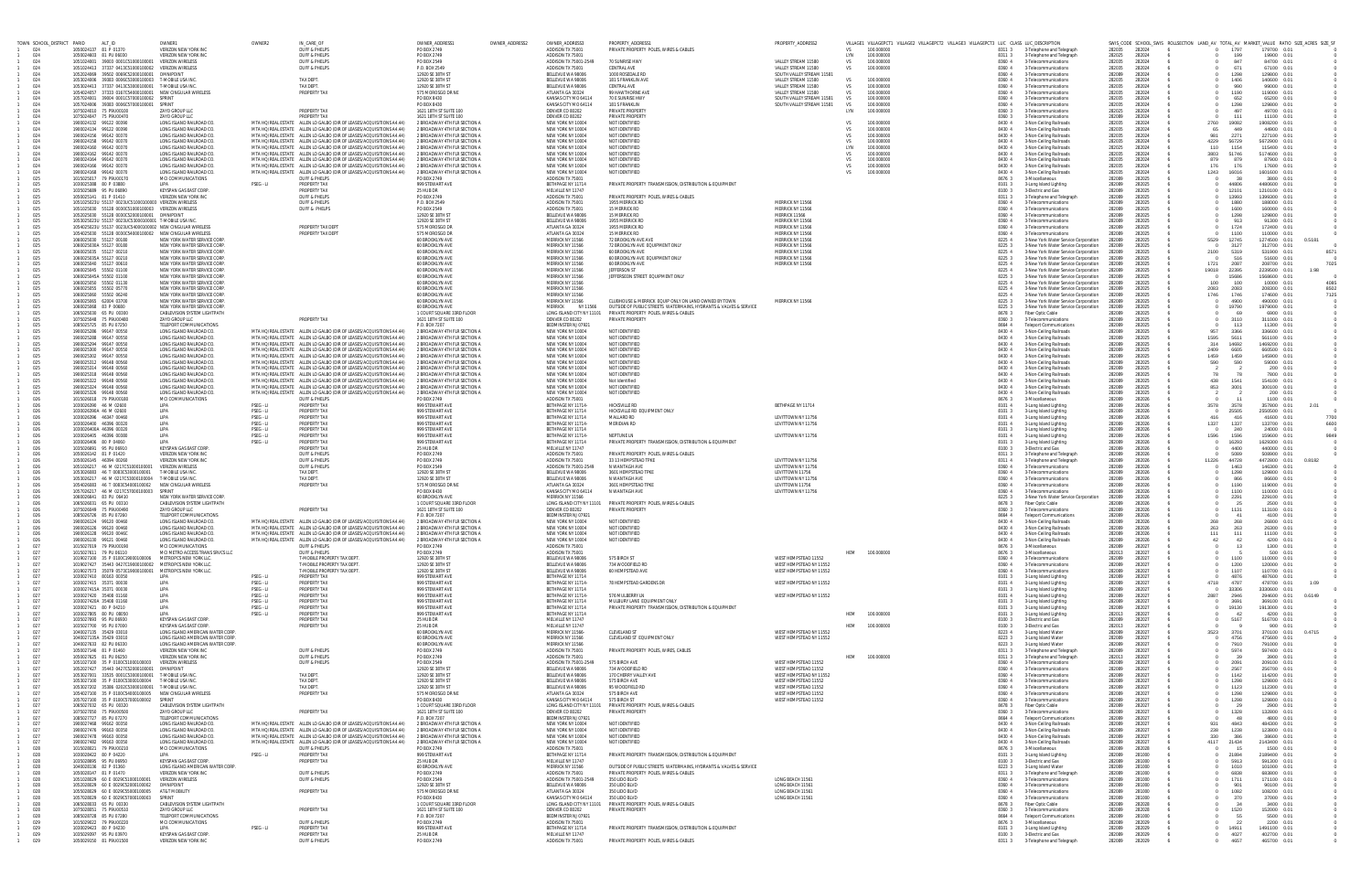| TOWN SCHOOL_DISTRICT PARID | ALT ID<br>1050024137 81 P 01370                                                                                    | OWNER1                                                              | OWNER2                 | IN_CARE_OF                                                                                                                                    | OWNER_ADDRESS1                                               | OWNER_ADDRESS2 | OWNER_ADDRESS3                                    | PROPERTY ADDRESS1                                                                                                         | PROPERTY_ADDRESS2                                  |                 | VILLAGE1 VILLAGEPCT1 VILLAGE2 VILLAGEPCT2 VILLAGE3 VILLAGEPCT3 LUC CLASS LUC_DESCRIPTION |                  |                                                                              |                  |                  |              |                |                              | SWIS_CODE SCHOOL_SWIS ROLLSECTION LAND_AV TOTAL_AV MARKET_VALUE RATIO SIZE_ACRES SIZE_SP |
|----------------------------|--------------------------------------------------------------------------------------------------------------------|---------------------------------------------------------------------|------------------------|-----------------------------------------------------------------------------------------------------------------------------------------------|--------------------------------------------------------------|----------------|---------------------------------------------------|---------------------------------------------------------------------------------------------------------------------------|----------------------------------------------------|-----------------|------------------------------------------------------------------------------------------|------------------|------------------------------------------------------------------------------|------------------|------------------|--------------|----------------|------------------------------|------------------------------------------------------------------------------------------|
| 024<br>024                 | 1050024603 81 PU 0603                                                                                              | VERIZON NEW YORK INC<br><b>VERIZON NEW YORK IN</b>                  |                        | DUFF & PHELPS<br>DUFF & PHELPS                                                                                                                | PO BOX 2749<br>PO BOX 2749                                   |                | ADDISON TX 75001<br>ADDISON TX 7500               | PRIVATE PROPERTY POLES, WIRES & CABLES                                                                                    |                                                    | VS.<br>LYN      | 100,000000<br>100,00000                                                                  | 8311 3           | 8311 3 3-Telephone and Telegraph<br>3-Telephone and Telegraph                | 282035<br>282025 | 282024<br>282024 |              | 1797<br>199    | 179700 0.01<br>19900 0.01    |                                                                                          |
| 024                        | 1051024001 39003 0001C51000100001 VERIZON WIRELESS                                                                 |                                                                     |                        | DUFF & PHELPS                                                                                                                                 | PO BOX 2549                                                  |                | ADDISON TX 75001-2549                             | 70 SUNRISE HWY                                                                                                            | VALLEY STREAM 11580                                | VS              | 100,000000                                                                               | 8360 4           | 3-Telecommunications                                                         | 282035           | 282024           |              | 847            | 84700 0.01                   |                                                                                          |
| 024<br>024                 | 1051024413 37337 0413C51000100002 VERIZON WIRELESS<br>1052024069 39502 0069C52000100001 OMNIPOINT                  |                                                                     |                        | DUFF & PHELPS                                                                                                                                 | P.O. BOX 2549<br>12920 SE 38TH S                             |                | ADDISON TX 75001<br>BELLEVUE WA 98006             | CENTRAL AVE<br>1000 ROSEDALE RD                                                                                           | VALLEY STREAM 11580<br>SOUTH VALLEY STREAM 11581   |                 | 100,000000                                                                               | 83604<br>8360    | 3-Telecommunications<br>3-Telecommunications                                 | 282035<br>282089 | 282024<br>282024 |              | 671<br>1298    | 67100 0.01<br>129800 0.01    |                                                                                          |
| 024                        | 1053024006 39383 0006C53000100003 T-MOBILE USA INC                                                                 |                                                                     |                        | <b>TAX DFPT</b>                                                                                                                               | 12920 SE 38TH S                                              |                | BELLEVUE WA 98006                                 | 181 S FRANKLIN AVE                                                                                                        | VALLEY STREAM 11580                                | VS              | 100,000000                                                                               | 8360 4           | 3-Telecommunications                                                         | 282035           | 282024           |              | 1406           | 140600 0.01                  |                                                                                          |
| 024                        | 1053024413 37337 0413C53000100001 T-MOBILE USA INC                                                                 |                                                                     |                        | TAX DEPT.<br>PROPERTY TAX                                                                                                                     | 12920 SE 38TH ST                                             |                | BELLEVUE WA 98006                                 | CENTRAL AVE<br>99 HAWTHORNE AVE                                                                                           | VALLEY STREAM 11580<br>VALLEY STREAM 11580         | VS              | 100.000000<br>100,000000                                                                 | 8360 4<br>8360 - | 3-Telecommunications                                                         | 282035<br>282035 | 282024<br>282024 |              | 990<br>1190    | 99000 0.01                   |                                                                                          |
| 024<br>024                 | 1054024057 37333 0167C54000100001 NEW CINGULAR WIRELESS<br>1057024001 39004 0001C57000100002 SPRINT                |                                                                     |                        |                                                                                                                                               | 575 MOROSGO DR NE<br>PO BOX 8430                             |                | ATLANTA GA 30324<br>KANSAS CITY MO 64114          | 70 E SUNRISE HWY                                                                                                          | SOUTH VALLEY STREAM 11581                          | VS<br><b>VS</b> | 100,000000                                                                               | 8360 4           | 3-Telecommunications<br>3-Telecommunications                                 | 282035           | 282024           |              | 652            | 119000 0.01<br>65200 0.01    |                                                                                          |
| 024                        | 1057024006 39383 0006C57000100001 SPRINT                                                                           |                                                                     |                        |                                                                                                                                               | PO BOX 8430                                                  |                | KANSAS CITY MO 64114                              | 181 S FRANKLIN                                                                                                            | SOUTH VALLEY STREAM 11581                          | <b>VS</b>       | 100.000000                                                                               | 8360 4           | 3-Telecommunications                                                         | 282035           | 282024           |              | 1298           | 129800 0.01                  |                                                                                          |
| 024<br>024                 | 1075024010 75 P9U00100<br>1075024047 75 P9H00470                                                                   | ZAYO GROUP LLC<br><b>ZAYO GROUP LLC</b>                             |                        | PROPERTY TAX<br>PROPERTY TAX                                                                                                                  | 1621 18TH ST SUITE 100<br>1621 18TH ST SUITE 100             |                | DENVER CO 80202<br>DENVER CO 80202                | PRIVATE PROPERT<br>PRIVATE PROPERT                                                                                        |                                                    | LYN             | 100,000000                                                                               | 8360 3<br>8360   | 3-Telecommunications<br>3-Telecommunications                                 | 282025<br>282089 | 282024<br>282024 |              | 497<br>111     | 49700 0.01<br>11100 0.01     |                                                                                          |
| 024                        | 1900024132 99122 0039                                                                                              | LONG ISLAND RAILROAD CO                                             |                        | MTA HQ/REAL ESTATE ALLEN LO GALBO (DIR OF LEASES/ACQUISITIONS A4.44)                                                                          | 2 BROADWAY 4TH FLR SECTION /                                 |                | NEW YORK NY 1000-                                 | NOT IDENTIFIED                                                                                                            |                                                    | VS              | 100.00000                                                                                | 8430             | 3-Non-Ceiling Railroads                                                      | 282035           | 282024           | 2760         | 19082          | 1908200 0.01                 |                                                                                          |
| 024                        | 1900024134 99122 00390                                                                                             | LONG ISLAND RAILROAD CO                                             |                        | MTA HO/REAL ESTATE ALLEN LO GALBO (DIR OF LEASES/ACQUISITIONS A4.44)                                                                          | 2 BROADWAY 4TH FLR SECTION /                                 |                | NEW YORK NY 10004                                 | NOT IDENTIFIED                                                                                                            |                                                    |                 | 100,00000                                                                                | 8430             | 3-Non-Ceiling Railroads                                                      | 282035           | 282024           | 65           | 449            | 44900 0.01                   |                                                                                          |
| 024<br>024                 | 1900024156 99142 00370<br>1900024158 99142 0037                                                                    | LONG ISLAND RAILROAD CO<br>LONG ISLAND RAILROAD CO                  |                        | MTA HO/REAL ESTATE ALLEN LO GALBO (DIR OF LEASES/ACOULSITIONS A4-44)<br>MTA HO/REAL ESTATE ALLEN LO GALBO (DIR OF LEASES/ACQUISITIONS A4.44)  | 2 BROADWAY 4TH FLR SECTION A<br>2 BROADWAY 4TH FLR SECTION A |                | NEW YORK NY 10004<br>NEW YORK NY 10004            | NOT IDENTIFIED<br>NOT IDENTIFIED                                                                                          |                                                    |                 | 100,000000<br>100.00000                                                                  | 8430 4<br>8430   | 3-Non-Ceiling Railroads<br>3-Non-Ceiling Railroads                           | 282035<br>282035 | 282024<br>282024 | 981<br>4229  | 2271<br>56729  | 227100 0.01<br>5672900 0.01  |                                                                                          |
| 024                        | 1900024160 99142 00370                                                                                             | LONG ISLAND RAILROAD CO                                             |                        | MTA HO/REAL ESTATE ALLEN LO GALBO (DIR OF LEASES/ACQUISITIONS A4.44)                                                                          | 2 BROADWAY 4TH FLR SECTION A                                 |                | NEW YORK NY 10004                                 | NOT IDENTIFIED                                                                                                            |                                                    | LYN             | 100,000000                                                                               | 8430             | 3-Non-Ceiling Railroads                                                      | 282025           | 282024           | 110          | 1154           | 115400 0.01                  |                                                                                          |
| 024                        | 1900024162 99142 00370                                                                                             | LONG ISLAND RAILROAD CO                                             |                        | MTA HO/REAL ESTATE ALLEN LO GALBO (DIR OF LEASES/ACOUJISITIONS A4-44)                                                                         | 2 BROADWAY 4TH FLR SECTION A                                 |                | NEW YORK NY 10004                                 | NOT IDENTIFIED                                                                                                            |                                                    | VS.             | 100.000000                                                                               | 8430             | 3-Non-Ceiling Railroads                                                      | 282035           | 282024           | 3803         | 51746          | 5174600 0.01                 |                                                                                          |
| 024<br>024                 | 1900024164 99142 0037<br>1900024166 99142 00370                                                                    | LONG ISLAND RAILROAD CO<br>LONG ISLAND RAILROAD CO                  |                        | MTA HO/REAL ESTATE ALLEN LO GALBO (DIR OF LEASES/ACQUISITIONS A4.44)<br>MTA HO/REAL ESTATE ALLEN LO GALBO (DIR OF LEASES/ACOUJISITIONS A4-44) | 2 BROADWAY 4TH FLR SECTION A<br>2 BROADWAY 4TH FLR SECTION A |                | NEW YORK NY 10004<br>NEW YORK NY 10004            | NOT IDENTIFIED<br>NOT IDENTIFIED                                                                                          |                                                    | VS              | 100,000000<br>100,000000                                                                 | 8430<br>8430     | 3-Non-Ceiling Railroads<br>3-Non-Ceiling Railroads                           | 282035<br>282035 | 282024<br>282024 | 879<br>176   | 879<br>176     | 87900 0.0<br>17600 0.01      |                                                                                          |
| 024                        | 1900024168 99142 00370                                                                                             | LONG ISLAND RAILROAD CO                                             |                        | MTA HQ/REAL ESTATE ALLEN LO GALBO (DIR OF LEASES/ACQUISITIONS A4.44)                                                                          | 2 BROADWAY 4TH FLR SECTION A                                 |                | NEW YORK NY 10004                                 | NOT IDENTIFIED                                                                                                            |                                                    | VS.             | 100,000000                                                                               | 8430             | 3-Non-Ceiling Railroads                                                      | 282035           | 282024           | 1243         | 16016          | 1601600 0.01                 |                                                                                          |
| 025                        | 1015025017 79 P9U00170                                                                                             | MCI COMMUNICATIONS                                                  |                        | <b>DUFF &amp; PHELPS</b>                                                                                                                      | PO BOX 2749                                                  |                | ADDISON TX 75001                                  |                                                                                                                           |                                                    |                 |                                                                                          | 8676 3           | 3-Miscellaneous                                                              | 282089           | 282025           |              |                | 3800 0.01                    |                                                                                          |
| 025<br>025                 | 1030025388 80 P 03880<br>1035025689 95 PU 06890                                                                    | <b>I IPA</b><br><b>KEYSPAN GAS EAST CORP</b>                        | PSEG - LI              | <b>PROPERTY TAX</b><br>PROPERTY TAX                                                                                                           | 999 STEWART AVI<br>25 HUB DR                                 |                | BETHPAGE NY 11714<br>MELVILLE NY 11747            | PRIVATE PROPERTY TRANSMISSION, DISTRIBUTION & EQUIPMENT                                                                   |                                                    |                 |                                                                                          | 8101<br>8100 3   | 3-Long Island Lighting<br>3-Electric and Gas                                 | 282089<br>282089 | 282025<br>282025 |              | 44806<br>12101 | 4480600 0.01<br>1210100 0.01 |                                                                                          |
| 025                        | 1050025141 81 P 01410                                                                                              | <b>VERIZON NEW YORK INC</b>                                         |                        | DUFF & PHELPS                                                                                                                                 | PO BOX 2749                                                  |                | ADDISON TX 7500                                   | PRIVATE PROPERTY POLES, WIRES & CABLES                                                                                    |                                                    |                 |                                                                                          | 8311             | 3-Telephone and Telegraph                                                    | 282089           | 282025           |              | 13993          | 1399300 0.01                 |                                                                                          |
| 025                        | 1051025023U 55137 0023UC51000100003 VERIZON WIRELESS                                                               |                                                                     |                        | DUFF & PHELPS                                                                                                                                 | P.O. BOX 2549                                                |                | ADDISON TX 75001                                  | 1955 MERRICK RD                                                                                                           | MERRICK NY 11566                                   |                 |                                                                                          | 8360 4           | 3-Telecommunications                                                         | 282089           | 282025           |              | 1880           | 188000 0.01                  |                                                                                          |
| 025<br>025                 | 1051025030  55128  0030C51000100003  VERIZON WIRELESS<br>1052025030   55128   0030C52000100001   OMNIPOINT         |                                                                     |                        | <b>DUFF &amp; PHELPS</b>                                                                                                                      | PO BOX 2549<br>12920 SE 38TH ST                              |                | ADDISON TX 75001<br>BELLEVUE WA 98006             | 15 MERRICK RD<br>15 MERRICK RD                                                                                            | MERRICK NY 11566<br>MERRICK 11566                  |                 |                                                                                          | 8360 -<br>8360 4 | 3-Telecommunications<br>3-Telecommunications                                 | 282089<br>282089 | 282025<br>282025 |              | 1600<br>1298   | 160000 0.01<br>129800 0.01   |                                                                                          |
| 025                        | 1053025023U 55137 0023UC53000100001 T-MOBILE USA INC                                                               |                                                                     |                        |                                                                                                                                               | 12920 SE 38TH S                                              |                | BELLEVUE WA 98006                                 | 1955 MERRICK RD                                                                                                           | MERRICK NY 1156                                    |                 |                                                                                          | 8360 4           | 3-Telecommunications                                                         | 282089           | 282025           |              | 913            | 91300 0.01                   |                                                                                          |
| 025                        | 1054025023U 55137 0023UC54000100002 NEW CINGULAR WIRELES!                                                          |                                                                     |                        | PROPERTY TAX DEPT                                                                                                                             | 575 MOROSGO DI                                               |                | ATLANTA GA 30324                                  | 1955 MERRICK RI                                                                                                           | MERRICK NY 1156                                    |                 |                                                                                          | 8360             | 3-Telecommunications                                                         | 282089           | 282025           |              | 1724           | 172400 0.01                  |                                                                                          |
| 025<br>025                 | 1054025030   55128   0030C54000100002   NEW CINGULAR WIRELESS<br>1060025030 55127 00180                            | NEW YORK WATER SERVICE CORE                                         |                        | PROPERTY TAX DEPT                                                                                                                             | 575 MOROSGO DR<br>60 BROOKLYN AVE                            |                | ATLANTA GA 30324<br>MERRICK NY 11566              | 15 MERRICK RD<br>72 BROOKLYN AVE AVE                                                                                      | MERRICK NY 11566<br>MERRICK NY 11566               |                 |                                                                                          | 8360 -<br>8225   | 3-Telecommunications<br>3-New York Water Service Corporation                 | 282089<br>282089 | 282025<br>282025 | 5529         | 1100<br>12745  | 110000 0.01<br>1274500 0.01  | 0.5181                                                                                   |
| 025                        | 1060025030A 55127 00180                                                                                            | NEW YORK WATER SERVICE CORI                                         |                        |                                                                                                                                               | 60 BROOKLYN AVI                                              |                | MERRICK NY 11566                                  | 72 BROOKLYN AVE EQUIPMENT ONLY                                                                                            | MERRICK NY 11566                                   |                 |                                                                                          | 8225             | 3-New York Water Service Corporation                                         | 282089           | 282025           |              | 3127           | 312700 0.01                  |                                                                                          |
| 025<br>025                 | 1060025035 55127 00210<br>1060025035A 55127 00210                                                                  | NEW YORK WATER SERVICE CORI<br>NEW YORK WATER SERVICE CORI          |                        |                                                                                                                                               | 60 BROOKLYN AVE<br>60 BROOKLYN AVE                           |                | MERRICK NY 11566<br>MERRICK NY 11566              | 60 BROOKLYN AVI<br>60 BROOKLYN AVE EQUIPMENT ONLY                                                                         | MERRICK NY 11566<br>MERRICK NY 11566               |                 |                                                                                          | 8225<br>8225 3   | 3-New York Water Service Corporation<br>3-New York Water Service Corporation | 282089<br>282089 | 282025<br>282025 | 2100         | 5319<br>516    | 531900 0.01<br>51600 0.01    | 8571                                                                                     |
| 025                        | 1060025040 55127 0061                                                                                              | NEW YORK WATER SERVICE CORI                                         |                        |                                                                                                                                               | 60 BROOKLYN AV                                               |                | MERRICK NY 11566                                  | 60 BROOKLYN AVI                                                                                                           | MERRICK NY 1156                                    |                 |                                                                                          | 8225             | 3-New York Water Service Corporation                                         | 282089           | 282025           | 1721         | 2087           | 208700 0.01                  | 7025                                                                                     |
| 025                        | 1060025045 55502 01100                                                                                             | NEW YORK WATER SERVICE COR                                          |                        |                                                                                                                                               | 60 BROOKLYN AVE                                              |                | MERRICK NY 11566                                  | JEFFERSON ST                                                                                                              |                                                    |                 |                                                                                          | 8225             | 3-New York Water Service Corporation                                         | 282089           | 282025           | 19018        | 22395          | 2239500 0.01                 | 1.98                                                                                     |
| 025<br>025                 | 1060025045A 55502 01100<br>1060025050 55502 01130                                                                  | NEW YORK WATER SERVICE CORE<br>NEW YORK WATER SERVICE CORI          |                        |                                                                                                                                               | 60 BROOKLYN AVI<br>60 BROOKLYN AVI                           |                | MERRICK NY 11566<br>MERRICK NY 11566              | JEFFERSEON STREET EQUIPMENT ONLY                                                                                          |                                                    |                 |                                                                                          | 8225 3<br>8225   | 3-New York Water Service Corporation<br>3-New York Water Service Corporation | 282089<br>282089 | 282025<br>282025 | 100          | 15686<br>100   | 1568600 0.01<br>10000 0.01   | 4085                                                                                     |
| 025                        | 1060025055 55502 05770                                                                                             | NEW YORK WATER SERVICE CORE                                         |                        |                                                                                                                                               | 60 BROOKLYN AVI                                              |                | MERRICK NY 11566                                  |                                                                                                                           |                                                    |                 |                                                                                          | 8225 4           | 3-New York Water Service Corporation                                         | 282089           | 282025           | 2083         | 2083           | 208300 0.01                  | 8502                                                                                     |
| 025                        | 1060025060 55502 06240                                                                                             | NEW YORK WATER SERVICE CORE                                         |                        |                                                                                                                                               | 60 BROOKLYN AVE                                              |                | MERRICK NY 11566                                  |                                                                                                                           |                                                    |                 |                                                                                          | 8225             | 3-New York Water Service Corporation                                         | 282089           | 282025           | 1746         | 1746           | 174600 0.01                  | 7125                                                                                     |
| 025                        | 1060025065 62004 0370<br>1060025068 83 P 00680                                                                     | NEW YORK WATER SERVICE CORE<br>NEW YORK WATER SERVICE CORE          |                        |                                                                                                                                               | 60 BROOKLYN AVI<br>60 BROOKLYN AVE                           |                | MERRICK NY 11566<br>MERRICK NY 11566              | CLUBHOUSE & MERRICK EQUIP ONLY ON LAND OWNED BY TOWN<br>OUTSIDE OF PUBLIC STREETS WATERMAINS. HYDRANTS & VALVES & SERVICI | MERRICK NY 11566                                   |                 |                                                                                          | 8225<br>8225     | 3-New York Water Service Corporation                                         | 282089<br>282089 | 282025<br>282025 |              | 4900<br>19790  | 490000 0.01                  |                                                                                          |
| 025<br>025                 | 1065025030 65 PU 00300                                                                                             | CABLEVISION SYSTEM LIGHTPATH                                        |                        |                                                                                                                                               | 1 COURT SQUARE 33RD FLOOR                                    |                |                                                   | LONG ISLAND CITY NY 11101 PRIVATE PROPERTY POLES, WIRES & CABLES                                                          |                                                    |                 |                                                                                          | 8678 3           | 3-New York Water Service Corporation<br>Fiber Optic Cable                    | 282089           | 282025           |              |                | 1979000 0.01<br>6900 0.01    |                                                                                          |
| 025                        | 1075025048 75 P9U00480                                                                                             | ZAYO GROUP LLC                                                      |                        | PROPERTY TAX                                                                                                                                  | 1621 18TH ST SUITE 100                                       |                | DENVER CO 80202                                   | PRIVATE PROPERTY                                                                                                          |                                                    |                 |                                                                                          | 8360 3           | 3-Telecommunication                                                          | 282089           | 282025           |              | 3110           | 311000 0.01                  |                                                                                          |
| 025                        | 1085025725 85 PU 07250                                                                                             | TELEPORT COMMUNICATIONS                                             |                        | MTA HO/REAL ESTATE ALLEN LO GALBO (DIR OF LEASES/ACQUISITIONS A4.44)                                                                          | P.O. BOX 7207                                                |                | BEDMINSTER NJ 07921                               |                                                                                                                           |                                                    |                 |                                                                                          | 8664             | <b>Teleport Communications</b>                                               | 282089           | 282025           | 957          | -113           | 11300 0.01                   |                                                                                          |
| 025<br>025                 | 1900025286 99147 00550<br>1900025288 99147 00550                                                                   | LONG ISLAND RAILROAD CO.<br>LONG ISLAND RAILROAD CO                 |                        | MTA HO/REAL ESTATE ALLEN LO GALBO (DIR OF LEASES/ACQUISITIONS A4.44)                                                                          | 2 BROADWAY 4TH FLR SECTION A<br>2 BROADWAY 4TH FLR SECTION A |                | NEW YORK NY 10004<br>NEW YORK NY 10004            | NOT IDENTIFIED<br>NOT IDENTIFIED                                                                                          |                                                    |                 |                                                                                          | 8430 4<br>8430   | 3-Non-Ceiling Railroads<br>3-Non-Ceiling Railroads                           | 282089<br>282089 | 282025<br>282025 | 1595         | 3366<br>5611   | 336600 0.01<br>561100 0.01   |                                                                                          |
| 025                        | 1900025294 99147 00550                                                                                             | LONG ISLAND RAILROAD CO                                             |                        | MTA HO/REAL ESTATE ALLEN LO GALBO (DIR OF LEASES/ACOUISITIONS A4 44)                                                                          | 2 BROADWAY 4TH FLR SECTION A                                 |                | NEW YORK NY 10004                                 | NOT IDENTIFIED                                                                                                            |                                                    |                 |                                                                                          | 8430 4           | 3-Non-Ceiling Railroads                                                      | 282089           | 282025           | 314          | 14692          | 1469200 0.01                 |                                                                                          |
| 025                        | 1900025300 99147 00550                                                                                             | LONG ISLAND RAILROAD CO<br>LONG ISLAND RAILROAD CO                  |                        | MTA HO/REAL ESTATE ALLEN LO GALBO (DIR OF LEASES/ACQUISITIONS A4.44)                                                                          | 2 BROADWAY 4TH FLR SECTION A<br>2 BROADWAY 4TH FLR SECTION A |                | NEW YORK NY 10004<br>NEW YORK NY 10004            | NOT IDENTIFIED                                                                                                            |                                                    |                 |                                                                                          | 8430<br>8430 4   | 3-Non-Ceiling Railroads                                                      | 282089<br>282089 | 282025<br>282025 | 2409<br>1459 | 6605<br>1459   | 660500 0.0                   |                                                                                          |
| 025<br>025                 | 1900025302 99147 00550<br>1900025312 99148 00560                                                                   | LONG ISLAND RAILROAD CO                                             |                        | MTA HO/REAL ESTATE ALLEN LO GALBO (DIR OF LEASES/ACQUISITIONS A4.44)<br>MTA HO/REAL ESTATE ALLEN LO GALBO (DIR OF LEASES/ACOULSITIONS A4-44)  | 2 RROADWAY 4TH ELR SECTION A                                 |                | NEW YORK NY 10004                                 | NOT IDENTIFIED<br>NOT IDENTIFIED                                                                                          |                                                    |                 |                                                                                          | 8430 4           | 3-Non-Ceiling Railroads<br>3-Non-Ceiling Railroads                           | 282089           | 282025           | 590          | 590            | 145900 0.01<br>59000 0.01    |                                                                                          |
| 025                        | 1900025314 99148 0056                                                                                              | LONG ISLAND RAILROAD CO                                             |                        | MTA HO/REAL ESTATE ALLEN LO GALBO (DIR OF LEASES/ACQUISITIONS A4.44)                                                                          | 2 BROADWAY 4TH FLR SECTION A                                 |                | NEW YORK NY 10004                                 | NOT IDENTIFIED                                                                                                            |                                                    |                 |                                                                                          | 8430             | 3-Non-Ceiling Railroads                                                      | 282089           | 282025           |              |                | $200 \t 0.0$                 |                                                                                          |
| 025<br>025                 | 1900025318 99148 00560<br>1900025322 99148 00560                                                                   | LONG ISLAND RAILROAD CO<br>LONG ISLAND RAILROAD CO                  |                        | MTA HO/REAL ESTATE ALLEN LO GALBO (DIR OF LEASES/ACQUISITIONS A4.44)<br>MTA HO/REAL ESTATE ALLEN LO GALBO (DIR OF LEASES/ACQUISITIONS A4.44)  | 2 BROADWAY 4TH FLR SECTION A<br>2 BROADWAY 4TH FLR SECTION A |                | NEW YORK NY 10004<br>NEW YORK NY 10004            | NOT IDENTIFIED<br>Not Identified                                                                                          |                                                    |                 |                                                                                          | 8430<br>8430     | 3-Non-Ceiling Railroads<br>3-Non-Ceiling Railroads                           | 282089<br>282089 | 282025<br>282025 | - 78<br>438  | - 78<br>1541   | 7800 0.01<br>154100 0.01     |                                                                                          |
| 025                        | 1900025324 99148 00560                                                                                             | LONG ISLAND RAILROAD CO                                             |                        | MTA HO/REAL ESTATE ALLEN LO GALBO (DIR OF LEASES/ACQUISITIONS A4.44)                                                                          | 2 BROADWAY 4TH FLR SECTION A                                 |                | NEW YORK NY 10004                                 | NOT IDENTIFIED                                                                                                            |                                                    |                 |                                                                                          | 8430             | 3-Non-Ceiling Railroads                                                      | 282089           | 282025           | 853          | 3001           | 300100 0.01                  |                                                                                          |
| 025                        | 1900025326 99148 00560                                                                                             | LONG ISLAND RAILROAD CO                                             |                        | MTA HO/REAL ESTATE ALLEN LO GALBO (DIR OF LEASES/ACQUISITIONS A4.44)                                                                          | 2 BROADWAY 4TH FLR SECTION A                                 |                | NEW YORK NY 10004                                 | NOT IDENTIFIED                                                                                                            |                                                    |                 |                                                                                          | 8430.4           | 3-Non-Ceiling Railroads                                                      | 282089           | 282025           |              |                | 200 0.01                     |                                                                                          |
| 026<br>026                 | 1015026018 79 P9U00180<br>1030026390 46 M 02600                                                                    | MCI COMMUNICATIONS<br>LIPA                                          | PSEG - LI              | <b>DUFF &amp; PHELPS</b><br>PROPERTY TAX                                                                                                      | PO BOX 2749<br>999 STEWART AVI                               |                | ADDISON TX 75001<br>BETHPAGE NY 11714             | <b>HICKSVILLE RD</b>                                                                                                      | BETHPAGE NY 11714                                  |                 |                                                                                          | 8676 3<br>8101   | 3-Miscellaneous<br>3-Long Island Lighting                                    | 282089<br>282089 | 282026<br>282026 | 3578         | 11<br>3578     | 1100 0.01<br>357800 0.01     |                                                                                          |
| 026                        | 1030026390A 46 M 02600                                                                                             | LIPA                                                                | PSEG - LI              | <b>PROPERTY TAX</b>                                                                                                                           | 999 STEWART AVI                                              |                | BETHPAGE NY 11714                                 | HICKSVILLE RD EQUIPMENT ONLY                                                                                              |                                                    |                 |                                                                                          | 8101 3           | 3-Long Island Lighting                                                       | 282089           | 282026           |              | 25505          | 2550500 0.01                 |                                                                                          |
| 026                        | 1030026396 46347 00460                                                                                             | LIPA                                                                | PSEG - LI              | PROPERTY TAX                                                                                                                                  | 999 STEWART AVE                                              |                | BETHPAGE NY 11714                                 | MALLARD RD                                                                                                                | LEVITTOWN NY 11756                                 |                 |                                                                                          | 8101 4           | 3-Long Island Lighting                                                       | 282089           | 282026           | 416          | 416            | 41600 0.01                   | 7700                                                                                     |
| 026<br>026                 | 1030026400 46396 00320<br>1030026400A 46396 00320                                                                  | LIPA<br>LIPA                                                        | PSEG - LI<br>PSEG - LI | PROPERTY TAX<br><b>PROPERTY TAX</b>                                                                                                           | 999 STEWART AVE<br>999 STFWART AVE                           |                | BETHPAGE NY 11714-<br>BETHPAGE NY 11714           | <b>MERIDIAN RD</b>                                                                                                        | LEVITTOWN NY 11756                                 |                 |                                                                                          | 8101 4<br>8101 3 | 3-Long Island Lighting<br>3-Long Island Lighting                             | 282089<br>282089 | 282026<br>282026 | 1337         | 1337<br>240    | 133700 0.01<br>24000 0.01    | 6600                                                                                     |
| 026                        | 1030026405 46396 00380                                                                                             | LIPA                                                                | PSEG - LI              | PROPERTY TAX                                                                                                                                  | 999 STEWART AVE                                              |                | BETHPAGE NY 11714-                                | NEPTUNE LN                                                                                                                | LEVITTOWN NY 11756                                 |                 |                                                                                          | 8101             | 3-Long Island Lighting                                                       | 282089           | 282026           | 1596         | 1596           | 159600 0.01                  | 9849                                                                                     |
| 026                        | 1030026406 80 P 04060                                                                                              | LIPA                                                                | PSEG - LI              | PROPERTY TAX                                                                                                                                  | 999 STEWART AVE                                              |                | BETHPAGE NY 11714                                 | PRIVATE PROPERTY TRANSMISSION. DISTRIBUTION & EQUIPMENT                                                                   |                                                    |                 |                                                                                          | 8101 3           | 3-Long Island Lighting                                                       | 282089           | 282026           |              | 16293          | 1629300 0.01                 |                                                                                          |
| 026<br>026                 | 1035026691 95 PU 0691<br>1050026142 81 P 01420                                                                     | KEYSPAN GAS FAST CORP<br><b>VERIZON NEW YORK IN</b>                 |                        | <b>PROPERTY TAX</b><br>DUFF & PHELPS                                                                                                          | 25 HUB DR<br>PO BOX 2749                                     |                | MFI VII I F NY 11747<br>ADDISON TX 75001          | PRIVATE PROPERTY POLES, WIRES & CABLES                                                                                    |                                                    |                 |                                                                                          | 8100 3<br>8311 3 | 3-Electric and Gas<br>3-Telephone and Telegraph                              | 282089<br>282089 | 282026<br>282026 |              | 4400<br>5089   | 440000 0.01<br>508900 0.01   |                                                                                          |
| 026                        | 1050026145 46394 00260                                                                                             | <b>VERIZON NEW YORK IN</b>                                          |                        | DUFF & PHELPS                                                                                                                                 | PO BOX 2749                                                  |                | ADDISON TX 75001                                  | 33 13 HEMPSTEAD TPKE                                                                                                      | LEVITTOWN NY 11756                                 |                 |                                                                                          | 8311 4           | 3-Telephone and Telegraph                                                    | 282089           | 282026           | 11226        | 44728          | 4472800 0.01                 | 0.8182                                                                                   |
| 026                        |                                                                                                                    |                                                                     |                        | DUFF & PHFLPS                                                                                                                                 | PO BOX 2549                                                  |                | ADDISON TX 75001-2549                             | N WANTAGH AVE                                                                                                             | LEVITTOWN NY 11756                                 |                 |                                                                                          | 8360 4           | 3-Telecommunications                                                         | 282089           | 282026           |              | 1463           | 146300 0.01                  |                                                                                          |
| 026<br>026                 | 1053026083  46  T 0083C53000100001<br>1053026217   46   M   0217C53000100004   T-MOBILE USA INC                    | T-MOBILE USA INC                                                    |                        | TAX DEPT.<br><b>TAX DFPT</b>                                                                                                                  | 12920 SE 38TH 5<br>12920 SE 38TH ST                          |                | BELLEVUE WA 98006<br>BELLEVUE WA 98006            | 3601 HEMPSTEAD TPK<br>N WANTAGH AVE                                                                                       | LEVITTOWN 11756<br>LEVITTOWN NY 11756              |                 |                                                                                          | 8360<br>8360 4   | 3-Telecommunications<br>3-Telecommunications                                 | 282089<br>282089 | 282026<br>282026 |              | 1298<br>866    | 129800 0.01<br>86600 0.01    |                                                                                          |
| 026                        |                                                                                                                    |                                                                     |                        | PROPERTY TAX                                                                                                                                  | 575 MOROSGO DR NE                                            |                | ATLANTA GA 30324                                  | 3601 HEMPSTEAD TPK                                                                                                        | LEVITTOWN 11756                                    |                 |                                                                                          | 8360 4           | 3-Telecommunications                                                         | 282089           | 282026           |              | 1190           | 119000 0.01                  |                                                                                          |
| 026                        | 1057026217  46  M  0217C57000100003  SPRINT                                                                        |                                                                     |                        |                                                                                                                                               | PO BOX 8430                                                  |                | KANSAS CITY MO 64114                              | N WANTAGH AVI                                                                                                             | LEVITTOWN NY 11756                                 |                 |                                                                                          | 8360 -           | 3-Telecommunications                                                         | 282089           | 282026           |              | 1100           | 110000 0.01                  |                                                                                          |
| 026<br>026                 | 1060026641 83 PU 06410<br>1065026031 65 PU 00310                                                                   | NEW YORK WATER SERVICE CORE<br><b>CABLEVISION SYSTEM LIGHTPATH</b>  |                        |                                                                                                                                               | 60 BROOKLYN AVI<br>1 COURT SOLIARE 33RD ELOOR                |                | MERRICK NY 11566                                  | LONG ISLAND CITY NY 11101 PRIVATE PROPERTY POLES, WIRES & CABLES                                                          |                                                    |                 |                                                                                          | 8225 3<br>8678 3 | 3-New York Water Service Corporation<br>Fiber Optic Cable                    | 282089<br>282089 | 282026<br>282026 |              | 2291<br>- 25   | 229100 0.01<br>2500 0.01     |                                                                                          |
| 026                        | 1075026049 75 P9U00490                                                                                             | ZAYO GROUP LL                                                       |                        | PROPERTY TAX                                                                                                                                  | 1621 18TH ST SUITE 100                                       |                | <b>DENVER CO 80202</b>                            | PRIVATE PROPERTY                                                                                                          |                                                    |                 |                                                                                          | 8360             | 3-Telecommunications                                                         | 282089           | 282026           |              | 1131           | 113100 0.0                   |                                                                                          |
| 026                        | 1085026726 85 PU 07260                                                                                             | TFI FPORT COMMUNICATIONS                                            |                        |                                                                                                                                               | P.O. BOX 7207                                                |                | BEDMINSTER NJ 0792                                |                                                                                                                           |                                                    |                 |                                                                                          | 8664 -           | <b>Teleport Communications</b>                                               | 282089           | 282026           |              | -41            | 4100 0.01                    |                                                                                          |
| 026<br>026                 | 1900026124 99120 00460<br>1900026126 99120 00460                                                                   | LONG ISLAND RAILROAD CO.<br>LONG ISLAND RAILROAD CO                 |                        | MTA HQ/REAL ESTATE ALLEN LO GALBO (DIR OF LEASES/ACQUISITIONS A4.44)<br>MTA HO/REAL ESTATE ALLEN LO GALBO (DIR OF LEASES/ACOULSITIONS A4 44)  | 2 BROADWAY 4TH FLR SECTION A<br>2 BROADWAY 4TH FLR SECTION A |                | NEW YORK NY 10004<br>NEW YORK NY 10004            | NOT IDENTIFIED<br>NOT IDENTIFIED                                                                                          |                                                    |                 |                                                                                          | 8430 4<br>8430   | 3-Non-Ceiling Railroads<br>3-Non-Ceiling Railroads                           | 282089<br>282089 | 282026<br>282026 | 268<br>263   | 268<br>263     | 26800 0.01<br>26300 0.01     |                                                                                          |
| 026                        | 1900026128 99120 0046C                                                                                             | LONG ISLAND RAILROAD CO                                             |                        | MTA HO/REAL ESTATE ALLEN LO GALBO (DIR OF LEASES/ACQUISITIONS A4.44) 2 BROADWAY 4TH FLR SECTION A                                             |                                                              |                | NEW YORK NY 10004                                 | NOT IDENTIFIED                                                                                                            |                                                    |                 |                                                                                          | 8430 4           | 3-Non-Ceiling Railroads                                                      | 282089           | 282026           | 111          | 111            | 11100 0.01                   |                                                                                          |
| 026<br>027                 | 1900026130 99121 00460<br>1015027019 79 P9U00190                                                                   | LONG ISLAND RAILROAD CO.<br>MCI COMMUNICATIONS                      |                        | MTA HO/REAL ESTATE ALLEN LO GALBO (DIR OF LEASES/ACQUISITIONS A4.44) 2 BROADWAY 4TH FLR SECTION A<br>DUFF & PHELPS                            | PO BOX 2749                                                  |                | NEW YORK NY 10004<br>ADDISON TX 75001             | NOT IDENTIFIED                                                                                                            |                                                    |                 |                                                                                          | 8430 4<br>8676 3 | 3-Non-Ceiling Railroads<br>3-Miscellaneous                                   | 282089<br>282089 | 282026<br>282027 | 42           | 42<br>13       | 4200 0.01<br>1300 0.01       |                                                                                          |
| 027                        | 1015027611 79 PU 06110                                                                                             | MCLMETRO ACCESS TRANS SRVCS LLC                                     |                        | DUFF & PHFLPS                                                                                                                                 | PO BOX 2749                                                  |                | ADDISON TX 75001                                  |                                                                                                                           |                                                    | HFM             | 100,000000                                                                               | 8676 3           | 3-Miscellaneous                                                              | 282013           | 282027           |              |                | 500 0.01                     |                                                                                          |
| 027                        | 1019027100 35 P 0100C19000100006 METROPCS NEW YORK LLC.                                                            |                                                                     |                        | T-MOBILE PROPERTY TAX DEPT.                                                                                                                   | 12920 SE 38TH ST                                             |                | BELLEVUE WA 98006                                 | 575 BIRCH ST                                                                                                              | WEST HEMPSTEAD 11552                               |                 |                                                                                          | 8360 -           | 3-Telecommunications                                                         | 282089           | 282027           |              | 1100           | 110000 0.01                  |                                                                                          |
| 027<br>027                 | 1019027427 35443 0427C19000100002 METROPCS NEW YORK LLC<br>1019027573 35079 0573C19000100001 METROPCS NEW YORK LLC |                                                                     |                        | T-MOBILE PROPERTY TAX DEPT.<br>T-MOBILE PROPERTY TAX DEPT                                                                                     | 12920 SE 38TH ST<br>12920 SE 38TH ST                         |                | BELLEVUE WA 98006<br>BELLEVUE WA 98006            | 734 WOODFIELD RD<br>60 HEMPSTEAD AVE                                                                                      | WEST HEMPSTEAD NY 11552<br>WEST HEMPSTEAD NY 11552 |                 |                                                                                          | 8360 4<br>8360 4 | 3-Telecommunications<br>3-Telecommunications                                 | 282089<br>282089 | 282027<br>282027 |              | 1200<br>1107   | 120000 0.01                  |                                                                                          |
| 027                        | 1030027410 80163 00350                                                                                             | LIPA                                                                | PSEG - LI              | PROPERTY TAX                                                                                                                                  | 999 STEWART AVE                                              |                | BETHPAGE NY 11714                                 |                                                                                                                           |                                                    |                 |                                                                                          | 8101 3           | 3-Long Island Lighting                                                       | 282089           | 282027           |              | 4876           | 110700 0.01<br>487600 0.01   |                                                                                          |
| 027                        | 1030027415 35371 00030                                                                                             | LIPA                                                                | PSEG - LI              | PROPERTY TAX                                                                                                                                  | 999 STEWART AVE                                              |                | BETHPAGE NY 11714-                                | 78 HEMPSTEAD GARDENS DR                                                                                                   | WEST HEMPSTEAD NY 11552                            |                 |                                                                                          | 8101 4           | 3-Long Island Lighting                                                       | 282089           | 282027           | 4718         | 4787           | 478700 0.01                  | 1.09                                                                                     |
| 027<br>027                 | 1030027415A 35371 00030<br>1030027420 35408 01160                                                                  | LIPA<br>LIPA                                                        | PSEG - LI<br>PSEG - LI | PROPERTY TAX<br>PROPERTY TAX                                                                                                                  | 999 STEWART AVE<br>999 STEWART AVE                           |                | BETHPAGE NY 11714<br>BETHPAGE NY 11714-           | 576 MULBERRY LN                                                                                                           | WEST HEMPSTEAD NY 11552                            |                 |                                                                                          | 8101 3<br>8101   | 3-Long Island Lighting<br>3-Long Island Lighting                             | 282089<br>282089 | 282027<br>282027 | 2887         | 33306<br>2946  | 3330600 0.01<br>294600 0.01  |                                                                                          |
| 027                        | 1030027420A 35408 01160                                                                                            | LIPA                                                                | PSEG - LI              | PROPERTY TAX                                                                                                                                  | 999 STEWART AVE                                              |                | BETHPAGE NY 11714                                 | MULBURY LANE EQUIPMENT ONLY                                                                                               |                                                    |                 |                                                                                          | 8101 3           | 3-Long Island Lighting                                                       | 282089           | 282027           |              | 3691           | 369100 0.01                  |                                                                                          |
| 027<br>027                 | 1030027421 80 P 04210<br>1030027805 80 PU 08050                                                                    | LIPA<br>LIPA                                                        | PSEG - LI<br>PSEG - LI | PROPERTY TAX<br>PROPERTY TAX                                                                                                                  | 999 STEWART AVE<br>999 STEWART AVE                           |                | BETHPAGE NY 11714<br>BETHPAGE NY 11714            | PRIVATE PROPERTY TRANSMISSION, DISTRIBUTION & EQUIPMENT                                                                   |                                                    | HEM             | 100,00000                                                                                | 8101 3<br>8101 3 | 3-Long Island Lighting<br>3-Long Island Lighting                             | 282089<br>282013 | 282027<br>282027 |              | 19130<br>- 42  | 1913000 0.01<br>4200 0.01    |                                                                                          |
| 027                        | 1035027693 95 PU 06930                                                                                             | KEYSPAN GAS EAST CORP.                                              |                        | PROPERTY TAX                                                                                                                                  | 25 HUB DR                                                    |                | MELVILLE NY 11747                                 |                                                                                                                           |                                                    |                 |                                                                                          | 8100 3           | 3-Electric and Gas                                                           | 282089           | 282027           |              | 5167           | 516700 0.01                  |                                                                                          |
| 027                        | 1035027700 95 PU 07000                                                                                             | KEYSPAN GAS EAST CORP.                                              |                        | PROPERTY TAX                                                                                                                                  | 25 HUB DR                                                    |                | MELVILLE NY 11747                                 |                                                                                                                           |                                                    | <b>HFM</b>      | 100,00000                                                                                | 8100 3           | 3-Electric and Gas                                                           | 282013           | 282027           |              |                | 900 0.01                     |                                                                                          |
| 027<br>027                 | 1040027135 35429 03010<br>1040027135A 35429 03010                                                                  | LONG ISLAND AMERICAN WATER CORP.<br>LONG ISLAND AMERICAN WATER CORP |                        |                                                                                                                                               | 60 BROOKLYN AVE<br>60 BROOKLYN AVI                           |                | MERRICK NY 11566-<br>MERRICK NY 11566             | <b>CLEVELAND ST</b><br>CLEVELAND ST EQUIPMENT ONLY                                                                        | WEST HEMPSTEAD NY 11552<br>WEST HEMPSTEAD NY 11552 |                 |                                                                                          | 8223<br>8223     | 3-Long Island Water<br>3-Long Island Water                                   | 282089<br>282089 | 282027<br>282027 | 3523         | 3701<br>4756   | 370100 0.01<br>475600 0.01   | 0.4715                                                                                   |
| 027                        | 1040027633 82 PU 06330                                                                                             | LONG ISLAND AMERICAN WATER CORP.                                    |                        |                                                                                                                                               | 60 BROOKLYN AVI                                              |                | MERRICK NY 11566                                  |                                                                                                                           |                                                    |                 |                                                                                          | 8223 3           | 3-Long Island Water                                                          | 282089           | 282027           |              | 7910           | 791000 0.01                  |                                                                                          |
| 027                        | 1050027146 81 P 01460                                                                                              | <b>VERIZON NEW YORK INC</b><br>VERIZON NEW YORK INC                 |                        | <b>DUFF &amp; PHELPS</b>                                                                                                                      | PO BOX 2749                                                  |                | ADDISON TX 75001<br>ADDISON TX 75001              | PRIVATE PROPERTY POLES, WIRES, CABLES                                                                                     |                                                    |                 |                                                                                          | 8311 3           | 3-Telephone and Telegraph                                                    | 282089           | 282027           |              | 5974           | 597400 0.01                  |                                                                                          |
| 027<br>027                 | 1050027625 81 PU 06250<br>1051027100 35 P 0100C51000100003 VERIZON WIRELESS                                        |                                                                     |                        | <b>DUFF &amp; PHELPS</b><br>DUFF & PHELPS                                                                                                     | PO BOX 2749<br>PO BOX 2549                                   |                | ADDISON TX 75001-2549                             | 575 BIRCH AVE                                                                                                             | WEST HEMPSTEAD 11552                               | <b>HFM</b>      | 100,000000                                                                               | 8311 3<br>8360 - | 3-Telephone and Telegraph<br>3-Telecommunications                            | 282013<br>282089 | 282027<br>282027 |              | -39<br>2091    | 3900 0.01<br>209100 0.01     |                                                                                          |
| 027                        | 1052027427 35443 0427C52000100001 OMNIPOINT                                                                        |                                                                     |                        |                                                                                                                                               | 12920 SE 38TH ST                                             |                | BELLEVUE WA 98006                                 | 734 WOODFIELD RD                                                                                                          | WEST HEMPSTEAD 11552                               |                 |                                                                                          | 8360 4           | 3-Telecommunications                                                         | 282089           | 282027           |              | 2567           | 256700 0.01                  |                                                                                          |
| 027                        | 1053027001 33535 0001C53000100001 T-MOBILE USA INC<br>1053027100 35 P 0100C53000100004 T-MOBILE USA INC            |                                                                     |                        | TAX DEPT<br>TAX DEPT.                                                                                                                         | 12920 SF 38TH S<br>12920 SE 38TH S                           |                | BELLEVUE WA 98006<br>BELLEVUE WA 98006            | 170 CHERRY VALLEY AVE<br>575 BIRCH AVE                                                                                    | WEST HEMPSTEAD NY 11552<br>WEST HEMPSTEAD 11552    |                 |                                                                                          | 8360 4<br>8360   | 3-Telecommunications                                                         | 282089<br>282089 | 282027<br>282027 |              | 1142<br>1298   | 114200 0.01<br>129800 0.01   |                                                                                          |
| 027<br>027                 | 1053027202 35386 0202C53000100001 T-MOBILE USA INC                                                                 |                                                                     |                        | <b>TAX DFPT</b>                                                                                                                               | 12920 SE 38TH ST                                             |                | BELLEVUE WA 98006                                 | 95 WOODFIELD RD                                                                                                           | WEST HEMPSTEAD 11552                               |                 |                                                                                          | 8360 4           | 3-Telecommunications<br>3-Telecommunications                                 | 282089           | 282027           |              | 1123           | 112300 0.01                  |                                                                                          |
| 027                        | 1054027100 35 P 0100C54000100005 NEW CINGULAR WIRELESS                                                             |                                                                     |                        | PROPERTY TAX                                                                                                                                  | 575 MOROSGO DR NE                                            |                | ATLANTA GA 30324                                  | 575 BIRCH AVE                                                                                                             | WEST HEMPSTEAD 11552                               |                 |                                                                                          | 8360 -           | 3-Telecommunications                                                         | 282089           | 282027           |              | 1298           | 129800 0.01                  |                                                                                          |
| 027                        | 1057027100 35 P 0100C57000100002 SPRINT<br>1065027032 65 PU 00320                                                  | CABLEVISION SYSTEM LIGHTPATH                                        |                        |                                                                                                                                               | PO BOX 8430<br>1 COURT SQUARE 33RD FLOOR                     |                | KANSAS CITY MO 64114                              | 575 BIRCH ST<br>PRIVATE PROPERTY POLES. WIRES & CABLES                                                                    | WEST HEMPSTEAD 11552                               |                 |                                                                                          | 8360 -<br>8678 3 | 3-Telecommunications                                                         | 282089<br>282089 | 282027<br>282027 |              | 1298<br>29     | 129800 0.01                  |                                                                                          |
| 027<br>027                 | 1075027050 75 P9U00500                                                                                             | ZAYO GROUP LLC                                                      |                        | PROPERTY TAX                                                                                                                                  | 1621 18TH ST SUITE 100                                       |                | LONG ISLAND CITY NY 11101<br>DENVER CO 80202      | PRIVATE PROPERTY                                                                                                          |                                                    |                 |                                                                                          | 8360 3           | Fiber Optic Cable<br>3-Telecommunications                                    | 282089           | 282027           |              | 1328           | 2900 0.01<br>132800 0.01     |                                                                                          |
| 027                        | 1085027727 85 PU 07270                                                                                             | TELEPORT COMMUNICATIONS                                             |                        |                                                                                                                                               | P.O. BOX 7207                                                |                | BEDMINSTER NJ 07921                               |                                                                                                                           |                                                    |                 |                                                                                          | 8664             | <b>Teleport Communication</b>                                                | 282089           | 282027           |              | -48            | 4800 0.01                    |                                                                                          |
| 027<br>027                 | 1900027468 99162 00350<br>1900027476 99163 00350                                                                   | LONG ISLAND RAILROAD CO<br>LONG ISLAND RAILROAD CO                  |                        | MTA HQ/REAL ESTATE ALLEN LO GALBO (DIR OF LEASES/ACQUISITIONS A4.44)<br>MTA HQ/REAL ESTATE ALLEN LO GALBO (DIR OF LEASES/ACQUISITIONS A4.44)  | 2 BROADWAY 4TH FLR SECTION<br>2 BROADWAY 4TH FLR SECTION A   |                | NEW YORK NY 10004<br>NEW YORK NY 10004            | NOT IDENTIFIED<br>NOT IDENTIFIED                                                                                          |                                                    |                 |                                                                                          | 8430 4<br>8430 4 | 3-Non-Ceiling Railroads<br>3-Non-Ceiling Railroads                           | 282089<br>282089 | 282027<br>282027 | 931<br>238   | 4843<br>1238   | 484300 0.01<br>123800 0.01   |                                                                                          |
| 027                        | 1900027478 99163 00350                                                                                             | LONG ISLAND RAILROAD CO                                             |                        | MTA HQ/REAL ESTATE ALLEN LO GALBO (DIR OF LEASES/ACQUISITIONS A4.44)                                                                          | 2 BROADWAY 4TH FLR SECTION A                                 |                | NEW YORK NY 10004                                 | NOT IDENTIFIED                                                                                                            |                                                    |                 |                                                                                          | 8430             | 3-Non-Ceiling Railroads                                                      | 282089           | 282027           | 330          | 386            | 38600 0.01                   |                                                                                          |
| 027                        | 1900027482 99163 00350                                                                                             | LONG ISLAND RAILROAD CO                                             |                        | MTA HO/REAL ESTATE ALLEN LO GALBO (DIR OF LEASES/ACQUISITIONS A4.44)                                                                          | 2 BROADWAY 4TH FLR SECTION A                                 |                | NEW YORK NY 10004                                 | NOT IDENTIFIED                                                                                                            |                                                    |                 |                                                                                          | 8430 4           | 3-Non-Ceiling Railroads                                                      | 282089           | 282027           | 4117         | 21434          | 2143400 0.01                 |                                                                                          |
| 028<br>028                 | 1015028021 79 P9U00210<br>1030028422 80 P 04220                                                                    | MCI COMMUNICATIONS<br>LIPA                                          | PSEG - LI              | <b>DUFF &amp; PHELPS</b><br>PROPERTY TAX                                                                                                      | PO BOX 2749<br>999 STEWART AVE                               |                | ADDISON TX 75001<br>BETHPAGE NY 11714             | PRIVATE PROPERTY TRANSMISSION, DISTRIBUTION & EQUIPMENT                                                                   |                                                    |                 |                                                                                          | 8676 3<br>8101   | 3-Miscellaneous<br>3-Long Island Lighting                                    | 282089<br>282089 | 282028<br>281000 |              | -15<br>21894   | 1500 0.01<br>2189400 0.01    |                                                                                          |
| 028                        | 1035028695 95 PU 06950                                                                                             | KEYSPAN GAS EAST CORP.                                              |                        | PROPERTY TAX                                                                                                                                  | 25 HUB DR                                                    |                | MELVILLE NY 11747                                 |                                                                                                                           |                                                    |                 |                                                                                          | 8100 3           | 3-Electric and Gas                                                           | 282089           | 281000           |              | 5913           | 591300 0.01                  |                                                                                          |
| 028                        | 1040028136 82 P 01360                                                                                              | LONG ISLAND AMERICAN WATER CORP.                                    |                        |                                                                                                                                               | 60 BROOKLYN AVE                                              |                | MERRICK NY 11566                                  | OUTSIDE OF PUBLIC STREETS WATERMAINS, HYDRANTS & VALVES & SERVICE                                                         |                                                    |                 |                                                                                          | 8223             | 3-Long Island Water                                                          | 282089           | 281000           |              | 1010           | 101000 0.01                  |                                                                                          |
| 028<br>028                 | 1050028147 81 P 01470<br>1051028029    60    E    0029C51000100001    VERIZON WIRELESS                             | <b>VERIZON NEW YORK INC</b>                                         |                        | <b>DUFF &amp; PHELPS</b><br><b>DUFF &amp; PHELPS</b>                                                                                          | PO BOX 2749<br>PO BOX 2549                                   |                | ADDISON TX 75001<br>ADDISON TX 75001-2549         | PRIVATE PROPERTY POLES, WIRES & CABLES<br>350 LIDO BLVD                                                                   | LONG BEACH 11561                                   |                 |                                                                                          | 8311 3<br>8360 4 | 3-Telephone and Telegraph<br>3-Telecommunications                            | 282089<br>282089 | 281000<br>281000 |              | 6838<br>1711   | 683800 0.01<br>171100 0.01   |                                                                                          |
| 028                        |                                                                                                                    |                                                                     |                        |                                                                                                                                               | 12920 SE 38TH ST                                             |                | BELLEVUE WA 98006                                 | 350 LIDO BLVD                                                                                                             | LONG BEACH 11561                                   |                 |                                                                                          | 8360 -           | 3-Telecommunications                                                         | 282089           | 281000           |              | 901            | 90100 0.01                   |                                                                                          |
| 028                        |                                                                                                                    |                                                                     |                        | PROPERTY TAX                                                                                                                                  | 575 MOROSGO DR NE                                            |                | ATLANTA GA 30324                                  | 350 LIDO BLVD                                                                                                             | LONG BEACH 11561                                   |                 |                                                                                          | 8360 -           | 3-Telecommunications                                                         | 282089           | 281000           |              | 1082           | 108200 0.01                  |                                                                                          |
| 028<br>028                 | 1057028029 60 F 0029C57000100003 SPRINT<br>1065028033 65 PU 00330                                                  | CABLEVISION SYSTEM LIGHTPATH                                        |                        |                                                                                                                                               | PO BOX 8430<br>1 COURT SQUARE 33RD FLOOR                     |                | KANSAS CITY MO 64114<br>LONG ISLAND CITY NY 11101 | 350 LIDO BLVD<br>PRIVATE PROPERTY POLES, WIRES & CABLES                                                                   | LONG BEACH 11561                                   |                 |                                                                                          | 8360 4<br>8678 3 | 3-Telecommunications<br>Fiber Optic Cable                                    | 282089<br>282089 | 281000<br>282028 |              | 370            | 37000 0.01<br>3400 0.01      |                                                                                          |
| 028                        | 1075028051 75 P9U00510                                                                                             | ZAYO GROUP LLC                                                      |                        | PROPERTY TAX                                                                                                                                  | 1621 18TH ST SUITE 100                                       |                | DENVER CO 80202                                   | PRIVATE PROPERTY                                                                                                          |                                                    |                 |                                                                                          | 8360 3           | 3-Telecommunications                                                         | 282089           | 282028           |              | 1520           | 152000 0.01                  |                                                                                          |
| 028                        | 1085028728 85 PU 07280                                                                                             | TELEPORT COMMUNICATIONS                                             |                        |                                                                                                                                               | P.O. BOX 7207                                                |                | BEDMINSTER NJ 07921                               |                                                                                                                           |                                                    |                 |                                                                                          | 8664             | <b>Teleport Communications</b>                                               | 282089           | 281000           |              | 55             | 5500 0.01                    |                                                                                          |
| 029<br>029                 | 1015029022 79 P9U00220<br>1030029423 80 P 04230                                                                    | MCI COMMUNICATIONS<br>LIPA                                          | PSEG - LI              | <b>DUFF &amp; PHELPS</b><br>PROPERTY TAX                                                                                                      | PO BOX 2749<br>999 STEWART AVE                               |                | ADDISON TX 75001<br>BETHPAGE NY 11714             | PRIVATE PROPERTY TRANSMISSION, DISTRIBUTION & EQUIPMENT                                                                   |                                                    |                 |                                                                                          | 8676<br>8101 3   | 3-Miscellaneous<br>3-Long Island Lighting                                    | 282089<br>282089 | 282029<br>282029 |              | - 22<br>14911  | 2200 0.01<br>1491100 0.01    |                                                                                          |
| 029                        | 1035029397 95 PU 03970                                                                                             | KEYSPAN GAS EAST CORP.                                              |                        | PROPERTY TAX                                                                                                                                  | 25 HUB DR                                                    |                | MELVILLE NY 11747                                 |                                                                                                                           |                                                    |                 |                                                                                          | 8100 3           | 3-Electric and Gas                                                           | 282089           | 282029           |              | 4027           | 402700 0.01                  |                                                                                          |
| 029                        | 1050029150 81 P9U01500                                                                                             | VERIZON NEW YORK INC                                                |                        | <b>DUFF &amp; PHELPS</b>                                                                                                                      | PO BOX 2749                                                  |                | ADDISON TX 75001                                  | PRIVATE PROPERTY POLES, WIRES & CABLES                                                                                    |                                                    |                 |                                                                                          | 8311 3           | 3-Telephone and Telegraph                                                    | 282089           | 282029           |              | 4657           | 465700 0.01                  |                                                                                          |